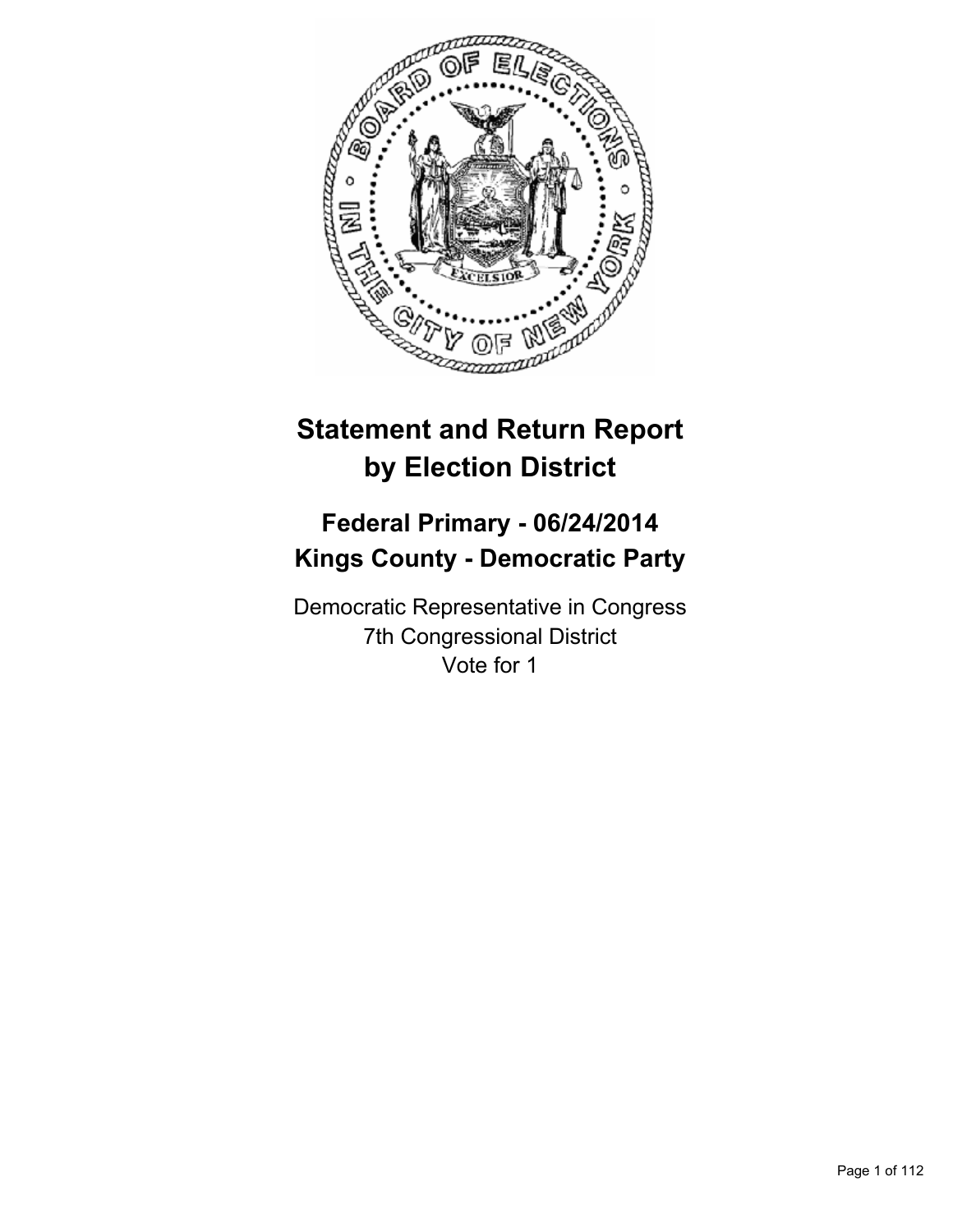

# **Statement and Return Report by Election District**

# **Federal Primary - 06/24/2014 Kings County - Democratic Party**

Democratic Representative in Congress 7th Congressional District Vote for 1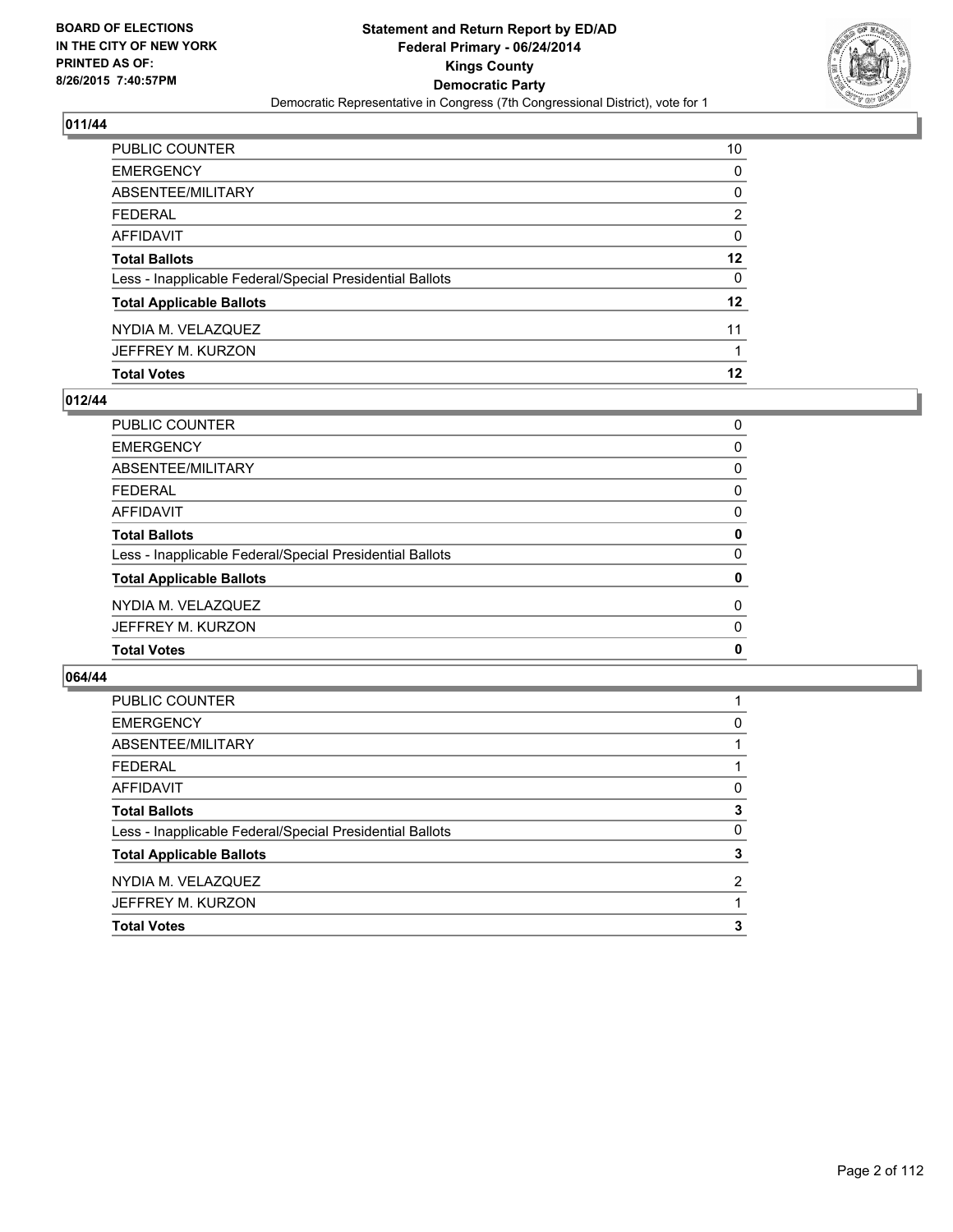

| PUBLIC COUNTER                                           | 10      |
|----------------------------------------------------------|---------|
| EMERGENCY                                                | 0       |
| ABSENTEE/MILITARY                                        | 0       |
| FEDERAL                                                  | 2       |
| AFFIDAVIT                                                | 0       |
| Total Ballots                                            | $12 \,$ |
| Less - Inapplicable Federal/Special Presidential Ballots | 0       |
| <b>Total Applicable Ballots</b>                          | $12 \,$ |
| NYDIA M. VELAZQUEZ                                       | 11      |
| JEFFREY M. KURZON                                        | 1       |
| <b>Total Votes</b>                                       | 12      |

# **012/44**

| PUBLIC COUNTER                                           | 0 |
|----------------------------------------------------------|---|
| <b>EMERGENCY</b>                                         | 0 |
| ABSENTEE/MILITARY                                        | 0 |
| <b>FEDERAL</b>                                           | 0 |
| <b>AFFIDAVIT</b>                                         | 0 |
| <b>Total Ballots</b>                                     | 0 |
| Less - Inapplicable Federal/Special Presidential Ballots | 0 |
| <b>Total Applicable Ballots</b>                          | 0 |
| NYDIA M. VELAZQUEZ                                       | 0 |
| JEFFREY M. KURZON                                        | 0 |
| <b>Total Votes</b>                                       | 0 |

| <b>PUBLIC COUNTER</b>                                    |   |
|----------------------------------------------------------|---|
| <b>EMERGENCY</b>                                         | 0 |
| ABSENTEE/MILITARY                                        |   |
| <b>FEDERAL</b>                                           |   |
| AFFIDAVIT                                                | 0 |
| <b>Total Ballots</b>                                     | 3 |
| Less - Inapplicable Federal/Special Presidential Ballots | 0 |
| <b>Total Applicable Ballots</b>                          | 3 |
| NYDIA M. VELAZQUEZ                                       | 2 |
| JEFFREY M. KURZON                                        |   |
| <b>Total Votes</b>                                       | 3 |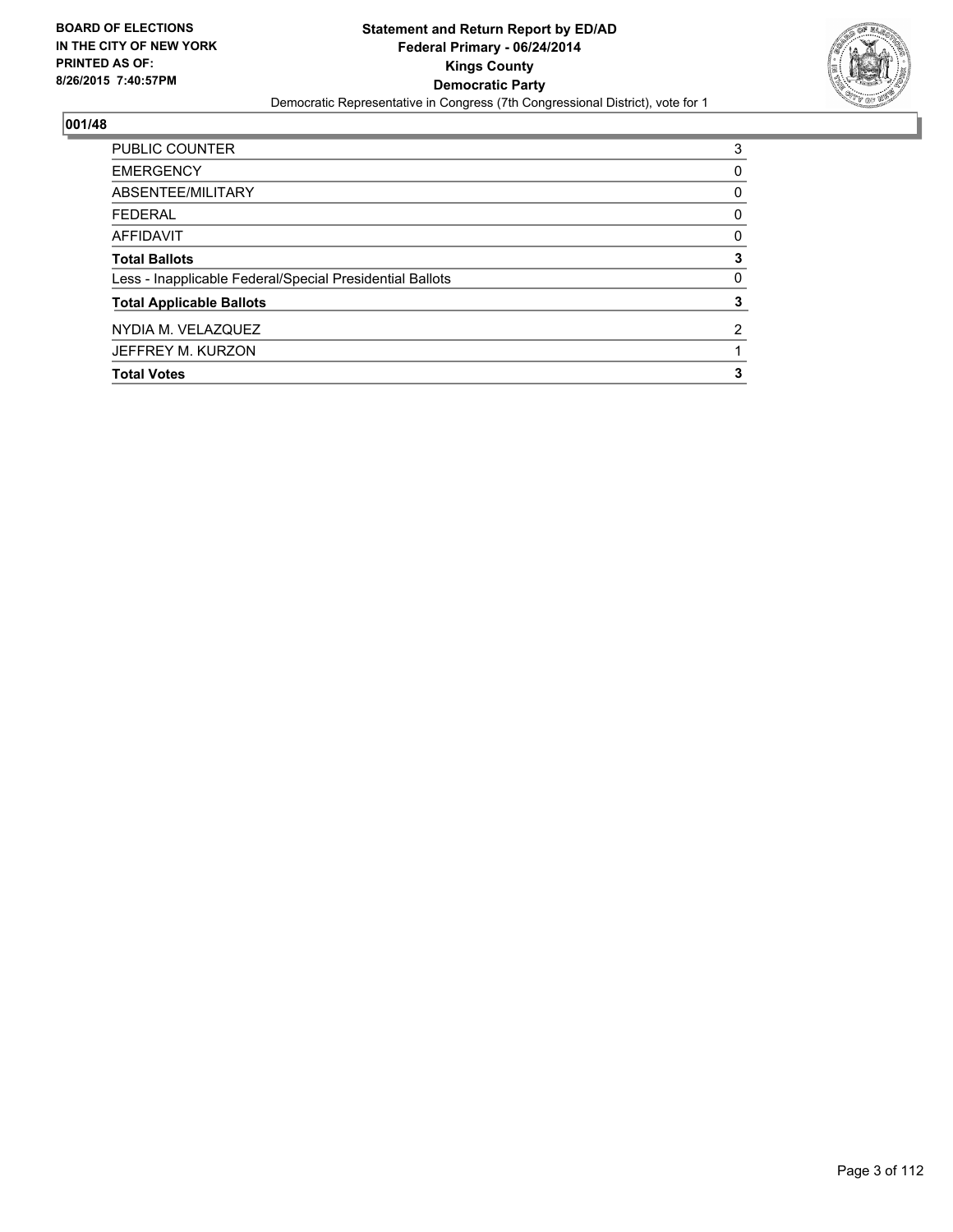

| <b>PUBLIC COUNTER</b>                                    | 3        |
|----------------------------------------------------------|----------|
| <b>EMERGENCY</b>                                         | 0        |
| ABSENTEE/MILITARY                                        | 0        |
| <b>FEDERAL</b>                                           | 0        |
| <b>AFFIDAVIT</b>                                         | 0        |
| <b>Total Ballots</b>                                     | 3        |
| Less - Inapplicable Federal/Special Presidential Ballots | $\Omega$ |
| <b>Total Applicable Ballots</b>                          | 3        |
| NYDIA M. VELAZQUEZ                                       | 2        |
| JEFFREY M. KURZON                                        |          |
| <b>Total Votes</b>                                       | 3        |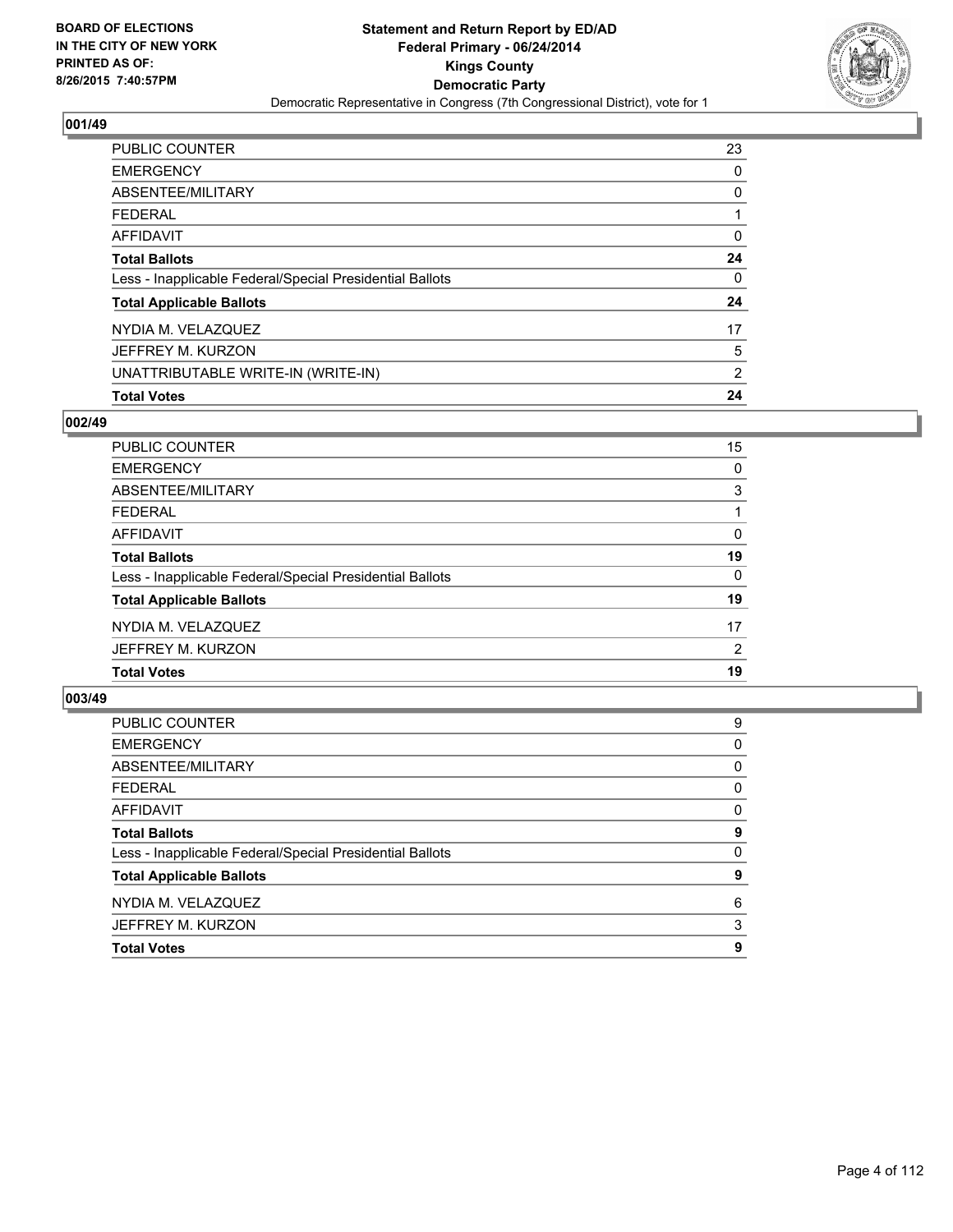

| <b>PUBLIC COUNTER</b>                                    | 23 |
|----------------------------------------------------------|----|
| <b>EMERGENCY</b>                                         | 0  |
| ABSENTEE/MILITARY                                        | 0  |
| FEDERAL                                                  |    |
| AFFIDAVIT                                                | 0  |
| <b>Total Ballots</b>                                     | 24 |
| Less - Inapplicable Federal/Special Presidential Ballots | 0  |
| <b>Total Applicable Ballots</b>                          | 24 |
| NYDIA M. VELAZQUEZ                                       | 17 |
| JEFFREY M. KURZON                                        | 5  |
| UNATTRIBUTABLE WRITE-IN (WRITE-IN)                       | 2  |
| <b>Total Votes</b>                                       | 24 |

# **002/49**

| PUBLIC COUNTER                                           | 15 |
|----------------------------------------------------------|----|
| <b>EMERGENCY</b>                                         | 0  |
| ABSENTEE/MILITARY                                        | 3  |
| <b>FEDERAL</b>                                           |    |
| <b>AFFIDAVIT</b>                                         | 0  |
| <b>Total Ballots</b>                                     | 19 |
| Less - Inapplicable Federal/Special Presidential Ballots | 0  |
| <b>Total Applicable Ballots</b>                          | 19 |
| NYDIA M. VELAZQUEZ                                       | 17 |
| JEFFREY M. KURZON                                        | 2  |
| <b>Total Votes</b>                                       | 19 |
|                                                          |    |

| <b>EMERGENCY</b>                                         | 0 |
|----------------------------------------------------------|---|
|                                                          |   |
| ABSENTEE/MILITARY                                        | 0 |
| <b>FEDERAL</b>                                           | 0 |
| <b>AFFIDAVIT</b>                                         | 0 |
| <b>Total Ballots</b>                                     | 9 |
| Less - Inapplicable Federal/Special Presidential Ballots | 0 |
| <b>Total Applicable Ballots</b>                          | 9 |
| NYDIA M. VELAZQUEZ                                       | 6 |
| JEFFREY M. KURZON                                        | 3 |
|                                                          |   |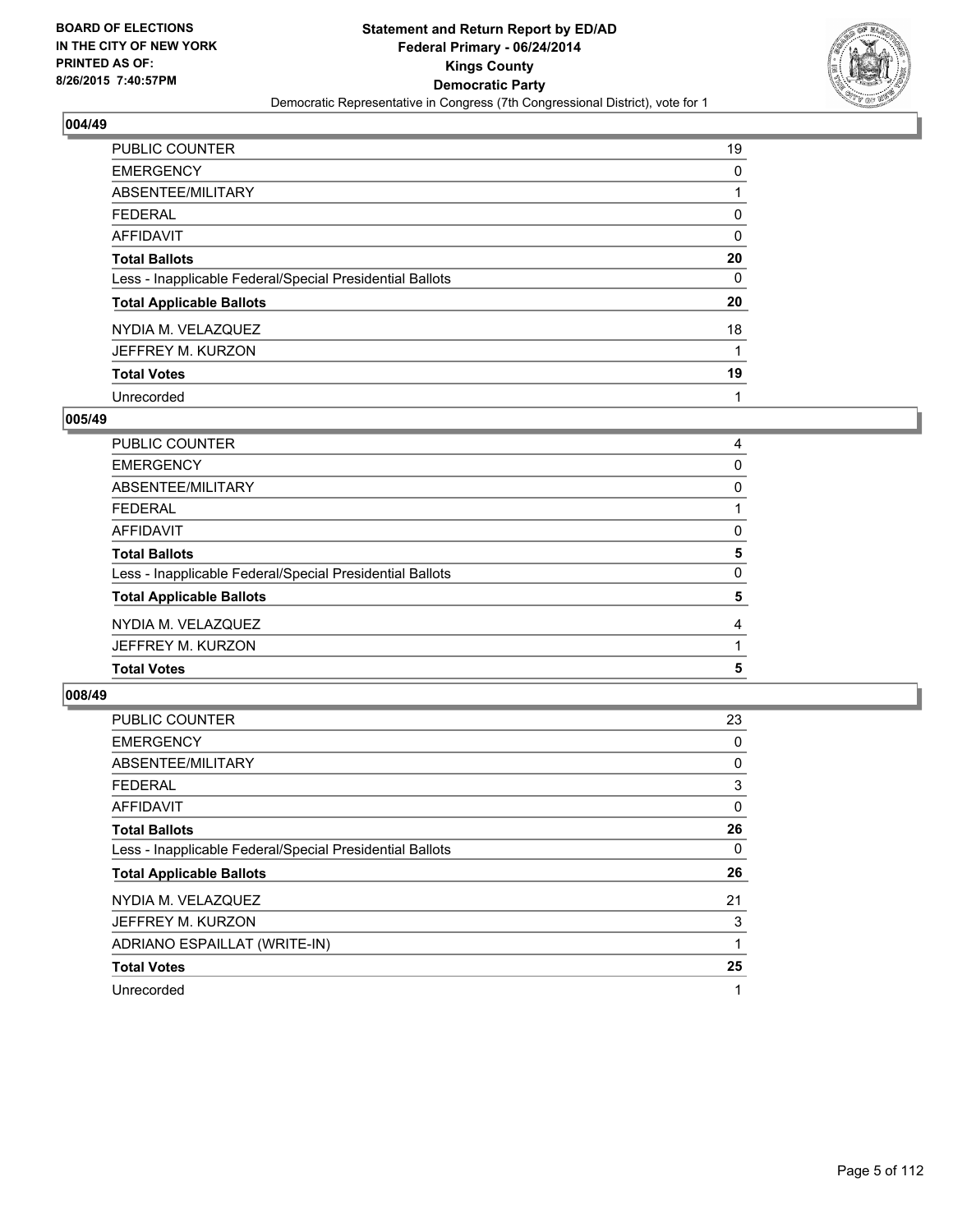

| <b>PUBLIC COUNTER</b>                                    | 19 |
|----------------------------------------------------------|----|
| <b>EMERGENCY</b>                                         | 0  |
| ABSENTEE/MILITARY                                        |    |
| <b>FEDERAL</b>                                           | 0  |
| <b>AFFIDAVIT</b>                                         | 0  |
| <b>Total Ballots</b>                                     | 20 |
| Less - Inapplicable Federal/Special Presidential Ballots | 0  |
| <b>Total Applicable Ballots</b>                          | 20 |
| NYDIA M. VELAZQUEZ                                       | 18 |
| JEFFREY M. KURZON                                        | 1  |
| <b>Total Votes</b>                                       | 19 |
| Unrecorded                                               |    |

#### **005/49**

| JEFFREY M. KURZON                                        |          |
|----------------------------------------------------------|----------|
| NYDIA M. VELAZQUEZ                                       | 4        |
| <b>Total Applicable Ballots</b>                          | 5        |
| Less - Inapplicable Federal/Special Presidential Ballots | $\Omega$ |
| <b>Total Ballots</b>                                     | 5        |
| <b>AFFIDAVIT</b>                                         | 0        |
| <b>FEDERAL</b>                                           |          |
| <b>ABSENTEE/MILITARY</b>                                 | 0        |
| <b>EMERGENCY</b>                                         | 0        |
| PUBLIC COUNTER                                           | 4        |

| <b>PUBLIC COUNTER</b>                                    | 23 |
|----------------------------------------------------------|----|
| <b>EMERGENCY</b>                                         | 0  |
| ABSENTEE/MILITARY                                        | 0  |
| <b>FEDERAL</b>                                           | 3  |
| AFFIDAVIT                                                | 0  |
| <b>Total Ballots</b>                                     | 26 |
| Less - Inapplicable Federal/Special Presidential Ballots | 0  |
| <b>Total Applicable Ballots</b>                          | 26 |
| NYDIA M. VELAZQUEZ                                       | 21 |
| JEFFREY M. KURZON                                        | 3  |
| ADRIANO ESPAILLAT (WRITE-IN)                             | 1  |
| <b>Total Votes</b>                                       | 25 |
| Unrecorded                                               | 1  |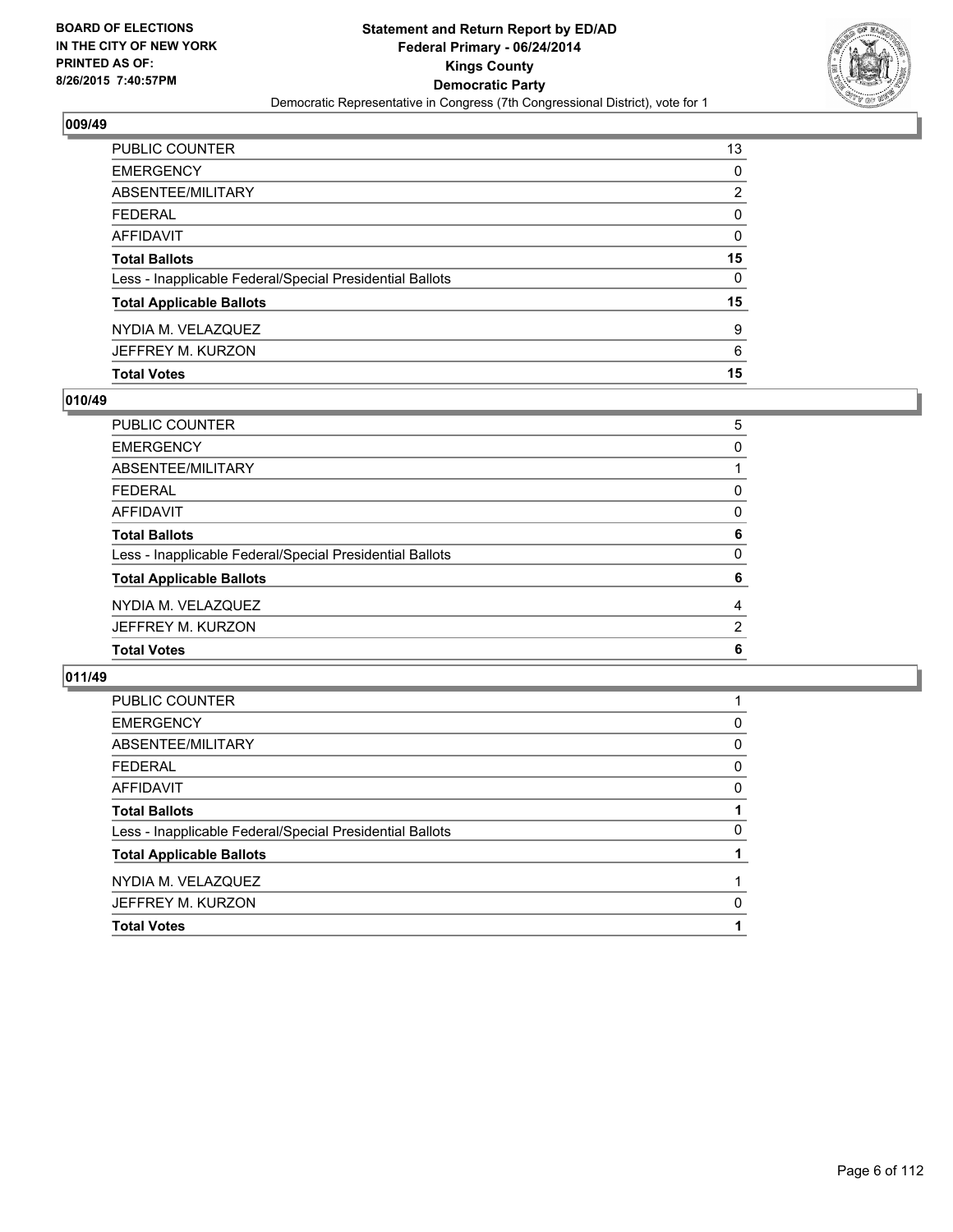

| PUBLIC COUNTER                                           | 13 |
|----------------------------------------------------------|----|
| <b>EMERGENCY</b>                                         | 0  |
| <b>ABSENTEE/MILITARY</b>                                 | 2  |
| <b>FEDERAL</b>                                           | 0  |
| AFFIDAVIT                                                | 0  |
| <b>Total Ballots</b>                                     | 15 |
| Less - Inapplicable Federal/Special Presidential Ballots | 0  |
| <b>Total Applicable Ballots</b>                          | 15 |
| NYDIA M. VELAZQUEZ                                       | 9  |
| JEFFREY M. KURZON                                        | 6  |
| <b>Total Votes</b>                                       | 15 |

# **010/49**

| PUBLIC COUNTER                                           | 5 |
|----------------------------------------------------------|---|
| <b>EMERGENCY</b>                                         | 0 |
| ABSENTEE/MILITARY                                        |   |
| <b>FEDERAL</b>                                           | 0 |
| AFFIDAVIT                                                | 0 |
| <b>Total Ballots</b>                                     | 6 |
| Less - Inapplicable Federal/Special Presidential Ballots | 0 |
| <b>Total Applicable Ballots</b>                          | 6 |
| NYDIA M. VELAZQUEZ                                       | 4 |
| JEFFREY M. KURZON                                        | 2 |
| <b>Total Votes</b>                                       | 6 |

| <b>PUBLIC COUNTER</b>                                    |          |
|----------------------------------------------------------|----------|
| <b>EMERGENCY</b>                                         | 0        |
| ABSENTEE/MILITARY                                        | 0        |
| <b>FEDERAL</b>                                           | 0        |
| AFFIDAVIT                                                | 0        |
| <b>Total Ballots</b>                                     |          |
| Less - Inapplicable Federal/Special Presidential Ballots | $\Omega$ |
| <b>Total Applicable Ballots</b>                          |          |
| NYDIA M. VELAZQUEZ                                       |          |
| JEFFREY M. KURZON                                        | 0        |
| <b>Total Votes</b>                                       |          |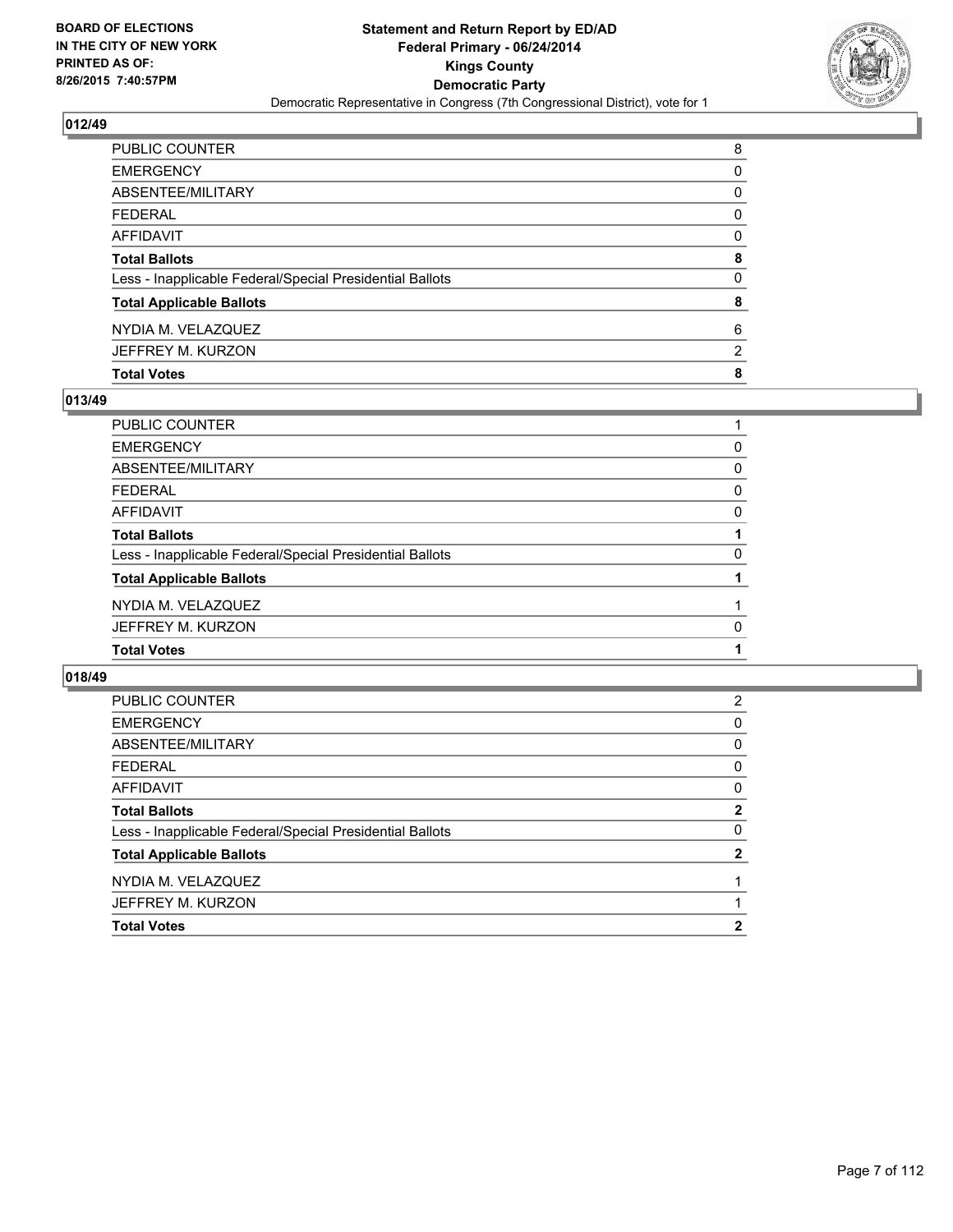

| PUBLIC COUNTER                                           | 8                     |
|----------------------------------------------------------|-----------------------|
| <b>EMERGENCY</b>                                         | 0                     |
| ABSENTEE/MILITARY                                        | 0                     |
| <b>FEDERAL</b>                                           | 0                     |
| AFFIDAVIT                                                | 0                     |
| <b>Total Ballots</b>                                     | 8                     |
| Less - Inapplicable Federal/Special Presidential Ballots | $\Omega$              |
| <b>Total Applicable Ballots</b>                          | 8                     |
| NYDIA M. VELAZQUEZ                                       | 6                     |
| JEFFREY M. KURZON                                        | $\mathbf{2}^{\prime}$ |
| <b>Total Votes</b>                                       | 8                     |

# **013/49**

| <b>PUBLIC COUNTER</b>                                    |   |
|----------------------------------------------------------|---|
| <b>EMERGENCY</b>                                         | 0 |
| <b>ABSENTEE/MILITARY</b>                                 | 0 |
| <b>FEDERAL</b>                                           | 0 |
| <b>AFFIDAVIT</b>                                         | 0 |
| <b>Total Ballots</b>                                     |   |
| Less - Inapplicable Federal/Special Presidential Ballots | 0 |
| <b>Total Applicable Ballots</b>                          |   |
| NYDIA M. VELAZQUEZ                                       |   |
| JEFFREY M. KURZON                                        | 0 |
| <b>Total Votes</b>                                       |   |
|                                                          |   |

| 2            |
|--------------|
| 0            |
| 0            |
| 0            |
| 0            |
| $\mathbf{2}$ |
| 0            |
| 2            |
|              |
|              |
| 2            |
|              |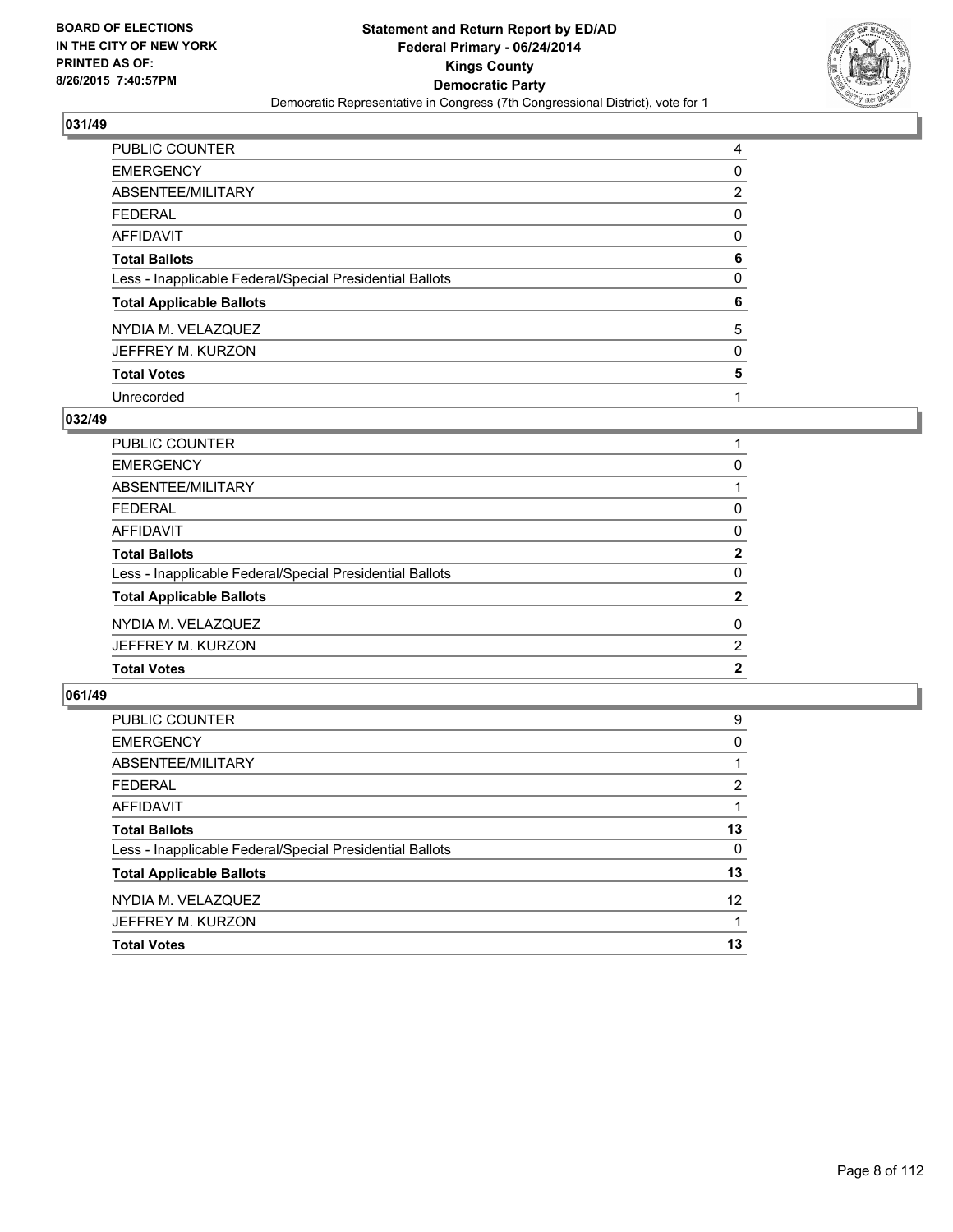

| <b>PUBLIC COUNTER</b>                                    | 4 |
|----------------------------------------------------------|---|
| <b>EMERGENCY</b>                                         | 0 |
| ABSENTEE/MILITARY                                        | 2 |
| <b>FEDERAL</b>                                           | 0 |
| <b>AFFIDAVIT</b>                                         | 0 |
| <b>Total Ballots</b>                                     | 6 |
| Less - Inapplicable Federal/Special Presidential Ballots | 0 |
| <b>Total Applicable Ballots</b>                          | 6 |
| NYDIA M. VELAZQUEZ                                       | 5 |
| JEFFREY M. KURZON                                        | 0 |
| <b>Total Votes</b>                                       | 5 |
| Unrecorded                                               |   |

#### **032/49**

| PUBLIC COUNTER                                           |                |
|----------------------------------------------------------|----------------|
| <b>EMERGENCY</b>                                         | 0              |
| ABSENTEE/MILITARY                                        |                |
| FEDERAL                                                  | 0              |
| AFFIDAVIT                                                | 0              |
| <b>Total Ballots</b>                                     | $\overline{2}$ |
| Less - Inapplicable Federal/Special Presidential Ballots | $\mathbf{0}$   |
| <b>Total Applicable Ballots</b>                          | $\mathbf{2}$   |
| NYDIA M. VELAZQUEZ                                       | 0              |
| JEFFREY M. KURZON                                        | $\overline{2}$ |
| <b>Total Votes</b>                                       | $\mathbf{2}$   |
|                                                          |                |

| PUBLIC COUNTER                                           | 9               |
|----------------------------------------------------------|-----------------|
| <b>EMERGENCY</b>                                         | 0               |
| ABSENTEE/MILITARY                                        |                 |
| <b>FEDERAL</b>                                           | 2               |
| <b>AFFIDAVIT</b>                                         |                 |
| <b>Total Ballots</b>                                     | 13              |
| Less - Inapplicable Federal/Special Presidential Ballots | 0               |
| <b>Total Applicable Ballots</b>                          | 13              |
| NYDIA M. VELAZQUEZ                                       | 12 <sup>2</sup> |
| JEFFREY M. KURZON                                        |                 |
| <b>Total Votes</b>                                       | 13              |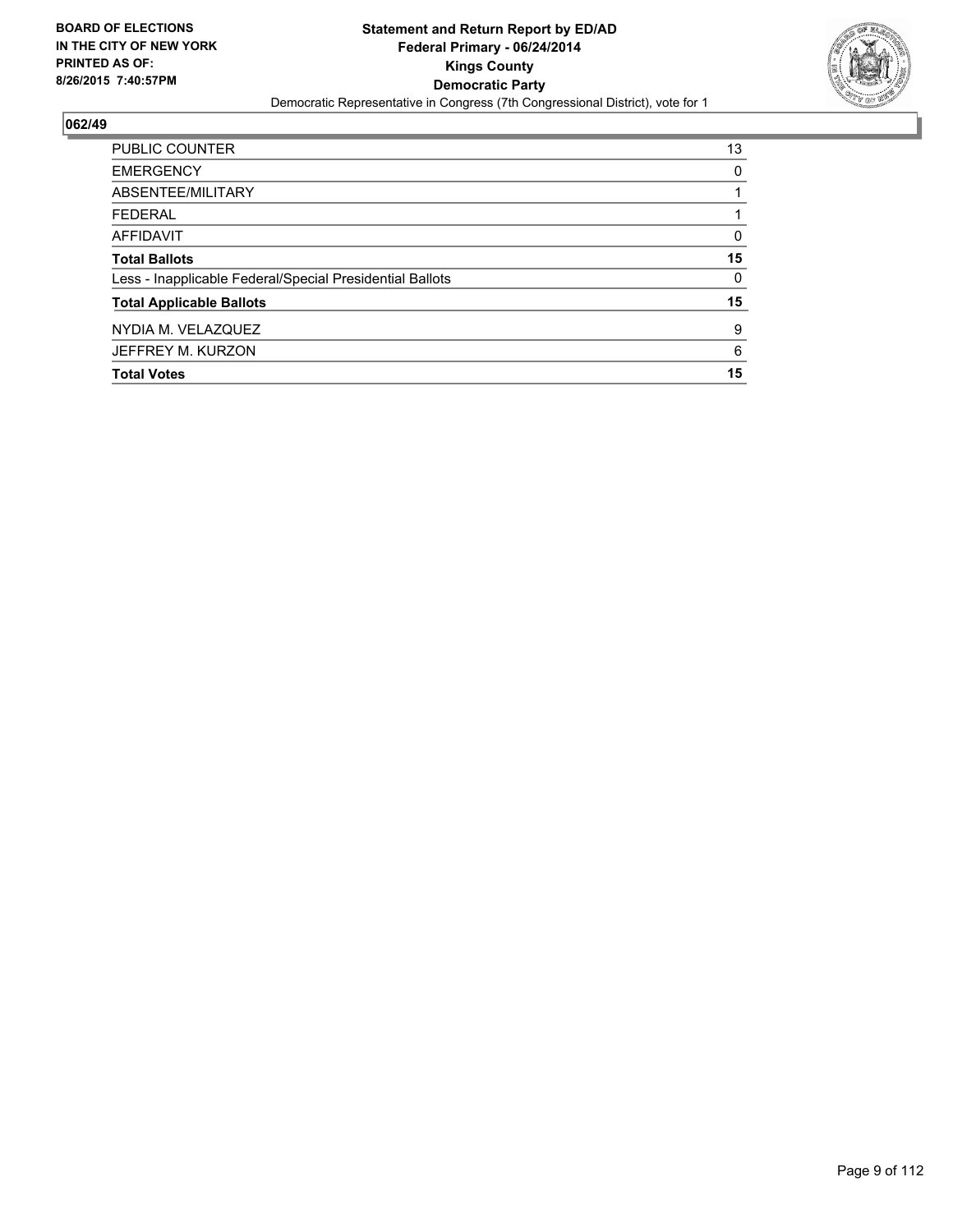

| <b>PUBLIC COUNTER</b>                                    | 13 |
|----------------------------------------------------------|----|
| <b>EMERGENCY</b>                                         | 0  |
| ABSENTEE/MILITARY                                        |    |
| <b>FEDERAL</b>                                           |    |
| <b>AFFIDAVIT</b>                                         | 0  |
| <b>Total Ballots</b>                                     | 15 |
| Less - Inapplicable Federal/Special Presidential Ballots | 0  |
| <b>Total Applicable Ballots</b>                          | 15 |
| NYDIA M. VELAZQUEZ                                       | 9  |
| JEFFREY M. KURZON                                        | 6  |
| <b>Total Votes</b>                                       | 15 |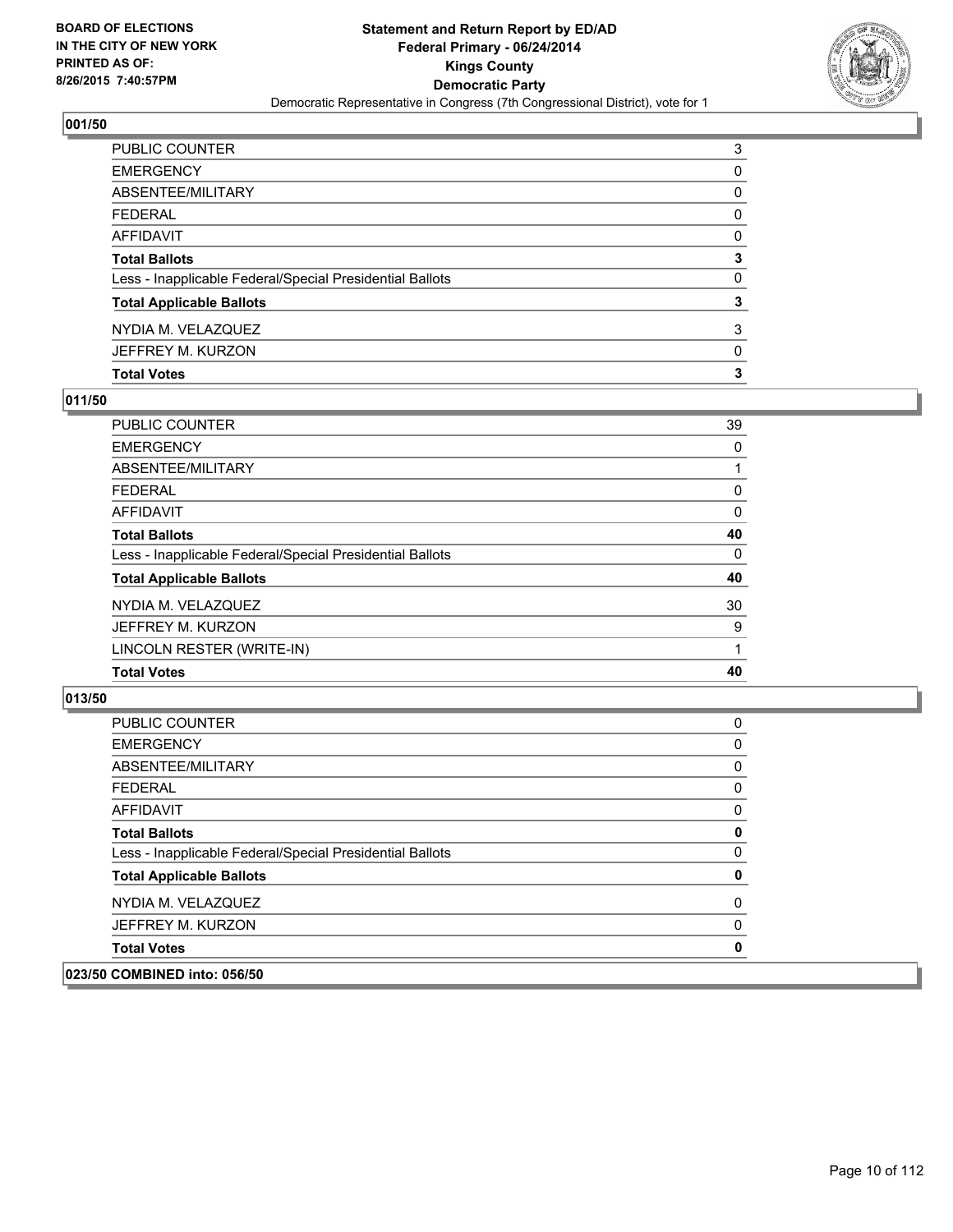

| PUBLIC COUNTER                                           | 3 |
|----------------------------------------------------------|---|
| EMERGENCY                                                | 0 |
| ABSENTEE/MILITARY                                        | 0 |
| FEDERAL                                                  | 0 |
| AFFIDAVIT                                                | 0 |
| <b>Total Ballots</b>                                     | 3 |
| Less - Inapplicable Federal/Special Presidential Ballots | 0 |
| <b>Total Applicable Ballots</b>                          | 3 |
| NYDIA M. VELAZQUEZ                                       | 3 |
| JEFFREY M. KURZON                                        | 0 |
| <b>Total Votes</b>                                       | 3 |

# **011/50**

| <b>PUBLIC COUNTER</b>                                    | 39 |
|----------------------------------------------------------|----|
| <b>EMERGENCY</b>                                         | 0  |
| ABSENTEE/MILITARY                                        |    |
| <b>FEDERAL</b>                                           | 0  |
| <b>AFFIDAVIT</b>                                         | 0  |
| <b>Total Ballots</b>                                     | 40 |
| Less - Inapplicable Federal/Special Presidential Ballots | 0  |
| <b>Total Applicable Ballots</b>                          | 40 |
| NYDIA M. VELAZQUEZ                                       | 30 |
| JEFFREY M. KURZON                                        | 9  |
| LINCOLN RESTER (WRITE-IN)                                |    |
| <b>Total Votes</b>                                       | 40 |
|                                                          |    |

| 023/50 COMBINED into: 056/50                             |              |
|----------------------------------------------------------|--------------|
| <b>Total Votes</b>                                       | $\mathbf 0$  |
| JEFFREY M. KURZON                                        | 0            |
| NYDIA M. VELAZQUEZ                                       | 0            |
| <b>Total Applicable Ballots</b>                          | 0            |
| Less - Inapplicable Federal/Special Presidential Ballots | $\mathbf{0}$ |
| <b>Total Ballots</b>                                     | 0            |
| AFFIDAVIT                                                | $\mathbf{0}$ |
| <b>FEDERAL</b>                                           | 0            |
| ABSENTEE/MILITARY                                        | 0            |
| <b>EMERGENCY</b>                                         | 0            |
| <b>PUBLIC COUNTER</b>                                    | 0            |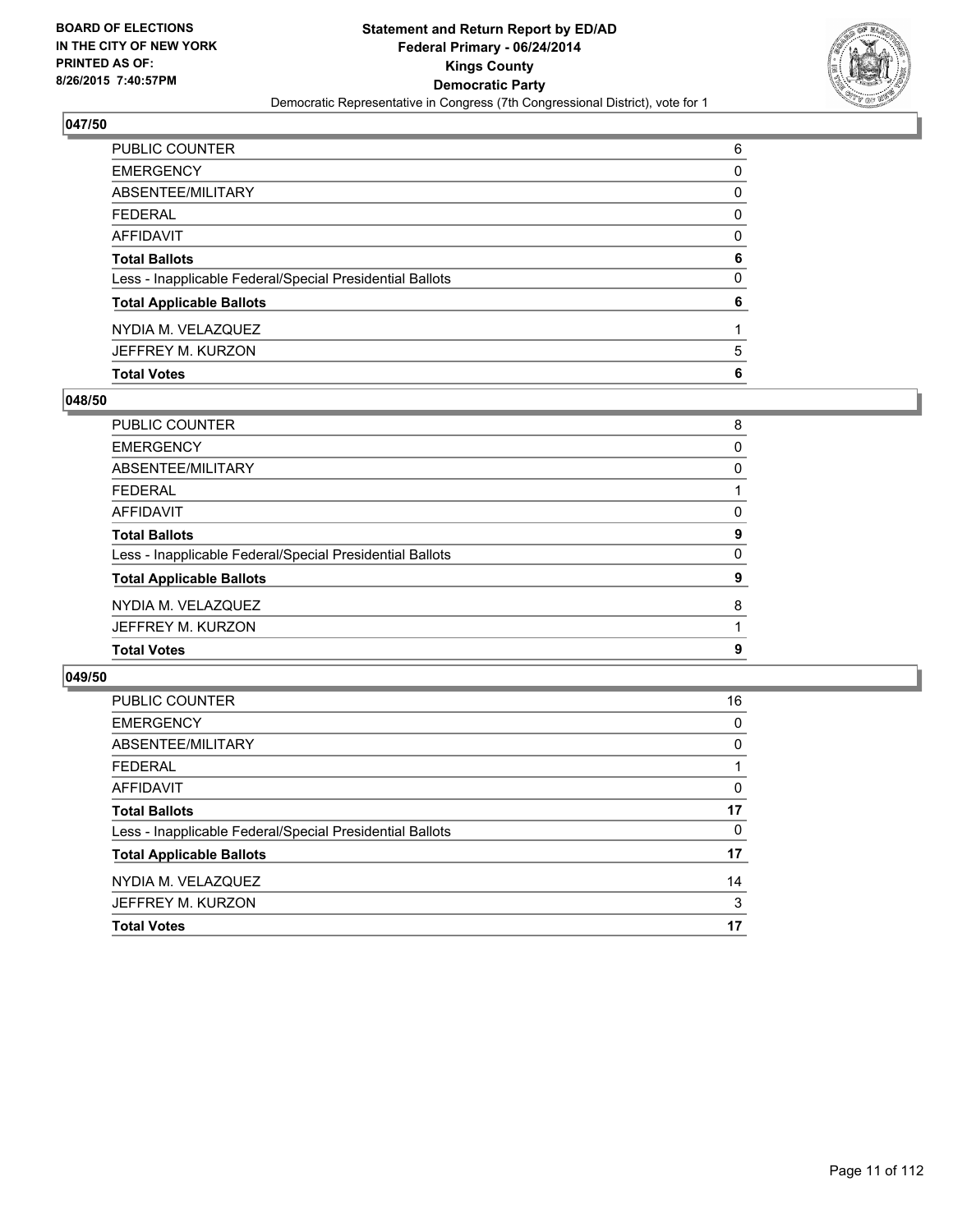

| PUBLIC COUNTER                                           | 6        |
|----------------------------------------------------------|----------|
| EMERGENCY                                                | 0        |
| ABSENTEE/MILITARY                                        | 0        |
| FEDERAL                                                  | $\Omega$ |
| AFFIDAVIT                                                | 0        |
| Total Ballots                                            | 6        |
| Less - Inapplicable Federal/Special Presidential Ballots | 0        |
| <b>Total Applicable Ballots</b>                          | 6        |
| NYDIA M. VELAZQUEZ                                       |          |
| JEFFREY M. KURZON                                        | 5        |
| <b>Total Votes</b>                                       | 6        |

# **048/50**

| PUBLIC COUNTER                                           | 8 |
|----------------------------------------------------------|---|
| <b>EMERGENCY</b>                                         | 0 |
| ABSENTEE/MILITARY                                        | 0 |
| <b>FEDERAL</b>                                           |   |
| AFFIDAVIT                                                | 0 |
| <b>Total Ballots</b>                                     | 9 |
| Less - Inapplicable Federal/Special Presidential Ballots | 0 |
| <b>Total Applicable Ballots</b>                          | 9 |
| NYDIA M. VELAZQUEZ                                       | 8 |
| JEFFREY M. KURZON                                        |   |
| <b>Total Votes</b>                                       | 9 |
|                                                          |   |

| PUBLIC COUNTER                                           | 16 |
|----------------------------------------------------------|----|
| <b>EMERGENCY</b>                                         | 0  |
| ABSENTEE/MILITARY                                        | 0  |
| <b>FEDERAL</b>                                           |    |
| AFFIDAVIT                                                | 0  |
| <b>Total Ballots</b>                                     | 17 |
| Less - Inapplicable Federal/Special Presidential Ballots | 0  |
| <b>Total Applicable Ballots</b>                          | 17 |
| NYDIA M. VELAZQUEZ                                       | 14 |
| JEFFREY M. KURZON                                        | 3  |
| <b>Total Votes</b>                                       | 17 |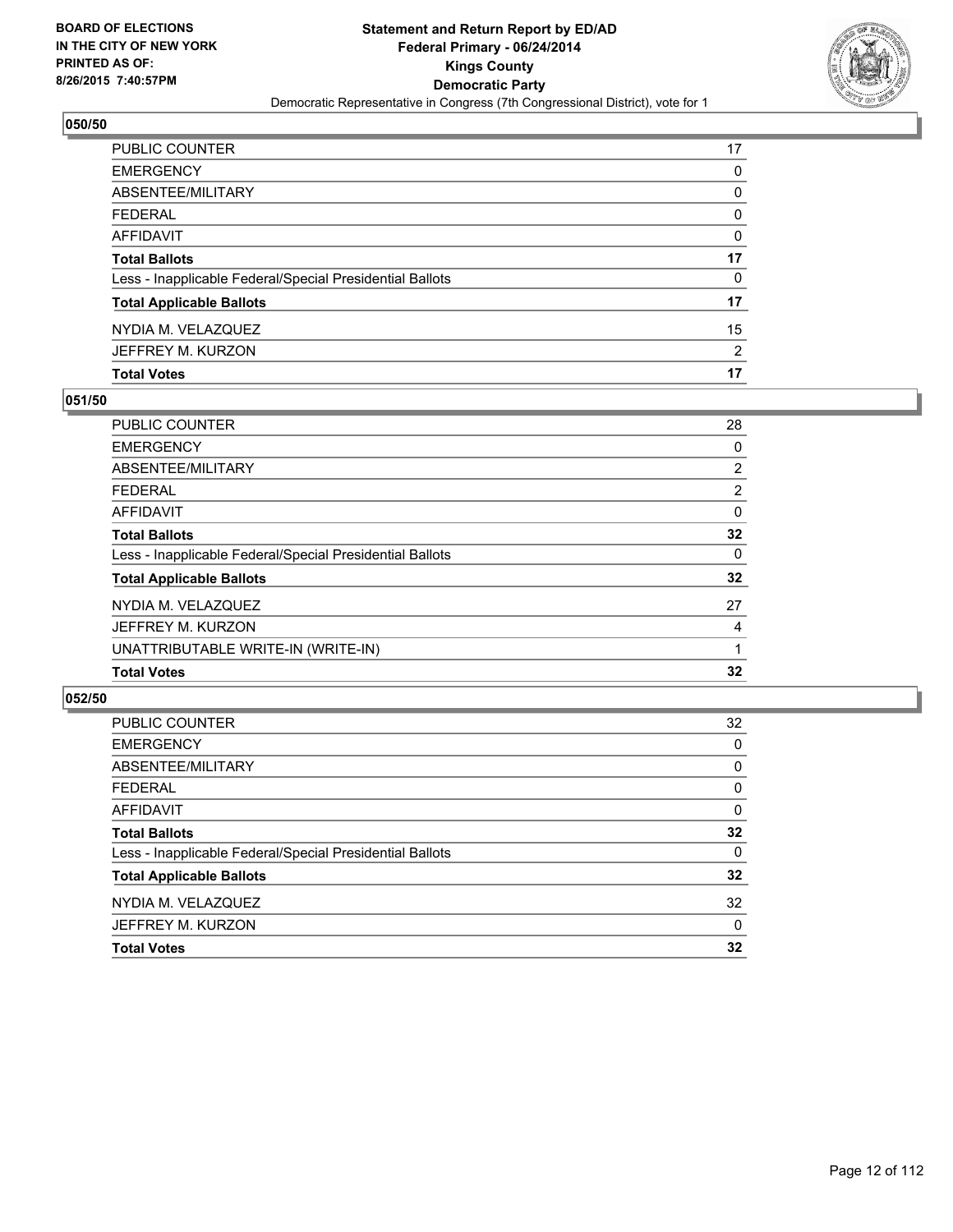

| PUBLIC COUNTER                                           | 17 |
|----------------------------------------------------------|----|
| EMERGENCY                                                | 0  |
| ABSENTEE/MILITARY                                        | 0  |
| FEDERAL                                                  | 0  |
| AFFIDAVIT                                                | 0  |
| <b>Total Ballots</b>                                     | 17 |
| Less - Inapplicable Federal/Special Presidential Ballots | 0  |
| <b>Total Applicable Ballots</b>                          | 17 |
| NYDIA M. VELAZQUEZ                                       | 15 |
| JEFFREY M. KURZON                                        | 2  |
| <b>Total Votes</b>                                       | 17 |

# **051/50**

| PUBLIC COUNTER                                           | 28             |
|----------------------------------------------------------|----------------|
| <b>EMERGENCY</b>                                         | 0              |
| ABSENTEE/MILITARY                                        | $\overline{2}$ |
| <b>FEDERAL</b>                                           | $\overline{2}$ |
| <b>AFFIDAVIT</b>                                         | 0              |
| <b>Total Ballots</b>                                     | 32             |
| Less - Inapplicable Federal/Special Presidential Ballots | 0              |
| <b>Total Applicable Ballots</b>                          | 32             |
| NYDIA M. VELAZQUEZ                                       | 27             |
| JEFFREY M. KURZON                                        | 4              |
| UNATTRIBUTABLE WRITE-IN (WRITE-IN)                       |                |
| <b>Total Votes</b>                                       | 32             |
|                                                          |                |

| PUBLIC COUNTER                                           | 32       |
|----------------------------------------------------------|----------|
| <b>EMERGENCY</b>                                         | 0        |
| ABSENTEE/MILITARY                                        | 0        |
| <b>FEDERAL</b>                                           | 0        |
| <b>AFFIDAVIT</b>                                         | $\Omega$ |
| <b>Total Ballots</b>                                     | 32       |
| Less - Inapplicable Federal/Special Presidential Ballots | $\Omega$ |
| <b>Total Applicable Ballots</b>                          | 32       |
| NYDIA M. VELAZQUEZ                                       | 32       |
| JEFFREY M. KURZON                                        | 0        |
| <b>Total Votes</b>                                       | 32       |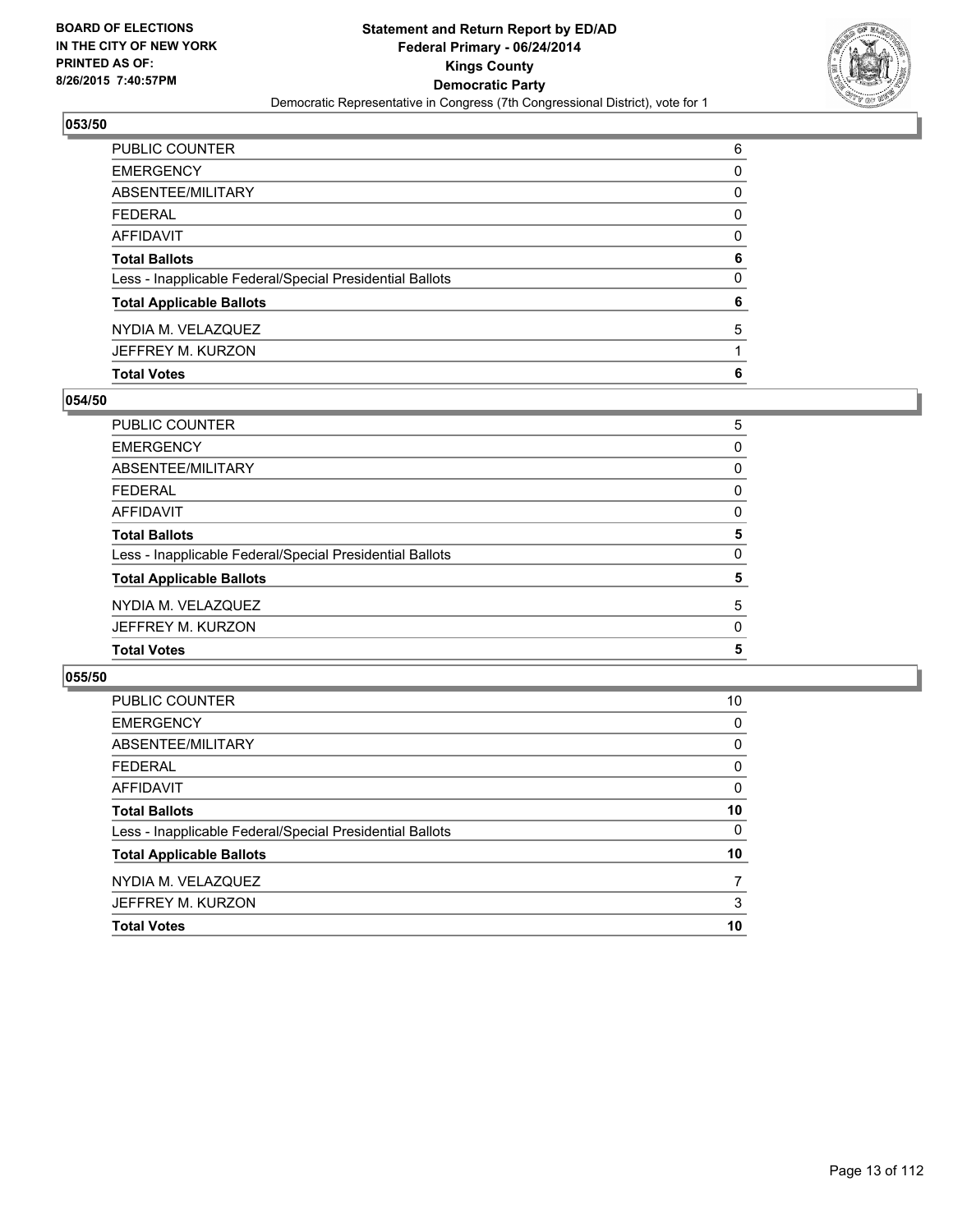

| PUBLIC COUNTER                                           | 6        |
|----------------------------------------------------------|----------|
| EMERGENCY                                                | 0        |
| ABSENTEE/MILITARY                                        | 0        |
| FEDERAL                                                  | $\Omega$ |
| AFFIDAVIT                                                | 0        |
| Total Ballots                                            | 6        |
| Less - Inapplicable Federal/Special Presidential Ballots | 0        |
| <b>Total Applicable Ballots</b>                          | 6        |
| NYDIA M. VELAZQUEZ                                       | 5        |
| JEFFREY M. KURZON                                        |          |
| <b>Total Votes</b>                                       | 6        |

# **054/50**

| PUBLIC COUNTER                                           | 5 |
|----------------------------------------------------------|---|
| <b>EMERGENCY</b>                                         | 0 |
| ABSENTEE/MILITARY                                        | 0 |
| <b>FEDERAL</b>                                           | 0 |
| AFFIDAVIT                                                | 0 |
| <b>Total Ballots</b>                                     | 5 |
| Less - Inapplicable Federal/Special Presidential Ballots | 0 |
| <b>Total Applicable Ballots</b>                          | 5 |
| NYDIA M. VELAZQUEZ                                       | 5 |
| JEFFREY M. KURZON                                        | 0 |
| <b>Total Votes</b>                                       | 5 |
|                                                          |   |

| PUBLIC COUNTER                                           | 10 |
|----------------------------------------------------------|----|
| <b>EMERGENCY</b>                                         | 0  |
| ABSENTEE/MILITARY                                        | 0  |
| <b>FEDERAL</b>                                           | 0  |
| AFFIDAVIT                                                | 0  |
| <b>Total Ballots</b>                                     | 10 |
| Less - Inapplicable Federal/Special Presidential Ballots | 0  |
| <b>Total Applicable Ballots</b>                          | 10 |
| NYDIA M. VELAZQUEZ                                       | 7  |
| JEFFREY M. KURZON                                        | 3  |
| <b>Total Votes</b>                                       | 10 |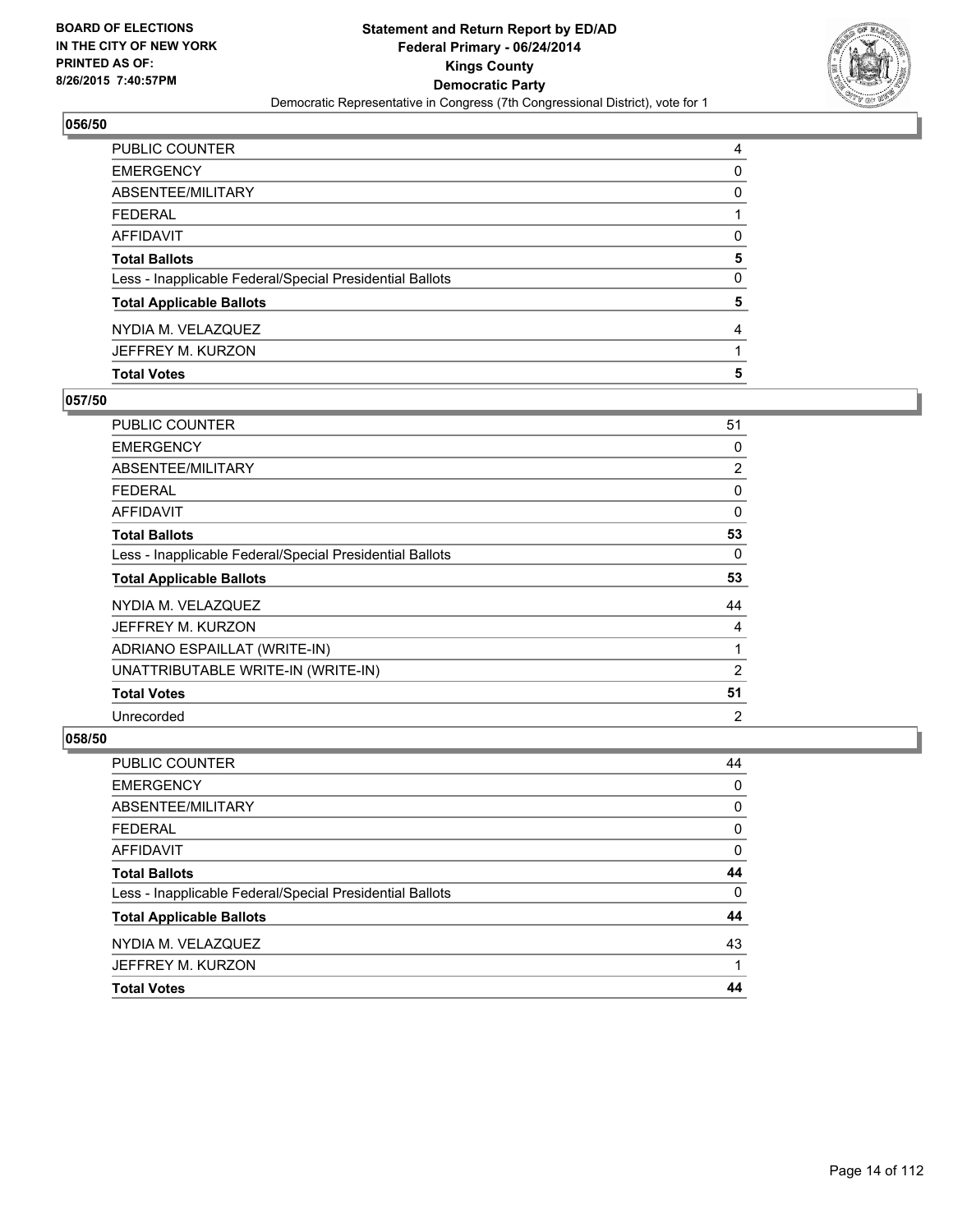

| <b>Total Votes</b>                                       | 5            |
|----------------------------------------------------------|--------------|
| JEFFREY M. KURZON                                        |              |
| NYDIA M. VELAZQUEZ                                       | 4            |
| <b>Total Applicable Ballots</b>                          | 5            |
| Less - Inapplicable Federal/Special Presidential Ballots | $\mathbf{0}$ |
| <b>Total Ballots</b>                                     | 5            |
| AFFIDAVIT                                                | 0            |
| FEDERAL                                                  |              |
| ABSENTEE/MILITARY                                        | 0            |
| EMERGENCY                                                | 0            |
| PUBLIC COUNTER                                           | 4            |

# **057/50**

| <b>PUBLIC COUNTER</b>                                    | 51             |
|----------------------------------------------------------|----------------|
| <b>EMERGENCY</b>                                         | 0              |
| ABSENTEE/MILITARY                                        | $\overline{2}$ |
| <b>FEDERAL</b>                                           | 0              |
| AFFIDAVIT                                                | 0              |
| <b>Total Ballots</b>                                     | 53             |
| Less - Inapplicable Federal/Special Presidential Ballots | 0              |
| <b>Total Applicable Ballots</b>                          | 53             |
| NYDIA M. VELAZQUEZ                                       | 44             |
| JEFFREY M. KURZON                                        | 4              |
| ADRIANO ESPAILLAT (WRITE-IN)                             | 1              |
| UNATTRIBUTABLE WRITE-IN (WRITE-IN)                       | 2              |
| <b>Total Votes</b>                                       | 51             |
| Unrecorded                                               | 2              |

| <b>PUBLIC COUNTER</b>                                    | 44 |
|----------------------------------------------------------|----|
| <b>EMERGENCY</b>                                         | 0  |
| ABSENTEE/MILITARY                                        | 0  |
| <b>FEDERAL</b>                                           | 0  |
| <b>AFFIDAVIT</b>                                         | 0  |
| <b>Total Ballots</b>                                     | 44 |
| Less - Inapplicable Federal/Special Presidential Ballots | 0  |
| <b>Total Applicable Ballots</b>                          | 44 |
| NYDIA M. VELAZQUEZ                                       | 43 |
| JEFFREY M. KURZON                                        |    |
| <b>Total Votes</b>                                       | 44 |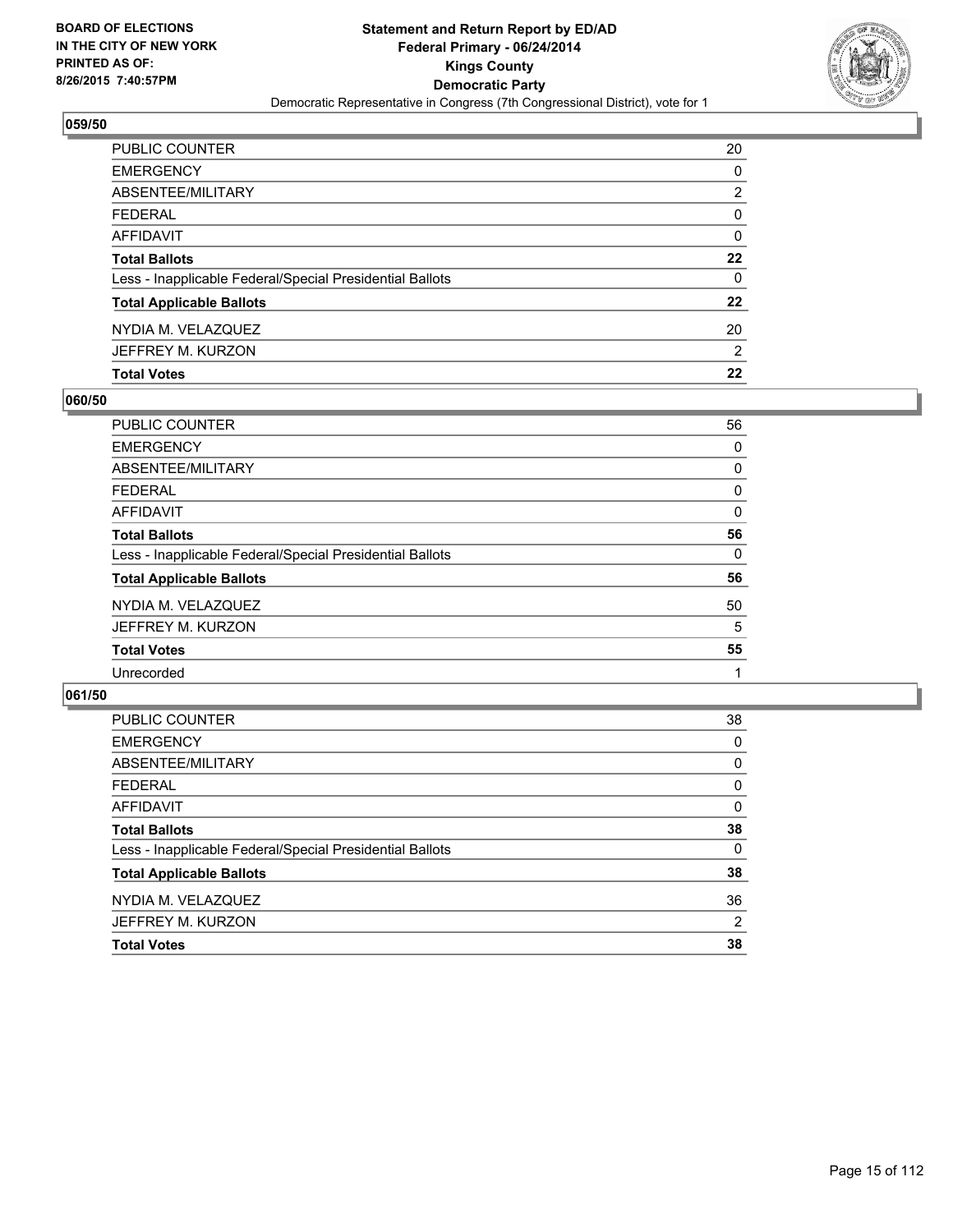

| PUBLIC COUNTER                                           | 20      |
|----------------------------------------------------------|---------|
| <b>EMERGENCY</b>                                         | 0       |
| <b>ABSENTEE/MILITARY</b>                                 | 2       |
| <b>FEDERAL</b>                                           | 0       |
| AFFIDAVIT                                                | 0       |
| <b>Total Ballots</b>                                     | 22      |
| Less - Inapplicable Federal/Special Presidential Ballots | 0       |
| <b>Total Applicable Ballots</b>                          | $22 \,$ |
| NYDIA M. VELAZQUEZ                                       | 20      |
| JEFFREY M. KURZON                                        | 2       |
| <b>Total Votes</b>                                       | 22      |

# **060/50**

| <b>PUBLIC COUNTER</b>                                    | 56 |
|----------------------------------------------------------|----|
| <b>EMERGENCY</b>                                         | 0  |
| ABSENTEE/MILITARY                                        | 0  |
| <b>FEDERAL</b>                                           | 0  |
| <b>AFFIDAVIT</b>                                         | 0  |
| <b>Total Ballots</b>                                     | 56 |
| Less - Inapplicable Federal/Special Presidential Ballots | 0  |
| <b>Total Applicable Ballots</b>                          | 56 |
| NYDIA M. VELAZQUEZ                                       | 50 |
| JEFFREY M. KURZON                                        | 5  |
| <b>Total Votes</b>                                       | 55 |
| Unrecorded                                               |    |
|                                                          |    |

| PUBLIC COUNTER                                           | 38             |
|----------------------------------------------------------|----------------|
| <b>EMERGENCY</b>                                         | 0              |
| ABSENTEE/MILITARY                                        | 0              |
| <b>FEDERAL</b>                                           | 0              |
| <b>AFFIDAVIT</b>                                         | 0              |
| <b>Total Ballots</b>                                     | 38             |
| Less - Inapplicable Federal/Special Presidential Ballots | 0              |
| <b>Total Applicable Ballots</b>                          | 38             |
| NYDIA M. VELAZQUEZ                                       | 36             |
| JEFFREY M. KURZON                                        | $\overline{2}$ |
| <b>Total Votes</b>                                       | 38             |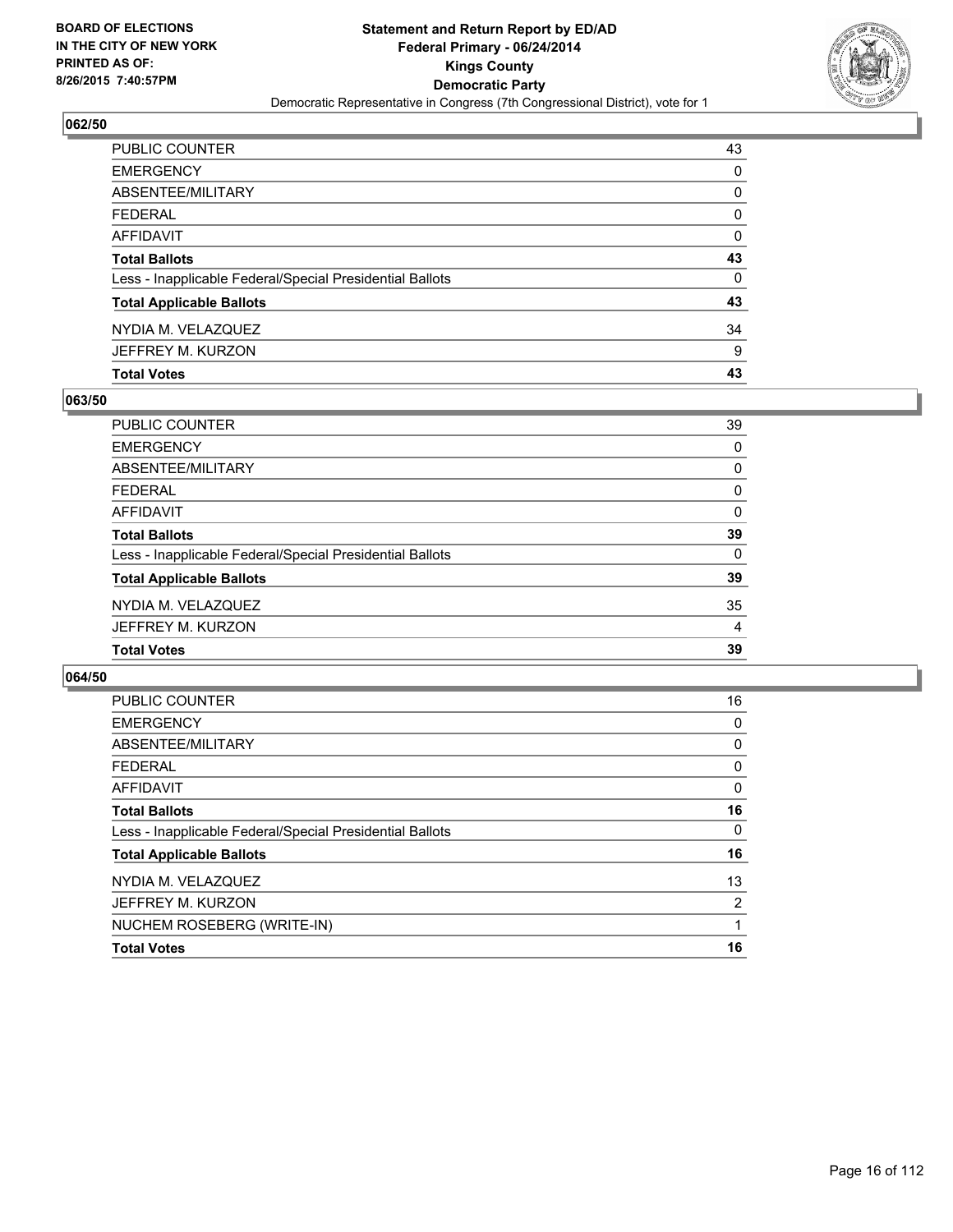

| <b>Total Votes</b>                                       | 43       |
|----------------------------------------------------------|----------|
| JEFFREY M. KURZON                                        | 9        |
| NYDIA M. VELAZQUEZ                                       | 34       |
| <b>Total Applicable Ballots</b>                          | 43       |
| Less - Inapplicable Federal/Special Presidential Ballots | $\Omega$ |
| <b>Total Ballots</b>                                     | 43       |
| AFFIDAVIT                                                | 0        |
| <b>FEDERAL</b>                                           | 0        |
| <b>ABSENTEE/MILITARY</b>                                 | 0        |
| <b>EMERGENCY</b>                                         | 0        |
| PUBLIC COUNTER                                           | 43       |

# **063/50**

| 39       |
|----------|
| 0        |
| 0        |
| 0        |
| $\Omega$ |
| 39       |
| 0        |
| 39       |
| 35       |
| 4        |
| 39       |
|          |

| <b>PUBLIC COUNTER</b>                                    | 16             |
|----------------------------------------------------------|----------------|
| <b>EMERGENCY</b>                                         | 0              |
| ABSENTEE/MILITARY                                        | 0              |
| <b>FEDERAL</b>                                           | 0              |
| AFFIDAVIT                                                | 0              |
| <b>Total Ballots</b>                                     | 16             |
| Less - Inapplicable Federal/Special Presidential Ballots | 0              |
| <b>Total Applicable Ballots</b>                          | 16             |
| NYDIA M. VELAZQUEZ                                       | 13             |
| JEFFREY M. KURZON                                        | $\overline{2}$ |
| NUCHEM ROSEBERG (WRITE-IN)                               |                |
| <b>Total Votes</b>                                       | 16             |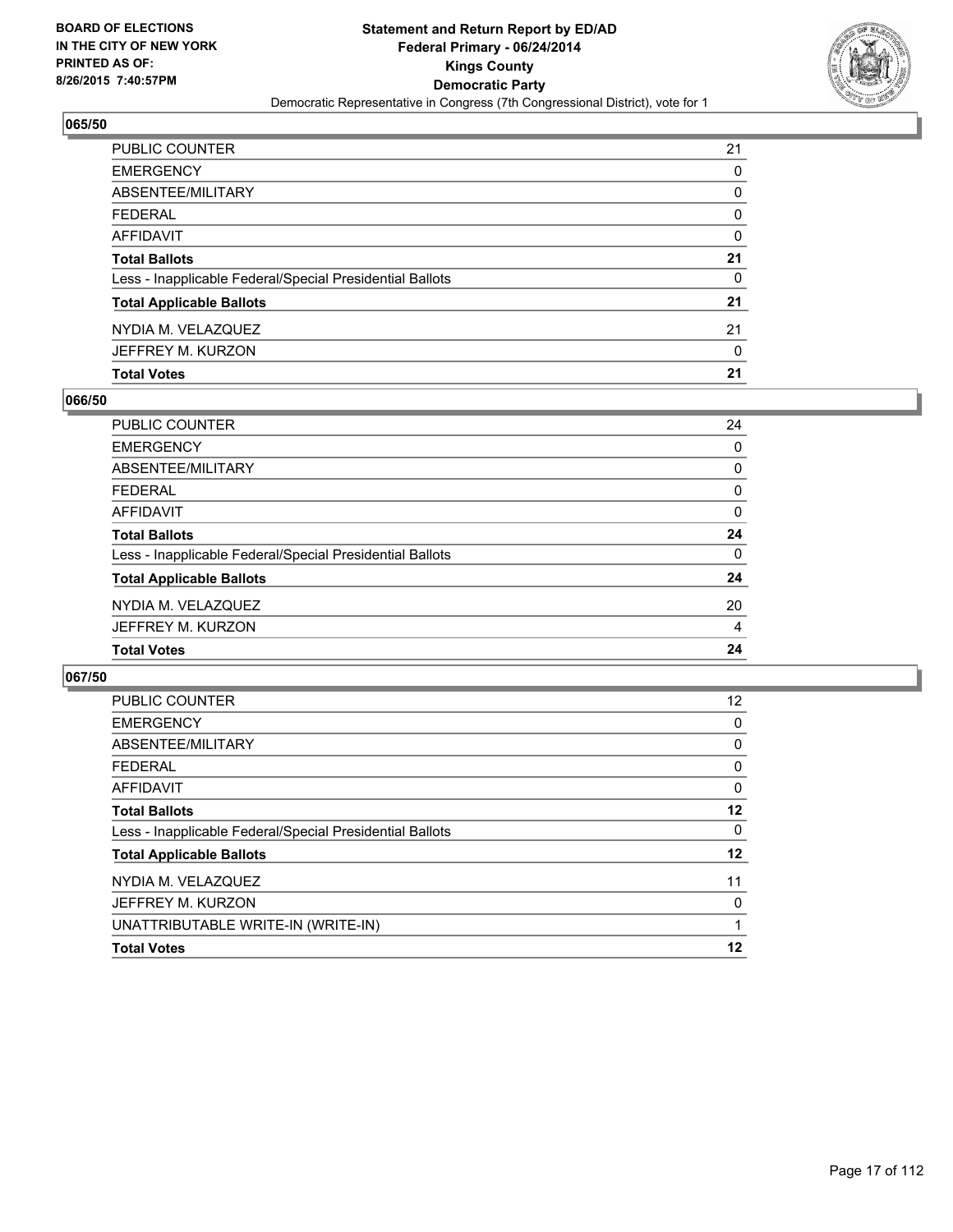

| PUBLIC COUNTER                                           | 21 |
|----------------------------------------------------------|----|
| <b>EMERGENCY</b>                                         | 0  |
| ABSENTEE/MILITARY                                        | 0  |
| <b>FEDERAL</b>                                           | 0  |
| AFFIDAVIT                                                | 0  |
| <b>Total Ballots</b>                                     | 21 |
| Less - Inapplicable Federal/Special Presidential Ballots | 0  |
| <b>Total Applicable Ballots</b>                          | 21 |
| NYDIA M. VELAZQUEZ                                       | 21 |
| JEFFREY M. KURZON                                        | 0  |
| <b>Total Votes</b>                                       | 21 |

# **066/50**

| PUBLIC COUNTER                                           | 24       |
|----------------------------------------------------------|----------|
| <b>EMERGENCY</b>                                         | 0        |
| <b>ABSENTEE/MILITARY</b>                                 | 0        |
| <b>FEDERAL</b>                                           | 0        |
| <b>AFFIDAVIT</b>                                         | 0        |
| <b>Total Ballots</b>                                     | 24       |
| Less - Inapplicable Federal/Special Presidential Ballots | $\Omega$ |
| <b>Total Applicable Ballots</b>                          | 24       |
| NYDIA M. VELAZQUEZ                                       | 20       |
| JEFFREY M. KURZON                                        | 4        |
| <b>Total Votes</b>                                       | 24       |
|                                                          |          |

| <b>PUBLIC COUNTER</b>                                    | $12 \overline{ }$ |
|----------------------------------------------------------|-------------------|
| <b>EMERGENCY</b>                                         | 0                 |
| ABSENTEE/MILITARY                                        | 0                 |
| <b>FEDERAL</b>                                           | 0                 |
| AFFIDAVIT                                                | 0                 |
| <b>Total Ballots</b>                                     | 12                |
| Less - Inapplicable Federal/Special Presidential Ballots | 0                 |
| <b>Total Applicable Ballots</b>                          | 12                |
| NYDIA M. VELAZQUEZ                                       | 11                |
| JEFFREY M. KURZON                                        | 0                 |
| UNATTRIBUTABLE WRITE-IN (WRITE-IN)                       |                   |
| <b>Total Votes</b>                                       | 12                |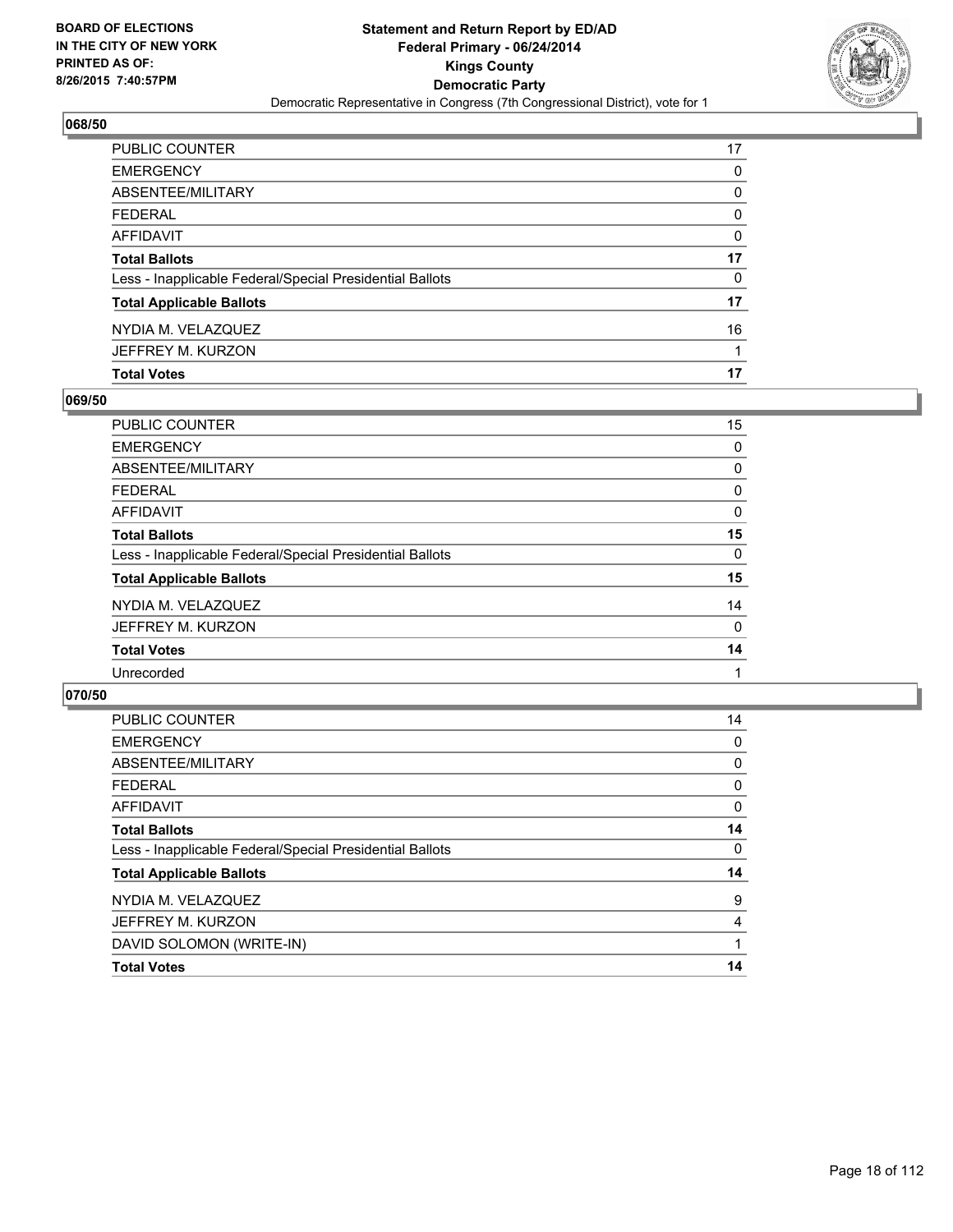

| PUBLIC COUNTER                                           | 17 |
|----------------------------------------------------------|----|
| <b>EMERGENCY</b>                                         | 0  |
| ABSENTEE/MILITARY                                        | 0  |
| <b>FEDERAL</b>                                           | 0  |
| AFFIDAVIT                                                | 0  |
| <b>Total Ballots</b>                                     | 17 |
| Less - Inapplicable Federal/Special Presidential Ballots | 0  |
| <b>Total Applicable Ballots</b>                          | 17 |
| NYDIA M. VELAZQUEZ                                       | 16 |
| JEFFREY M. KURZON                                        |    |
| <b>Total Votes</b>                                       | 17 |

# **069/50**

| PUBLIC COUNTER                                           | 15 |
|----------------------------------------------------------|----|
| <b>EMERGENCY</b>                                         | 0  |
| <b>ABSENTEE/MILITARY</b>                                 | 0  |
| <b>FEDERAL</b>                                           | 0  |
| <b>AFFIDAVIT</b>                                         | 0  |
| <b>Total Ballots</b>                                     | 15 |
| Less - Inapplicable Federal/Special Presidential Ballots | 0  |
| <b>Total Applicable Ballots</b>                          | 15 |
| NYDIA M. VELAZQUEZ                                       | 14 |
| JEFFREY M. KURZON                                        | 0  |
| <b>Total Votes</b>                                       | 14 |
| Unrecorded                                               |    |
|                                                          |    |

| <b>PUBLIC COUNTER</b>                                    | 14 |
|----------------------------------------------------------|----|
| <b>EMERGENCY</b>                                         | 0  |
| ABSENTEE/MILITARY                                        | 0  |
| <b>FEDERAL</b>                                           | 0  |
| AFFIDAVIT                                                | 0  |
| <b>Total Ballots</b>                                     | 14 |
| Less - Inapplicable Federal/Special Presidential Ballots | 0  |
| <b>Total Applicable Ballots</b>                          | 14 |
| NYDIA M. VELAZQUEZ                                       | 9  |
| JEFFREY M. KURZON                                        | 4  |
| DAVID SOLOMON (WRITE-IN)                                 |    |
| <b>Total Votes</b>                                       | 14 |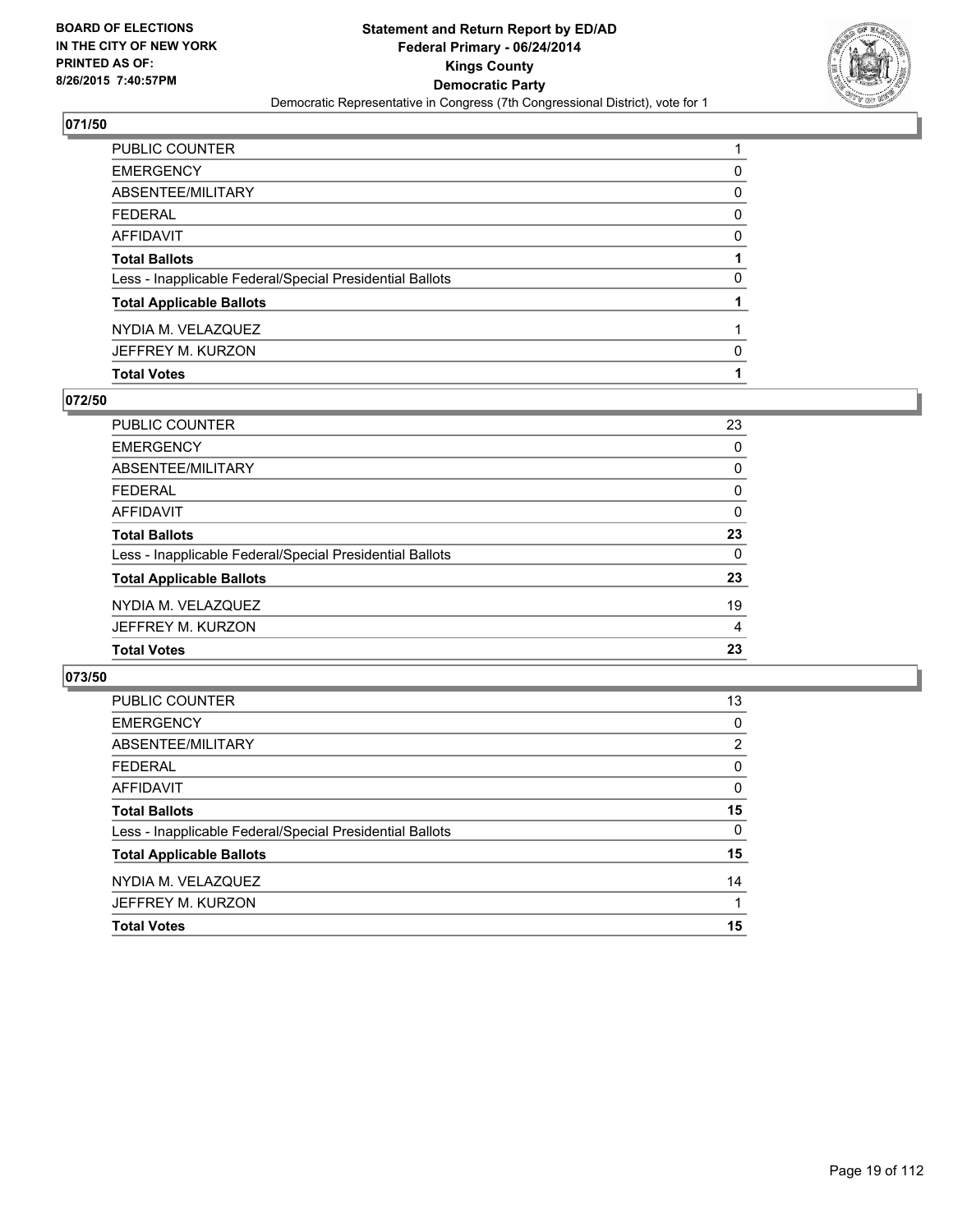

| PUBLIC COUNTER                                           |   |
|----------------------------------------------------------|---|
| EMERGENCY                                                | 0 |
| ABSENTEE/MILITARY                                        | 0 |
| FEDERAL                                                  | 0 |
| AFFIDAVIT                                                | 0 |
| <b>Total Ballots</b>                                     |   |
| Less - Inapplicable Federal/Special Presidential Ballots | 0 |
| <b>Total Applicable Ballots</b>                          |   |
| NYDIA M. VELAZQUEZ                                       |   |
| JEFFREY M. KURZON                                        | 0 |
| <b>Total Votes</b>                                       |   |

# **072/50**

| PUBLIC COUNTER                                           | 23       |
|----------------------------------------------------------|----------|
| <b>EMERGENCY</b>                                         | 0        |
| <b>ABSENTEE/MILITARY</b>                                 | 0        |
| <b>FEDERAL</b>                                           | 0        |
| <b>AFFIDAVIT</b>                                         | 0        |
| <b>Total Ballots</b>                                     | 23       |
| Less - Inapplicable Federal/Special Presidential Ballots | $\Omega$ |
| <b>Total Applicable Ballots</b>                          | 23       |
| NYDIA M. VELAZQUEZ                                       | 19       |
| JEFFREY M. KURZON                                        | 4        |
| <b>Total Votes</b>                                       | 23       |
|                                                          |          |

| <b>PUBLIC COUNTER</b>                                    | 13             |
|----------------------------------------------------------|----------------|
| <b>EMERGENCY</b>                                         | 0              |
| ABSENTEE/MILITARY                                        | $\overline{2}$ |
| <b>FEDERAL</b>                                           | 0              |
| AFFIDAVIT                                                | 0              |
| <b>Total Ballots</b>                                     | 15             |
| Less - Inapplicable Federal/Special Presidential Ballots | 0              |
| <b>Total Applicable Ballots</b>                          | 15             |
| NYDIA M. VELAZQUEZ                                       | 14             |
| JEFFREY M. KURZON                                        | 1              |
| <b>Total Votes</b>                                       | 15             |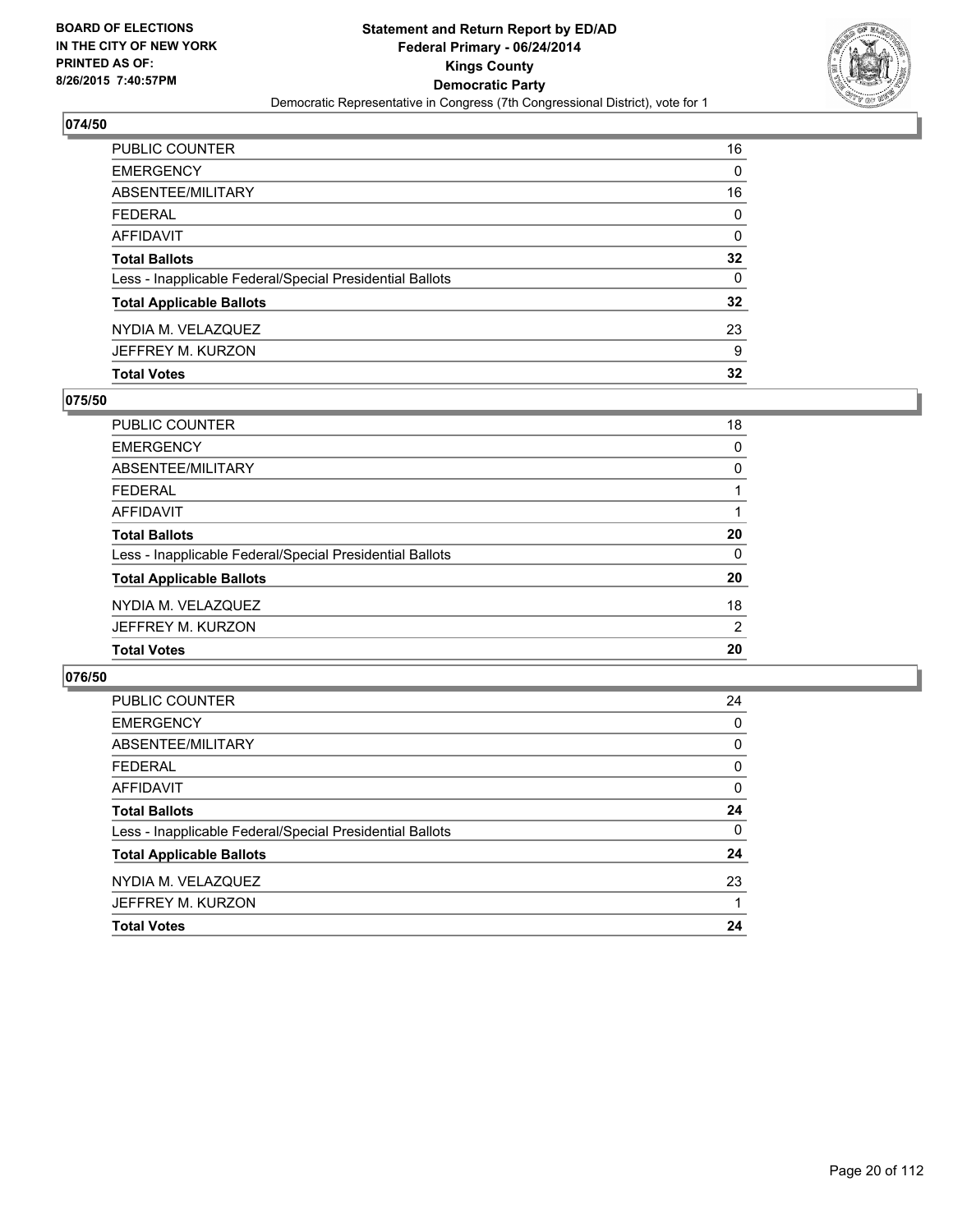

| <b>Total Votes</b>                                       | 32              |
|----------------------------------------------------------|-----------------|
| JEFFREY M. KURZON                                        | 9               |
| NYDIA M. VELAZQUEZ                                       | 23              |
| <b>Total Applicable Ballots</b>                          | $32\phantom{a}$ |
| Less - Inapplicable Federal/Special Presidential Ballots | $\Omega$        |
| <b>Total Ballots</b>                                     | $32\phantom{a}$ |
| AFFIDAVIT                                                | 0               |
| <b>FEDERAL</b>                                           | 0               |
| ABSENTEE/MILITARY                                        | 16              |
| <b>EMERGENCY</b>                                         | 0               |
| PUBLIC COUNTER                                           | 16              |

# **075/50**

| <b>PUBLIC COUNTER</b>                                    | 18 |
|----------------------------------------------------------|----|
| <b>EMERGENCY</b>                                         | 0  |
| <b>ABSENTEE/MILITARY</b>                                 | 0  |
| <b>FEDERAL</b>                                           |    |
| <b>AFFIDAVIT</b>                                         |    |
| <b>Total Ballots</b>                                     | 20 |
| Less - Inapplicable Federal/Special Presidential Ballots | 0  |
| <b>Total Applicable Ballots</b>                          | 20 |
| NYDIA M. VELAZQUEZ                                       | 18 |
| JEFFREY M. KURZON                                        | 2  |
| <b>Total Votes</b>                                       | 20 |
|                                                          |    |

| PUBLIC COUNTER                                           | 24       |
|----------------------------------------------------------|----------|
| <b>EMERGENCY</b>                                         | 0        |
| ABSENTEE/MILITARY                                        | 0        |
| <b>FEDERAL</b>                                           | 0        |
| AFFIDAVIT                                                | 0        |
| <b>Total Ballots</b>                                     | 24       |
| Less - Inapplicable Federal/Special Presidential Ballots | $\Omega$ |
| <b>Total Applicable Ballots</b>                          | 24       |
| NYDIA M. VELAZQUEZ                                       | 23       |
| JEFFREY M. KURZON                                        |          |
| <b>Total Votes</b>                                       | 24       |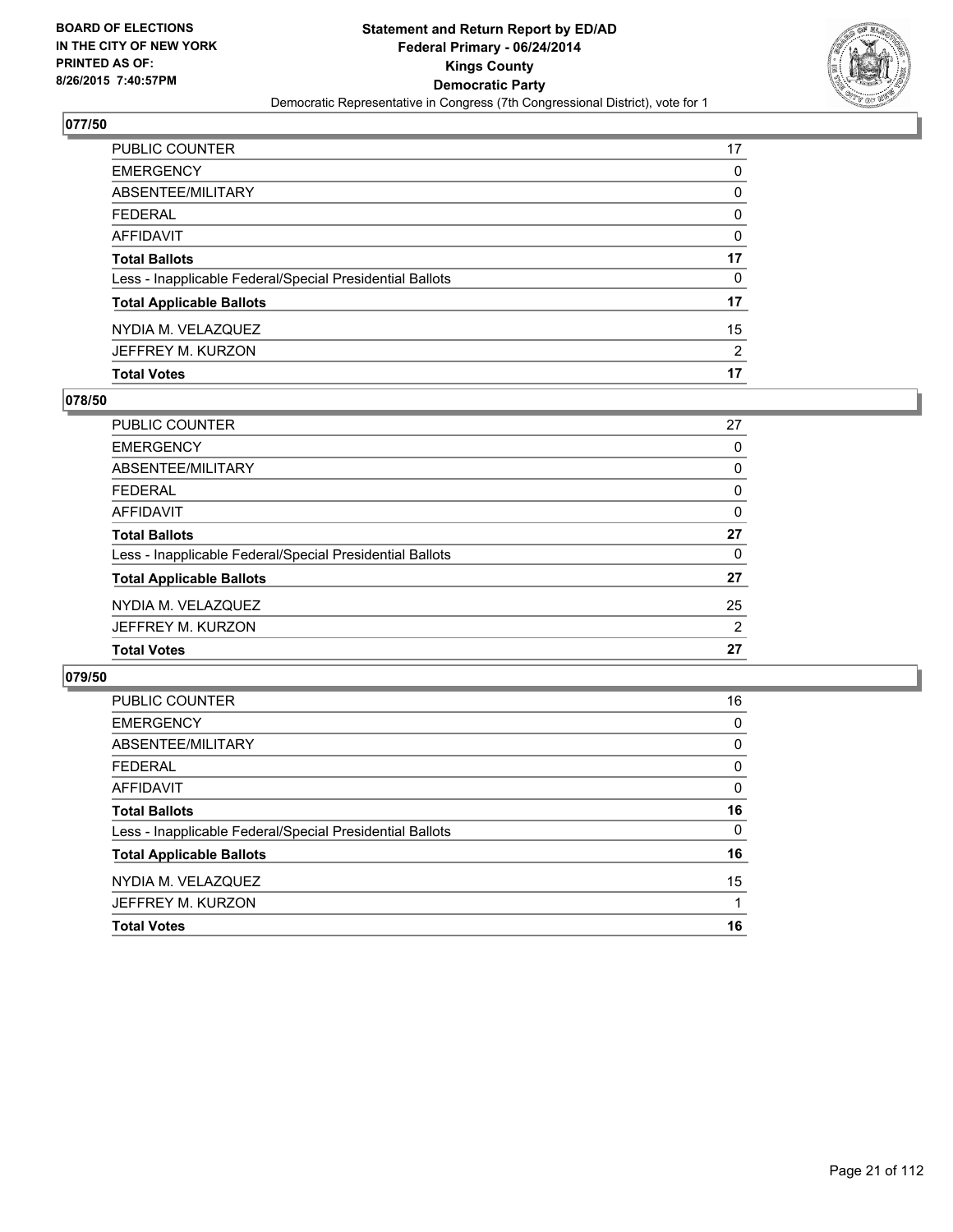

| PUBLIC COUNTER                                           | 17       |
|----------------------------------------------------------|----------|
| <b>EMERGENCY</b>                                         | 0        |
| ABSENTEE/MILITARY                                        | 0        |
| <b>FEDERAL</b>                                           | $\Omega$ |
| AFFIDAVIT                                                | 0        |
| <b>Total Ballots</b>                                     | 17       |
| Less - Inapplicable Federal/Special Presidential Ballots | $\Omega$ |
| <b>Total Applicable Ballots</b>                          | 17       |
| NYDIA M. VELAZQUEZ                                       | 15       |
| JEFFREY M. KURZON                                        | 2        |
| <b>Total Votes</b>                                       | 17       |

# **078/50**

| <b>PUBLIC COUNTER</b>                                    | 27             |
|----------------------------------------------------------|----------------|
| <b>EMERGENCY</b>                                         | 0              |
| <b>ABSENTEE/MILITARY</b>                                 | 0              |
| <b>FEDERAL</b>                                           | 0              |
| <b>AFFIDAVIT</b>                                         | 0              |
| <b>Total Ballots</b>                                     | 27             |
| Less - Inapplicable Federal/Special Presidential Ballots | $\Omega$       |
| <b>Total Applicable Ballots</b>                          | 27             |
| NYDIA M. VELAZQUEZ                                       | 25             |
| JEFFREY M. KURZON                                        | $\overline{2}$ |
| <b>Total Votes</b>                                       | 27             |
|                                                          |                |

| PUBLIC COUNTER                                           | 16       |
|----------------------------------------------------------|----------|
| <b>EMERGENCY</b>                                         | 0        |
| ABSENTEE/MILITARY                                        | 0        |
| <b>FEDERAL</b>                                           | 0        |
| AFFIDAVIT                                                | 0        |
| <b>Total Ballots</b>                                     | 16       |
| Less - Inapplicable Federal/Special Presidential Ballots | $\Omega$ |
| <b>Total Applicable Ballots</b>                          | 16       |
| NYDIA M. VELAZQUEZ                                       | 15       |
| JEFFREY M. KURZON                                        |          |
| <b>Total Votes</b>                                       | 16       |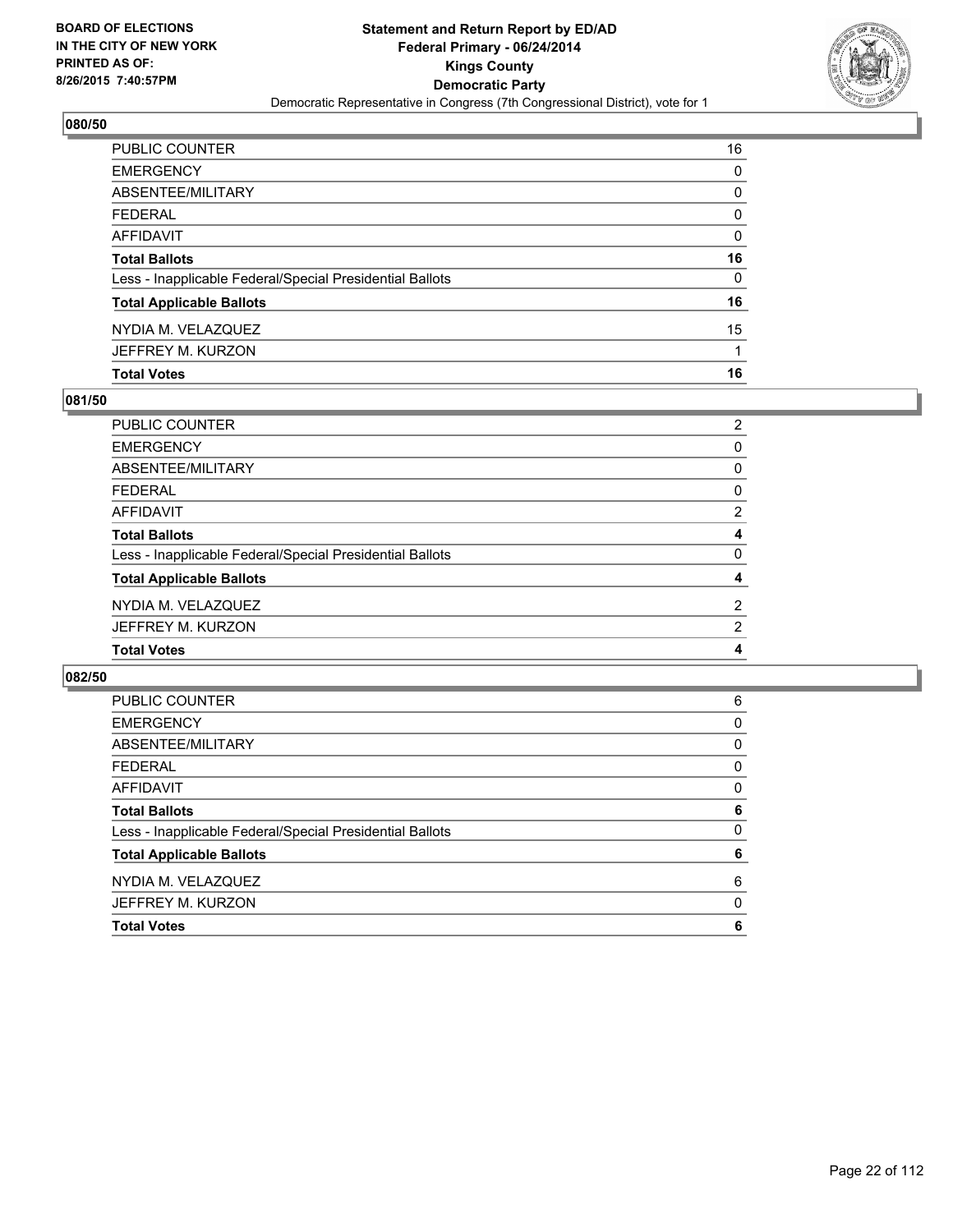

| PUBLIC COUNTER                                           | 16 |
|----------------------------------------------------------|----|
| <b>EMERGENCY</b>                                         | 0  |
| <b>ABSENTEE/MILITARY</b>                                 | 0  |
| <b>FEDERAL</b>                                           | 0  |
| AFFIDAVIT                                                | 0  |
| <b>Total Ballots</b>                                     | 16 |
| Less - Inapplicable Federal/Special Presidential Ballots | 0  |
| <b>Total Applicable Ballots</b>                          | 16 |
| NYDIA M. VELAZQUEZ                                       | 15 |
| JEFFREY M. KURZON                                        |    |
| <b>Total Votes</b>                                       | 16 |

# **081/50**

| <b>PUBLIC COUNTER</b>                                    | 2              |
|----------------------------------------------------------|----------------|
| <b>EMERGENCY</b>                                         | 0              |
| <b>ABSENTEE/MILITARY</b>                                 | 0              |
| <b>FEDERAL</b>                                           | 0              |
| <b>AFFIDAVIT</b>                                         | $\overline{2}$ |
| <b>Total Ballots</b>                                     | 4              |
| Less - Inapplicable Federal/Special Presidential Ballots | 0              |
| <b>Total Applicable Ballots</b>                          | 4              |
| NYDIA M. VELAZQUEZ                                       | $\overline{2}$ |
| JEFFREY M. KURZON                                        | $\overline{2}$ |
| <b>Total Votes</b>                                       | 4              |
|                                                          |                |

| <b>PUBLIC COUNTER</b>                                    | 6        |
|----------------------------------------------------------|----------|
| <b>EMERGENCY</b>                                         | 0        |
| ABSENTEE/MILITARY                                        | 0        |
| <b>FEDERAL</b>                                           | 0        |
| AFFIDAVIT                                                | 0        |
| <b>Total Ballots</b>                                     | 6        |
| Less - Inapplicable Federal/Special Presidential Ballots | $\Omega$ |
| <b>Total Applicable Ballots</b>                          | 6        |
| NYDIA M. VELAZQUEZ                                       | 6        |
| JEFFREY M. KURZON                                        | 0        |
| <b>Total Votes</b>                                       | 6        |
|                                                          |          |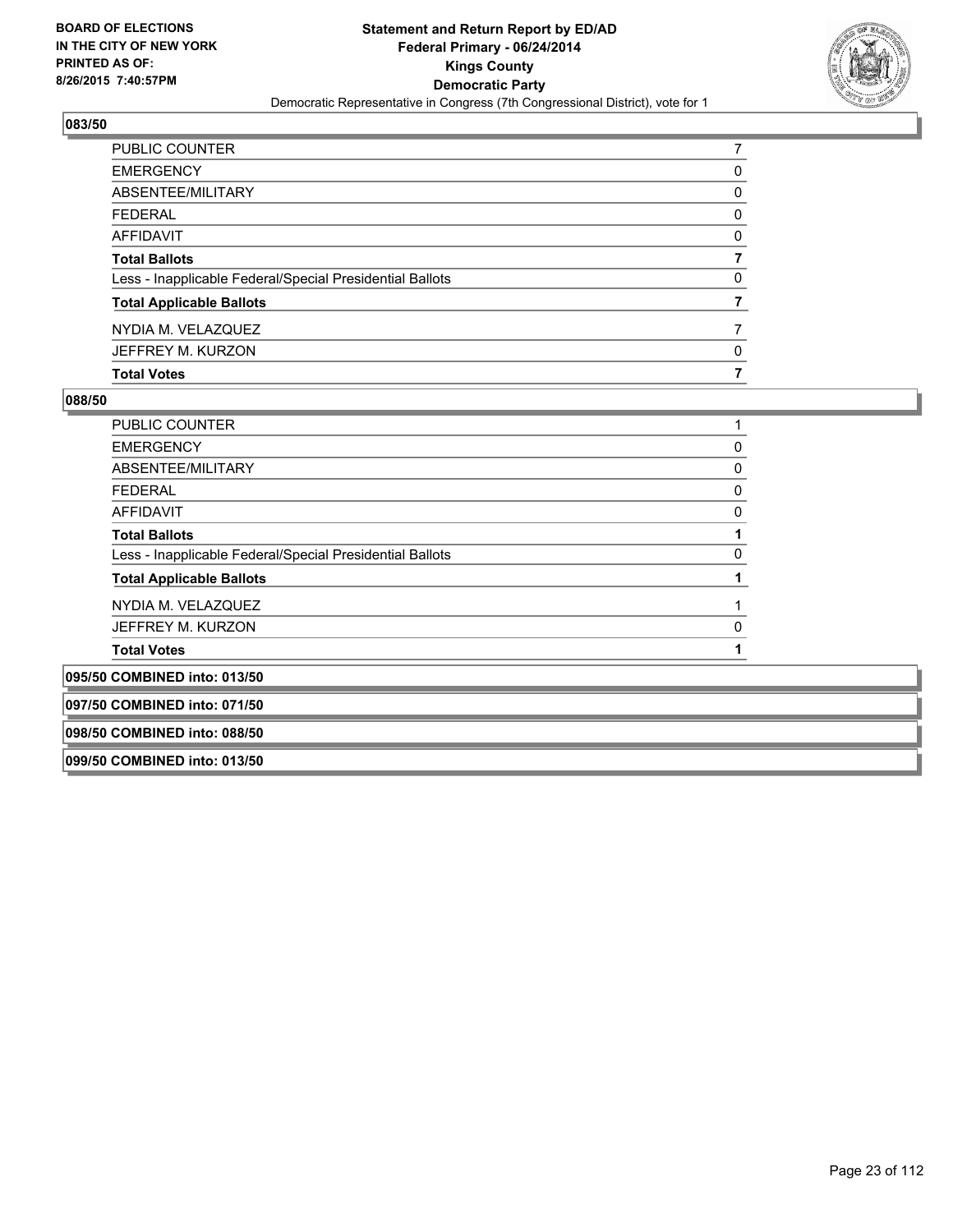

| PUBLIC COUNTER                                           |   |
|----------------------------------------------------------|---|
| <b>EMERGENCY</b>                                         | 0 |
| ABSENTEE/MILITARY                                        | 0 |
| <b>FEDERAL</b>                                           | 0 |
| AFFIDAVIT                                                | 0 |
| <b>Total Ballots</b>                                     | 7 |
| Less - Inapplicable Federal/Special Presidential Ballots | 0 |
| <b>Total Applicable Ballots</b>                          |   |
| NYDIA M. VELAZQUEZ                                       |   |
| JEFFREY M. KURZON                                        | 0 |
| <b>Total Votes</b>                                       | 7 |

| <b>PUBLIC COUNTER</b>                                    |   |
|----------------------------------------------------------|---|
| <b>EMERGENCY</b>                                         | 0 |
| ABSENTEE/MILITARY                                        | 0 |
| <b>FEDERAL</b>                                           | 0 |
| AFFIDAVIT                                                | 0 |
| <b>Total Ballots</b>                                     |   |
| Less - Inapplicable Federal/Special Presidential Ballots | 0 |
| <b>Total Applicable Ballots</b>                          |   |
| NYDIA M. VELAZQUEZ                                       |   |
| JEFFREY M. KURZON                                        | 0 |
| <b>Total Votes</b>                                       |   |
| 095/50 COMBINED into: 013/50                             |   |
| 097/50 COMBINED into: 071/50                             |   |
| 098/50 COMBINED into: 088/50                             |   |
| 099/50 COMBINED into: 013/50                             |   |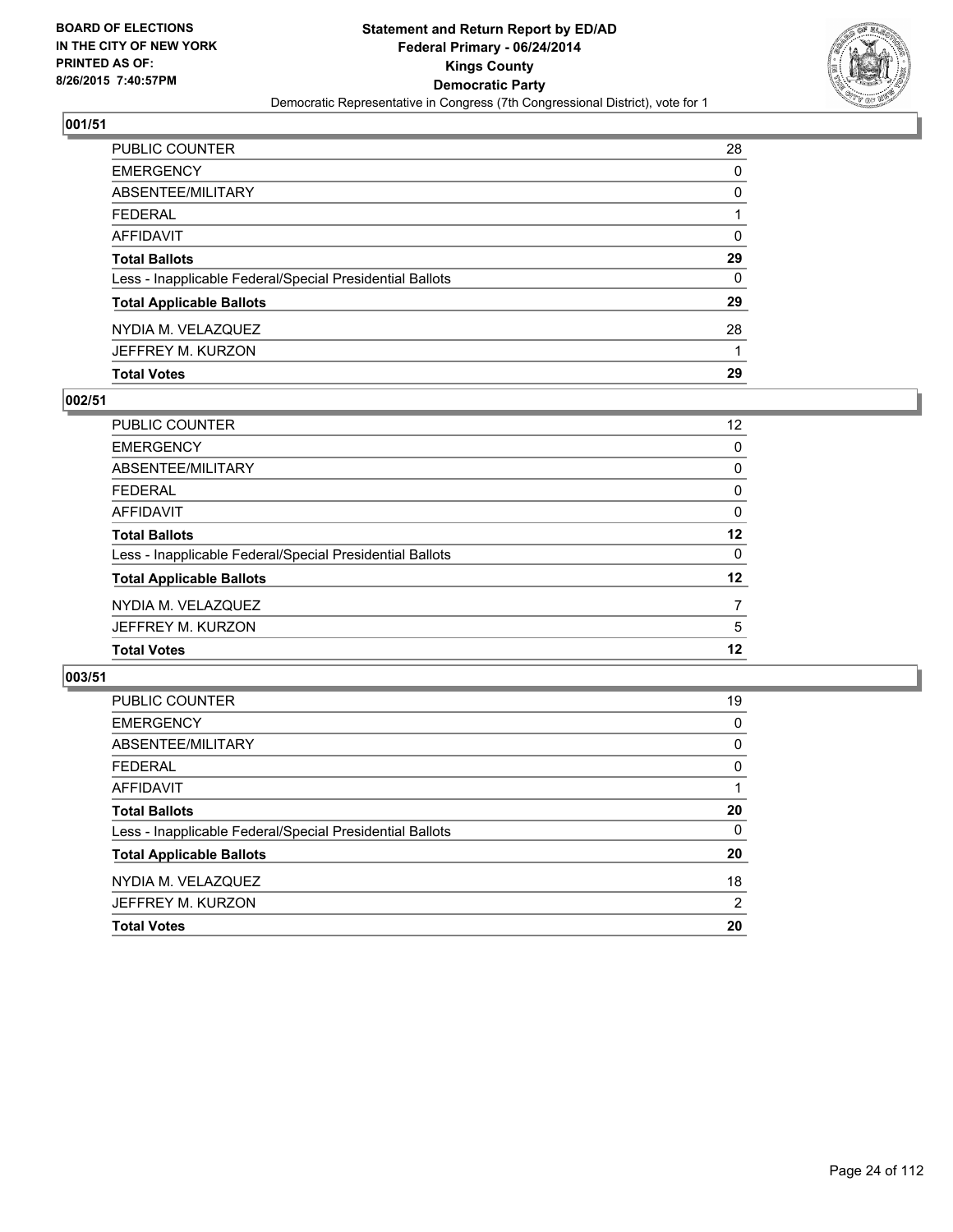

| <b>Total Votes</b>                                       | 29 |
|----------------------------------------------------------|----|
| JEFFREY M. KURZON                                        |    |
| NYDIA M. VELAZQUEZ                                       | 28 |
| <b>Total Applicable Ballots</b>                          | 29 |
| Less - Inapplicable Federal/Special Presidential Ballots | 0  |
| <b>Total Ballots</b>                                     | 29 |
| <b>AFFIDAVIT</b>                                         | 0  |
| <b>FEDERAL</b>                                           |    |
| ABSENTEE/MILITARY                                        | 0  |
| <b>EMERGENCY</b>                                         | 0  |
| PUBLIC COUNTER                                           | 28 |

# **002/51**

| PUBLIC COUNTER                                           | 12 <sup>°</sup> |
|----------------------------------------------------------|-----------------|
| <b>EMERGENCY</b>                                         | $\Omega$        |
| ABSENTEE/MILITARY                                        | 0               |
| <b>FEDERAL</b>                                           | 0               |
| <b>AFFIDAVIT</b>                                         | $\Omega$        |
| <b>Total Ballots</b>                                     | 12              |
| Less - Inapplicable Federal/Special Presidential Ballots | 0               |
| <b>Total Applicable Ballots</b>                          | $12 \,$         |
| NYDIA M. VELAZQUEZ                                       | 7               |
| JEFFREY M. KURZON                                        | 5               |
| <b>Total Votes</b>                                       | 12              |
|                                                          |                 |

| <b>PUBLIC COUNTER</b>                                    | 19       |
|----------------------------------------------------------|----------|
| <b>EMERGENCY</b>                                         | 0        |
| ABSENTEE/MILITARY                                        | 0        |
| <b>FEDERAL</b>                                           | 0        |
| AFFIDAVIT                                                |          |
| <b>Total Ballots</b>                                     | 20       |
| Less - Inapplicable Federal/Special Presidential Ballots | $\Omega$ |
| <b>Total Applicable Ballots</b>                          | 20       |
| NYDIA M. VELAZQUEZ                                       | 18       |
| JEFFREY M. KURZON                                        | 2        |
| <b>Total Votes</b>                                       | 20       |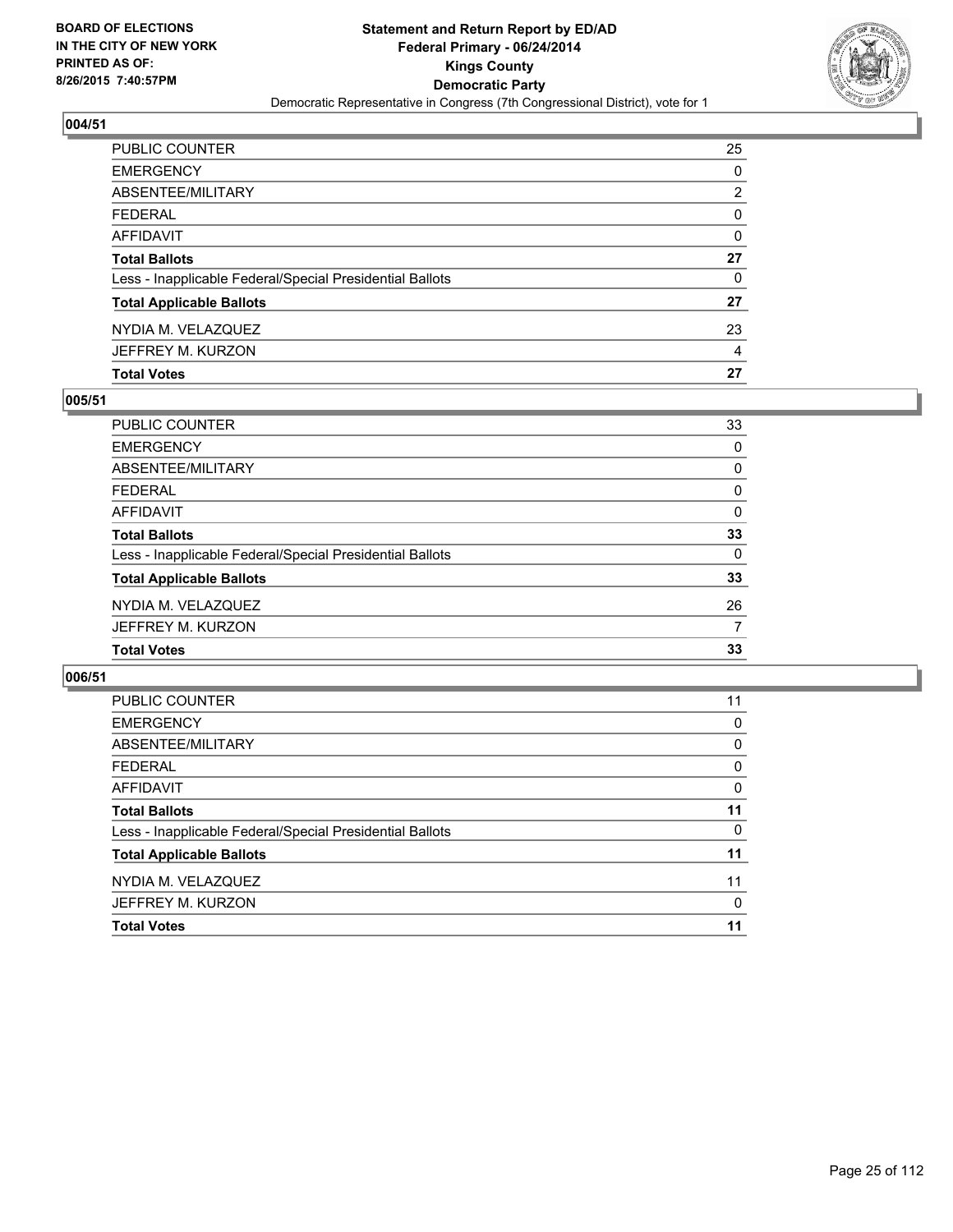

| PUBLIC COUNTER                                           | 25       |
|----------------------------------------------------------|----------|
| <b>EMERGENCY</b>                                         | 0        |
| ABSENTEE/MILITARY                                        | 2        |
| <b>FEDERAL</b>                                           | $\Omega$ |
| AFFIDAVIT                                                | 0        |
| <b>Total Ballots</b>                                     | 27       |
| Less - Inapplicable Federal/Special Presidential Ballots | 0        |
| <b>Total Applicable Ballots</b>                          | 27       |
| NYDIA M. VELAZQUEZ                                       | 23       |
| JEFFREY M. KURZON                                        | 4        |
| <b>Total Votes</b>                                       | 27       |

# **005/51**

| PUBLIC COUNTER                                           | 33       |
|----------------------------------------------------------|----------|
| <b>EMERGENCY</b>                                         | 0        |
| <b>ABSENTEE/MILITARY</b>                                 | 0        |
| <b>FEDERAL</b>                                           | 0        |
| <b>AFFIDAVIT</b>                                         | 0        |
| <b>Total Ballots</b>                                     | 33       |
| Less - Inapplicable Federal/Special Presidential Ballots | $\Omega$ |
| <b>Total Applicable Ballots</b>                          | 33       |
| NYDIA M. VELAZQUEZ                                       | 26       |
| JEFFREY M. KURZON                                        | 7        |
| <b>Total Votes</b>                                       | 33       |
|                                                          |          |

| PUBLIC COUNTER                                           | 11       |
|----------------------------------------------------------|----------|
| <b>EMERGENCY</b>                                         | 0        |
| ABSENTEE/MILITARY                                        | 0        |
| <b>FEDERAL</b>                                           | 0        |
| AFFIDAVIT                                                | 0        |
| <b>Total Ballots</b>                                     | 11       |
| Less - Inapplicable Federal/Special Presidential Ballots | 0        |
| <b>Total Applicable Ballots</b>                          | 11       |
| NYDIA M. VELAZQUEZ                                       | 11       |
| JEFFREY M. KURZON                                        | $\Omega$ |
| <b>Total Votes</b>                                       | 11       |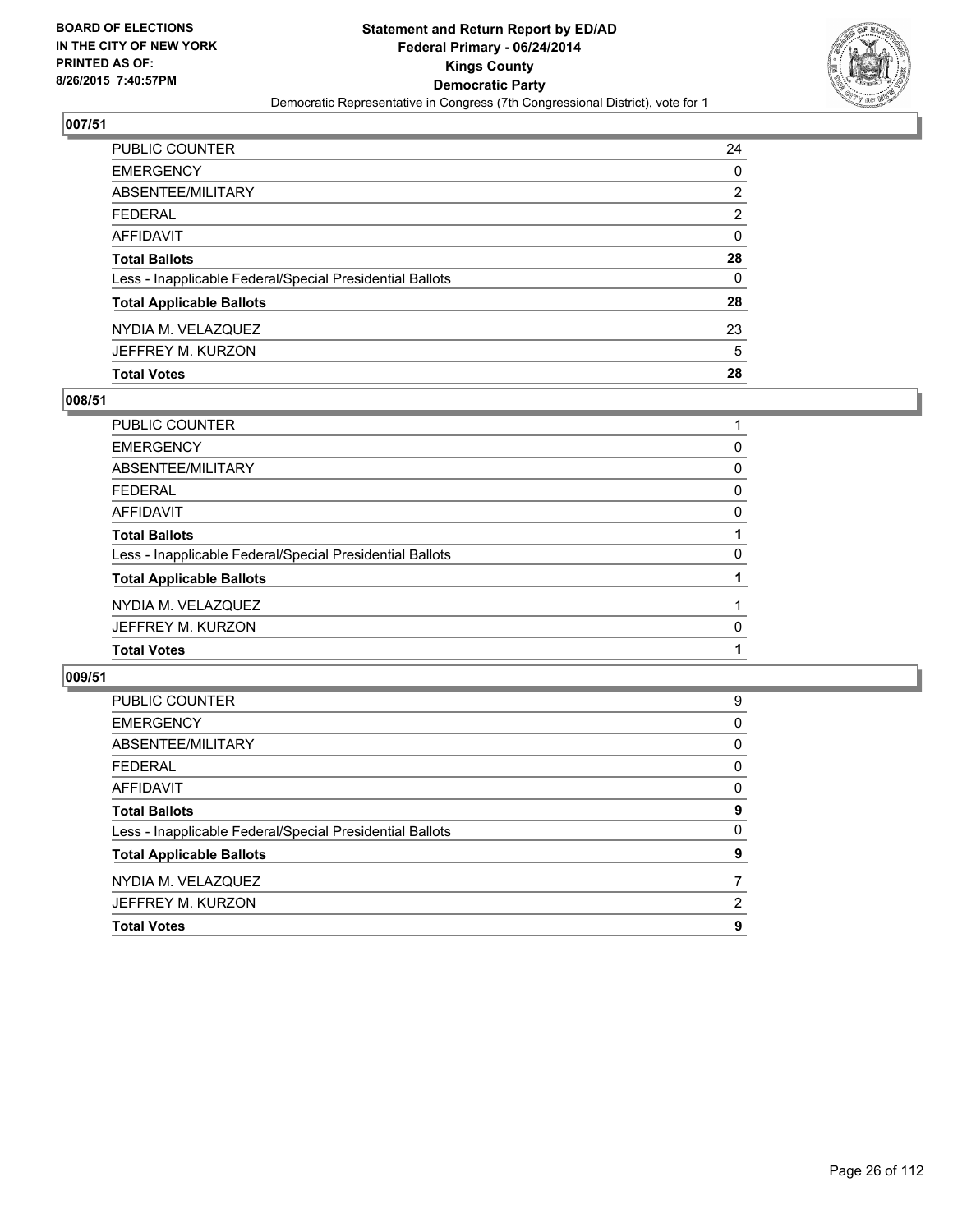

| PUBLIC COUNTER                                           | 24 |
|----------------------------------------------------------|----|
| <b>EMERGENCY</b>                                         | 0  |
| ABSENTEE/MILITARY                                        | 2  |
| <b>FEDERAL</b>                                           | 2  |
| <b>AFFIDAVIT</b>                                         | 0  |
| <b>Total Ballots</b>                                     | 28 |
| Less - Inapplicable Federal/Special Presidential Ballots | 0  |
| <b>Total Applicable Ballots</b>                          | 28 |
| NYDIA M. VELAZQUEZ                                       | 23 |
| JEFFREY M. KURZON                                        | 5  |
| <b>Total Votes</b>                                       | 28 |

# **008/51**

| PUBLIC COUNTER                                           |   |
|----------------------------------------------------------|---|
| <b>EMERGENCY</b>                                         | 0 |
| <b>ABSENTEE/MILITARY</b>                                 | 0 |
| <b>FEDERAL</b>                                           | 0 |
| <b>AFFIDAVIT</b>                                         | 0 |
| <b>Total Ballots</b>                                     |   |
| Less - Inapplicable Federal/Special Presidential Ballots | 0 |
| <b>Total Applicable Ballots</b>                          |   |
| NYDIA M. VELAZQUEZ                                       |   |
| JEFFREY M. KURZON                                        | 0 |
| <b>Total Votes</b>                                       |   |
|                                                          |   |

| <b>PUBLIC COUNTER</b>                                    | 9 |
|----------------------------------------------------------|---|
| <b>EMERGENCY</b>                                         | 0 |
| ABSENTEE/MILITARY                                        | 0 |
| <b>FEDERAL</b>                                           | 0 |
| AFFIDAVIT                                                | 0 |
| <b>Total Ballots</b>                                     | 9 |
| Less - Inapplicable Federal/Special Presidential Ballots | 0 |
| <b>Total Applicable Ballots</b>                          | 9 |
| NYDIA M. VELAZQUEZ                                       |   |
| JEFFREY M. KURZON                                        | 2 |
| <b>Total Votes</b>                                       | 9 |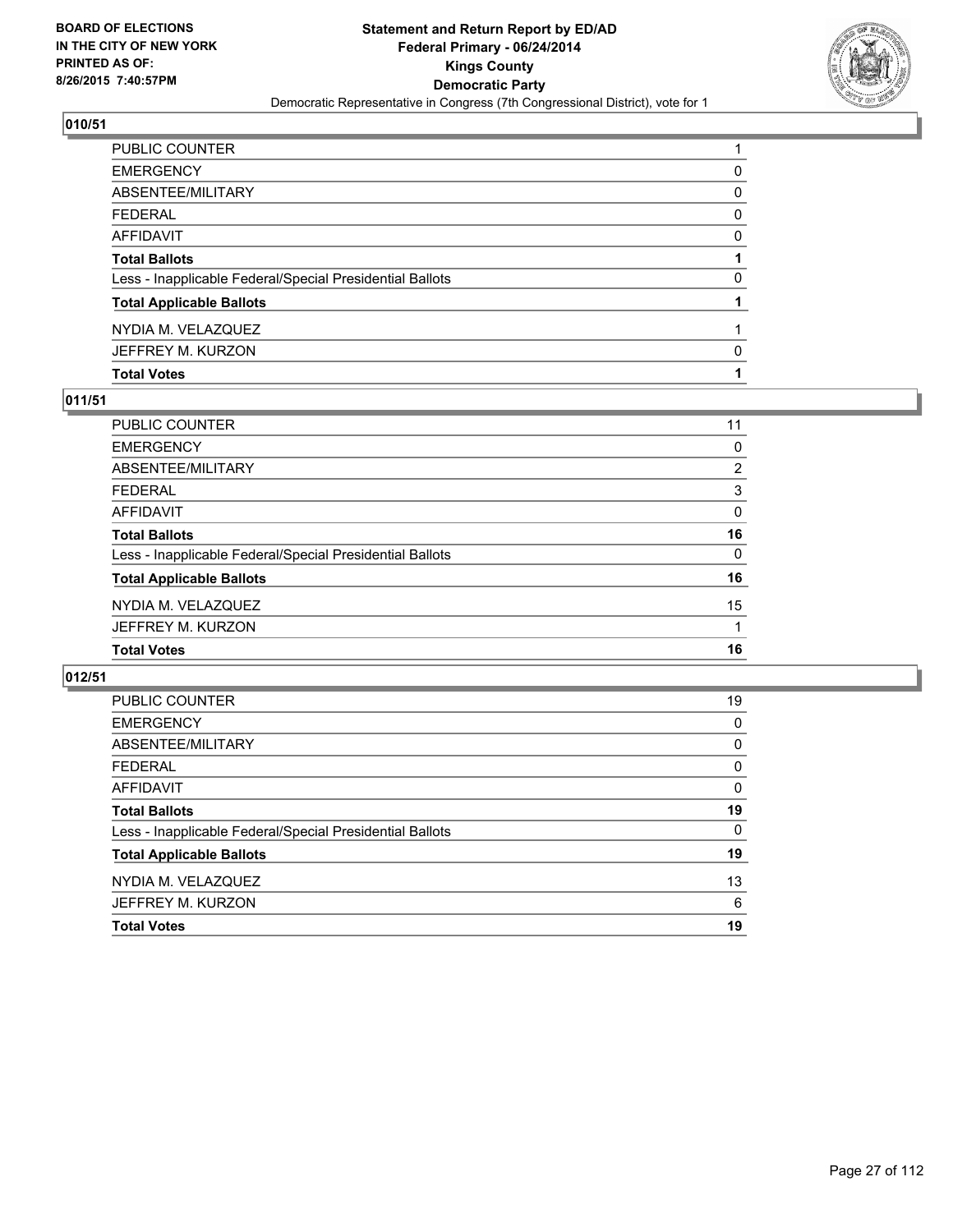

| PUBLIC COUNTER                                           |          |
|----------------------------------------------------------|----------|
| <b>EMERGENCY</b>                                         | 0        |
| ABSENTEE/MILITARY                                        | 0        |
| <b>FEDERAL</b>                                           | 0        |
| AFFIDAVIT                                                | 0        |
| <b>Total Ballots</b>                                     |          |
| Less - Inapplicable Federal/Special Presidential Ballots | $\Omega$ |
| <b>Total Applicable Ballots</b>                          |          |
| NYDIA M. VELAZQUEZ                                       |          |
| JEFFREY M. KURZON                                        | 0        |
| <b>Total Votes</b>                                       |          |

# **011/51**

| PUBLIC COUNTER                                           | 11 |
|----------------------------------------------------------|----|
| <b>EMERGENCY</b>                                         | 0  |
| ABSENTEE/MILITARY                                        | 2  |
| <b>FEDERAL</b>                                           | 3  |
| <b>AFFIDAVIT</b>                                         | 0  |
| <b>Total Ballots</b>                                     | 16 |
| Less - Inapplicable Federal/Special Presidential Ballots | 0  |
| <b>Total Applicable Ballots</b>                          | 16 |
| NYDIA M. VELAZQUEZ                                       | 15 |
| JEFFREY M. KURZON                                        |    |
| <b>Total Votes</b>                                       | 16 |
|                                                          |    |

| PUBLIC COUNTER                                           | 19 |
|----------------------------------------------------------|----|
| <b>EMERGENCY</b>                                         | 0  |
| ABSENTEE/MILITARY                                        | 0  |
| FEDERAL                                                  | 0  |
| AFFIDAVIT                                                | 0  |
| <b>Total Ballots</b>                                     | 19 |
| Less - Inapplicable Federal/Special Presidential Ballots | 0  |
| <b>Total Applicable Ballots</b>                          | 19 |
| NYDIA M. VELAZQUEZ                                       | 13 |
| JEFFREY M. KURZON                                        | 6  |
| <b>Total Votes</b>                                       | 19 |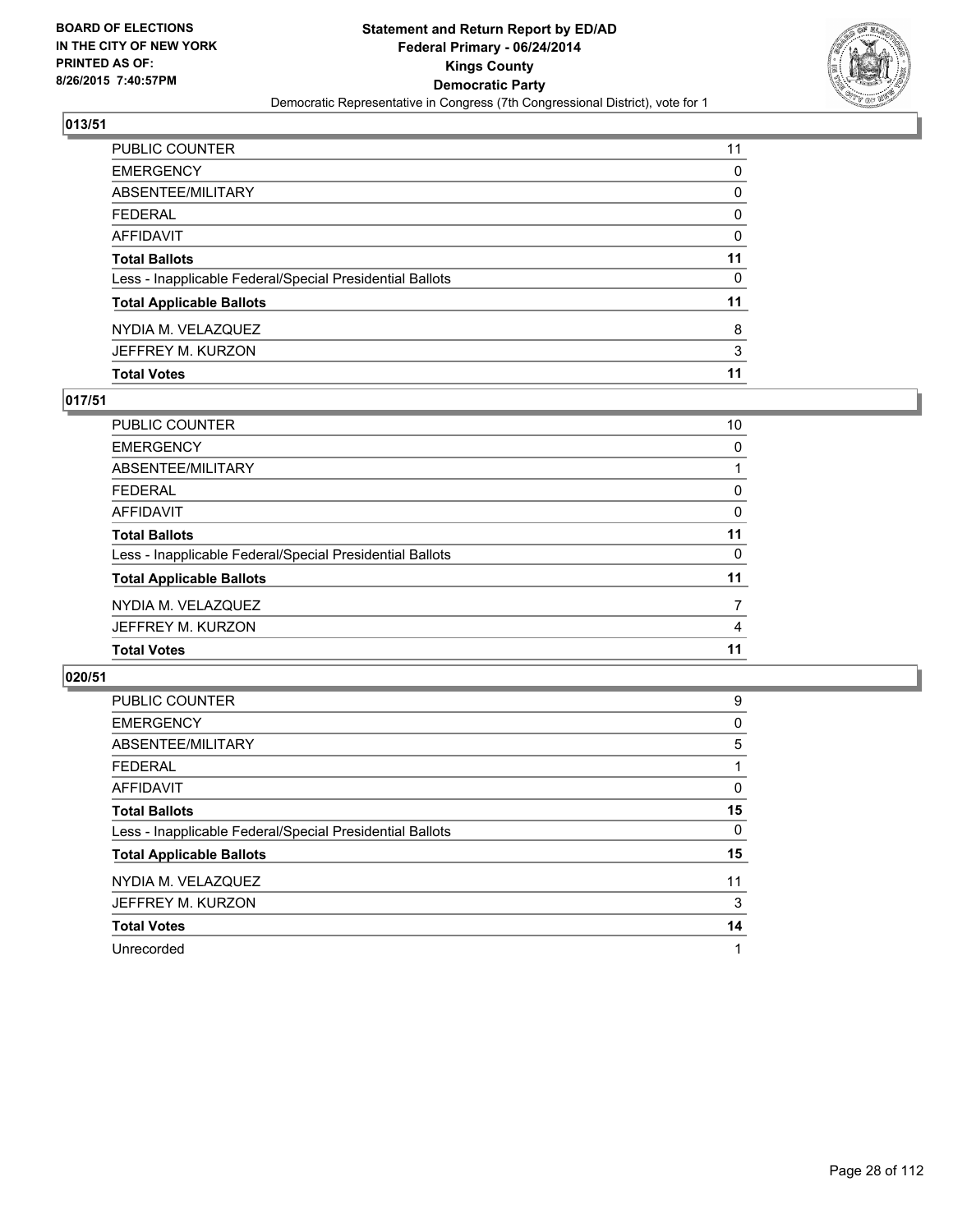

| PUBLIC COUNTER                                           | 11       |
|----------------------------------------------------------|----------|
| <b>EMERGENCY</b>                                         | 0        |
| <b>ABSENTEE/MILITARY</b>                                 | 0        |
| FEDERAL                                                  | $\Omega$ |
| AFFIDAVIT                                                | 0        |
| <b>Total Ballots</b>                                     | 11       |
| Less - Inapplicable Federal/Special Presidential Ballots | 0        |
| <b>Total Applicable Ballots</b>                          | 11       |
| NYDIA M. VELAZQUEZ                                       | 8        |
| JEFFREY M. KURZON                                        | 3        |
| <b>Total Votes</b>                                       | 11       |

# **017/51**

| <b>PUBLIC COUNTER</b>                                    | 10       |
|----------------------------------------------------------|----------|
| <b>EMERGENCY</b>                                         | $\Omega$ |
| <b>ABSENTEE/MILITARY</b>                                 |          |
| <b>FEDERAL</b>                                           | 0        |
| <b>AFFIDAVIT</b>                                         | 0        |
| <b>Total Ballots</b>                                     | 11       |
| Less - Inapplicable Federal/Special Presidential Ballots | 0        |
| <b>Total Applicable Ballots</b>                          | 11       |
| NYDIA M. VELAZQUEZ                                       | 7        |
| JEFFREY M. KURZON                                        | 4        |
| <b>Total Votes</b>                                       | 11       |
|                                                          |          |

| <b>PUBLIC COUNTER</b>                                    | 9  |
|----------------------------------------------------------|----|
| <b>EMERGENCY</b>                                         | 0  |
| ABSENTEE/MILITARY                                        | 5  |
| <b>FEDERAL</b>                                           |    |
| AFFIDAVIT                                                | 0  |
| <b>Total Ballots</b>                                     | 15 |
| Less - Inapplicable Federal/Special Presidential Ballots | 0  |
| <b>Total Applicable Ballots</b>                          | 15 |
| NYDIA M. VELAZQUEZ                                       | 11 |
| JEFFREY M. KURZON                                        | 3  |
| <b>Total Votes</b>                                       | 14 |
| Unrecorded                                               |    |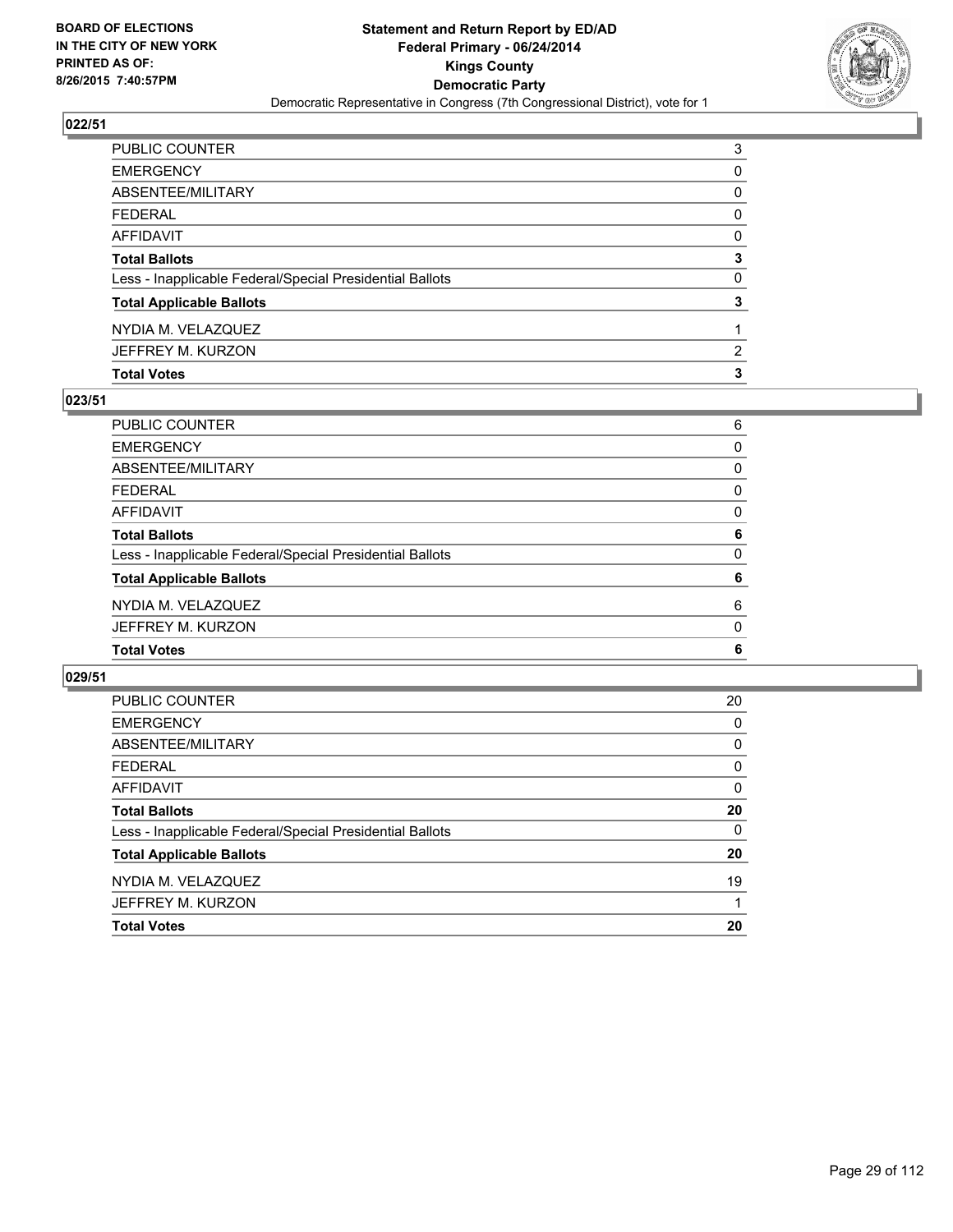

| PUBLIC COUNTER                                           | 3                     |
|----------------------------------------------------------|-----------------------|
| EMERGENCY                                                | 0                     |
| ABSENTEE/MILITARY                                        | 0                     |
| FEDERAL                                                  | 0                     |
| AFFIDAVIT                                                | 0                     |
| <b>Total Ballots</b>                                     | 3                     |
| Less - Inapplicable Federal/Special Presidential Ballots | $\mathbf{0}$          |
| <b>Total Applicable Ballots</b>                          | 3                     |
| NYDIA M. VELAZQUEZ                                       |                       |
| JEFFREY M. KURZON                                        | $\mathbf{2}^{\prime}$ |
| <b>Total Votes</b>                                       | 3                     |

# **023/51**

| PUBLIC COUNTER                                           | 6        |
|----------------------------------------------------------|----------|
| <b>EMERGENCY</b>                                         | 0        |
| <b>ABSENTEE/MILITARY</b>                                 | 0        |
| <b>FEDERAL</b>                                           | 0        |
| <b>AFFIDAVIT</b>                                         | 0        |
| <b>Total Ballots</b>                                     | 6        |
| Less - Inapplicable Federal/Special Presidential Ballots | 0        |
| <b>Total Applicable Ballots</b>                          | 6        |
| NYDIA M. VELAZQUEZ                                       | 6        |
| JEFFREY M. KURZON                                        | $\Omega$ |
| <b>Total Votes</b>                                       | 6        |
|                                                          |          |

| PUBLIC COUNTER                                           | 20 |
|----------------------------------------------------------|----|
| <b>EMERGENCY</b>                                         | 0  |
| ABSENTEE/MILITARY                                        | 0  |
| <b>FEDERAL</b>                                           | 0  |
| AFFIDAVIT                                                | 0  |
| <b>Total Ballots</b>                                     | 20 |
| Less - Inapplicable Federal/Special Presidential Ballots | 0  |
| <b>Total Applicable Ballots</b>                          | 20 |
| NYDIA M. VELAZQUEZ                                       | 19 |
| JEFFREY M. KURZON                                        | 1  |
| <b>Total Votes</b>                                       | 20 |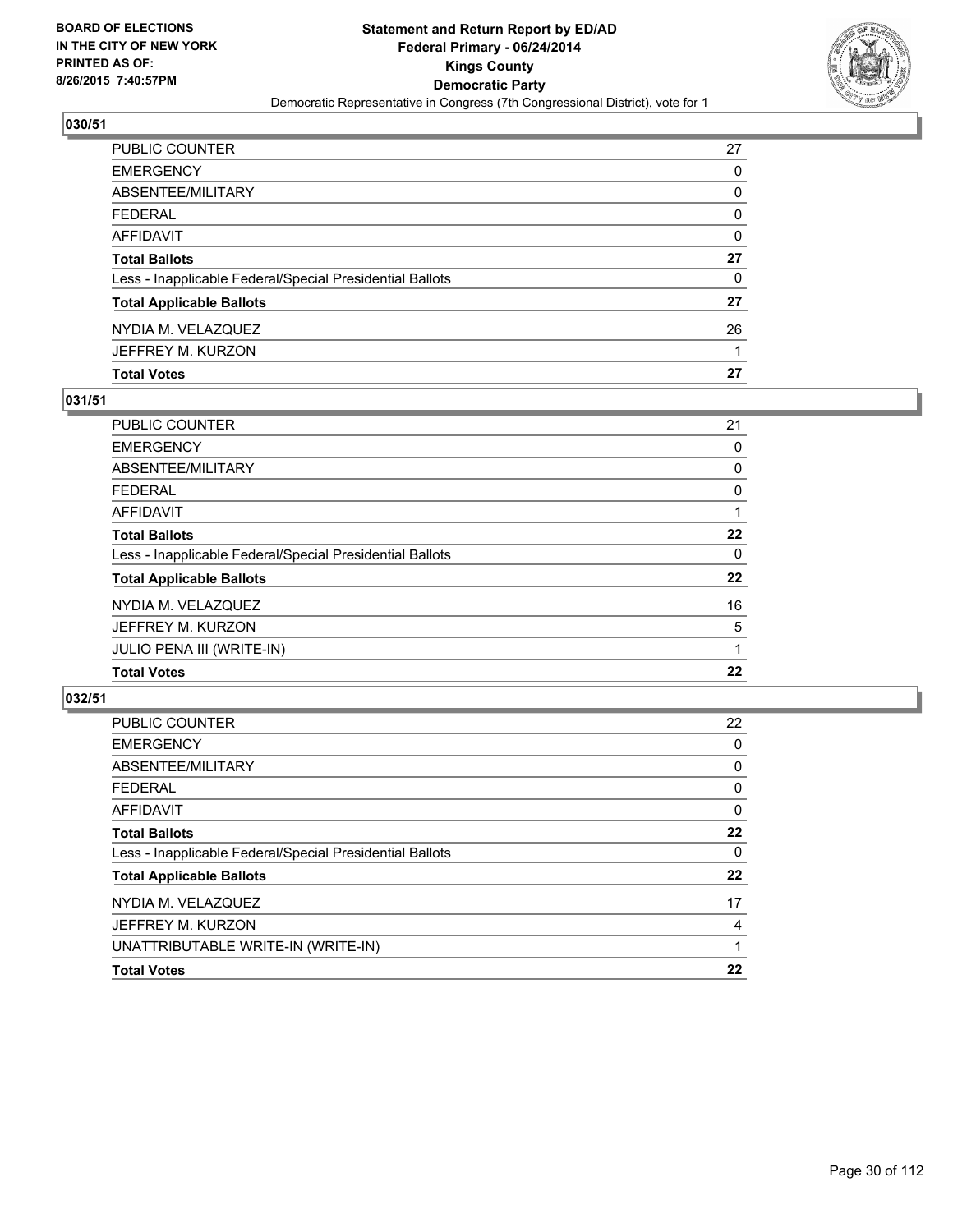

| PUBLIC COUNTER                                           | 27 |
|----------------------------------------------------------|----|
| EMERGENCY                                                | 0  |
| ABSENTEE/MILITARY                                        | 0  |
| FEDERAL                                                  | 0  |
| AFFIDAVIT                                                | 0  |
| Total Ballots                                            | 27 |
| Less - Inapplicable Federal/Special Presidential Ballots | 0  |
| <b>Total Applicable Ballots</b>                          | 27 |
| NYDIA M. VELAZQUEZ                                       | 26 |
| JEFFREY M. KURZON                                        |    |
| <b>Total Votes</b>                                       | 27 |

# **031/51**

| PUBLIC COUNTER                                           | 21       |
|----------------------------------------------------------|----------|
| <b>EMERGENCY</b>                                         | 0        |
| ABSENTEE/MILITARY                                        | 0        |
| <b>FEDERAL</b>                                           | 0        |
| <b>AFFIDAVIT</b>                                         |          |
| <b>Total Ballots</b>                                     | 22       |
| Less - Inapplicable Federal/Special Presidential Ballots | $\Omega$ |
| <b>Total Applicable Ballots</b>                          | 22       |
| NYDIA M. VELAZQUEZ                                       | 16       |
| JEFFREY M. KURZON                                        | 5        |
| JULIO PENA III (WRITE-IN)                                |          |
| <b>Total Votes</b>                                       | 22       |
|                                                          |          |

| <b>PUBLIC COUNTER</b>                                    | 22 |
|----------------------------------------------------------|----|
| <b>EMERGENCY</b>                                         | 0  |
| ABSENTEE/MILITARY                                        | 0  |
| FEDERAL                                                  | 0  |
| AFFIDAVIT                                                | 0  |
| <b>Total Ballots</b>                                     | 22 |
| Less - Inapplicable Federal/Special Presidential Ballots | 0  |
| <b>Total Applicable Ballots</b>                          | 22 |
| NYDIA M. VELAZQUEZ                                       | 17 |
| JEFFREY M. KURZON                                        | 4  |
| UNATTRIBUTABLE WRITE-IN (WRITE-IN)                       |    |
| <b>Total Votes</b>                                       | 22 |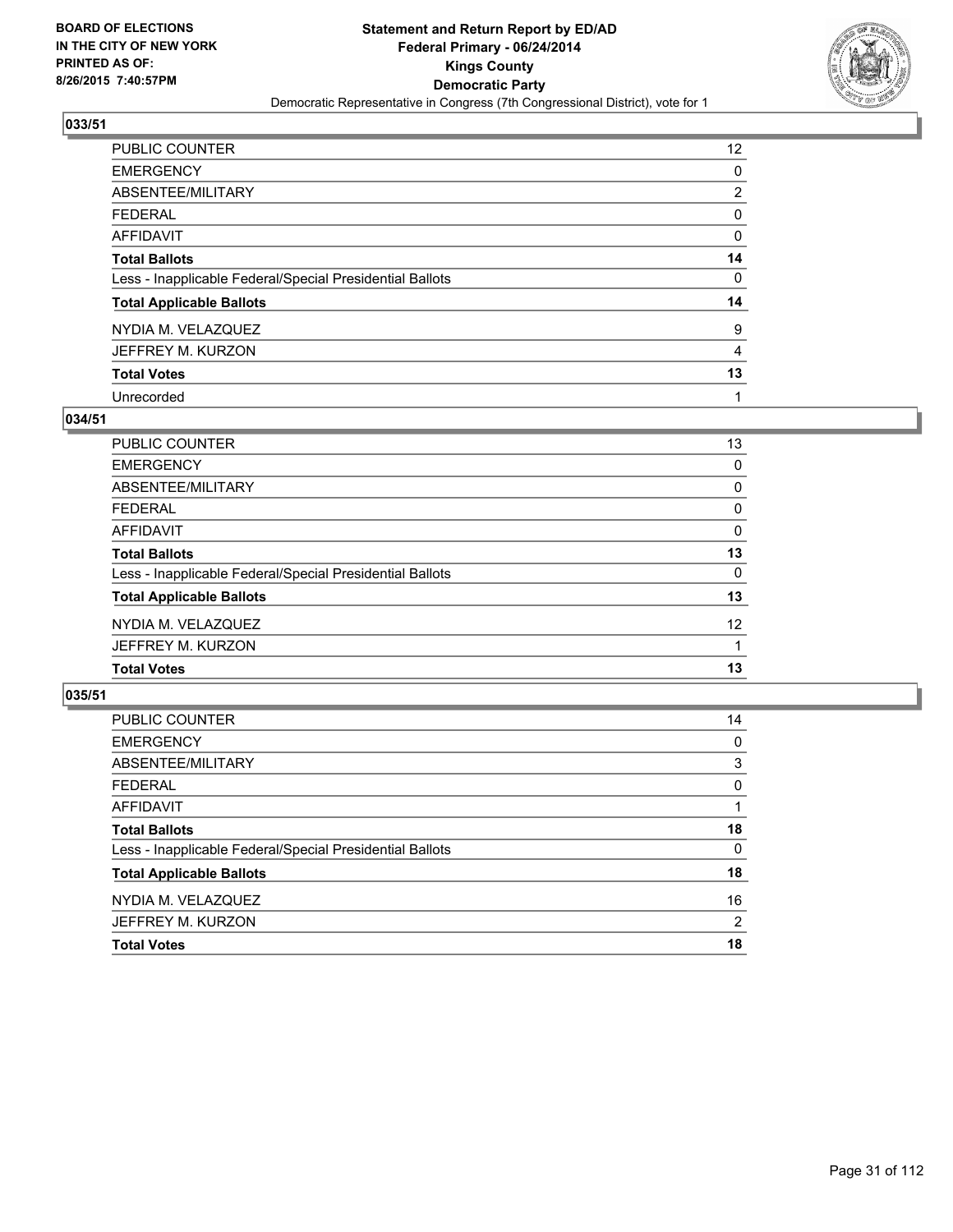

| PUBLIC COUNTER                                           | 12 <sup>°</sup> |
|----------------------------------------------------------|-----------------|
| <b>EMERGENCY</b>                                         | 0               |
| ABSENTEE/MILITARY                                        | $\overline{2}$  |
| <b>FEDERAL</b>                                           | 0               |
| AFFIDAVIT                                                | 0               |
| <b>Total Ballots</b>                                     | 14              |
| Less - Inapplicable Federal/Special Presidential Ballots | 0               |
| <b>Total Applicable Ballots</b>                          | 14              |
| NYDIA M. VELAZQUEZ                                       | 9               |
| JEFFREY M. KURZON                                        | 4               |
| <b>Total Votes</b>                                       | 13              |
| Unrecorded                                               | 1               |

#### **034/51**

| PUBLIC COUNTER                                           | 13              |
|----------------------------------------------------------|-----------------|
| <b>EMERGENCY</b>                                         | 0               |
| ABSENTEE/MILITARY                                        | $\Omega$        |
| <b>FEDERAL</b>                                           | 0               |
| AFFIDAVIT                                                | 0               |
| <b>Total Ballots</b>                                     | 13              |
| Less - Inapplicable Federal/Special Presidential Ballots | $\Omega$        |
| <b>Total Applicable Ballots</b>                          | 13              |
| NYDIA M. VELAZQUEZ                                       | 12 <sup>°</sup> |
| JEFFREY M. KURZON                                        |                 |
| <b>Total Votes</b>                                       | 13              |
|                                                          |                 |

| PUBLIC COUNTER                                           | 14 |
|----------------------------------------------------------|----|
| <b>EMERGENCY</b>                                         | 0  |
| ABSENTEE/MILITARY                                        | 3  |
| <b>FEDERAL</b>                                           | 0  |
| <b>AFFIDAVIT</b>                                         |    |
| <b>Total Ballots</b>                                     | 18 |
| Less - Inapplicable Federal/Special Presidential Ballots | 0  |
| <b>Total Applicable Ballots</b>                          | 18 |
| NYDIA M. VELAZQUEZ                                       | 16 |
| JEFFREY M. KURZON                                        | 2  |
| <b>Total Votes</b>                                       | 18 |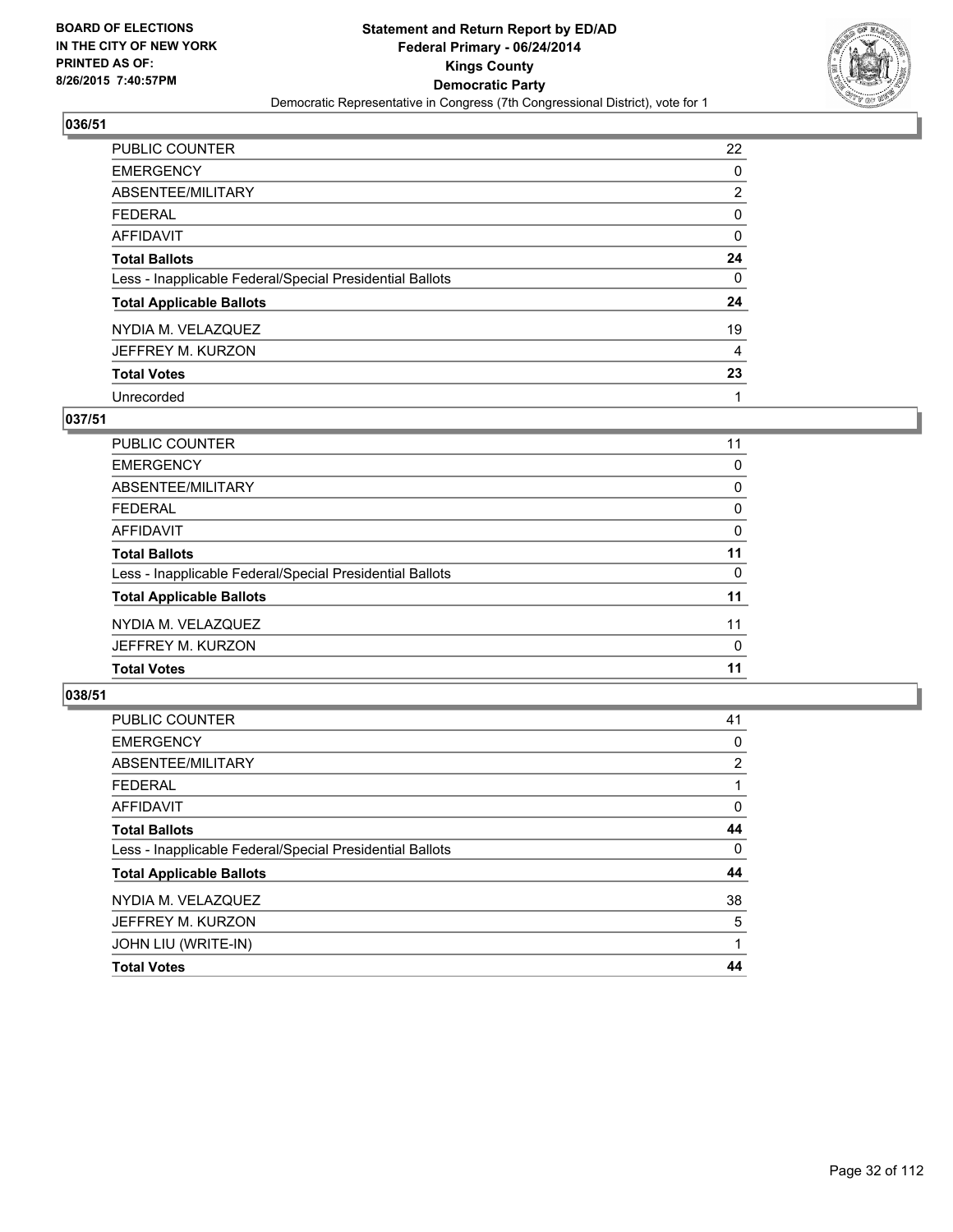

| <b>PUBLIC COUNTER</b>                                    | 22             |
|----------------------------------------------------------|----------------|
| <b>EMERGENCY</b>                                         | 0              |
| ABSENTEE/MILITARY                                        | $\overline{2}$ |
| <b>FEDERAL</b>                                           | 0              |
| <b>AFFIDAVIT</b>                                         | 0              |
| <b>Total Ballots</b>                                     | 24             |
| Less - Inapplicable Federal/Special Presidential Ballots | 0              |
| <b>Total Applicable Ballots</b>                          | 24             |
| NYDIA M. VELAZQUEZ                                       | 19             |
| JEFFREY M. KURZON                                        | 4              |
| <b>Total Votes</b>                                       | 23             |
| Unrecorded                                               |                |

## **037/51**

| <b>PUBLIC COUNTER</b>                                    | 11 |
|----------------------------------------------------------|----|
| <b>EMERGENCY</b>                                         | 0  |
| <b>ABSENTEE/MILITARY</b>                                 | 0  |
| <b>FEDERAL</b>                                           | 0  |
| <b>AFFIDAVIT</b>                                         | 0  |
| <b>Total Ballots</b>                                     | 11 |
| Less - Inapplicable Federal/Special Presidential Ballots | 0  |
| <b>Total Applicable Ballots</b>                          | 11 |
| NYDIA M. VELAZQUEZ                                       | 11 |
| JEFFREY M. KURZON                                        | 0  |
| <b>Total Votes</b>                                       | 11 |
|                                                          |    |

| <b>PUBLIC COUNTER</b>                                    | 41             |
|----------------------------------------------------------|----------------|
| <b>EMERGENCY</b>                                         | 0              |
| ABSENTEE/MILITARY                                        | $\overline{2}$ |
| <b>FEDERAL</b>                                           |                |
| <b>AFFIDAVIT</b>                                         | 0              |
| <b>Total Ballots</b>                                     | 44             |
| Less - Inapplicable Federal/Special Presidential Ballots | $\Omega$       |
| <b>Total Applicable Ballots</b>                          | 44             |
| NYDIA M. VELAZQUEZ                                       | 38             |
| JEFFREY M. KURZON                                        | 5              |
| JOHN LIU (WRITE-IN)                                      |                |
| <b>Total Votes</b>                                       | 44             |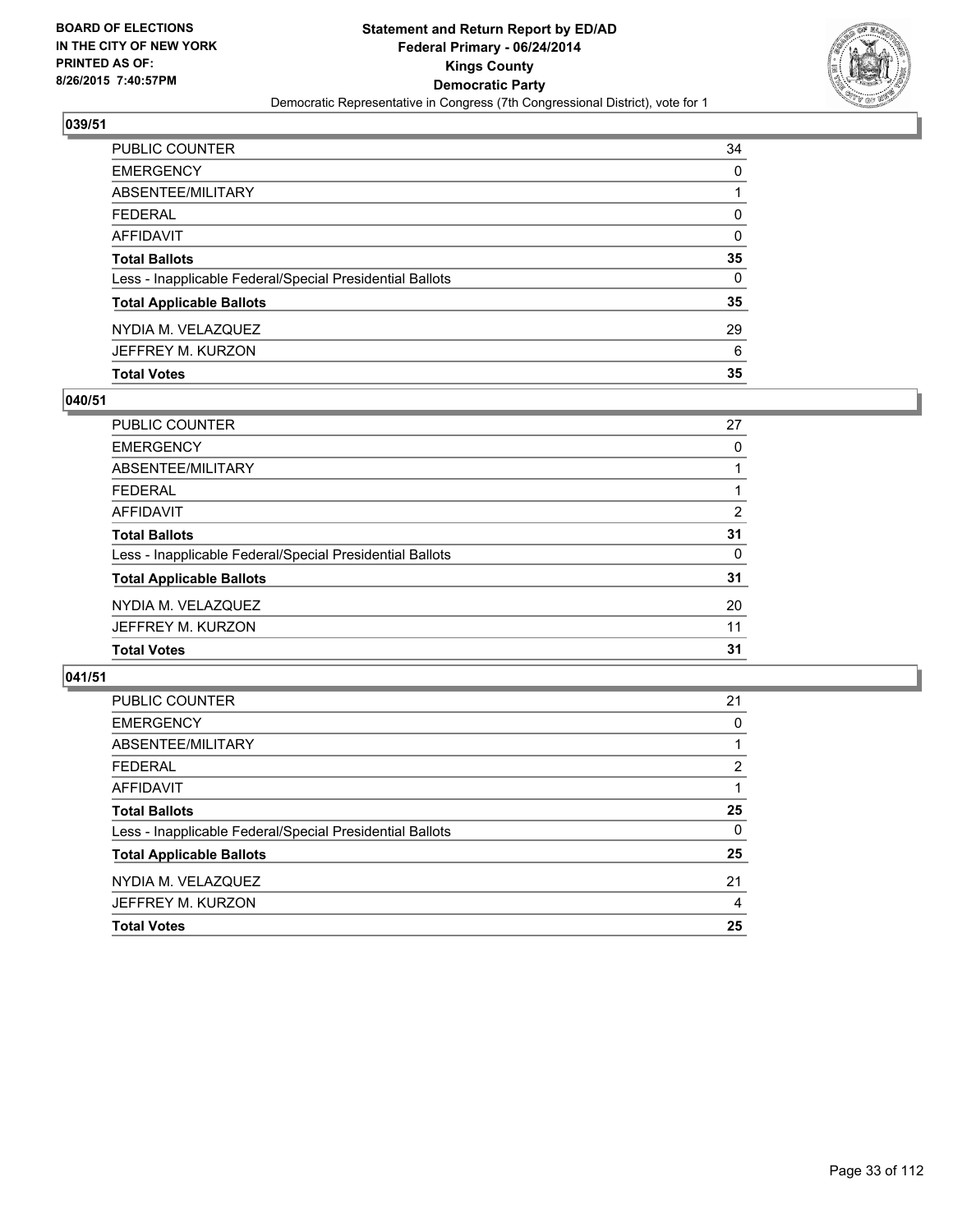

| PUBLIC COUNTER                                           | 34 |
|----------------------------------------------------------|----|
| <b>EMERGENCY</b>                                         | 0  |
| ABSENTEE/MILITARY                                        | 1  |
| <b>FEDERAL</b>                                           | 0  |
| AFFIDAVIT                                                | 0  |
| <b>Total Ballots</b>                                     | 35 |
| Less - Inapplicable Federal/Special Presidential Ballots | 0  |
| <b>Total Applicable Ballots</b>                          | 35 |
| NYDIA M. VELAZQUEZ                                       | 29 |
| JEFFREY M. KURZON                                        | 6  |
| <b>Total Votes</b>                                       | 35 |

# **040/51**

| 27 |
|----|
| 0  |
|    |
|    |
| 2  |
| 31 |
| 0  |
| 31 |
| 20 |
| 11 |
| 31 |
|    |

| PUBLIC COUNTER                                           | 21                    |
|----------------------------------------------------------|-----------------------|
| <b>EMERGENCY</b>                                         | 0                     |
| ABSENTEE/MILITARY                                        |                       |
| <b>FEDERAL</b>                                           | $\mathbf{2}^{\prime}$ |
| AFFIDAVIT                                                |                       |
| <b>Total Ballots</b>                                     | 25                    |
| Less - Inapplicable Federal/Special Presidential Ballots | $\Omega$              |
| <b>Total Applicable Ballots</b>                          | 25                    |
| NYDIA M. VELAZQUEZ                                       | 21                    |
| JEFFREY M. KURZON                                        | 4                     |
| <b>Total Votes</b>                                       | 25                    |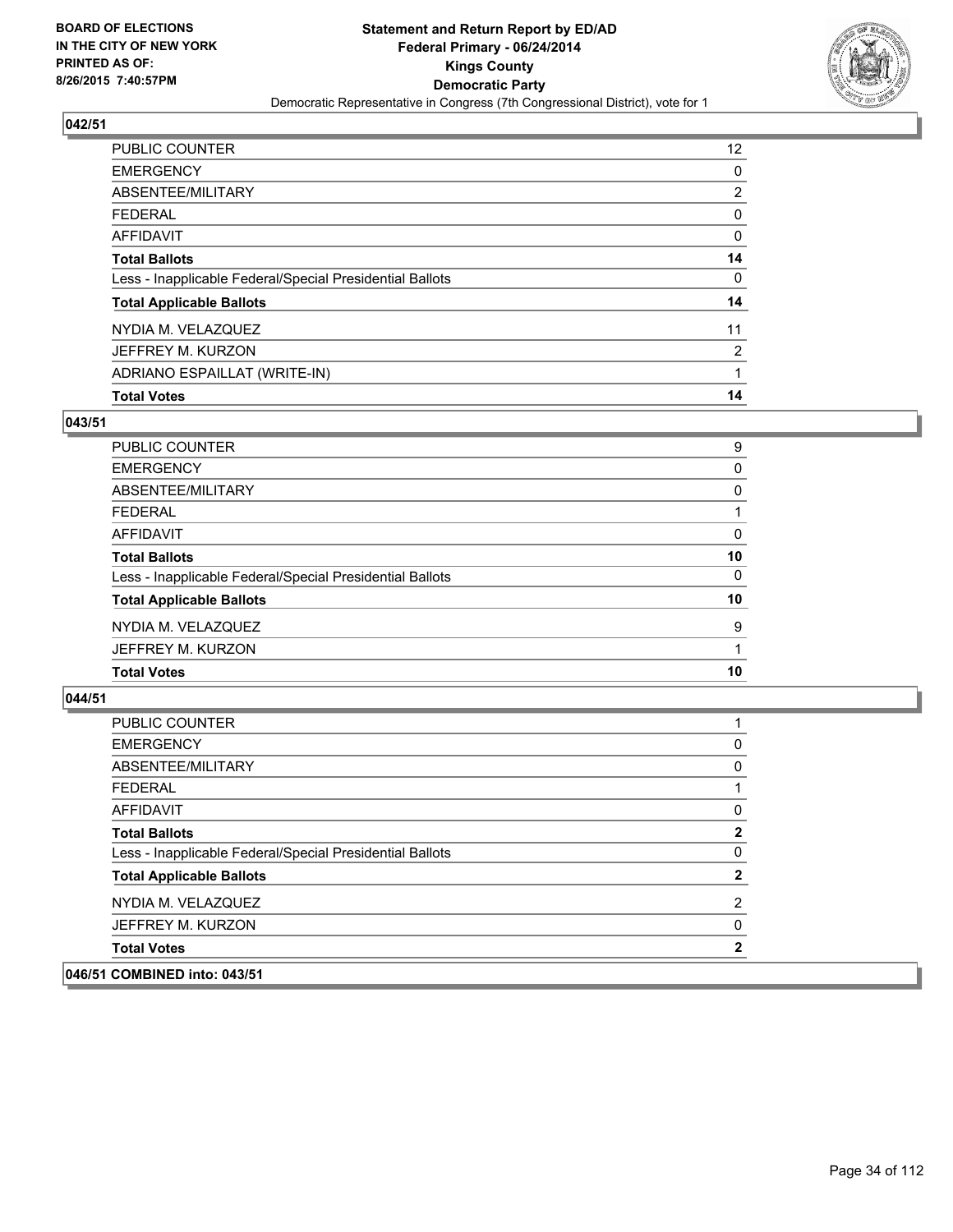

| PUBLIC COUNTER                                           | 12 <sup>2</sup> |
|----------------------------------------------------------|-----------------|
| <b>EMERGENCY</b>                                         | 0               |
| ABSENTEE/MILITARY                                        | 2               |
| <b>FEDERAL</b>                                           | 0               |
| <b>AFFIDAVIT</b>                                         | 0               |
| <b>Total Ballots</b>                                     | 14              |
| Less - Inapplicable Federal/Special Presidential Ballots | 0               |
| <b>Total Applicable Ballots</b>                          | 14              |
| NYDIA M. VELAZQUEZ                                       | 11              |
| JEFFREY M. KURZON                                        | 2               |
| ADRIANO ESPAILLAT (WRITE-IN)                             | 1               |
| <b>Total Votes</b>                                       | 14              |

## **043/51**

| PUBLIC COUNTER                                           | 9  |
|----------------------------------------------------------|----|
| <b>EMERGENCY</b>                                         | 0  |
| ABSENTEE/MILITARY                                        | 0  |
| <b>FEDERAL</b>                                           |    |
| <b>AFFIDAVIT</b>                                         | 0  |
| <b>Total Ballots</b>                                     | 10 |
| Less - Inapplicable Federal/Special Presidential Ballots | 0  |
| <b>Total Applicable Ballots</b>                          | 10 |
| NYDIA M. VELAZQUEZ                                       | 9  |
| JEFFREY M. KURZON                                        |    |
| <b>Total Votes</b>                                       | 10 |
|                                                          |    |

| <b>PUBLIC COUNTER</b>                                    |                |
|----------------------------------------------------------|----------------|
| <b>EMERGENCY</b>                                         | 0              |
| ABSENTEE/MILITARY                                        | 0              |
| <b>FEDERAL</b>                                           | 1              |
| AFFIDAVIT                                                | 0              |
| <b>Total Ballots</b>                                     | $\mathbf{2}$   |
| Less - Inapplicable Federal/Special Presidential Ballots | 0              |
| <b>Total Applicable Ballots</b>                          | $\mathbf{2}$   |
| NYDIA M. VELAZQUEZ                                       | $\overline{2}$ |
| JEFFREY M. KURZON                                        | 0              |
| <b>Total Votes</b>                                       | 2              |
| 046/51 COMBINED into: 043/51                             |                |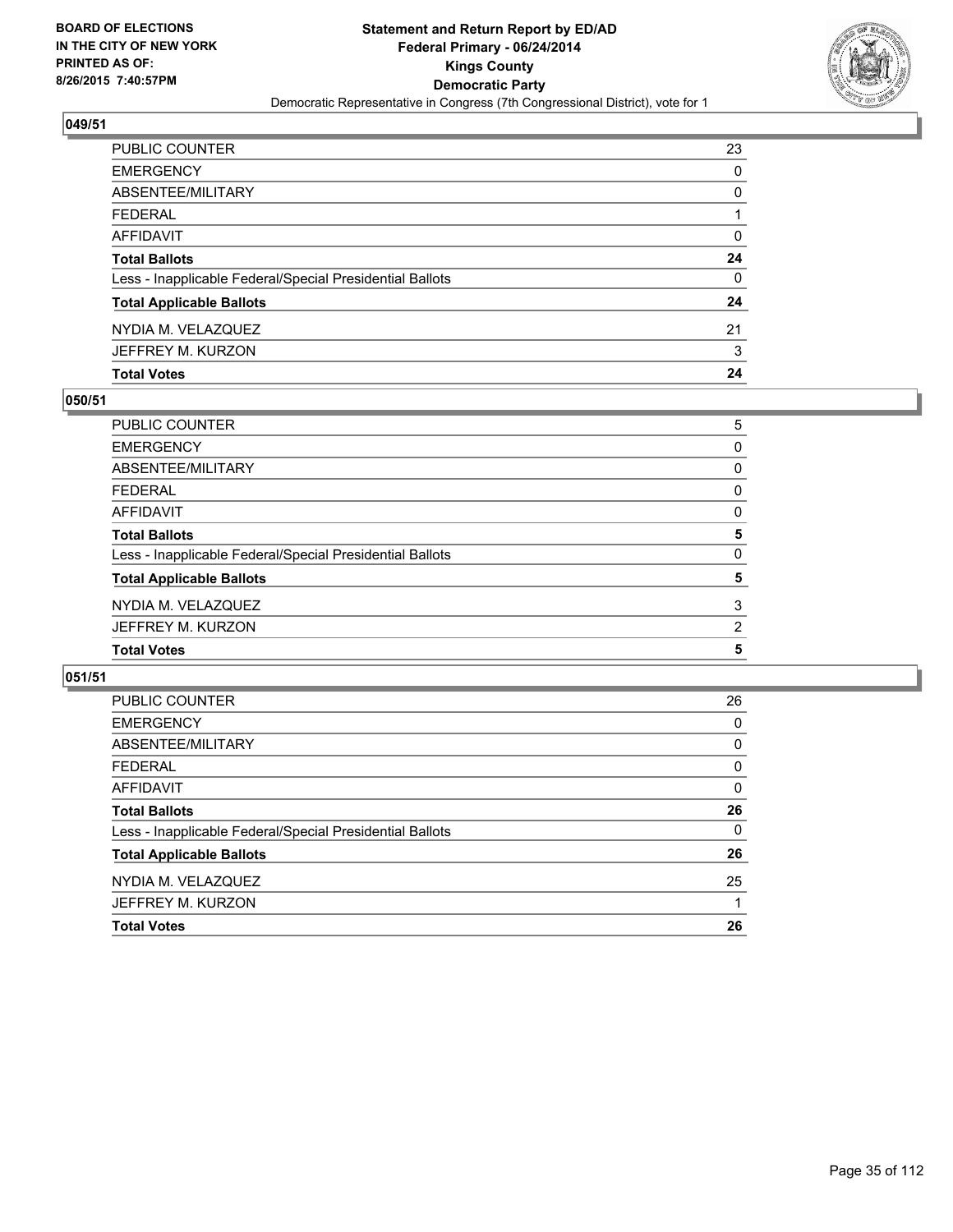

| PUBLIC COUNTER                                           | 23 |
|----------------------------------------------------------|----|
| <b>EMERGENCY</b>                                         | 0  |
| ABSENTEE/MILITARY                                        | 0  |
| <b>FEDERAL</b>                                           |    |
| <b>AFFIDAVIT</b>                                         | 0  |
| <b>Total Ballots</b>                                     | 24 |
| Less - Inapplicable Federal/Special Presidential Ballots | 0  |
| <b>Total Applicable Ballots</b>                          | 24 |
| NYDIA M. VELAZQUEZ                                       | 21 |
| JEFFREY M. KURZON                                        | 3  |
| <b>Total Votes</b>                                       | 24 |

# **050/51**

| PUBLIC COUNTER                                           | 5              |
|----------------------------------------------------------|----------------|
| <b>EMERGENCY</b>                                         | 0              |
| ABSENTEE/MILITARY                                        | 0              |
| <b>FEDERAL</b>                                           | 0              |
| <b>AFFIDAVIT</b>                                         | 0              |
| <b>Total Ballots</b>                                     | 5              |
| Less - Inapplicable Federal/Special Presidential Ballots | 0              |
| <b>Total Applicable Ballots</b>                          | 5              |
| NYDIA M. VELAZQUEZ                                       | 3              |
| JEFFREY M. KURZON                                        | $\overline{2}$ |
| <b>Total Votes</b>                                       | 5              |
|                                                          |                |

| PUBLIC COUNTER                                           | 26       |
|----------------------------------------------------------|----------|
| <b>EMERGENCY</b>                                         | 0        |
| ABSENTEE/MILITARY                                        | 0        |
| <b>FEDERAL</b>                                           | 0        |
| AFFIDAVIT                                                | 0        |
| <b>Total Ballots</b>                                     | 26       |
| Less - Inapplicable Federal/Special Presidential Ballots | $\Omega$ |
| <b>Total Applicable Ballots</b>                          | 26       |
| NYDIA M. VELAZQUEZ                                       | 25       |
| JEFFREY M. KURZON                                        |          |
| <b>Total Votes</b>                                       | 26       |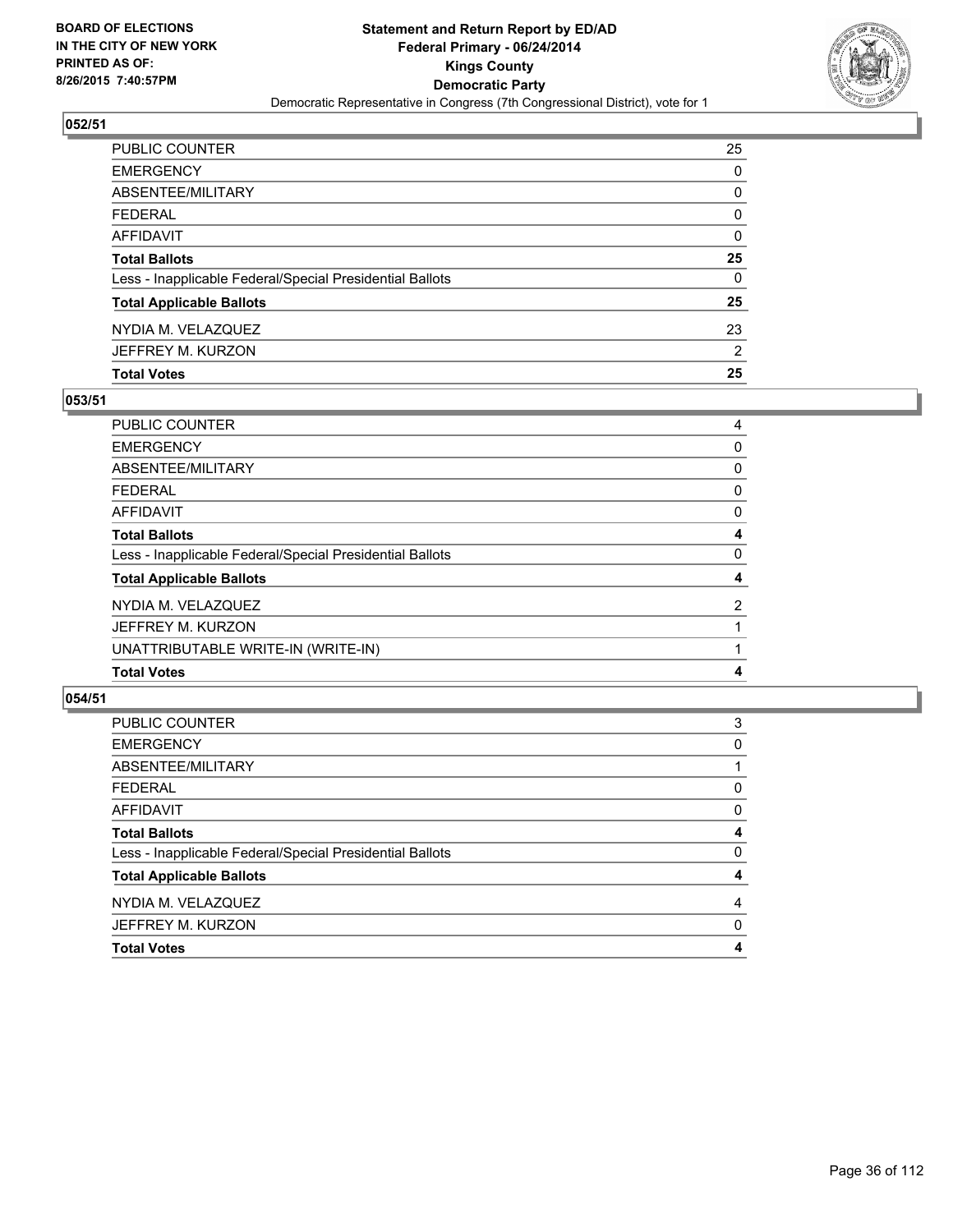

| <b>Total Votes</b>                                       | 25 |
|----------------------------------------------------------|----|
| JEFFREY M. KURZON                                        | 2  |
| NYDIA M. VELAZQUEZ                                       | 23 |
| <b>Total Applicable Ballots</b>                          | 25 |
| Less - Inapplicable Federal/Special Presidential Ballots | 0  |
| <b>Total Ballots</b>                                     | 25 |
| AFFIDAVIT                                                | 0  |
| <b>FEDERAL</b>                                           | 0  |
| <b>ABSENTEE/MILITARY</b>                                 | 0  |
| <b>EMERGENCY</b>                                         | 0  |
| PUBLIC COUNTER                                           | 25 |

# **053/51**

| <b>PUBLIC COUNTER</b>                                    | 4              |
|----------------------------------------------------------|----------------|
| <b>EMERGENCY</b>                                         | 0              |
| ABSENTEE/MILITARY                                        | 0              |
| <b>FEDERAL</b>                                           | 0              |
| AFFIDAVIT                                                | 0              |
| <b>Total Ballots</b>                                     | 4              |
| Less - Inapplicable Federal/Special Presidential Ballots | 0              |
| <b>Total Applicable Ballots</b>                          | 4              |
| NYDIA M. VELAZQUEZ                                       | $\overline{2}$ |
| JEFFREY M. KURZON                                        |                |
| UNATTRIBUTABLE WRITE-IN (WRITE-IN)                       |                |
| <b>Total Votes</b>                                       | 4              |
|                                                          |                |

| <b>PUBLIC COUNTER</b>                                    | 3              |
|----------------------------------------------------------|----------------|
| <b>EMERGENCY</b>                                         | 0              |
| ABSENTEE/MILITARY                                        |                |
| <b>FEDERAL</b>                                           | 0              |
| <b>AFFIDAVIT</b>                                         | 0              |
| <b>Total Ballots</b>                                     | 4              |
| Less - Inapplicable Federal/Special Presidential Ballots | 0              |
| <b>Total Applicable Ballots</b>                          | 4              |
| NYDIA M. VELAZQUEZ                                       | $\overline{4}$ |
| JEFFREY M. KURZON                                        | 0              |
| <b>Total Votes</b>                                       | 4              |
|                                                          |                |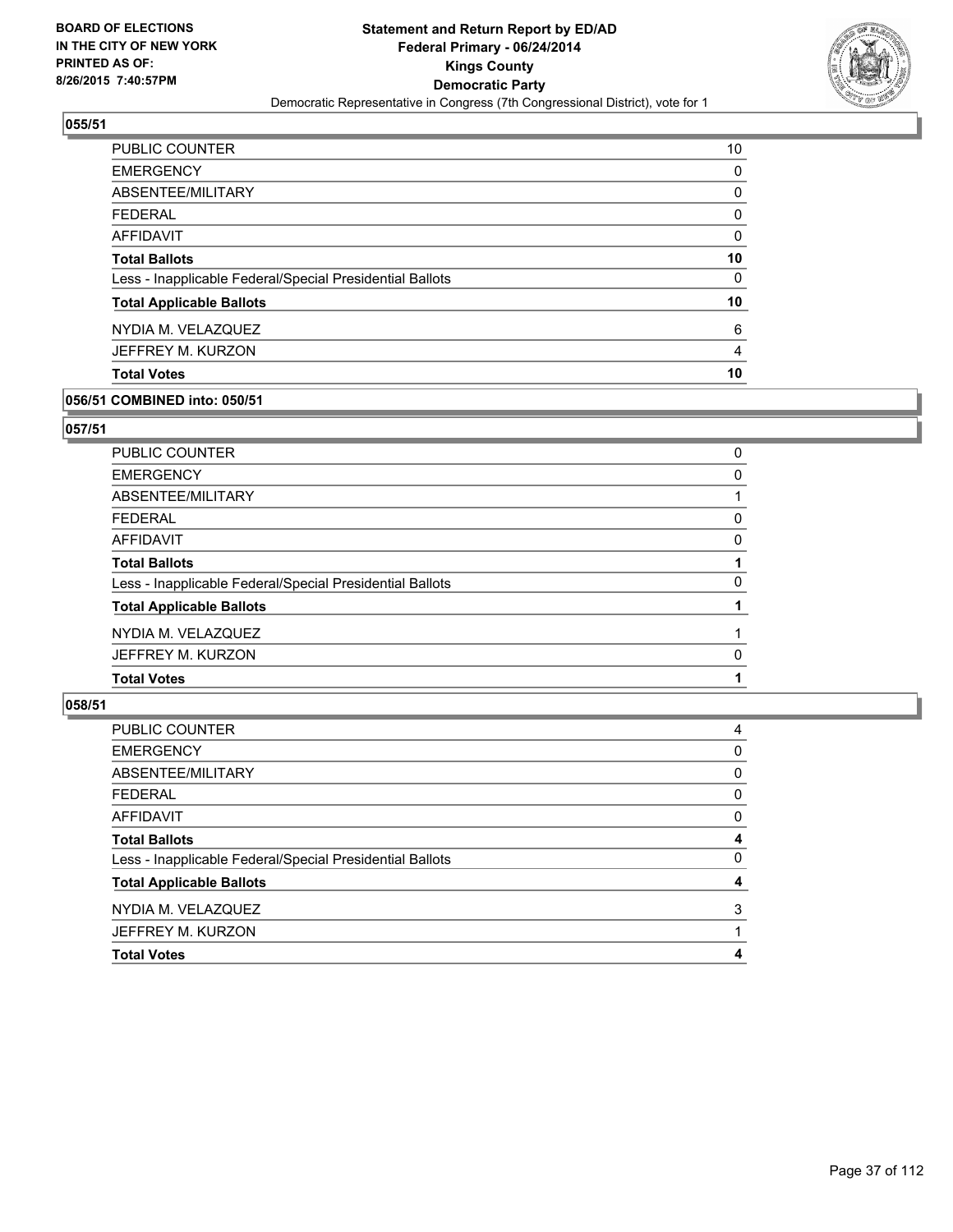

| <b>PUBLIC COUNTER</b>                                    | 10 |
|----------------------------------------------------------|----|
| <b>EMERGENCY</b>                                         | 0  |
| ABSENTEE/MILITARY                                        | 0  |
| <b>FEDERAL</b>                                           | 0  |
| AFFIDAVIT                                                | 0  |
| <b>Total Ballots</b>                                     | 10 |
| Less - Inapplicable Federal/Special Presidential Ballots | 0  |
| <b>Total Applicable Ballots</b>                          | 10 |
| NYDIA M. VELAZQUEZ                                       | 6  |
| JEFFREY M. KURZON                                        | 4  |
| <b>Total Votes</b>                                       | 10 |

#### **056/51 COMBINED into: 050/51**

#### **057/51**

| <b>PUBLIC COUNTER</b>                                    | 0 |
|----------------------------------------------------------|---|
| <b>EMERGENCY</b>                                         | 0 |
| <b>ABSENTEE/MILITARY</b>                                 |   |
| <b>FEDERAL</b>                                           | 0 |
| <b>AFFIDAVIT</b>                                         | 0 |
| <b>Total Ballots</b>                                     |   |
| Less - Inapplicable Federal/Special Presidential Ballots | 0 |
| <b>Total Applicable Ballots</b>                          |   |
| NYDIA M. VELAZQUEZ                                       |   |
| JEFFREY M. KURZON                                        | 0 |
| <b>Total Votes</b>                                       |   |
|                                                          |   |

| PUBLIC COUNTER                                           | 4 |
|----------------------------------------------------------|---|
| <b>EMERGENCY</b>                                         | 0 |
| ABSENTEE/MILITARY                                        | 0 |
| FEDERAL                                                  | 0 |
| AFFIDAVIT                                                | 0 |
| <b>Total Ballots</b>                                     | 4 |
| Less - Inapplicable Federal/Special Presidential Ballots | 0 |
| <b>Total Applicable Ballots</b>                          | 4 |
| NYDIA M. VELAZQUEZ                                       | 3 |
| JEFFREY M. KURZON                                        |   |
| <b>Total Votes</b>                                       | 4 |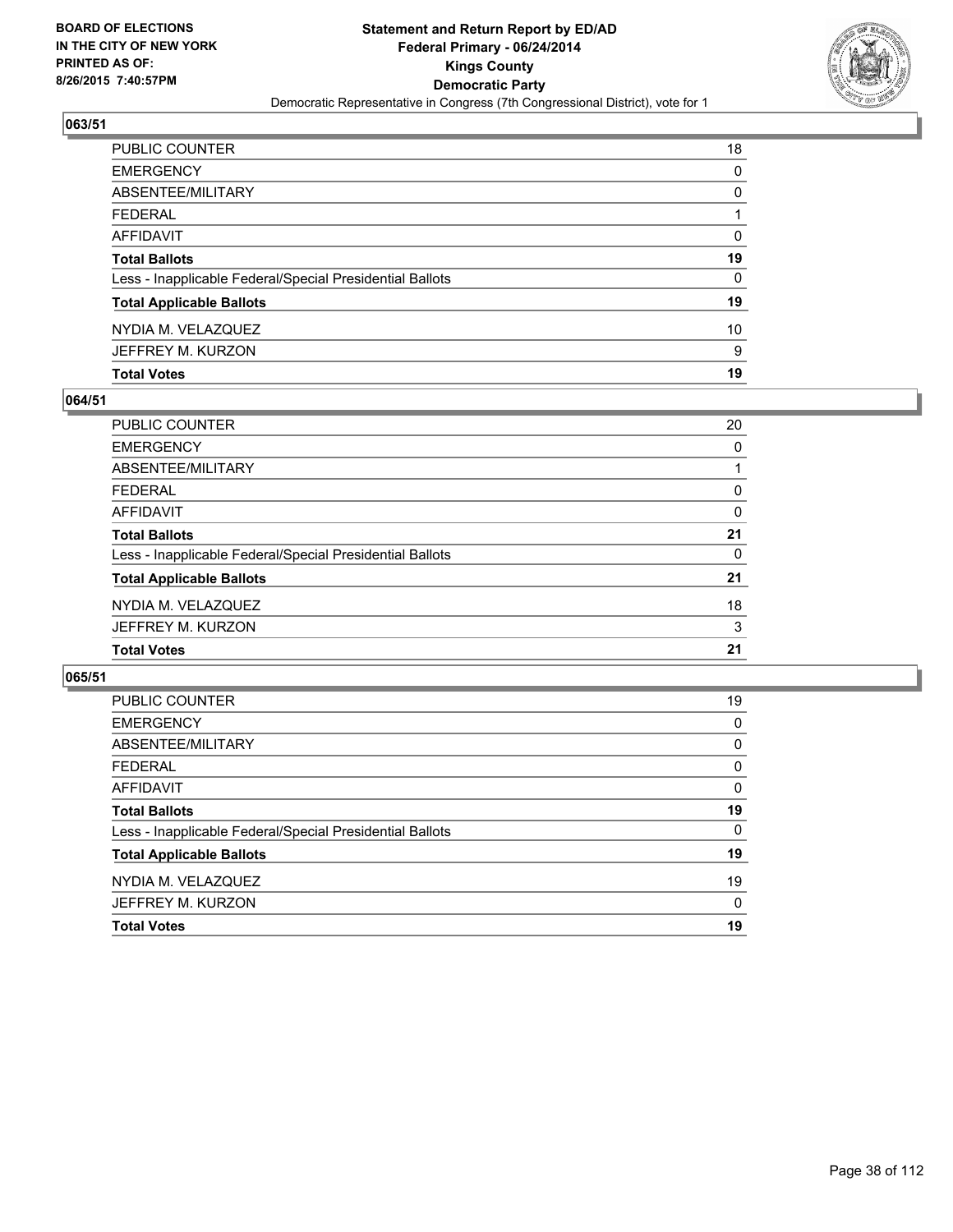

| <b>Total Votes</b>                                       | 19 |
|----------------------------------------------------------|----|
| JEFFREY M. KURZON                                        | 9  |
| NYDIA M. VELAZQUEZ                                       | 10 |
| <b>Total Applicable Ballots</b>                          | 19 |
| Less - Inapplicable Federal/Special Presidential Ballots | 0  |
| <b>Total Ballots</b>                                     | 19 |
| AFFIDAVIT                                                | 0  |
| <b>FEDERAL</b>                                           |    |
| ABSENTEE/MILITARY                                        | 0  |
| <b>EMERGENCY</b>                                         | 0  |
| PUBLIC COUNTER                                           | 18 |

### **064/51**

| PUBLIC COUNTER                                           | 20 |
|----------------------------------------------------------|----|
| <b>EMERGENCY</b>                                         | 0  |
| ABSENTEE/MILITARY                                        |    |
| <b>FEDERAL</b>                                           | 0  |
| <b>AFFIDAVIT</b>                                         | 0  |
| <b>Total Ballots</b>                                     | 21 |
| Less - Inapplicable Federal/Special Presidential Ballots | 0  |
| <b>Total Applicable Ballots</b>                          | 21 |
| NYDIA M. VELAZQUEZ                                       | 18 |
| JEFFREY M. KURZON                                        | 3  |
| <b>Total Votes</b>                                       | 21 |
|                                                          |    |

| PUBLIC COUNTER                                           | 19       |
|----------------------------------------------------------|----------|
| <b>EMERGENCY</b>                                         | 0        |
| ABSENTEE/MILITARY                                        | 0        |
| <b>FEDERAL</b>                                           | 0        |
| AFFIDAVIT                                                | 0        |
| <b>Total Ballots</b>                                     | 19       |
| Less - Inapplicable Federal/Special Presidential Ballots | $\Omega$ |
| <b>Total Applicable Ballots</b>                          | 19       |
| NYDIA M. VELAZQUEZ                                       | 19       |
| JEFFREY M. KURZON                                        | $\Omega$ |
| <b>Total Votes</b>                                       | 19       |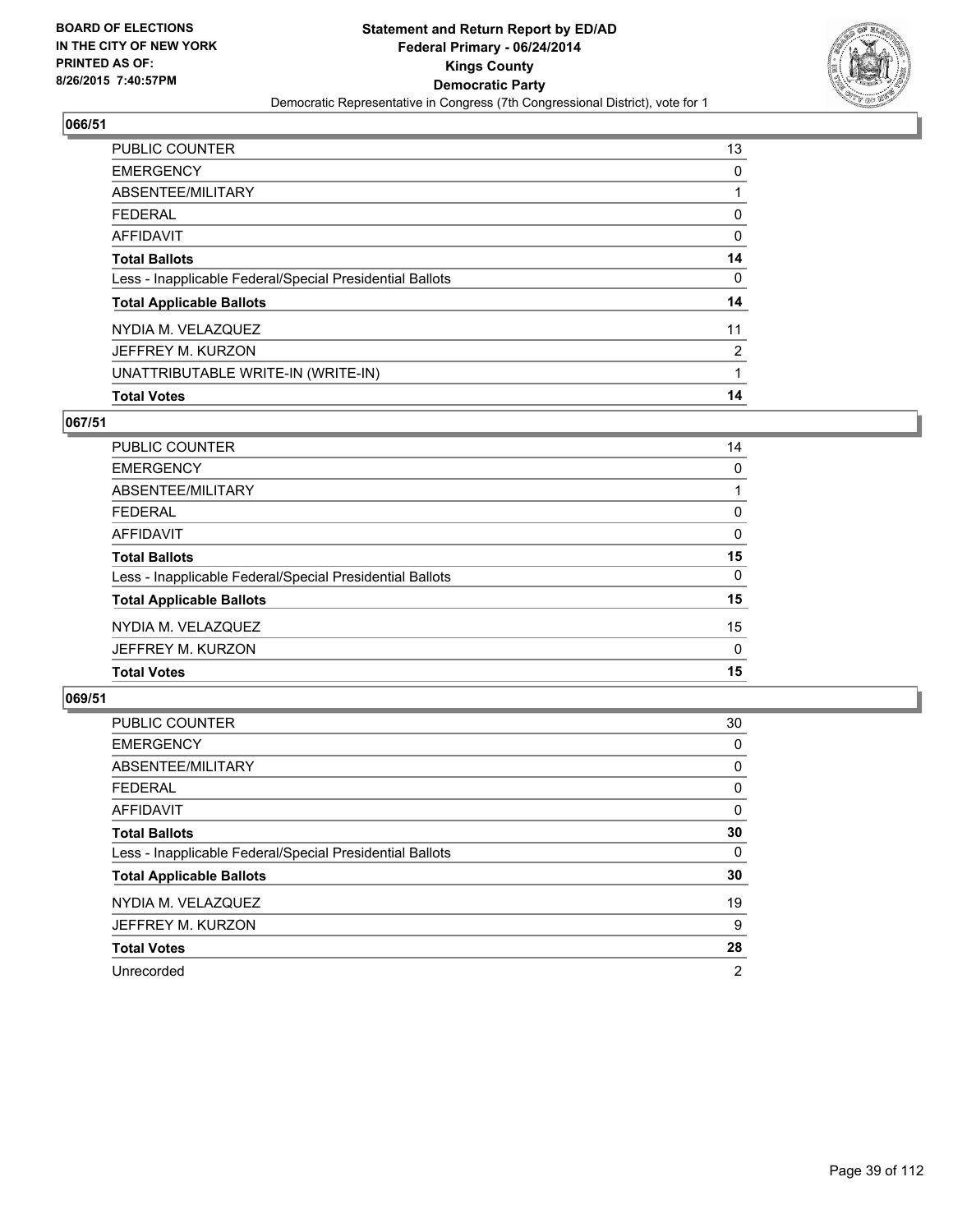

| <b>PUBLIC COUNTER</b>                                    | 13                    |
|----------------------------------------------------------|-----------------------|
| <b>EMERGENCY</b>                                         | 0                     |
| ABSENTEE/MILITARY                                        |                       |
| FEDERAL                                                  | 0                     |
| AFFIDAVIT                                                | 0                     |
| <b>Total Ballots</b>                                     | 14                    |
| Less - Inapplicable Federal/Special Presidential Ballots | 0                     |
| <b>Total Applicable Ballots</b>                          | 14                    |
| NYDIA M. VELAZQUEZ                                       | 11                    |
| JEFFREY M. KURZON                                        | $\mathbf{2}^{\prime}$ |
| UNATTRIBUTABLE WRITE-IN (WRITE-IN)                       |                       |
| <b>Total Votes</b>                                       | 14                    |

## **067/51**

| <b>PUBLIC COUNTER</b>                                    | 14           |
|----------------------------------------------------------|--------------|
| <b>EMERGENCY</b>                                         | 0            |
| ABSENTEE/MILITARY                                        |              |
| <b>FEDERAL</b>                                           | 0            |
| <b>AFFIDAVIT</b>                                         | $\Omega$     |
| <b>Total Ballots</b>                                     | 15           |
| Less - Inapplicable Federal/Special Presidential Ballots | $\Omega$     |
| <b>Total Applicable Ballots</b>                          | 15           |
| NYDIA M. VELAZQUEZ                                       | 15           |
| JEFFREY M. KURZON                                        | $\mathbf{0}$ |
| <b>Total Votes</b>                                       | 15           |
|                                                          |              |

| <b>PUBLIC COUNTER</b>                                    | 30             |
|----------------------------------------------------------|----------------|
| <b>EMERGENCY</b>                                         | 0              |
| ABSENTEE/MILITARY                                        | 0              |
| FEDERAL                                                  | 0              |
| AFFIDAVIT                                                | 0              |
| <b>Total Ballots</b>                                     | 30             |
| Less - Inapplicable Federal/Special Presidential Ballots | 0              |
| <b>Total Applicable Ballots</b>                          | 30             |
| NYDIA M. VELAZQUEZ                                       | 19             |
| JEFFREY M. KURZON                                        | 9              |
| <b>Total Votes</b>                                       | 28             |
| Unrecorded                                               | $\overline{2}$ |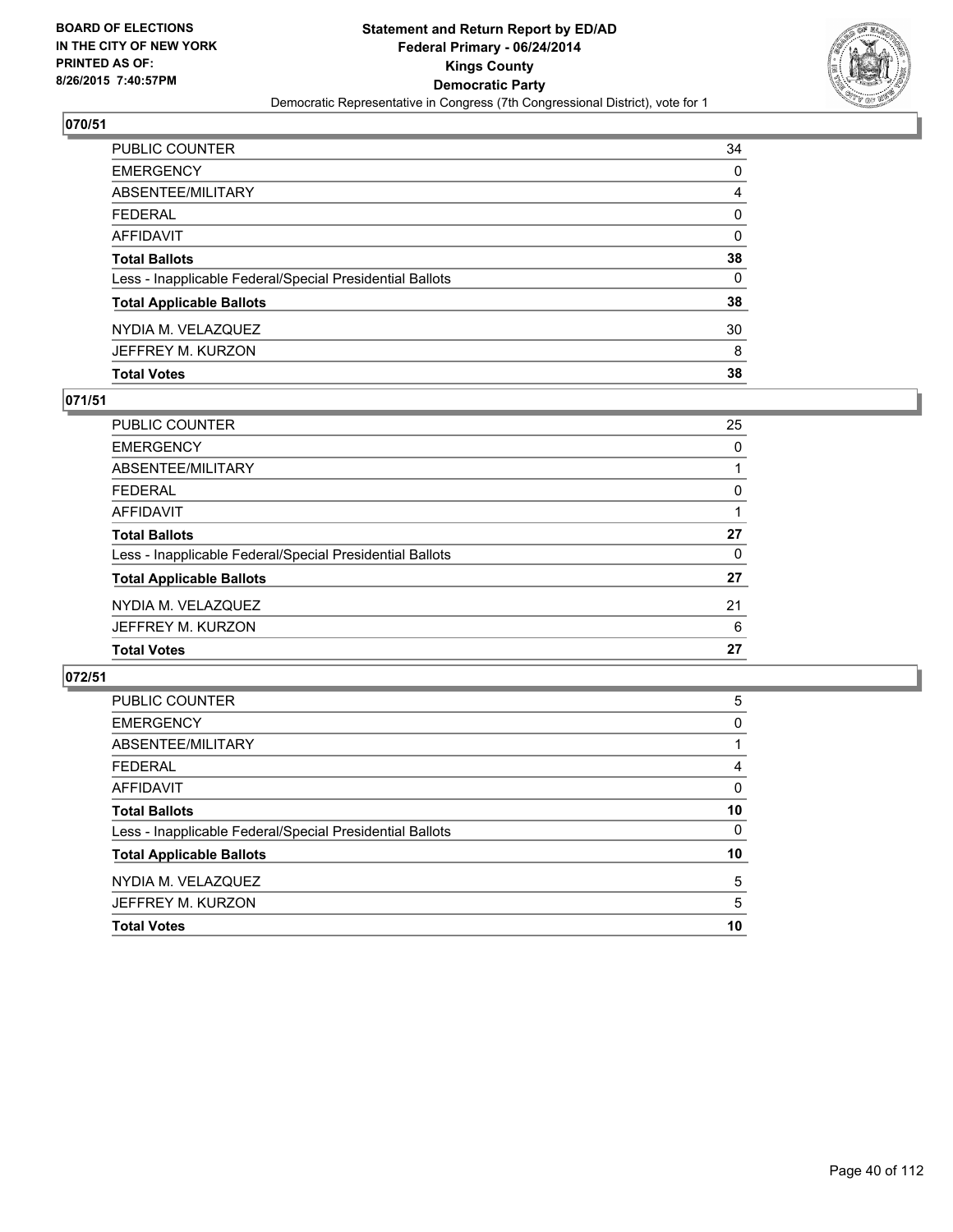

| PUBLIC COUNTER                                           | 34       |
|----------------------------------------------------------|----------|
| <b>EMERGENCY</b>                                         | 0        |
| ABSENTEE/MILITARY                                        | 4        |
| <b>FEDERAL</b>                                           | $\Omega$ |
| AFFIDAVIT                                                | 0        |
| <b>Total Ballots</b>                                     | 38       |
| Less - Inapplicable Federal/Special Presidential Ballots | 0        |
| <b>Total Applicable Ballots</b>                          | 38       |
| NYDIA M. VELAZQUEZ                                       | 30       |
| JEFFREY M. KURZON                                        | 8        |
| <b>Total Votes</b>                                       | 38       |

### **071/51**

| PUBLIC COUNTER                                           | 25 |
|----------------------------------------------------------|----|
| <b>EMERGENCY</b>                                         | 0  |
| ABSENTEE/MILITARY                                        |    |
| <b>FEDERAL</b>                                           | 0  |
| <b>AFFIDAVIT</b>                                         |    |
| <b>Total Ballots</b>                                     | 27 |
| Less - Inapplicable Federal/Special Presidential Ballots | 0  |
| <b>Total Applicable Ballots</b>                          | 27 |
| NYDIA M. VELAZQUEZ                                       | 21 |
| JEFFREY M. KURZON                                        | 6  |
| <b>Total Votes</b>                                       | 27 |
|                                                          |    |

| <b>PUBLIC COUNTER</b>                                    | 5  |
|----------------------------------------------------------|----|
| <b>EMERGENCY</b>                                         | 0  |
| ABSENTEE/MILITARY                                        |    |
| <b>FEDERAL</b>                                           | 4  |
| AFFIDAVIT                                                | 0  |
| <b>Total Ballots</b>                                     | 10 |
| Less - Inapplicable Federal/Special Presidential Ballots | 0  |
| <b>Total Applicable Ballots</b>                          | 10 |
| NYDIA M. VELAZQUEZ                                       | 5  |
| JEFFREY M. KURZON                                        | 5  |
| <b>Total Votes</b>                                       | 10 |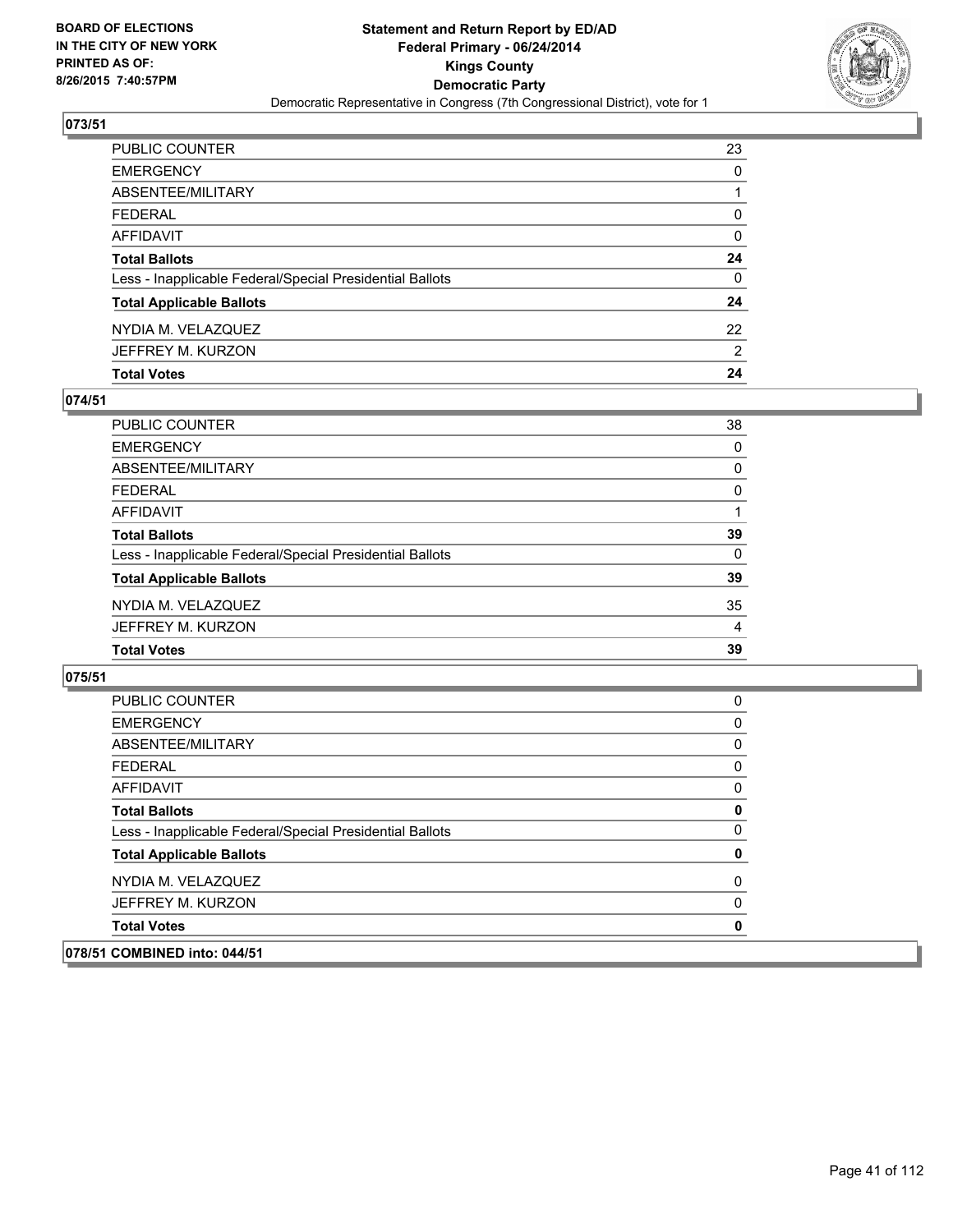

| PUBLIC COUNTER                                           | 23       |
|----------------------------------------------------------|----------|
| <b>EMERGENCY</b>                                         | 0        |
| ABSENTEE/MILITARY                                        |          |
| <b>FEDERAL</b>                                           | $\Omega$ |
| AFFIDAVIT                                                | 0        |
| <b>Total Ballots</b>                                     | 24       |
| Less - Inapplicable Federal/Special Presidential Ballots | 0        |
| <b>Total Applicable Ballots</b>                          | 24       |
| NYDIA M. VELAZQUEZ                                       | 22       |
| JEFFREY M. KURZON                                        | 2        |
| <b>Total Votes</b>                                       | 24       |

### **074/51**

| PUBLIC COUNTER                                           | 38 |
|----------------------------------------------------------|----|
| <b>EMERGENCY</b>                                         | 0  |
| ABSENTEE/MILITARY                                        | 0  |
| <b>FEDERAL</b>                                           | 0  |
| <b>AFFIDAVIT</b>                                         |    |
| <b>Total Ballots</b>                                     | 39 |
| Less - Inapplicable Federal/Special Presidential Ballots | 0  |
| <b>Total Applicable Ballots</b>                          | 39 |
| NYDIA M. VELAZQUEZ                                       | 35 |
| JEFFREY M. KURZON                                        | 4  |
| <b>Total Votes</b>                                       | 39 |

| 078/51 COMBINED into: 044/51                             |          |
|----------------------------------------------------------|----------|
| <b>Total Votes</b>                                       | 0        |
| JEFFREY M. KURZON                                        | 0        |
| NYDIA M. VELAZQUEZ                                       | 0        |
| <b>Total Applicable Ballots</b>                          | 0        |
| Less - Inapplicable Federal/Special Presidential Ballots | $\Omega$ |
| <b>Total Ballots</b>                                     | 0        |
| AFFIDAVIT                                                | 0        |
| <b>FEDERAL</b>                                           | 0        |
| ABSENTEE/MILITARY                                        | 0        |
| <b>EMERGENCY</b>                                         | 0        |
| <b>PUBLIC COUNTER</b>                                    | 0        |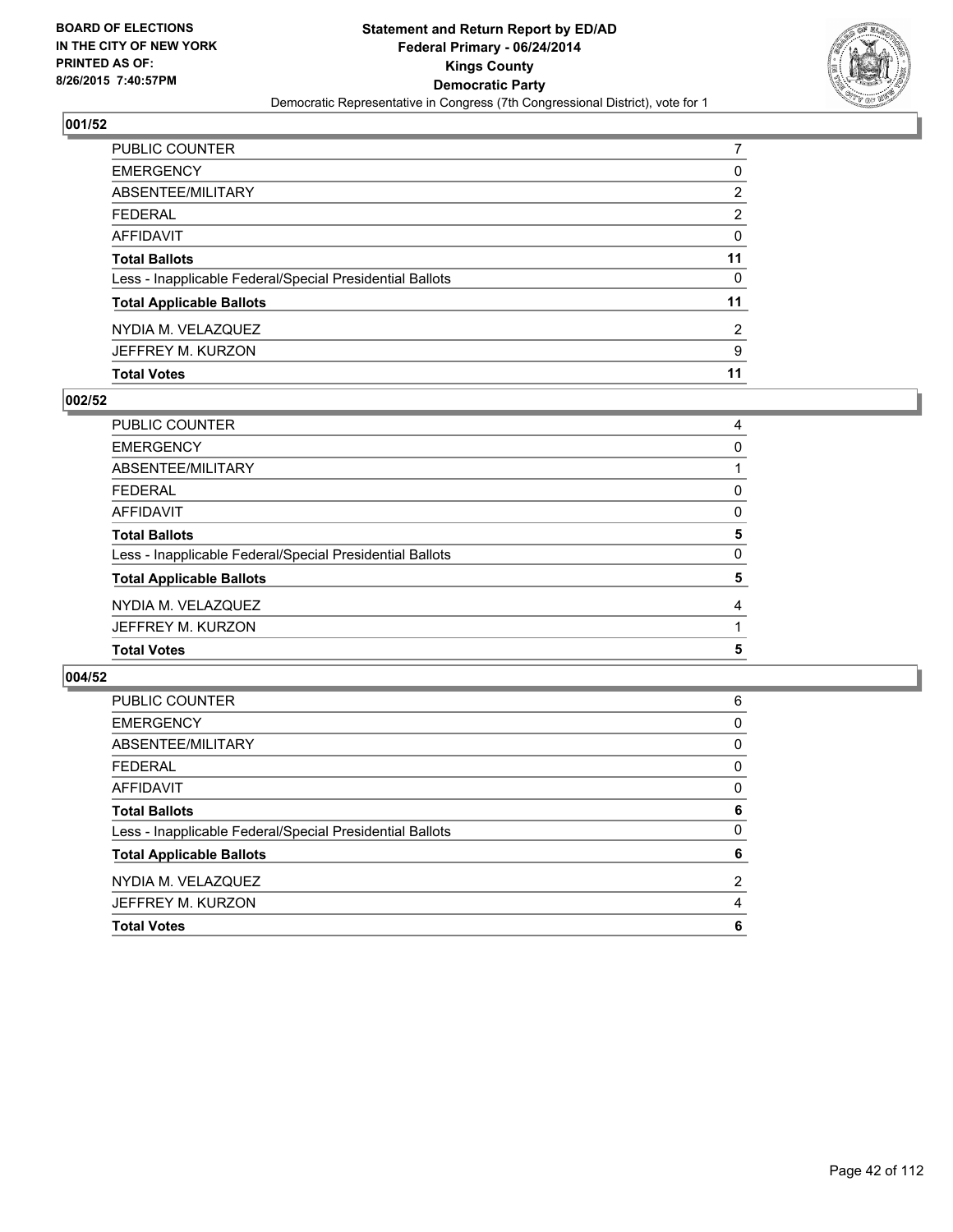

| PUBLIC COUNTER                                           |          |
|----------------------------------------------------------|----------|
| <b>EMERGENCY</b>                                         | 0        |
| ABSENTEE/MILITARY                                        | 2        |
| <b>FEDERAL</b>                                           | 2        |
| AFFIDAVIT                                                | $\Omega$ |
| <b>Total Ballots</b>                                     | 11       |
| Less - Inapplicable Federal/Special Presidential Ballots | 0        |
| <b>Total Applicable Ballots</b>                          | 11       |
| NYDIA M. VELAZQUEZ                                       | 2        |
| JEFFREY M. KURZON                                        | 9        |
| <b>Total Votes</b>                                       | 11       |

### **002/52**

| PUBLIC COUNTER                                           | 4 |
|----------------------------------------------------------|---|
| <b>EMERGENCY</b>                                         | 0 |
| ABSENTEE/MILITARY                                        |   |
| <b>FEDERAL</b>                                           | 0 |
| <b>AFFIDAVIT</b>                                         | 0 |
| <b>Total Ballots</b>                                     | 5 |
| Less - Inapplicable Federal/Special Presidential Ballots | 0 |
| <b>Total Applicable Ballots</b>                          | 5 |
| NYDIA M. VELAZQUEZ                                       | 4 |
| JEFFREY M. KURZON                                        |   |
| <b>Total Votes</b>                                       | 5 |

| PUBLIC COUNTER                                           | 6              |
|----------------------------------------------------------|----------------|
| <b>EMERGENCY</b>                                         | 0              |
| ABSENTEE/MILITARY                                        | 0              |
| <b>FEDERAL</b>                                           | 0              |
| AFFIDAVIT                                                | 0              |
| <b>Total Ballots</b>                                     | 6              |
| Less - Inapplicable Federal/Special Presidential Ballots | 0              |
| <b>Total Applicable Ballots</b>                          | 6              |
| NYDIA M. VELAZQUEZ                                       | $\overline{2}$ |
| JEFFREY M. KURZON                                        | 4              |
| <b>Total Votes</b>                                       | 6              |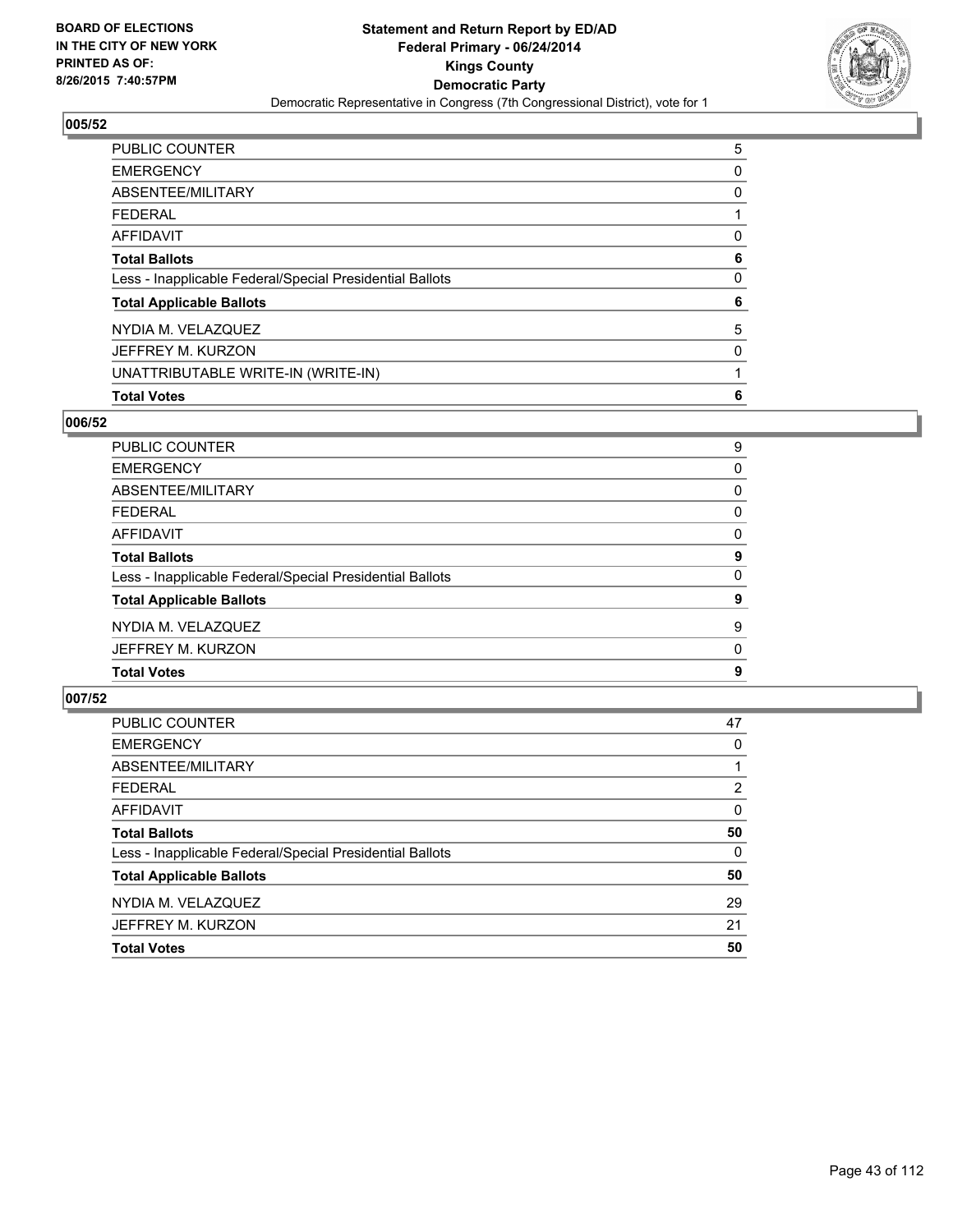

| <b>PUBLIC COUNTER</b>                                    | 5 |
|----------------------------------------------------------|---|
| <b>EMERGENCY</b>                                         | 0 |
| ABSENTEE/MILITARY                                        | 0 |
| <b>FEDERAL</b>                                           |   |
| <b>AFFIDAVIT</b>                                         | 0 |
| <b>Total Ballots</b>                                     | 6 |
| Less - Inapplicable Federal/Special Presidential Ballots | 0 |
| <b>Total Applicable Ballots</b>                          | 6 |
| NYDIA M. VELAZQUEZ                                       | 5 |
| JEFFREY M. KURZON                                        | 0 |
| UNATTRIBUTABLE WRITE-IN (WRITE-IN)                       |   |
| <b>Total Votes</b>                                       | 6 |

## **006/52**

| PUBLIC COUNTER                                           | 9 |
|----------------------------------------------------------|---|
| <b>EMERGENCY</b>                                         | 0 |
| ABSENTEE/MILITARY                                        | 0 |
| <b>FEDERAL</b>                                           | 0 |
| <b>AFFIDAVIT</b>                                         | 0 |
| <b>Total Ballots</b>                                     | 9 |
| Less - Inapplicable Federal/Special Presidential Ballots | 0 |
| <b>Total Applicable Ballots</b>                          | 9 |
| NYDIA M. VELAZQUEZ                                       | 9 |
| JEFFREY M. KURZON                                        | 0 |
| <b>Total Votes</b>                                       | 9 |
|                                                          |   |

| <b>PUBLIC COUNTER</b>                                    | 47       |
|----------------------------------------------------------|----------|
| <b>EMERGENCY</b>                                         | 0        |
| ABSENTEE/MILITARY                                        |          |
| <b>FEDERAL</b>                                           | 2        |
| <b>AFFIDAVIT</b>                                         | $\Omega$ |
| <b>Total Ballots</b>                                     | 50       |
| Less - Inapplicable Federal/Special Presidential Ballots | $\Omega$ |
| <b>Total Applicable Ballots</b>                          | 50       |
| NYDIA M. VELAZQUEZ                                       | 29       |
| JEFFREY M. KURZON                                        | 21       |
| <b>Total Votes</b>                                       | 50       |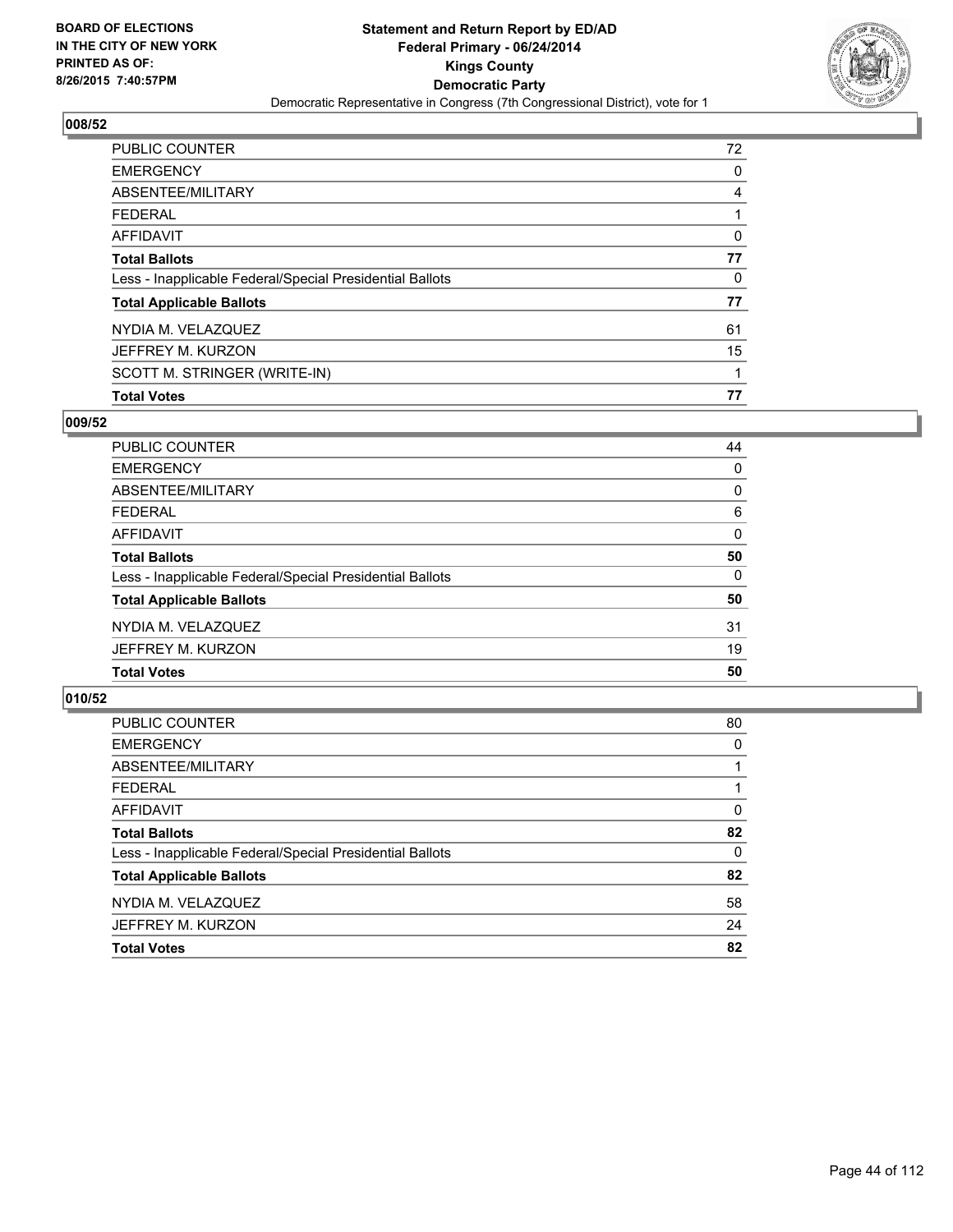

| PUBLIC COUNTER                                           | 72 |
|----------------------------------------------------------|----|
| <b>EMERGENCY</b>                                         | 0  |
| ABSENTEE/MILITARY                                        | 4  |
| <b>FEDERAL</b>                                           |    |
| <b>AFFIDAVIT</b>                                         | 0  |
| <b>Total Ballots</b>                                     | 77 |
| Less - Inapplicable Federal/Special Presidential Ballots | 0  |
| <b>Total Applicable Ballots</b>                          | 77 |
| NYDIA M. VELAZQUEZ                                       | 61 |
| JEFFREY M. KURZON                                        | 15 |
| SCOTT M. STRINGER (WRITE-IN)                             | 1  |
| <b>Total Votes</b>                                       | 77 |

## **009/52**

| PUBLIC COUNTER                                           | 44       |
|----------------------------------------------------------|----------|
| <b>EMERGENCY</b>                                         | 0        |
| ABSENTEE/MILITARY                                        | 0        |
| <b>FEDERAL</b>                                           | 6        |
| AFFIDAVIT                                                | $\Omega$ |
| <b>Total Ballots</b>                                     | 50       |
| Less - Inapplicable Federal/Special Presidential Ballots | 0        |
| <b>Total Applicable Ballots</b>                          | 50       |
| NYDIA M. VELAZQUEZ                                       | 31       |
| JEFFREY M. KURZON                                        | 19       |
| <b>Total Votes</b>                                       | 50       |
|                                                          |          |

| PUBLIC COUNTER                                           | 80 |
|----------------------------------------------------------|----|
| <b>EMERGENCY</b>                                         | 0  |
| ABSENTEE/MILITARY                                        |    |
| <b>FEDERAL</b>                                           |    |
| AFFIDAVIT                                                | 0  |
| <b>Total Ballots</b>                                     | 82 |
| Less - Inapplicable Federal/Special Presidential Ballots | 0  |
| <b>Total Applicable Ballots</b>                          | 82 |
| NYDIA M. VELAZQUEZ                                       | 58 |
| JEFFREY M. KURZON                                        | 24 |
| <b>Total Votes</b>                                       | 82 |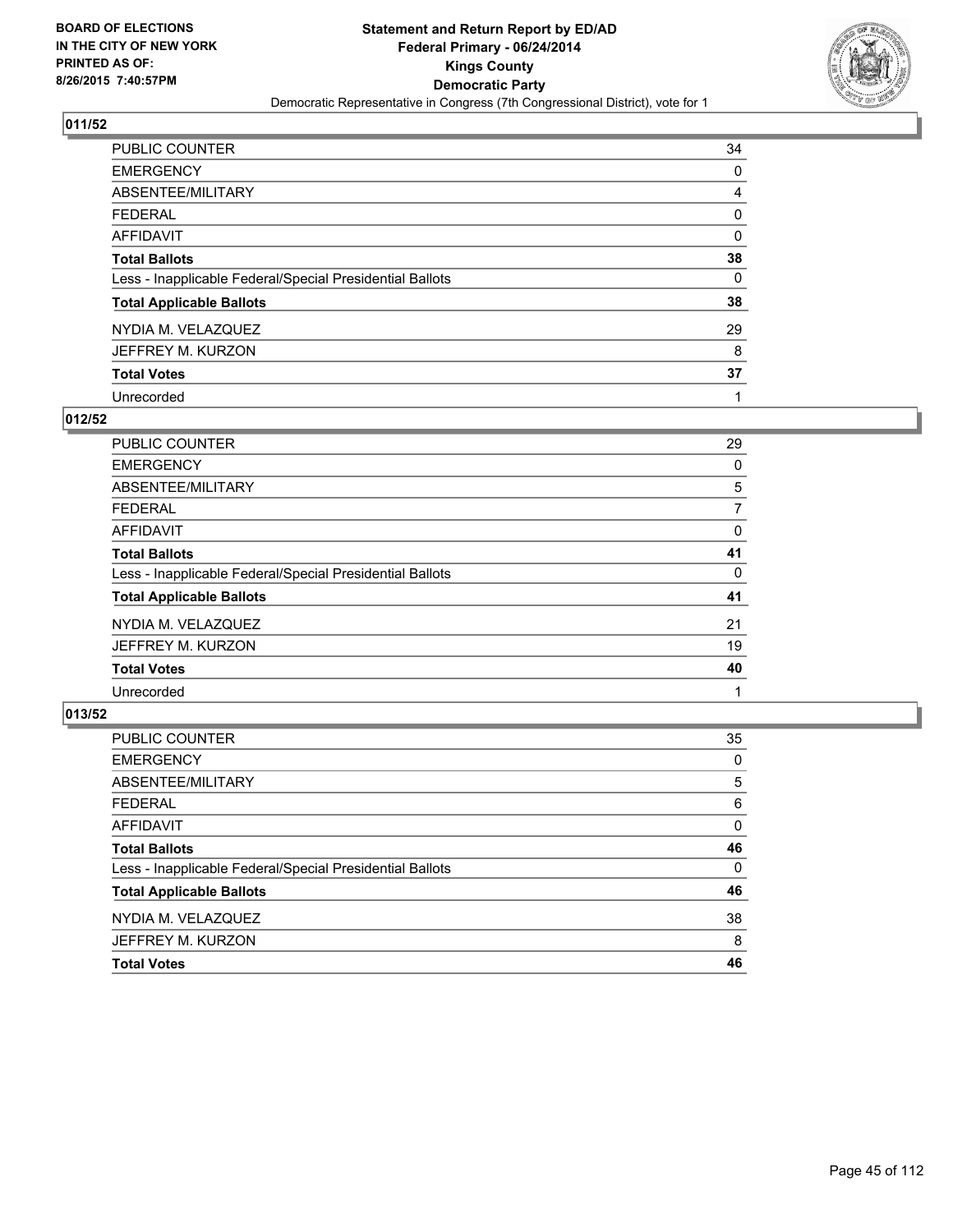

| <b>PUBLIC COUNTER</b>                                    | 34 |
|----------------------------------------------------------|----|
| <b>EMERGENCY</b>                                         | 0  |
| ABSENTEE/MILITARY                                        | 4  |
| <b>FEDERAL</b>                                           | 0  |
| <b>AFFIDAVIT</b>                                         | 0  |
| <b>Total Ballots</b>                                     | 38 |
| Less - Inapplicable Federal/Special Presidential Ballots | 0  |
| <b>Total Applicable Ballots</b>                          | 38 |
| NYDIA M. VELAZQUEZ                                       | 29 |
| JEFFREY M. KURZON                                        | 8  |
| <b>Total Votes</b>                                       | 37 |
| Unrecorded                                               |    |

#### **012/52**

| <b>PUBLIC COUNTER</b>                                    | 29 |
|----------------------------------------------------------|----|
| <b>EMERGENCY</b>                                         | 0  |
| ABSENTEE/MILITARY                                        | 5  |
| <b>FEDERAL</b>                                           | 7  |
| <b>AFFIDAVIT</b>                                         | 0  |
| <b>Total Ballots</b>                                     | 41 |
| Less - Inapplicable Federal/Special Presidential Ballots | 0  |
| <b>Total Applicable Ballots</b>                          | 41 |
| NYDIA M. VELAZQUEZ                                       | 21 |
| JEFFREY M. KURZON                                        | 19 |
| <b>Total Votes</b>                                       | 40 |
| Unrecorded                                               |    |
|                                                          |    |

| <b>PUBLIC COUNTER</b>                                    | 35       |
|----------------------------------------------------------|----------|
| <b>EMERGENCY</b>                                         | 0        |
| ABSENTEE/MILITARY                                        | 5        |
| <b>FEDERAL</b>                                           | 6        |
| <b>AFFIDAVIT</b>                                         | $\Omega$ |
| <b>Total Ballots</b>                                     | 46       |
| Less - Inapplicable Federal/Special Presidential Ballots | $\Omega$ |
| <b>Total Applicable Ballots</b>                          | 46       |
| NYDIA M. VELAZQUEZ                                       | 38       |
| JEFFREY M. KURZON                                        | 8        |
| <b>Total Votes</b>                                       | 46       |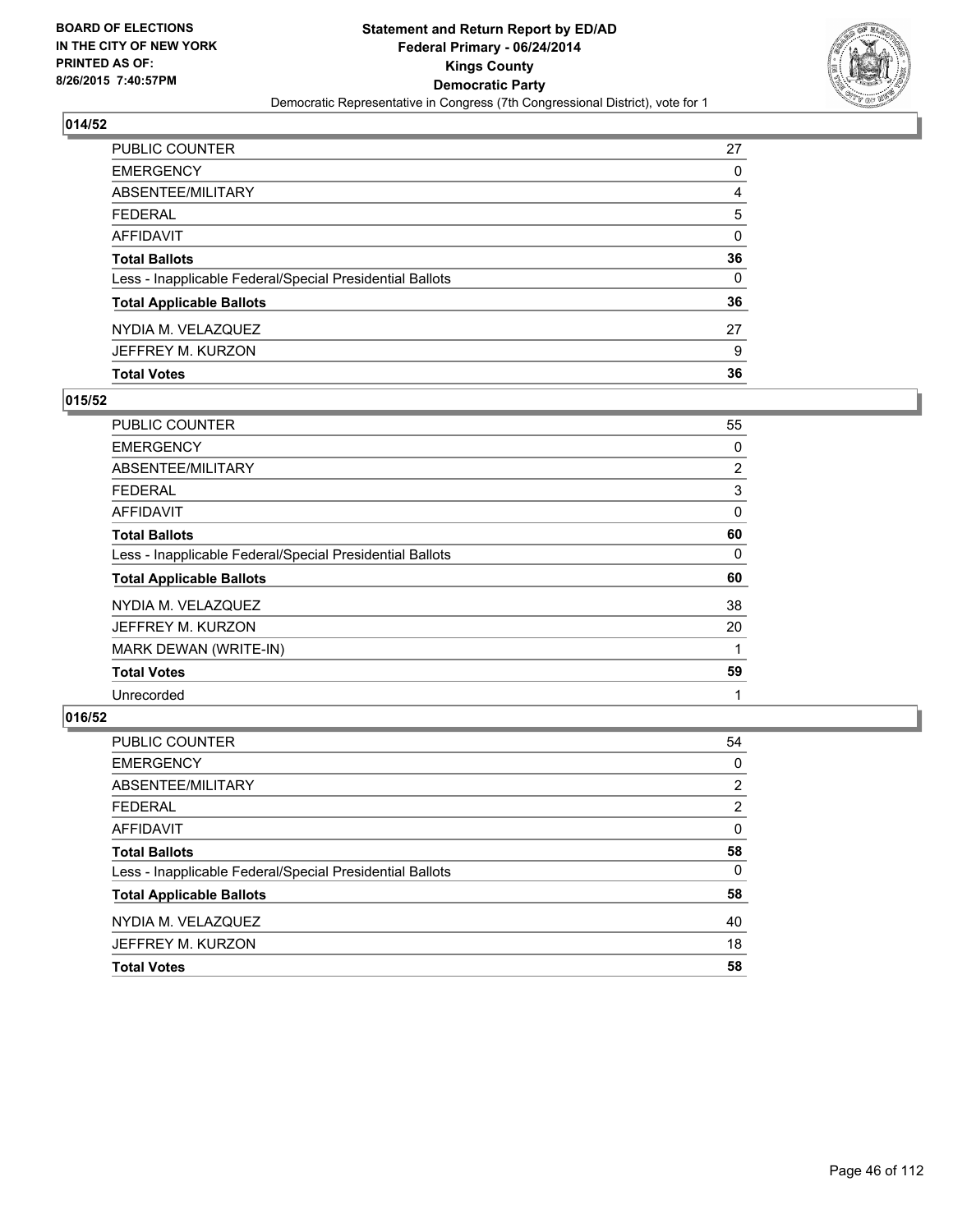

| PUBLIC COUNTER                                           | 27 |
|----------------------------------------------------------|----|
| EMERGENCY                                                | 0  |
| ABSENTEE/MILITARY                                        | 4  |
| FEDERAL                                                  | 5  |
| AFFIDAVIT                                                | 0  |
| Total Ballots                                            | 36 |
| Less - Inapplicable Federal/Special Presidential Ballots | 0  |
| <b>Total Applicable Ballots</b>                          | 36 |
| NYDIA M. VELAZQUEZ                                       | 27 |
| JEFFREY M. KURZON                                        | 9  |
| <b>Total Votes</b>                                       | 36 |

### **015/52**

| PUBLIC COUNTER                                           | 55 |
|----------------------------------------------------------|----|
| <b>EMERGENCY</b>                                         | 0  |
| ABSENTEE/MILITARY                                        | 2  |
| <b>FEDERAL</b>                                           | 3  |
| AFFIDAVIT                                                | 0  |
| <b>Total Ballots</b>                                     | 60 |
| Less - Inapplicable Federal/Special Presidential Ballots | 0  |
| <b>Total Applicable Ballots</b>                          | 60 |
| NYDIA M. VELAZQUEZ                                       | 38 |
| JEFFREY M. KURZON                                        | 20 |
| MARK DEWAN (WRITE-IN)                                    |    |
| <b>Total Votes</b>                                       | 59 |
| Unrecorded                                               | 1  |
|                                                          |    |

| <b>PUBLIC COUNTER</b>                                    | 54             |
|----------------------------------------------------------|----------------|
| <b>EMERGENCY</b>                                         | 0              |
| ABSENTEE/MILITARY                                        | $\overline{2}$ |
| <b>FEDERAL</b>                                           | $\overline{2}$ |
| <b>AFFIDAVIT</b>                                         | $\mathbf{0}$   |
| <b>Total Ballots</b>                                     | 58             |
| Less - Inapplicable Federal/Special Presidential Ballots | $\Omega$       |
| <b>Total Applicable Ballots</b>                          | 58             |
| NYDIA M. VELAZQUEZ                                       | 40             |
| JEFFREY M. KURZON                                        | 18             |
| <b>Total Votes</b>                                       | 58             |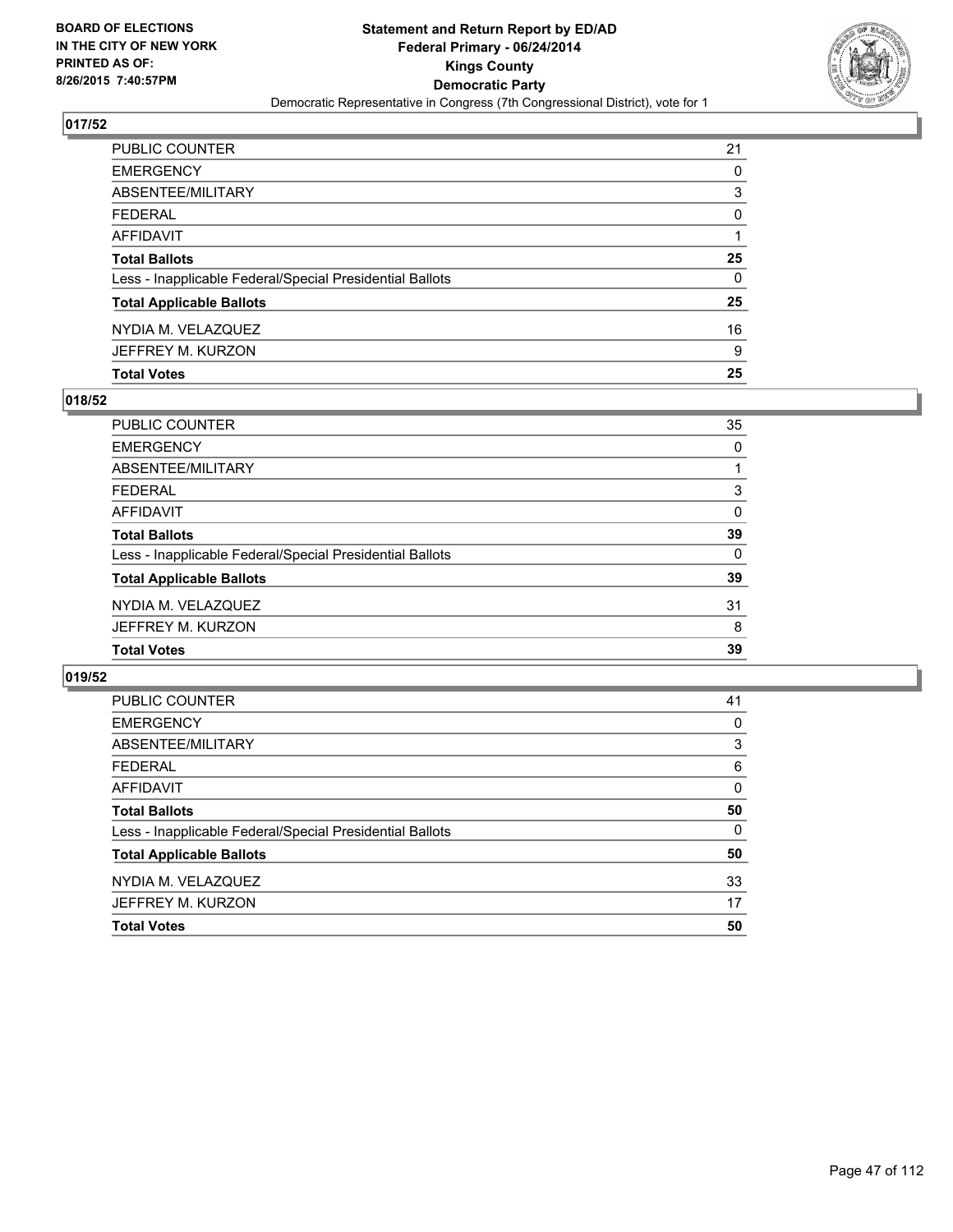

| PUBLIC COUNTER                                           | 21 |
|----------------------------------------------------------|----|
| <b>EMERGENCY</b>                                         | 0  |
| ABSENTEE/MILITARY                                        | 3  |
| <b>FEDERAL</b>                                           | 0  |
| AFFIDAVIT                                                |    |
| <b>Total Ballots</b>                                     | 25 |
| Less - Inapplicable Federal/Special Presidential Ballots | 0  |
| <b>Total Applicable Ballots</b>                          | 25 |
| NYDIA M. VELAZQUEZ                                       | 16 |
| JEFFREY M. KURZON                                        | 9  |
| <b>Total Votes</b>                                       | 25 |

### **018/52**

| 35       |
|----------|
| 0        |
|          |
| 3        |
| $\Omega$ |
| 39       |
| 0        |
| 39       |
| 31       |
| 8        |
| 39       |
|          |

| PUBLIC COUNTER                                           | 41       |
|----------------------------------------------------------|----------|
| <b>EMERGENCY</b>                                         | 0        |
| ABSENTEE/MILITARY                                        | 3        |
| <b>FEDERAL</b>                                           | 6        |
| AFFIDAVIT                                                | 0        |
| <b>Total Ballots</b>                                     | 50       |
| Less - Inapplicable Federal/Special Presidential Ballots | $\Omega$ |
| <b>Total Applicable Ballots</b>                          | 50       |
| NYDIA M. VELAZQUEZ                                       | 33       |
| JEFFREY M. KURZON                                        | 17       |
| <b>Total Votes</b>                                       | 50       |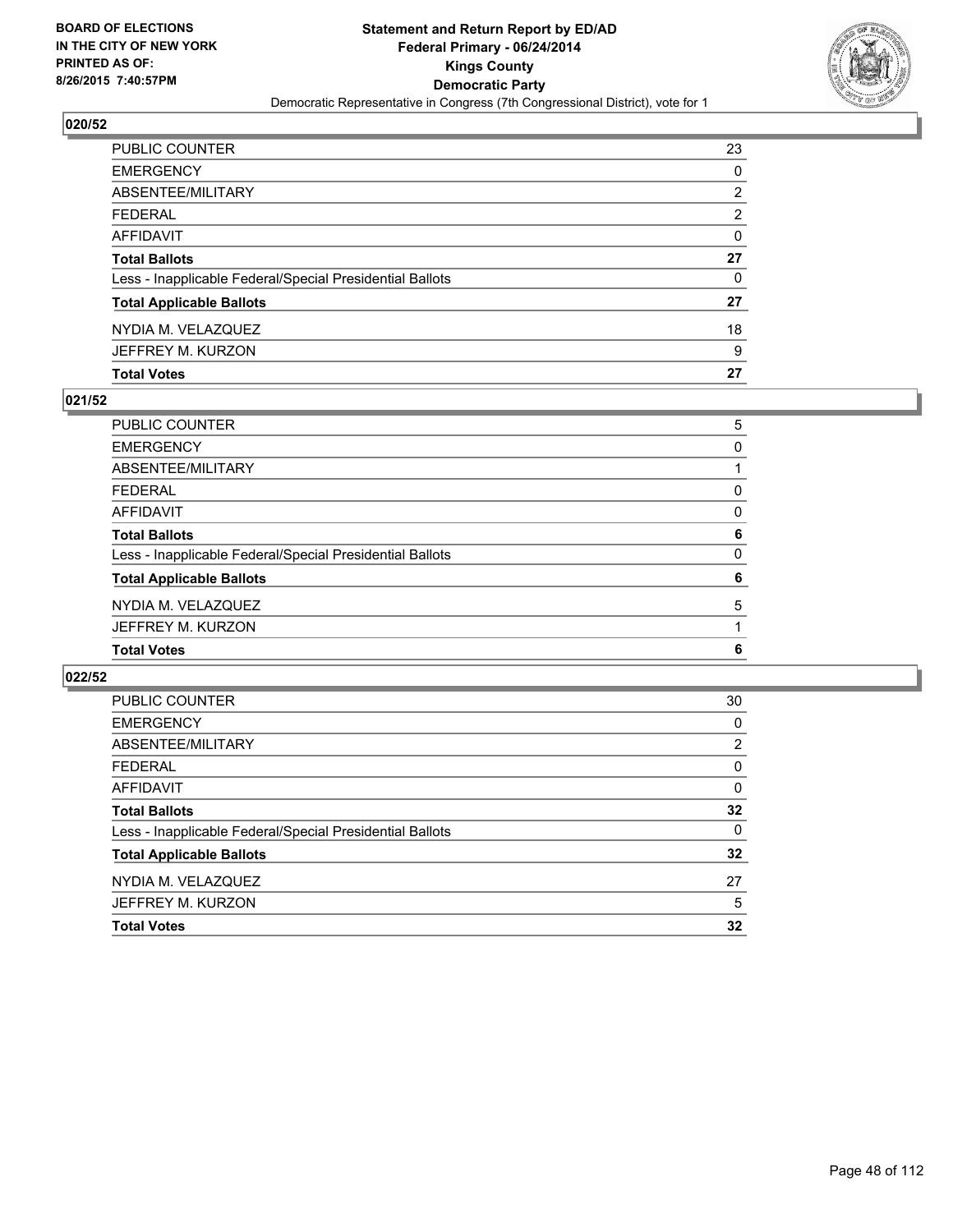

| PUBLIC COUNTER                                           | 23 |
|----------------------------------------------------------|----|
| <b>EMERGENCY</b>                                         | 0  |
| ABSENTEE/MILITARY                                        | 2  |
| <b>FEDERAL</b>                                           | 2  |
| AFFIDAVIT                                                | 0  |
| <b>Total Ballots</b>                                     | 27 |
| Less - Inapplicable Federal/Special Presidential Ballots | 0  |
| <b>Total Applicable Ballots</b>                          | 27 |
| NYDIA M. VELAZQUEZ                                       | 18 |
| JEFFREY M. KURZON                                        | 9  |
| <b>Total Votes</b>                                       | 27 |

### **021/52**

| PUBLIC COUNTER                                           | 5 |
|----------------------------------------------------------|---|
| <b>EMERGENCY</b>                                         | 0 |
| ABSENTEE/MILITARY                                        |   |
| <b>FEDERAL</b>                                           | 0 |
| <b>AFFIDAVIT</b>                                         | 0 |
| <b>Total Ballots</b>                                     | 6 |
| Less - Inapplicable Federal/Special Presidential Ballots | 0 |
| <b>Total Applicable Ballots</b>                          | 6 |
| NYDIA M. VELAZQUEZ                                       | 5 |
| JEFFREY M. KURZON                                        |   |
| <b>Total Votes</b>                                       | 6 |
|                                                          |   |

| PUBLIC COUNTER                                           | 30       |
|----------------------------------------------------------|----------|
| <b>EMERGENCY</b>                                         | 0        |
| ABSENTEE/MILITARY                                        | 2        |
| <b>FEDERAL</b>                                           | 0        |
| AFFIDAVIT                                                | 0        |
| <b>Total Ballots</b>                                     | 32       |
| Less - Inapplicable Federal/Special Presidential Ballots | $\Omega$ |
| <b>Total Applicable Ballots</b>                          | 32       |
| NYDIA M. VELAZQUEZ                                       | 27       |
| JEFFREY M. KURZON                                        | 5        |
| <b>Total Votes</b>                                       | 32       |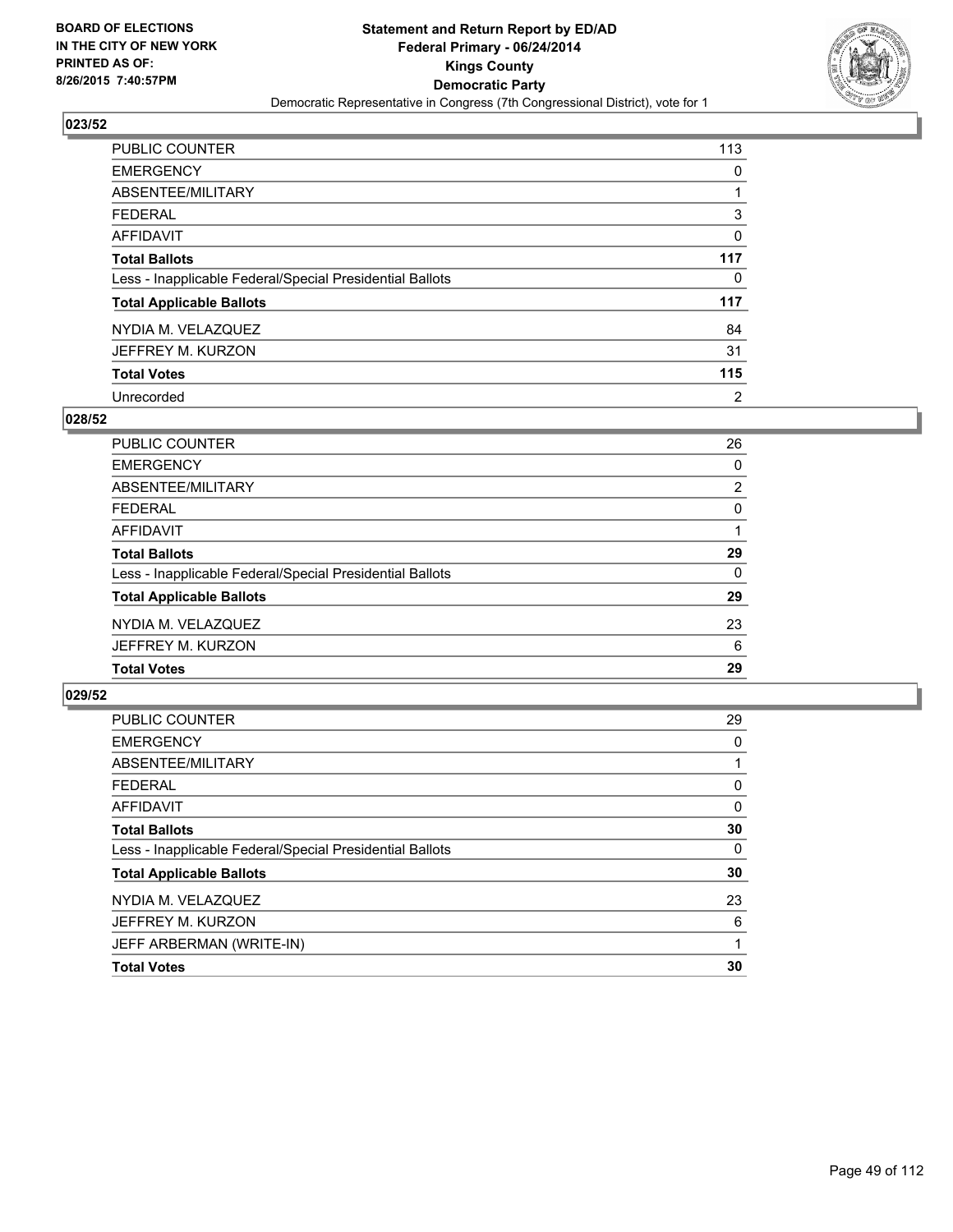

| <b>PUBLIC COUNTER</b>                                    | 113 |
|----------------------------------------------------------|-----|
| <b>EMERGENCY</b>                                         | 0   |
| ABSENTEE/MILITARY                                        |     |
| <b>FEDERAL</b>                                           | 3   |
| <b>AFFIDAVIT</b>                                         | 0   |
| <b>Total Ballots</b>                                     | 117 |
| Less - Inapplicable Federal/Special Presidential Ballots | 0   |
| <b>Total Applicable Ballots</b>                          | 117 |
| NYDIA M. VELAZQUEZ                                       | 84  |
| JEFFREY M. KURZON                                        | 31  |
| <b>Total Votes</b>                                       | 115 |
| Unrecorded                                               | 2   |

#### **028/52**

| PUBLIC COUNTER                                           | 26             |
|----------------------------------------------------------|----------------|
| <b>EMERGENCY</b>                                         | 0              |
| ABSENTEE/MILITARY                                        | $\overline{2}$ |
| <b>FEDERAL</b>                                           | 0              |
| <b>AFFIDAVIT</b>                                         |                |
| <b>Total Ballots</b>                                     | 29             |
| Less - Inapplicable Federal/Special Presidential Ballots | $\Omega$       |
| <b>Total Applicable Ballots</b>                          | 29             |
| NYDIA M. VELAZQUEZ                                       | 23             |
| JEFFREY M. KURZON                                        | 6              |
| <b>Total Votes</b>                                       | 29             |
|                                                          |                |

| PUBLIC COUNTER                                           | 29       |
|----------------------------------------------------------|----------|
| <b>EMERGENCY</b>                                         | 0        |
| ABSENTEE/MILITARY                                        |          |
| <b>FEDERAL</b>                                           | 0        |
| AFFIDAVIT                                                | 0        |
| <b>Total Ballots</b>                                     | 30       |
| Less - Inapplicable Federal/Special Presidential Ballots | $\Omega$ |
| <b>Total Applicable Ballots</b>                          | 30       |
| NYDIA M. VELAZQUEZ                                       | 23       |
| JEFFREY M. KURZON                                        | 6        |
| JEFF ARBERMAN (WRITE-IN)                                 |          |
| <b>Total Votes</b>                                       | 30       |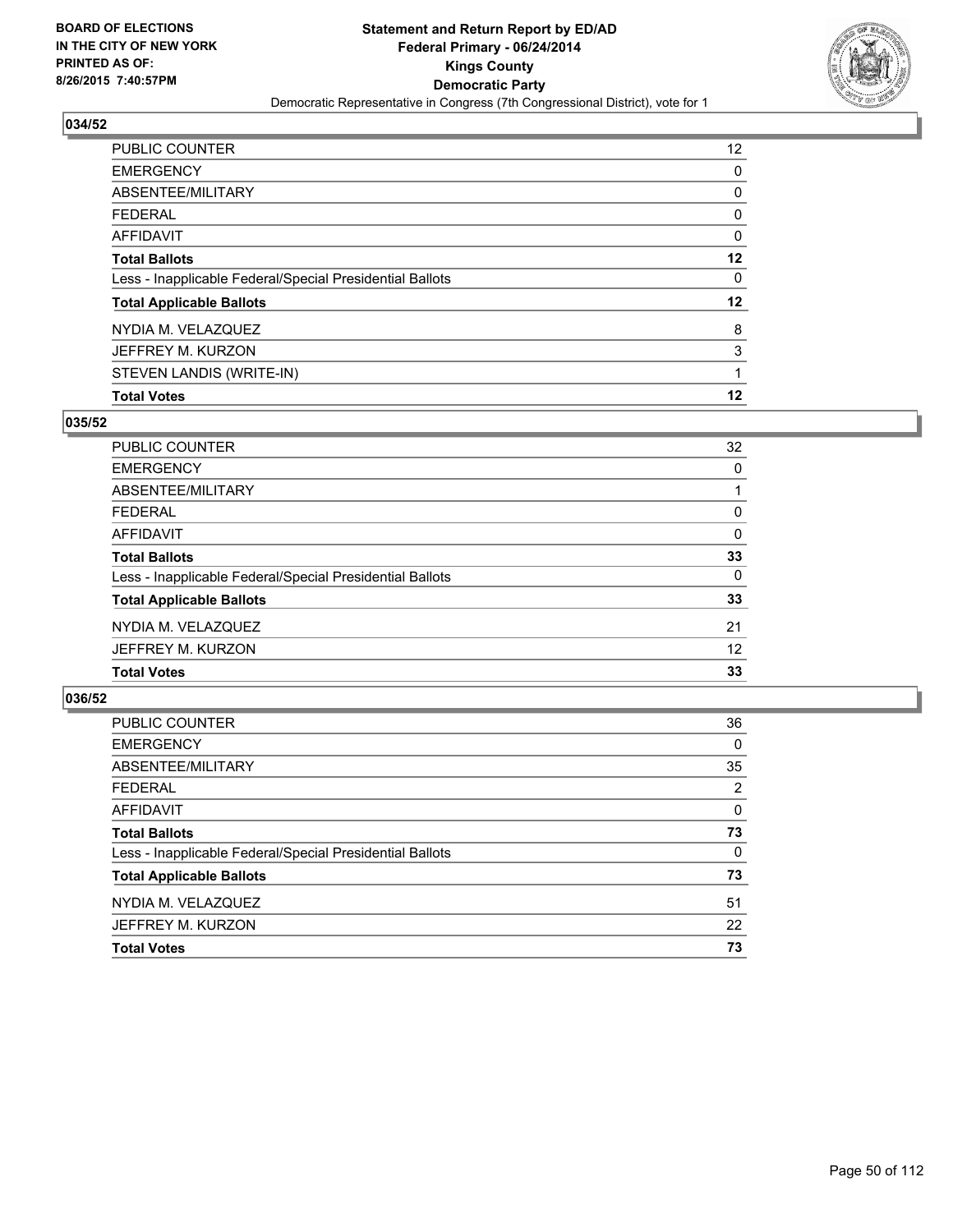

| <b>PUBLIC COUNTER</b>                                    | 12 <sup>°</sup> |
|----------------------------------------------------------|-----------------|
| <b>EMERGENCY</b>                                         | 0               |
| ABSENTEE/MILITARY                                        | 0               |
| <b>FEDERAL</b>                                           | 0               |
| <b>AFFIDAVIT</b>                                         | 0               |
| <b>Total Ballots</b>                                     | 12              |
| Less - Inapplicable Federal/Special Presidential Ballots | 0               |
| <b>Total Applicable Ballots</b>                          | 12              |
| NYDIA M. VELAZQUEZ                                       | 8               |
| JEFFREY M. KURZON                                        | 3               |
| STEVEN LANDIS (WRITE-IN)                                 | 1               |
| <b>Total Votes</b>                                       | 12              |

## **035/52**

| PUBLIC COUNTER                                           | 32 |
|----------------------------------------------------------|----|
| <b>EMERGENCY</b>                                         | 0  |
| ABSENTEE/MILITARY                                        |    |
| <b>FEDERAL</b>                                           | 0  |
| <b>AFFIDAVIT</b>                                         | 0  |
| <b>Total Ballots</b>                                     | 33 |
| Less - Inapplicable Federal/Special Presidential Ballots | 0  |
| <b>Total Applicable Ballots</b>                          | 33 |
| NYDIA M. VELAZQUEZ                                       | 21 |
| JEFFREY M. KURZON                                        | 12 |
| <b>Total Votes</b>                                       | 33 |
|                                                          |    |

| PUBLIC COUNTER                                           | 36       |
|----------------------------------------------------------|----------|
| <b>EMERGENCY</b>                                         | 0        |
| ABSENTEE/MILITARY                                        | 35       |
| <b>FEDERAL</b>                                           | 2        |
| AFFIDAVIT                                                | $\Omega$ |
| <b>Total Ballots</b>                                     | 73       |
| Less - Inapplicable Federal/Special Presidential Ballots | 0        |
| <b>Total Applicable Ballots</b>                          | 73       |
| NYDIA M. VELAZQUEZ                                       | 51       |
| JEFFREY M. KURZON                                        | 22       |
| <b>Total Votes</b>                                       | 73       |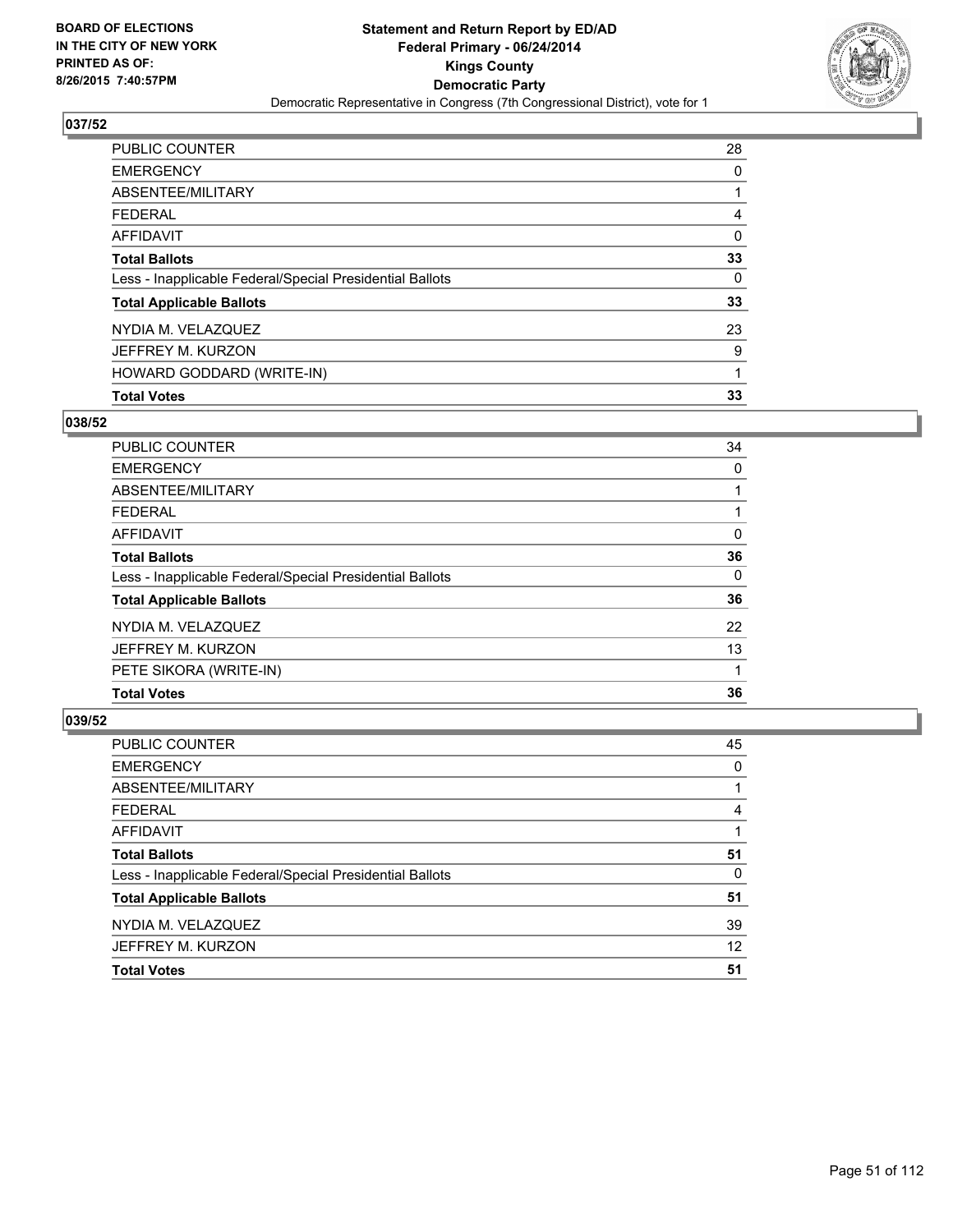

| PUBLIC COUNTER                                           | 28 |
|----------------------------------------------------------|----|
| <b>EMERGENCY</b>                                         | 0  |
| ABSENTEE/MILITARY                                        |    |
| FEDERAL                                                  | 4  |
| AFFIDAVIT                                                | 0  |
| <b>Total Ballots</b>                                     | 33 |
| Less - Inapplicable Federal/Special Presidential Ballots | 0  |
| <b>Total Applicable Ballots</b>                          | 33 |
| NYDIA M. VELAZQUEZ                                       | 23 |
| JEFFREY M. KURZON                                        | 9  |
| HOWARD GODDARD (WRITE-IN)                                | 1  |
| <b>Total Votes</b>                                       | 33 |

## **038/52**

| <b>PUBLIC COUNTER</b>                                    | 34 |
|----------------------------------------------------------|----|
| <b>EMERGENCY</b>                                         | 0  |
| ABSENTEE/MILITARY                                        |    |
| <b>FEDERAL</b>                                           |    |
| AFFIDAVIT                                                | 0  |
| <b>Total Ballots</b>                                     | 36 |
| Less - Inapplicable Federal/Special Presidential Ballots | 0  |
| <b>Total Applicable Ballots</b>                          | 36 |
| NYDIA M. VELAZQUEZ                                       | 22 |
| JEFFREY M. KURZON                                        | 13 |
| PETE SIKORA (WRITE-IN)                                   |    |
| <b>Total Votes</b>                                       | 36 |
|                                                          |    |

| <b>PUBLIC COUNTER</b>                                    | 45 |
|----------------------------------------------------------|----|
| <b>EMERGENCY</b>                                         | 0  |
| ABSENTEE/MILITARY                                        |    |
| <b>FEDERAL</b>                                           | 4  |
| <b>AFFIDAVIT</b>                                         |    |
| <b>Total Ballots</b>                                     | 51 |
| Less - Inapplicable Federal/Special Presidential Ballots | 0  |
| <b>Total Applicable Ballots</b>                          | 51 |
| NYDIA M. VELAZQUEZ                                       | 39 |
| JEFFREY M. KURZON                                        | 12 |
| <b>Total Votes</b>                                       | 51 |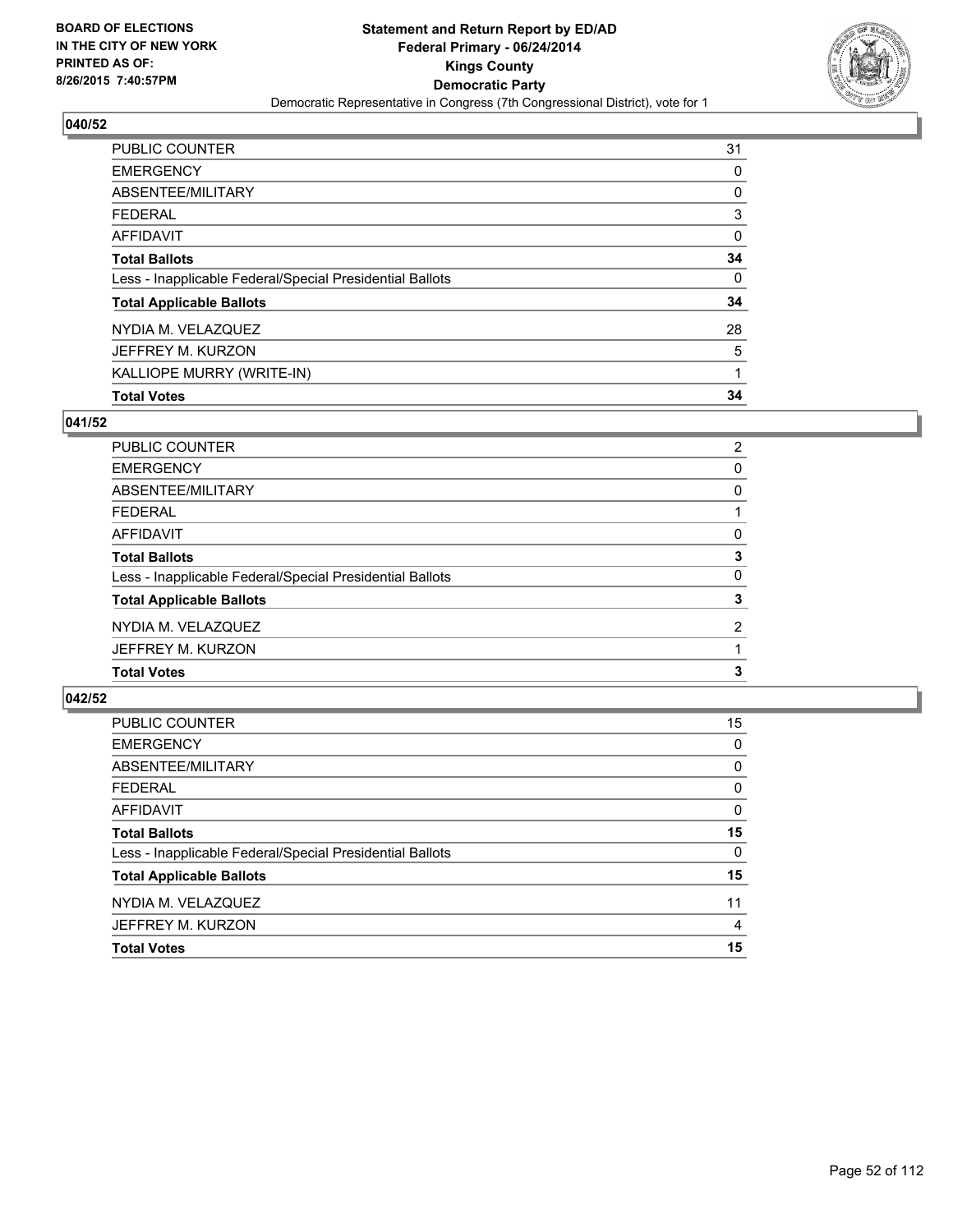

| PUBLIC COUNTER                                           | 31 |
|----------------------------------------------------------|----|
| <b>EMERGENCY</b>                                         | 0  |
| ABSENTEE/MILITARY                                        | 0  |
| <b>FEDERAL</b>                                           | 3  |
| <b>AFFIDAVIT</b>                                         | 0  |
| <b>Total Ballots</b>                                     | 34 |
| Less - Inapplicable Federal/Special Presidential Ballots | 0  |
| <b>Total Applicable Ballots</b>                          | 34 |
| NYDIA M. VELAZQUEZ                                       | 28 |
| JEFFREY M. KURZON                                        | 5  |
| KALLIOPE MURRY (WRITE-IN)                                | 1  |
| <b>Total Votes</b>                                       | 34 |

#### **041/52**

| PUBLIC COUNTER                                           | 2              |
|----------------------------------------------------------|----------------|
| <b>EMERGENCY</b>                                         | 0              |
| ABSENTEE/MILITARY                                        | 0              |
| <b>FEDERAL</b>                                           |                |
| <b>AFFIDAVIT</b>                                         | 0              |
| <b>Total Ballots</b>                                     | 3              |
| Less - Inapplicable Federal/Special Presidential Ballots | 0              |
| <b>Total Applicable Ballots</b>                          | 3              |
| NYDIA M. VELAZQUEZ                                       | $\overline{2}$ |
| JEFFREY M. KURZON                                        |                |
| <b>Total Votes</b>                                       | 3              |
|                                                          |                |

| PUBLIC COUNTER                                           | 15 |
|----------------------------------------------------------|----|
| <b>EMERGENCY</b>                                         | 0  |
| ABSENTEE/MILITARY                                        | 0  |
| <b>FEDERAL</b>                                           | 0  |
| AFFIDAVIT                                                | 0  |
| <b>Total Ballots</b>                                     | 15 |
| Less - Inapplicable Federal/Special Presidential Ballots | 0  |
| <b>Total Applicable Ballots</b>                          | 15 |
| NYDIA M. VELAZQUEZ                                       | 11 |
| JEFFREY M. KURZON                                        | 4  |
| <b>Total Votes</b>                                       | 15 |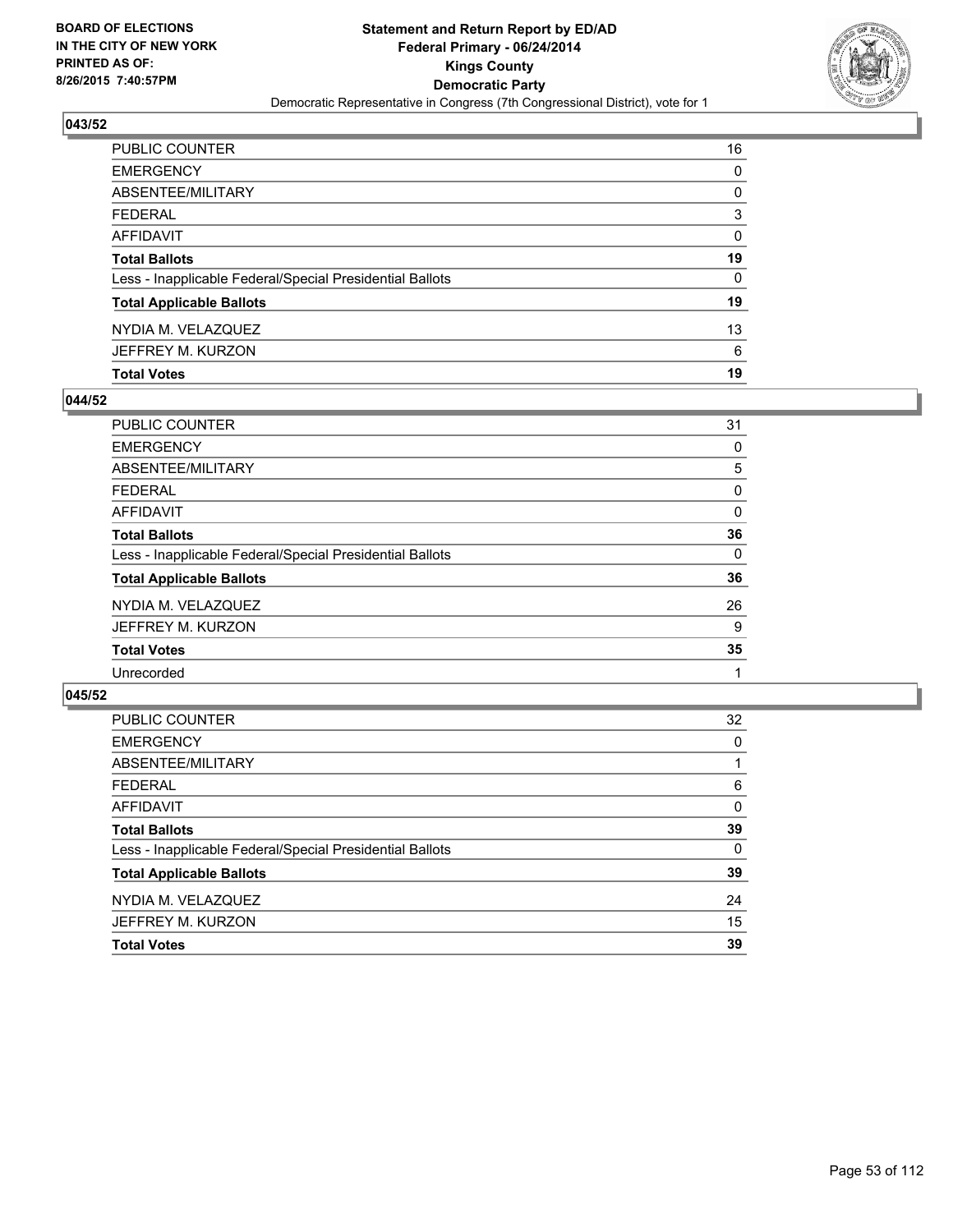

| <b>Total Votes</b>                                       | 19           |
|----------------------------------------------------------|--------------|
| JEFFREY M. KURZON                                        | 6            |
| NYDIA M. VELAZQUEZ                                       | 13           |
| <b>Total Applicable Ballots</b>                          | 19           |
| Less - Inapplicable Federal/Special Presidential Ballots | $\mathbf{0}$ |
| <b>Total Ballots</b>                                     | 19           |
| AFFIDAVIT                                                | 0            |
| FEDERAL                                                  | 3            |
| ABSENTEE/MILITARY                                        | 0            |
| EMERGENCY                                                | 0            |
| PUBLIC COUNTER                                           | 16           |

### **044/52**

| <b>PUBLIC COUNTER</b>                                    | 31 |
|----------------------------------------------------------|----|
| <b>EMERGENCY</b>                                         | 0  |
| ABSENTEE/MILITARY                                        | 5  |
| <b>FEDERAL</b>                                           | 0  |
| <b>AFFIDAVIT</b>                                         | 0  |
| <b>Total Ballots</b>                                     | 36 |
| Less - Inapplicable Federal/Special Presidential Ballots | 0  |
| <b>Total Applicable Ballots</b>                          | 36 |
| NYDIA M. VELAZQUEZ                                       | 26 |
| JEFFREY M. KURZON                                        | 9  |
| <b>Total Votes</b>                                       | 35 |
| Unrecorded                                               |    |
|                                                          |    |

| PUBLIC COUNTER                                           | 32       |
|----------------------------------------------------------|----------|
| <b>EMERGENCY</b>                                         | 0        |
| ABSENTEE/MILITARY                                        |          |
| <b>FEDERAL</b>                                           | 6        |
| <b>AFFIDAVIT</b>                                         | $\Omega$ |
| <b>Total Ballots</b>                                     | 39       |
| Less - Inapplicable Federal/Special Presidential Ballots | 0        |
| <b>Total Applicable Ballots</b>                          | 39       |
| NYDIA M. VELAZQUEZ                                       | 24       |
| JEFFREY M. KURZON                                        | 15       |
| <b>Total Votes</b>                                       | 39       |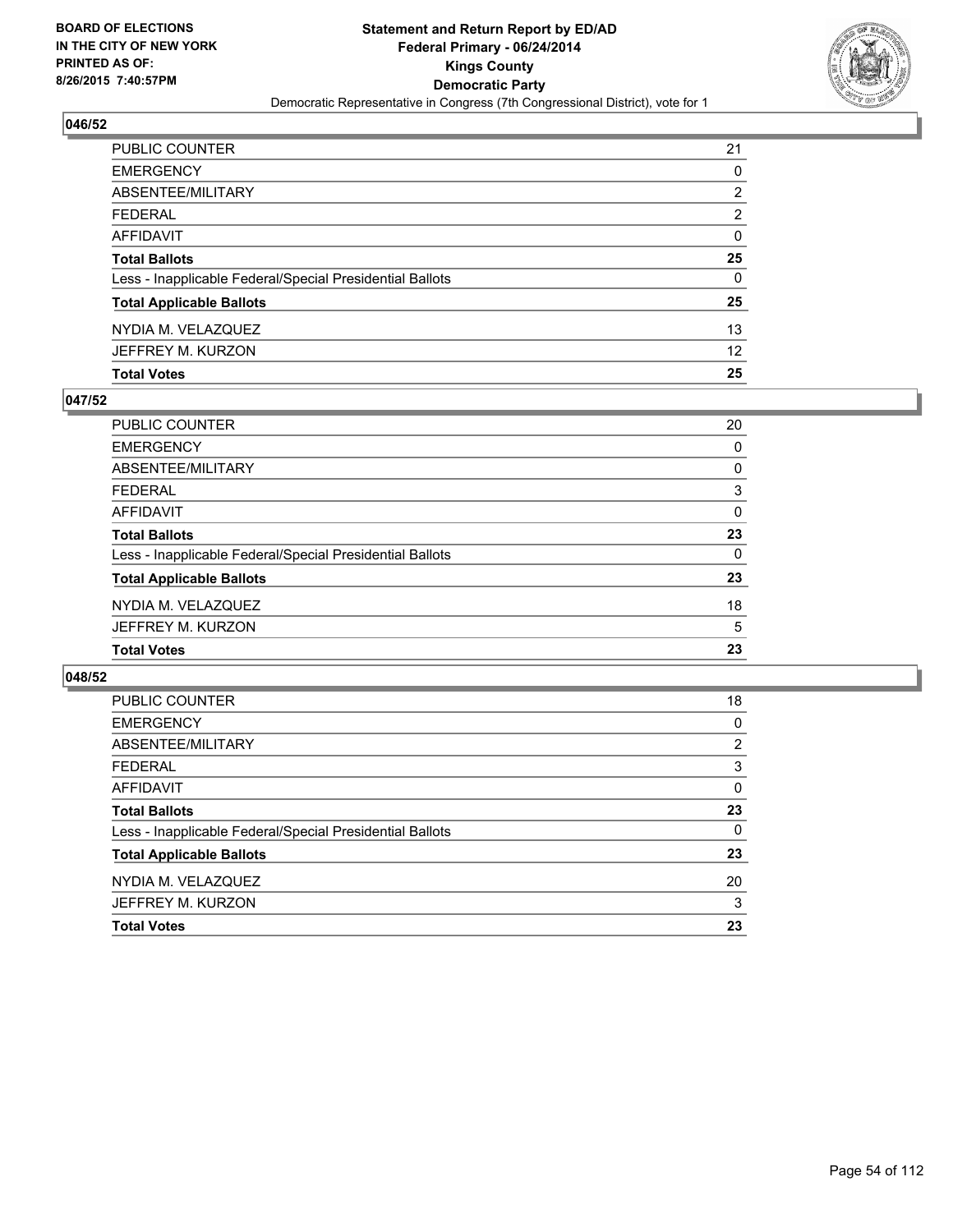

| PUBLIC COUNTER                                           | 21              |
|----------------------------------------------------------|-----------------|
| EMERGENCY                                                | 0               |
| ABSENTEE/MILITARY                                        | 2               |
| FEDERAL                                                  | $\overline{2}$  |
| AFFIDAVIT                                                | $\mathbf{0}$    |
| Total Ballots                                            | 25              |
| Less - Inapplicable Federal/Special Presidential Ballots | 0               |
| <b>Total Applicable Ballots</b>                          | 25              |
| NYDIA M. VELAZQUEZ                                       | 13              |
| JEFFREY M. KURZON                                        | 12 <sup>2</sup> |
| <b>Total Votes</b>                                       | 25              |

### **047/52**

| PUBLIC COUNTER                                           | 20       |
|----------------------------------------------------------|----------|
| <b>EMERGENCY</b>                                         | 0        |
| ABSENTEE/MILITARY                                        | 0        |
| <b>FEDERAL</b>                                           | 3        |
| <b>AFFIDAVIT</b>                                         | 0        |
| <b>Total Ballots</b>                                     | 23       |
| Less - Inapplicable Federal/Special Presidential Ballots | $\Omega$ |
| <b>Total Applicable Ballots</b>                          | 23       |
| NYDIA M. VELAZQUEZ                                       | 18       |
| JEFFREY M. KURZON                                        | 5        |
| <b>Total Votes</b>                                       | 23       |
|                                                          |          |

| PUBLIC COUNTER                                           | 18       |
|----------------------------------------------------------|----------|
| <b>EMERGENCY</b>                                         | 0        |
| ABSENTEE/MILITARY                                        | 2        |
| <b>FEDERAL</b>                                           | 3        |
| AFFIDAVIT                                                | 0        |
| <b>Total Ballots</b>                                     | 23       |
| Less - Inapplicable Federal/Special Presidential Ballots | $\Omega$ |
| <b>Total Applicable Ballots</b>                          | 23       |
| NYDIA M. VELAZQUEZ                                       | 20       |
| JEFFREY M. KURZON                                        | 3        |
| <b>Total Votes</b>                                       | 23       |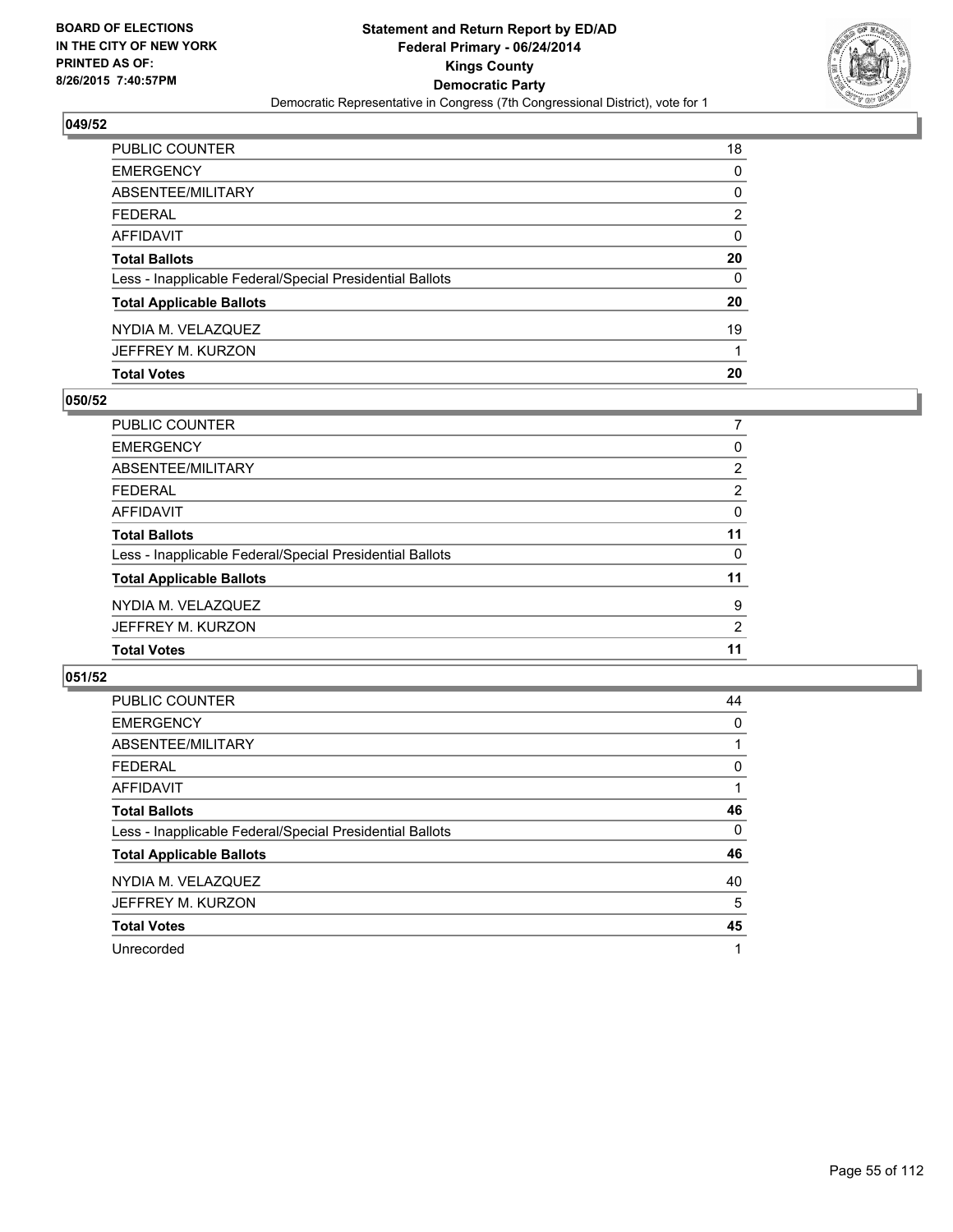

| <b>Total Votes</b>                                       | 20       |
|----------------------------------------------------------|----------|
| JEFFREY M. KURZON                                        |          |
| NYDIA M. VELAZQUEZ                                       | 19       |
| <b>Total Applicable Ballots</b>                          | 20       |
| Less - Inapplicable Federal/Special Presidential Ballots | 0        |
| <b>Total Ballots</b>                                     | 20       |
| AFFIDAVIT                                                | $\Omega$ |
| <b>FEDERAL</b>                                           | 2        |
| ABSENTEE/MILITARY                                        | 0        |
| <b>EMERGENCY</b>                                         | 0        |
| PUBLIC COUNTER                                           | 18       |

### **050/52**

| PUBLIC COUNTER                                           |                       |
|----------------------------------------------------------|-----------------------|
| <b>EMERGENCY</b>                                         | 0                     |
| ABSENTEE/MILITARY                                        | $\mathbf{2}^{\prime}$ |
| <b>FEDERAL</b>                                           | 2                     |
| <b>AFFIDAVIT</b>                                         | 0                     |
| <b>Total Ballots</b>                                     | 11                    |
| Less - Inapplicable Federal/Special Presidential Ballots | 0                     |
| <b>Total Applicable Ballots</b>                          | 11                    |
| NYDIA M. VELAZQUEZ                                       | 9                     |
| JEFFREY M. KURZON                                        | 2                     |
| <b>Total Votes</b>                                       | 11                    |
|                                                          |                       |

| <b>PUBLIC COUNTER</b>                                    | 44 |
|----------------------------------------------------------|----|
| <b>EMERGENCY</b>                                         | 0  |
| ABSENTEE/MILITARY                                        |    |
| <b>FEDERAL</b>                                           | 0  |
| AFFIDAVIT                                                |    |
| <b>Total Ballots</b>                                     | 46 |
| Less - Inapplicable Federal/Special Presidential Ballots | 0  |
| <b>Total Applicable Ballots</b>                          | 46 |
| NYDIA M. VELAZQUEZ                                       | 40 |
| JEFFREY M. KURZON                                        | 5  |
| <b>Total Votes</b>                                       | 45 |
| Unrecorded                                               | 1  |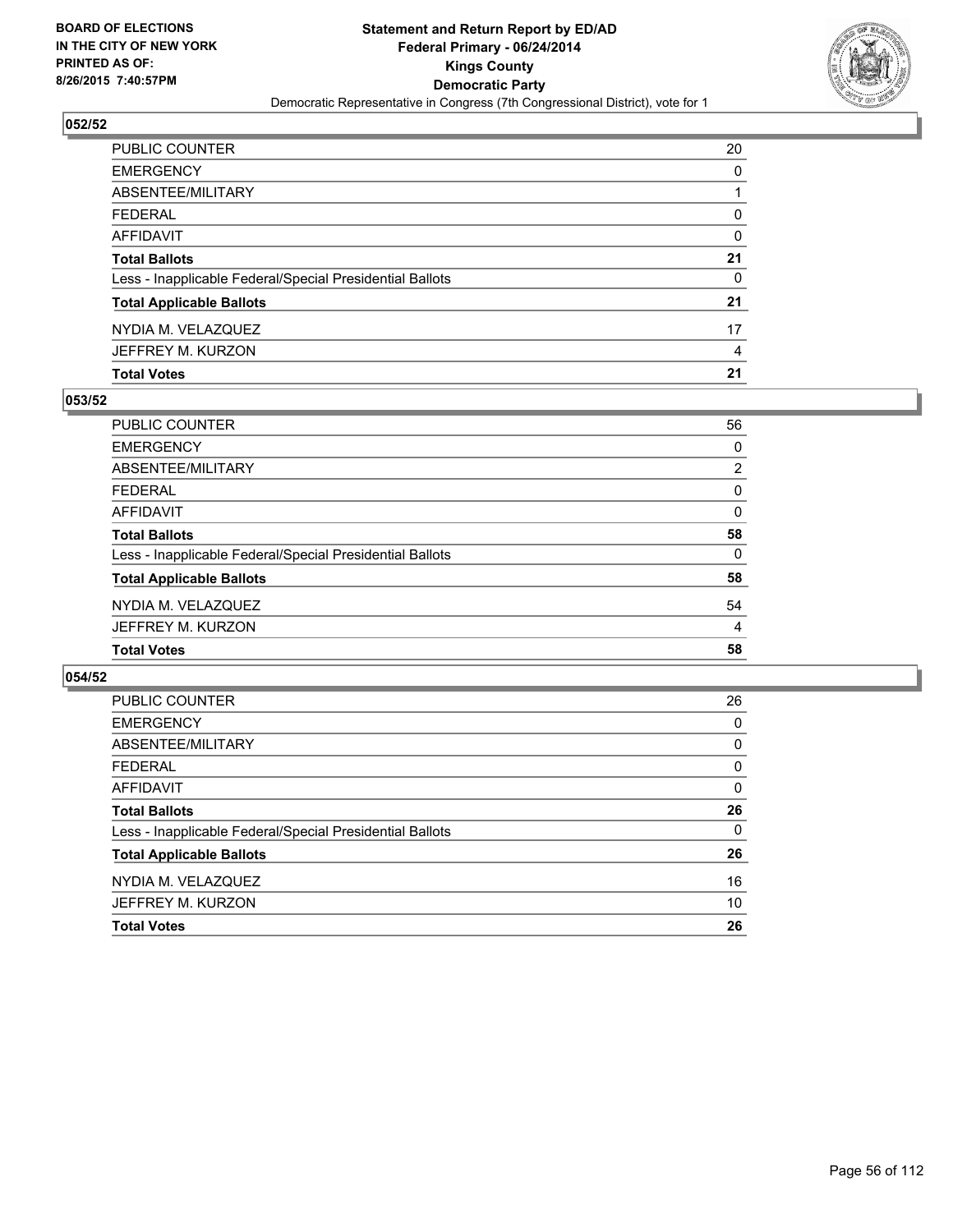

| PUBLIC COUNTER                                           | 20       |
|----------------------------------------------------------|----------|
| <b>EMERGENCY</b>                                         | $\Omega$ |
| <b>ABSENTEE/MILITARY</b>                                 |          |
| <b>FEDERAL</b>                                           | $\Omega$ |
| AFFIDAVIT                                                | $\Omega$ |
| <b>Total Ballots</b>                                     | 21       |
| Less - Inapplicable Federal/Special Presidential Ballots | 0        |
| <b>Total Applicable Ballots</b>                          | 21       |
| NYDIA M. VELAZQUEZ                                       | 17       |
| JEFFREY M. KURZON                                        | 4        |
| <b>Total Votes</b>                                       | 21       |

### **053/52**

| 56             |
|----------------|
| 0              |
| $\overline{2}$ |
| 0              |
| $\Omega$       |
| 58             |
| 0              |
| 58             |
| 54             |
| 4              |
| 58             |
|                |

| PUBLIC COUNTER                                           | 26       |
|----------------------------------------------------------|----------|
| <b>EMERGENCY</b>                                         | 0        |
| ABSENTEE/MILITARY                                        | 0        |
| <b>FEDERAL</b>                                           | 0        |
| AFFIDAVIT                                                | 0        |
| <b>Total Ballots</b>                                     | 26       |
| Less - Inapplicable Federal/Special Presidential Ballots | $\Omega$ |
| <b>Total Applicable Ballots</b>                          | 26       |
| NYDIA M. VELAZQUEZ                                       | 16       |
| JEFFREY M. KURZON                                        | 10       |
| <b>Total Votes</b>                                       | 26       |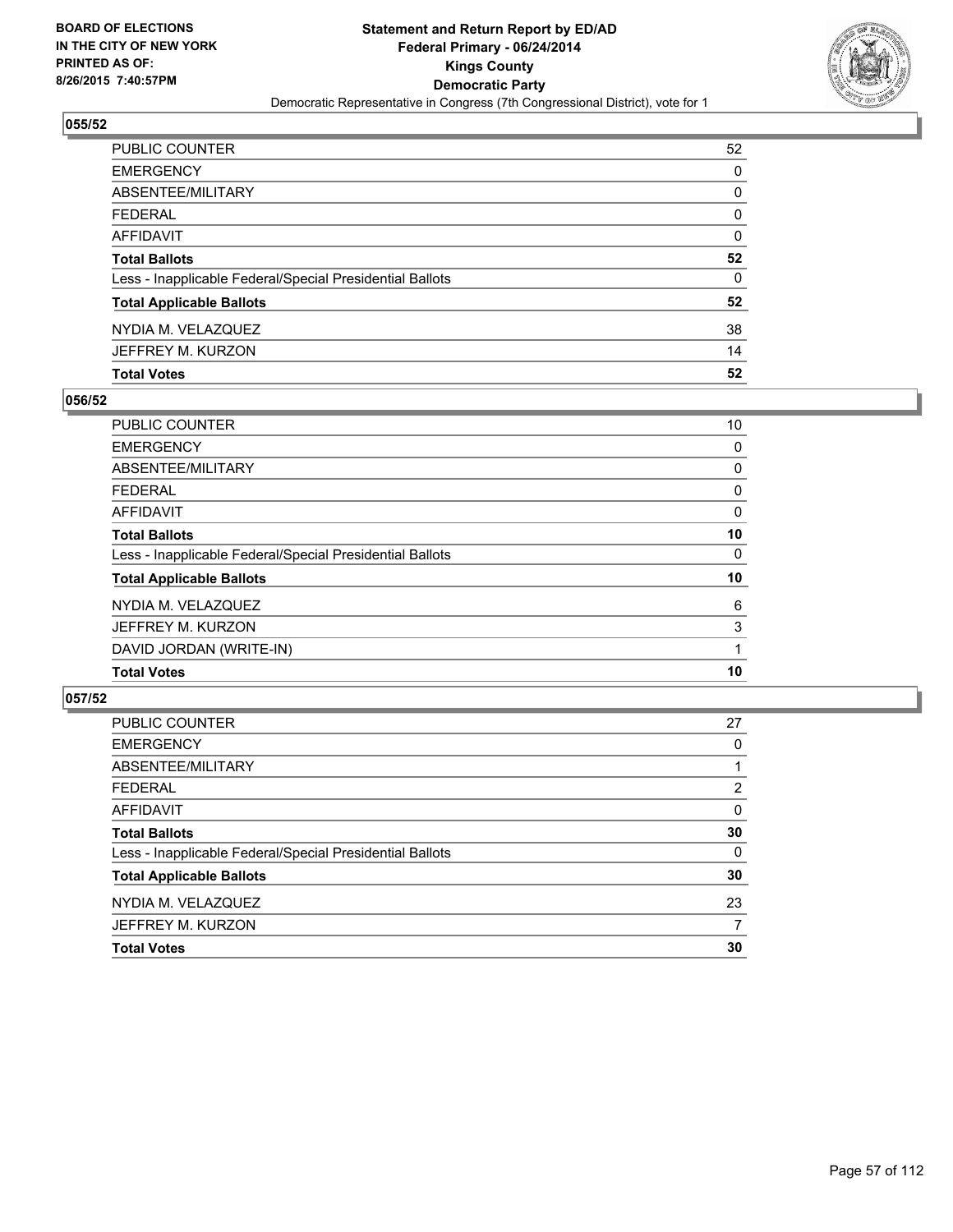

| PUBLIC COUNTER                                           | 52           |
|----------------------------------------------------------|--------------|
| EMERGENCY                                                | 0            |
| ABSENTEE/MILITARY                                        | 0            |
| FEDERAL                                                  | 0            |
| AFFIDAVIT                                                | $\mathbf{0}$ |
| Total Ballots                                            | 52           |
| Less - Inapplicable Federal/Special Presidential Ballots | 0            |
| <b>Total Applicable Ballots</b>                          | 52           |
| NYDIA M. VELAZQUEZ                                       | 38           |
| JEFFREY M. KURZON                                        | 14           |
| <b>Total Votes</b>                                       | 52           |

### **056/52**

| PUBLIC COUNTER                                           | 10 |
|----------------------------------------------------------|----|
| <b>EMERGENCY</b>                                         | 0  |
| <b>ABSENTEE/MILITARY</b>                                 | 0  |
| <b>FEDERAL</b>                                           | 0  |
| <b>AFFIDAVIT</b>                                         | 0  |
| <b>Total Ballots</b>                                     | 10 |
| Less - Inapplicable Federal/Special Presidential Ballots | 0  |
| <b>Total Applicable Ballots</b>                          | 10 |
| NYDIA M. VELAZQUEZ                                       | 6  |
| JEFFREY M. KURZON                                        | 3  |
| DAVID JORDAN (WRITE-IN)                                  |    |
| <b>Total Votes</b>                                       | 10 |
|                                                          |    |

| <b>PUBLIC COUNTER</b>                                    | 27 |
|----------------------------------------------------------|----|
| <b>EMERGENCY</b>                                         | 0  |
| ABSENTEE/MILITARY                                        |    |
| <b>FEDERAL</b>                                           | 2  |
| <b>AFFIDAVIT</b>                                         | 0  |
| <b>Total Ballots</b>                                     | 30 |
| Less - Inapplicable Federal/Special Presidential Ballots | 0  |
| <b>Total Applicable Ballots</b>                          | 30 |
| NYDIA M. VELAZQUEZ                                       | 23 |
| JEFFREY M. KURZON                                        | 7  |
| <b>Total Votes</b>                                       | 30 |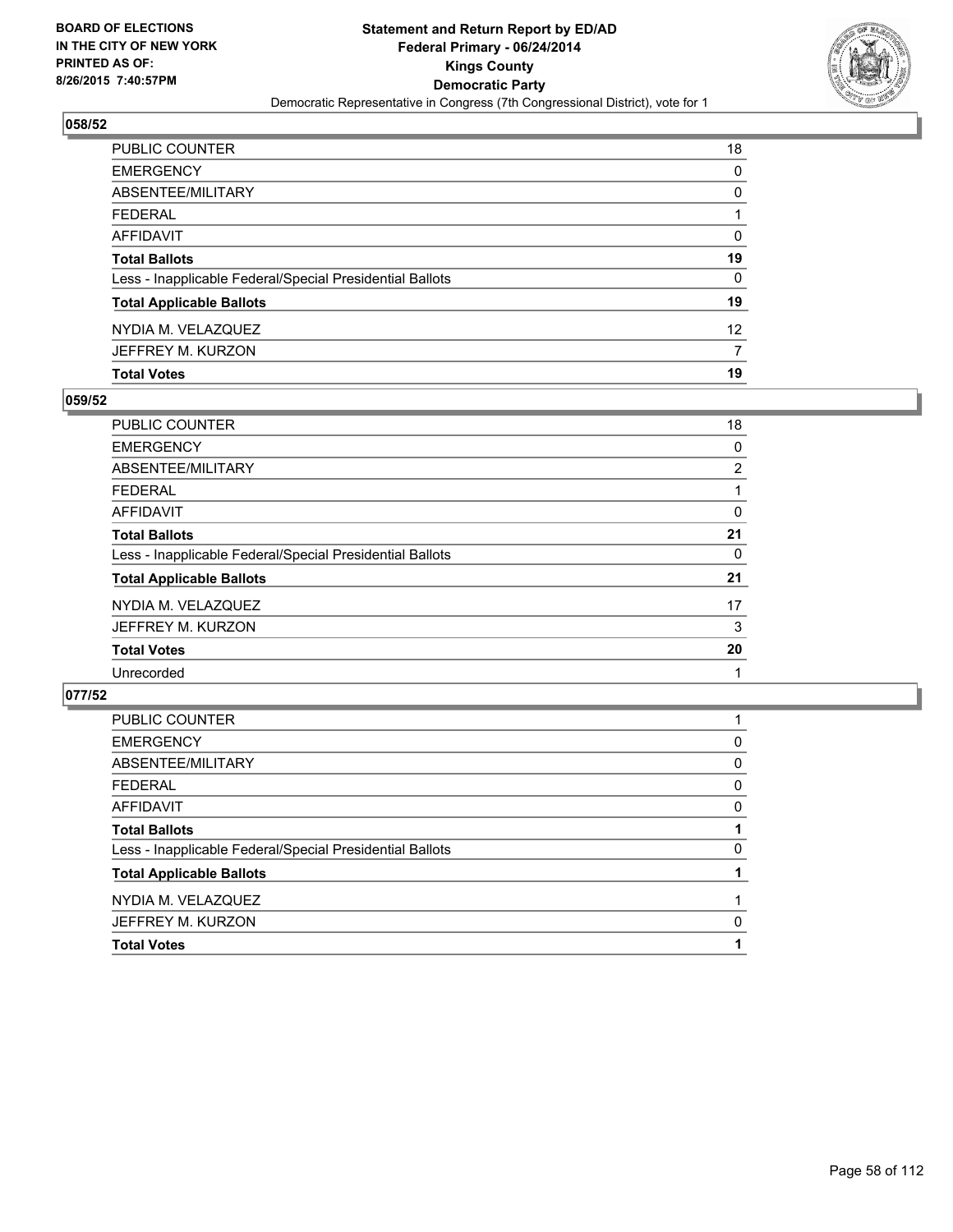

| <b>Total Votes</b>                                       | 19              |
|----------------------------------------------------------|-----------------|
| JEFFREY M. KURZON                                        | 7               |
| NYDIA M. VELAZQUEZ                                       | 12 <sup>2</sup> |
| <b>Total Applicable Ballots</b>                          | 19              |
| Less - Inapplicable Federal/Special Presidential Ballots | $\Omega$        |
| <b>Total Ballots</b>                                     | 19              |
| AFFIDAVIT                                                | $\Omega$        |
| <b>FEDERAL</b>                                           |                 |
| ABSENTEE/MILITARY                                        | 0               |
| <b>EMERGENCY</b>                                         | 0               |
| PUBLIC COUNTER                                           | 18              |

### **059/52**

| 18             |
|----------------|
| 0              |
| $\overline{2}$ |
|                |
| 0              |
| 21             |
| 0              |
| 21             |
| 17             |
| 3              |
| 20             |
|                |
|                |

| <b>Total Votes</b>                                       |   |
|----------------------------------------------------------|---|
| JEFFREY M. KURZON                                        | 0 |
| NYDIA M. VELAZQUEZ                                       |   |
| <b>Total Applicable Ballots</b>                          |   |
| Less - Inapplicable Federal/Special Presidential Ballots | 0 |
| <b>Total Ballots</b>                                     |   |
| <b>AFFIDAVIT</b>                                         | 0 |
| <b>FEDERAL</b>                                           | 0 |
| ABSENTEE/MILITARY                                        | 0 |
| <b>EMERGENCY</b>                                         | 0 |
| PUBLIC COUNTER                                           |   |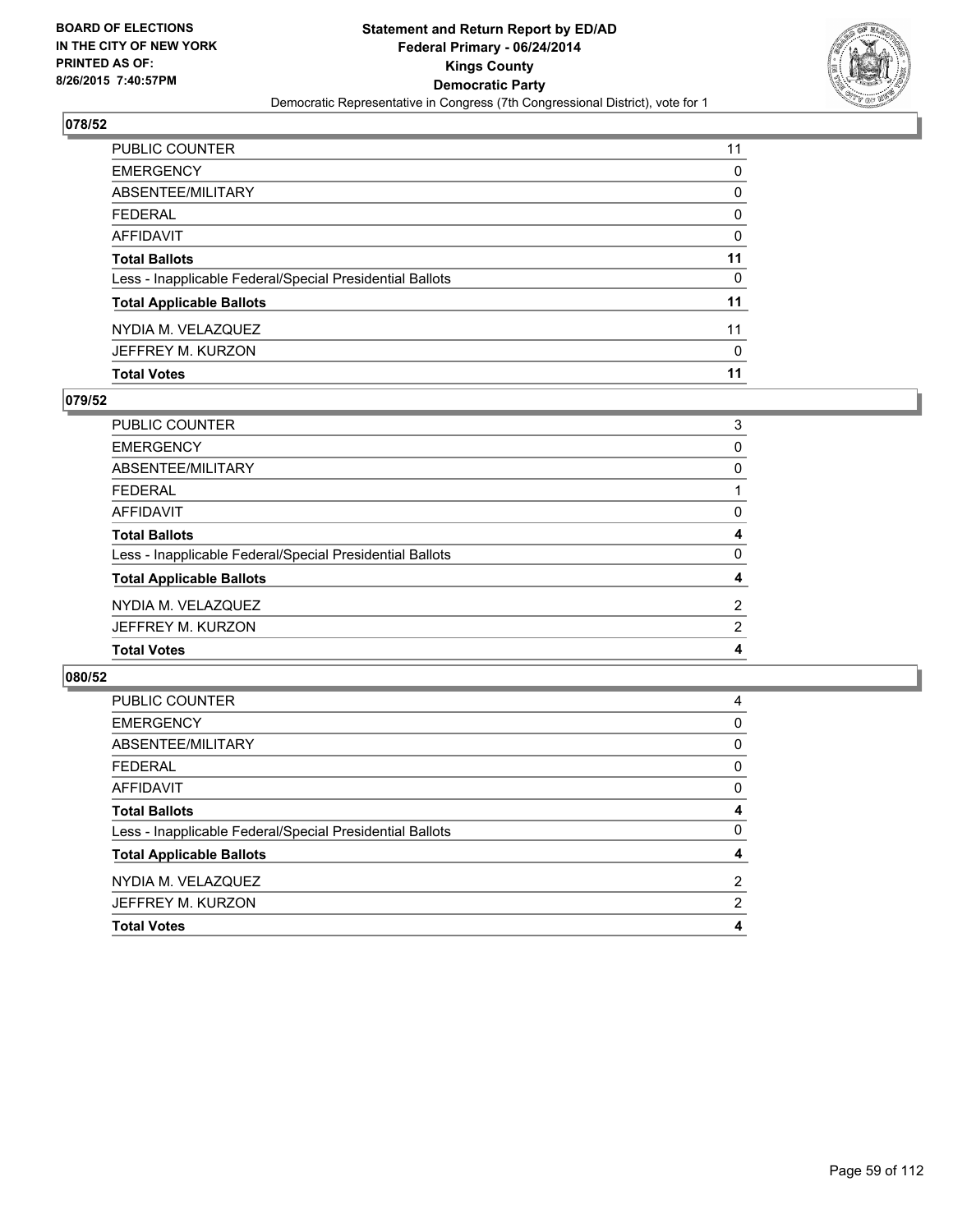

| PUBLIC COUNTER                                           | 11           |
|----------------------------------------------------------|--------------|
| <b>EMERGENCY</b>                                         | 0            |
| <b>ABSENTEE/MILITARY</b>                                 | 0            |
| <b>FEDERAL</b>                                           | $\mathbf{0}$ |
| AFFIDAVIT                                                | $\Omega$     |
| <b>Total Ballots</b>                                     | 11           |
| Less - Inapplicable Federal/Special Presidential Ballots | 0            |
| <b>Total Applicable Ballots</b>                          | 11           |
| NYDIA M. VELAZQUEZ                                       | 11           |
| JEFFREY M. KURZON                                        | 0            |
| <b>Total Votes</b>                                       | 11           |

### **079/52**

| <b>PUBLIC COUNTER</b>                                    | 3              |
|----------------------------------------------------------|----------------|
| <b>EMERGENCY</b>                                         | 0              |
| <b>ABSENTEE/MILITARY</b>                                 | 0              |
| <b>FEDERAL</b>                                           |                |
| <b>AFFIDAVIT</b>                                         | 0              |
| <b>Total Ballots</b>                                     | 4              |
| Less - Inapplicable Federal/Special Presidential Ballots | 0              |
| <b>Total Applicable Ballots</b>                          | 4              |
| NYDIA M. VELAZQUEZ                                       | $\overline{2}$ |
| JEFFREY M. KURZON                                        | $\overline{2}$ |
| <b>Total Votes</b>                                       | 4              |
|                                                          |                |

| <b>PUBLIC COUNTER</b>                                    | 4              |
|----------------------------------------------------------|----------------|
|                                                          |                |
| <b>EMERGENCY</b>                                         | 0              |
| ABSENTEE/MILITARY                                        | 0              |
| <b>FEDERAL</b>                                           | 0              |
| AFFIDAVIT                                                | 0              |
| <b>Total Ballots</b>                                     | 4              |
| Less - Inapplicable Federal/Special Presidential Ballots | 0              |
| <b>Total Applicable Ballots</b>                          | 4              |
| NYDIA M. VELAZQUEZ                                       | $\overline{2}$ |
| JEFFREY M. KURZON                                        | 2              |
| <b>Total Votes</b>                                       | 4              |
|                                                          |                |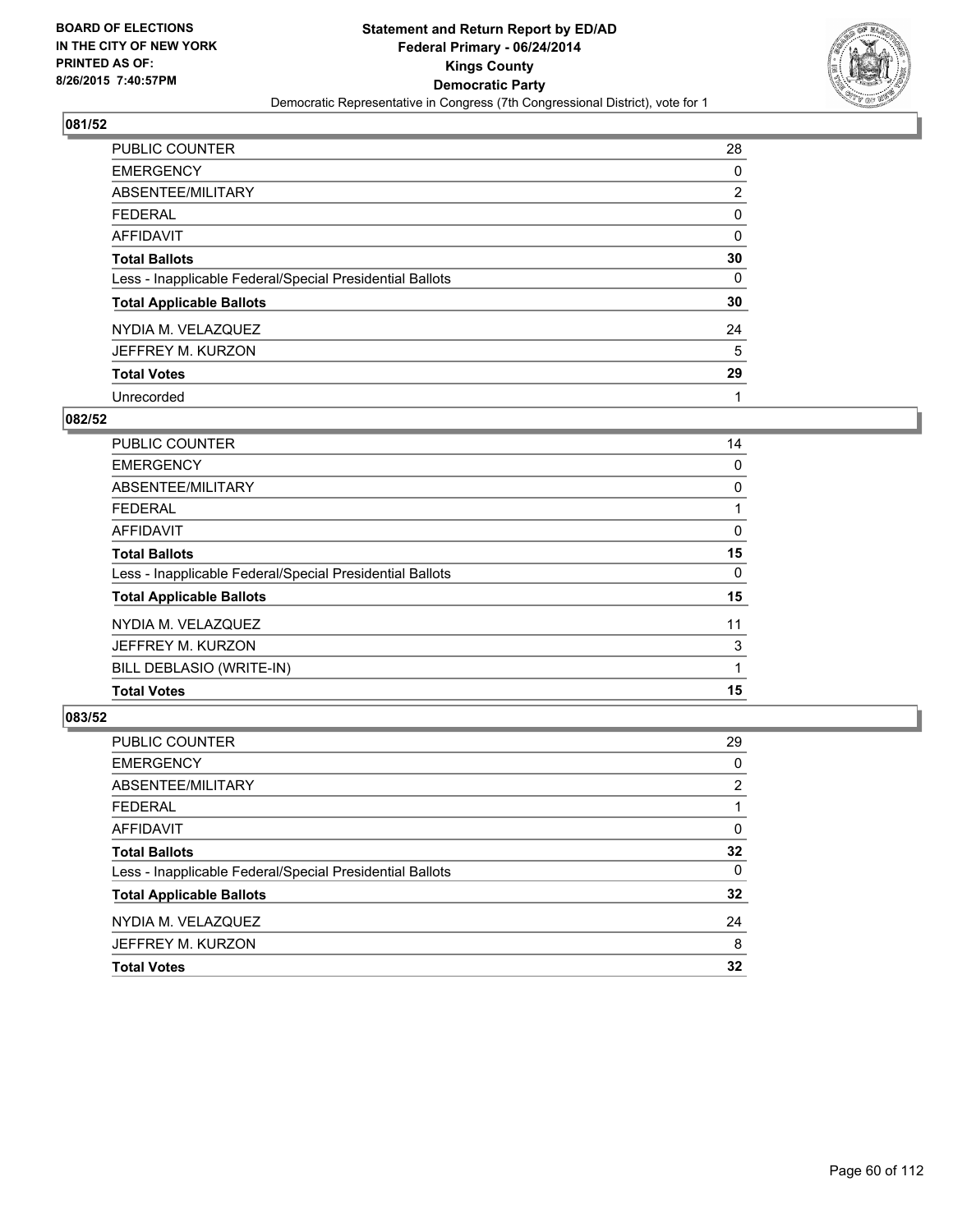

| <b>PUBLIC COUNTER</b>                                    | 28 |
|----------------------------------------------------------|----|
| <b>EMERGENCY</b>                                         | 0  |
| ABSENTEE/MILITARY                                        | 2  |
| <b>FEDERAL</b>                                           | 0  |
| <b>AFFIDAVIT</b>                                         | 0  |
| <b>Total Ballots</b>                                     | 30 |
| Less - Inapplicable Federal/Special Presidential Ballots | 0  |
| <b>Total Applicable Ballots</b>                          | 30 |
| NYDIA M. VELAZQUEZ                                       | 24 |
| JEFFREY M. KURZON                                        | 5  |
| <b>Total Votes</b>                                       | 29 |
| Unrecorded                                               |    |

#### **082/52**

| <b>Total Votes</b>                                       | 15 |
|----------------------------------------------------------|----|
| BILL DEBLASIO (WRITE-IN)                                 | 1  |
| JEFFREY M. KURZON                                        | 3  |
| NYDIA M. VELAZQUEZ                                       | 11 |
| <b>Total Applicable Ballots</b>                          | 15 |
| Less - Inapplicable Federal/Special Presidential Ballots | 0  |
| <b>Total Ballots</b>                                     | 15 |
| <b>AFFIDAVIT</b>                                         | 0  |
| <b>FEDERAL</b>                                           |    |
| ABSENTEE/MILITARY                                        | 0  |
| <b>EMERGENCY</b>                                         | 0  |
| <b>PUBLIC COUNTER</b>                                    | 14 |

| <b>PUBLIC COUNTER</b>                                    | 29             |
|----------------------------------------------------------|----------------|
| <b>EMERGENCY</b>                                         | 0              |
| ABSENTEE/MILITARY                                        | $\overline{2}$ |
| <b>FEDERAL</b>                                           |                |
| <b>AFFIDAVIT</b>                                         | 0              |
| <b>Total Ballots</b>                                     | 32             |
| Less - Inapplicable Federal/Special Presidential Ballots | 0              |
| <b>Total Applicable Ballots</b>                          | 32             |
| NYDIA M. VELAZQUEZ                                       | 24             |
| JEFFREY M. KURZON                                        | 8              |
| <b>Total Votes</b>                                       | 32             |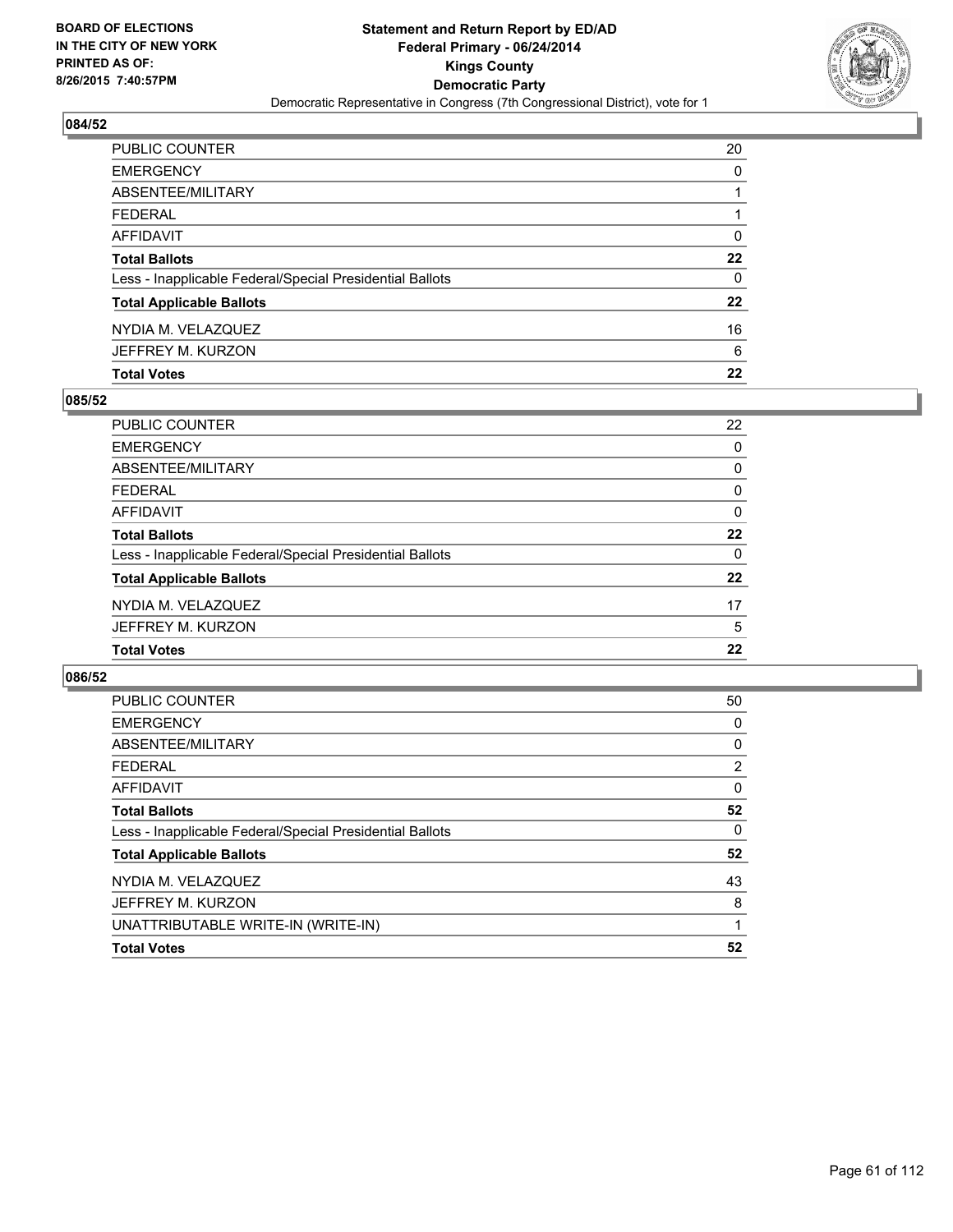

| <b>Total Votes</b>                                       | 22      |
|----------------------------------------------------------|---------|
| JEFFREY M. KURZON                                        | 6       |
| NYDIA M. VELAZQUEZ                                       | 16      |
| <b>Total Applicable Ballots</b>                          | 22      |
| Less - Inapplicable Federal/Special Presidential Ballots | 0       |
| <b>Total Ballots</b>                                     | $22 \,$ |
| AFFIDAVIT                                                | 0       |
| <b>FEDERAL</b>                                           |         |
| <b>ABSENTEE/MILITARY</b>                                 | 1       |
| <b>EMERGENCY</b>                                         | 0       |
| PUBLIC COUNTER                                           | 20      |

### **085/52**

| PUBLIC COUNTER                                           | 22       |
|----------------------------------------------------------|----------|
| <b>EMERGENCY</b>                                         | 0        |
| ABSENTEE/MILITARY                                        | 0        |
| <b>FEDERAL</b>                                           | 0        |
| <b>AFFIDAVIT</b>                                         | 0        |
| <b>Total Ballots</b>                                     | 22       |
| Less - Inapplicable Federal/Special Presidential Ballots | $\Omega$ |
| <b>Total Applicable Ballots</b>                          | 22       |
| NYDIA M. VELAZQUEZ                                       | 17       |
| JEFFREY M. KURZON                                        | 5        |
| <b>Total Votes</b>                                       | 22       |
|                                                          |          |

| <b>PUBLIC COUNTER</b>                                    | 50 |
|----------------------------------------------------------|----|
| <b>EMERGENCY</b>                                         | 0  |
| ABSENTEE/MILITARY                                        | 0  |
| <b>FEDERAL</b>                                           | 2  |
| AFFIDAVIT                                                | 0  |
| <b>Total Ballots</b>                                     | 52 |
| Less - Inapplicable Federal/Special Presidential Ballots | 0  |
| <b>Total Applicable Ballots</b>                          | 52 |
| NYDIA M. VELAZQUEZ                                       | 43 |
| JEFFREY M. KURZON                                        | 8  |
| UNATTRIBUTABLE WRITE-IN (WRITE-IN)                       |    |
| <b>Total Votes</b>                                       | 52 |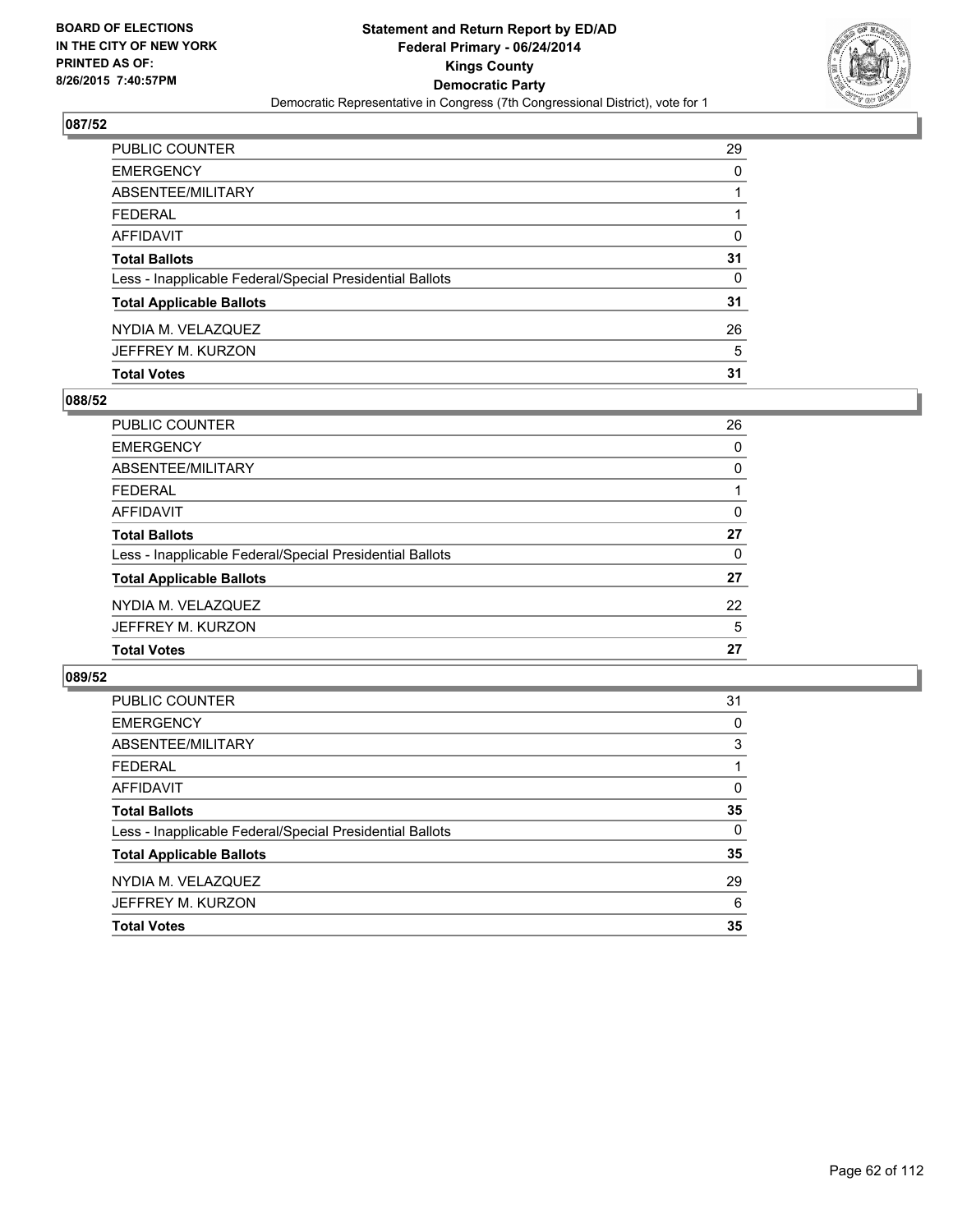

| PUBLIC COUNTER                                           | 29       |
|----------------------------------------------------------|----------|
| <b>EMERGENCY</b>                                         | $\Omega$ |
| <b>ABSENTEE/MILITARY</b>                                 |          |
| <b>FEDERAL</b>                                           |          |
| AFFIDAVIT                                                | $\Omega$ |
| <b>Total Ballots</b>                                     | 31       |
| Less - Inapplicable Federal/Special Presidential Ballots | 0        |
| <b>Total Applicable Ballots</b>                          | 31       |
| NYDIA M. VELAZQUEZ                                       | 26       |
| JEFFREY M. KURZON                                        | 5        |
| <b>Total Votes</b>                                       | 31       |

### **088/52**

| 26 |
|----|
| 0  |
| 0  |
|    |
| 0  |
| 27 |
| 0  |
| 27 |
| 22 |
| 5  |
| 27 |
|    |

| PUBLIC COUNTER                                           | 31       |
|----------------------------------------------------------|----------|
| <b>EMERGENCY</b>                                         | 0        |
| ABSENTEE/MILITARY                                        | 3        |
| <b>FEDERAL</b>                                           |          |
| AFFIDAVIT                                                | 0        |
| <b>Total Ballots</b>                                     | 35       |
| Less - Inapplicable Federal/Special Presidential Ballots | $\Omega$ |
| <b>Total Applicable Ballots</b>                          | 35       |
| NYDIA M. VELAZQUEZ                                       | 29       |
| JEFFREY M. KURZON                                        | 6        |
| <b>Total Votes</b>                                       | 35       |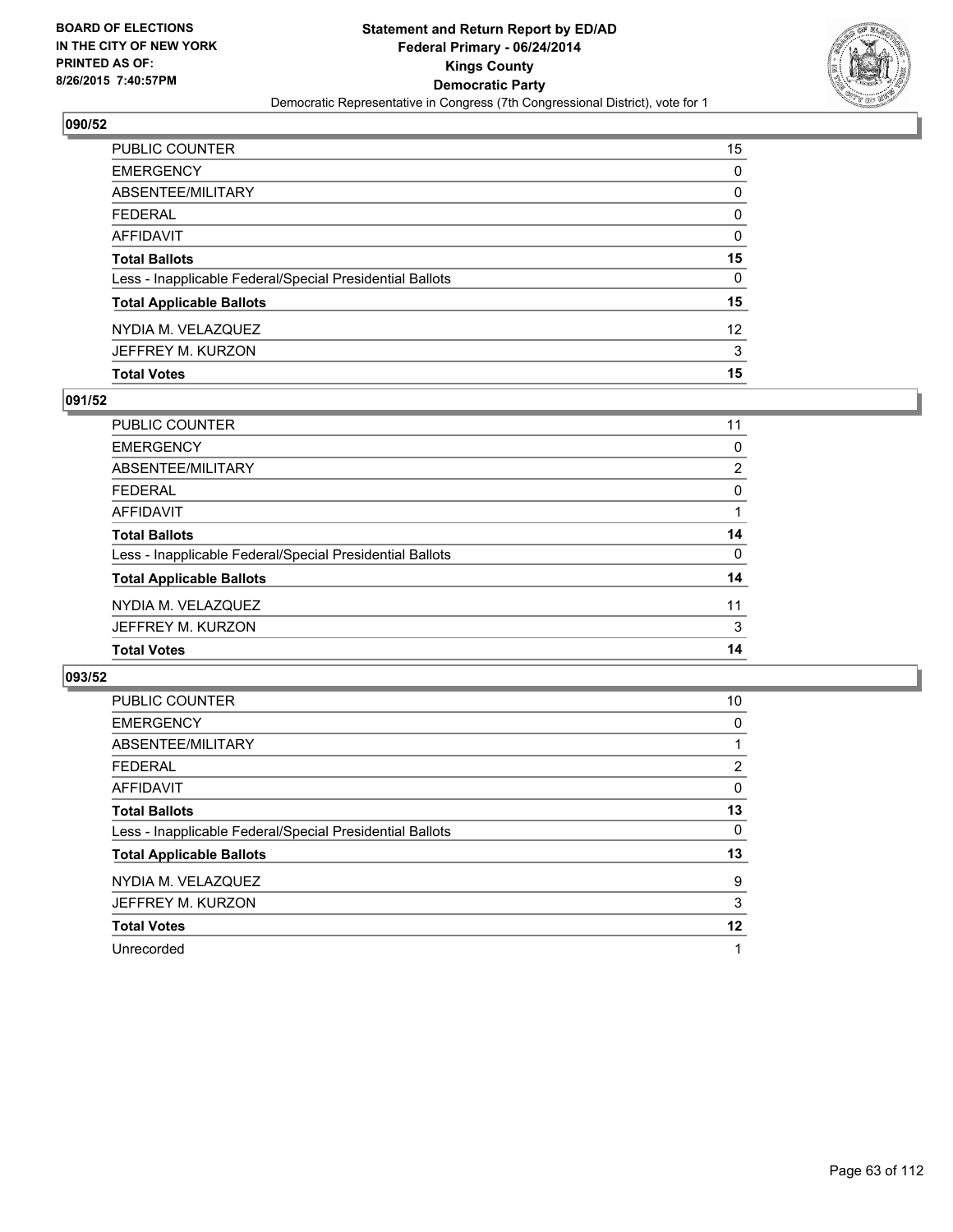

| PUBLIC COUNTER                                           | 15 |
|----------------------------------------------------------|----|
| <b>EMERGENCY</b>                                         | 0  |
| ABSENTEE/MILITARY                                        | 0  |
| <b>FEDERAL</b>                                           | 0  |
| AFFIDAVIT                                                | 0  |
| <b>Total Ballots</b>                                     | 15 |
| Less - Inapplicable Federal/Special Presidential Ballots | 0  |
| <b>Total Applicable Ballots</b>                          | 15 |
| NYDIA M. VELAZQUEZ                                       | 12 |
| JEFFREY M. KURZON                                        | 3  |
| <b>Total Votes</b>                                       | 15 |

### **091/52**

| PUBLIC COUNTER                                           | 11             |
|----------------------------------------------------------|----------------|
| <b>EMERGENCY</b>                                         | 0              |
| <b>ABSENTEE/MILITARY</b>                                 | $\overline{2}$ |
| <b>FEDERAL</b>                                           | $\Omega$       |
| <b>AFFIDAVIT</b>                                         |                |
| <b>Total Ballots</b>                                     | 14             |
| Less - Inapplicable Federal/Special Presidential Ballots | $\Omega$       |
| <b>Total Applicable Ballots</b>                          | 14             |
| NYDIA M. VELAZQUEZ                                       | 11             |
| JEFFREY M. KURZON                                        | 3              |
| <b>Total Votes</b>                                       | 14             |
|                                                          |                |

| <b>PUBLIC COUNTER</b>                                    | 10 |
|----------------------------------------------------------|----|
| <b>EMERGENCY</b>                                         | 0  |
| ABSENTEE/MILITARY                                        |    |
| <b>FEDERAL</b>                                           | 2  |
| AFFIDAVIT                                                | 0  |
| <b>Total Ballots</b>                                     | 13 |
| Less - Inapplicable Federal/Special Presidential Ballots | 0  |
| <b>Total Applicable Ballots</b>                          | 13 |
| NYDIA M. VELAZQUEZ                                       | 9  |
| JEFFREY M. KURZON                                        | 3  |
| <b>Total Votes</b>                                       | 12 |
| Unrecorded                                               | 1  |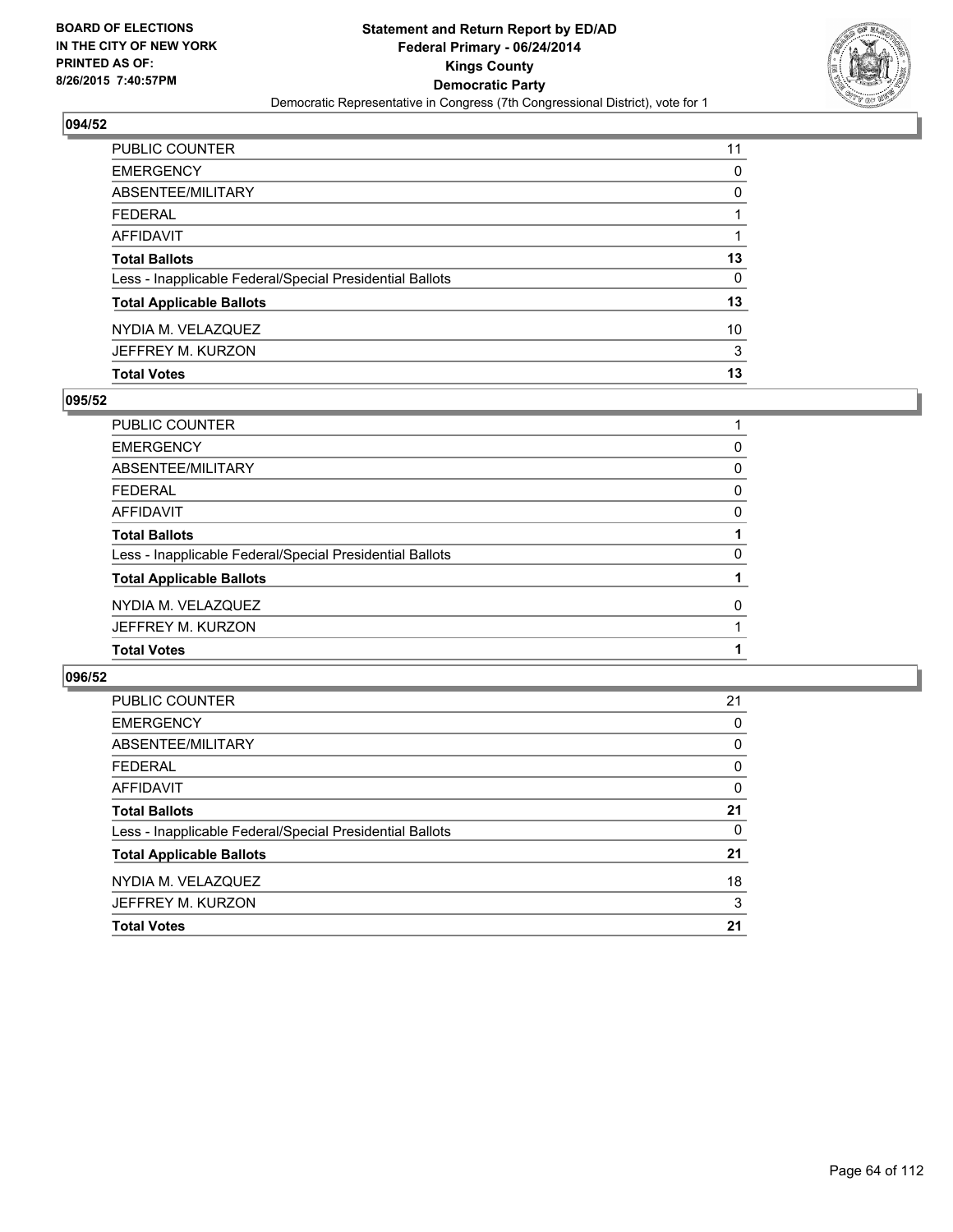

| PUBLIC COUNTER                                           | 11 |
|----------------------------------------------------------|----|
| <b>EMERGENCY</b>                                         | 0  |
| ABSENTEE/MILITARY                                        | 0  |
| <b>FEDERAL</b>                                           |    |
| AFFIDAVIT                                                |    |
| <b>Total Ballots</b>                                     | 13 |
| Less - Inapplicable Federal/Special Presidential Ballots | 0  |
| <b>Total Applicable Ballots</b>                          | 13 |
| NYDIA M. VELAZQUEZ                                       | 10 |
| JEFFREY M. KURZON                                        | 3  |
| <b>Total Votes</b>                                       | 13 |

### **095/52**

| PUBLIC COUNTER                                           |   |
|----------------------------------------------------------|---|
| <b>EMERGENCY</b>                                         | 0 |
| ABSENTEE/MILITARY                                        | 0 |
| <b>FEDERAL</b>                                           | 0 |
| <b>AFFIDAVIT</b>                                         | 0 |
| <b>Total Ballots</b>                                     |   |
| Less - Inapplicable Federal/Special Presidential Ballots | 0 |
| <b>Total Applicable Ballots</b>                          |   |
| NYDIA M. VELAZQUEZ                                       | 0 |
| JEFFREY M. KURZON                                        |   |
| <b>Total Votes</b>                                       |   |
|                                                          |   |

| PUBLIC COUNTER                                           | 21 |
|----------------------------------------------------------|----|
| <b>EMERGENCY</b>                                         | 0  |
| ABSENTEE/MILITARY                                        | 0  |
| <b>FEDERAL</b>                                           | 0  |
| AFFIDAVIT                                                | 0  |
| <b>Total Ballots</b>                                     | 21 |
| Less - Inapplicable Federal/Special Presidential Ballots | 0  |
| <b>Total Applicable Ballots</b>                          | 21 |
| NYDIA M. VELAZQUEZ                                       | 18 |
| JEFFREY M. KURZON                                        | 3  |
| <b>Total Votes</b>                                       | 21 |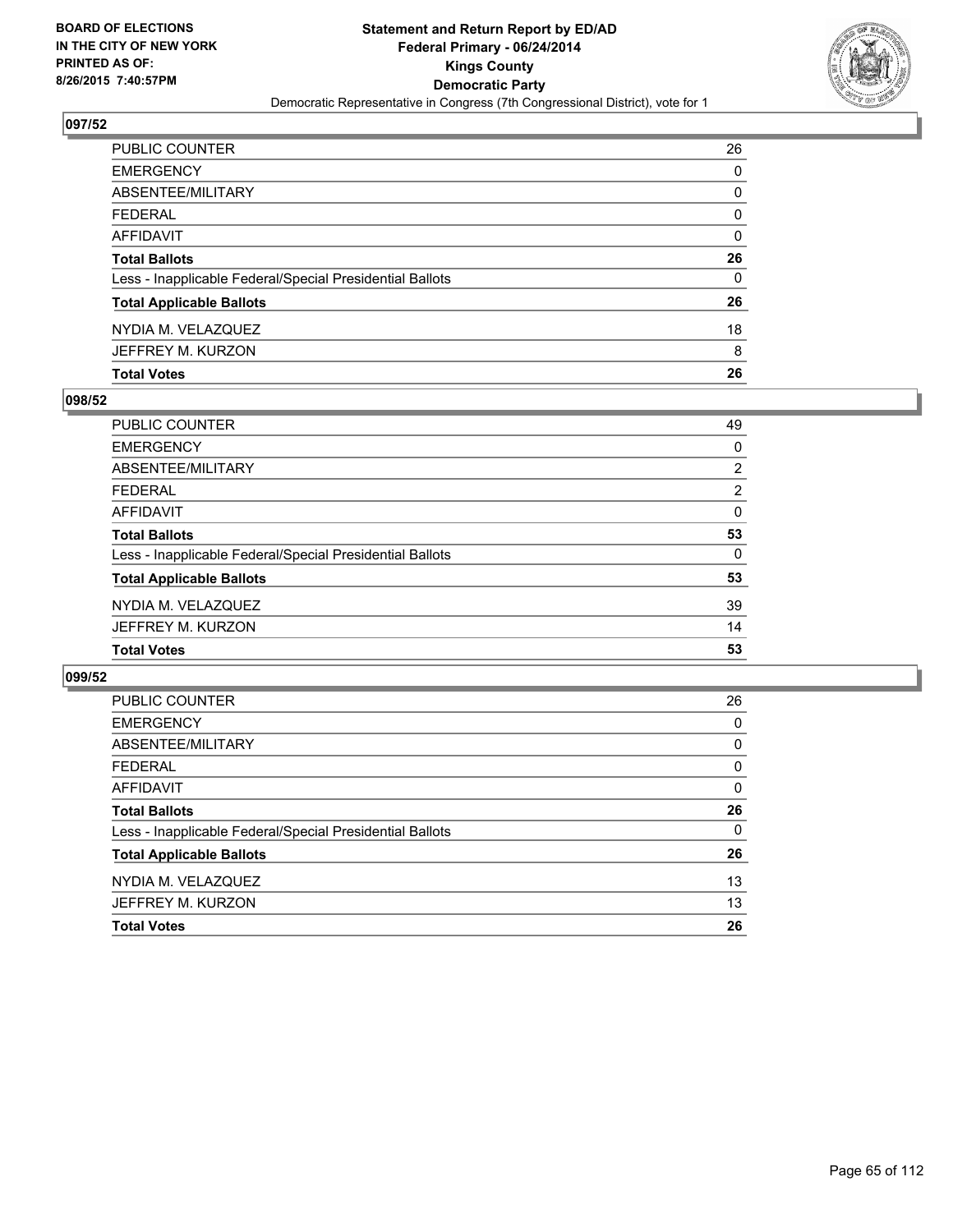

| <b>Total Votes</b>                                       | 26       |
|----------------------------------------------------------|----------|
| JEFFREY M. KURZON                                        | 8        |
| NYDIA M. VELAZQUEZ                                       | 18       |
| <b>Total Applicable Ballots</b>                          | 26       |
| Less - Inapplicable Federal/Special Presidential Ballots | $\Omega$ |
| <b>Total Ballots</b>                                     | 26       |
| AFFIDAVIT                                                | 0        |
| <b>FEDERAL</b>                                           | 0        |
| ABSENTEE/MILITARY                                        | 0        |
| <b>EMERGENCY</b>                                         | 0        |
| PUBLIC COUNTER                                           | 26       |

### **098/52**

| 49             |
|----------------|
| 0              |
| $\overline{2}$ |
| $\overline{2}$ |
| $\Omega$       |
| 53             |
| 0              |
| 53             |
| 39             |
| 14             |
| 53             |
|                |

| PUBLIC COUNTER                                           | 26       |
|----------------------------------------------------------|----------|
| <b>EMERGENCY</b>                                         | 0        |
| ABSENTEE/MILITARY                                        | 0        |
| <b>FEDERAL</b>                                           | 0        |
| AFFIDAVIT                                                | 0        |
| <b>Total Ballots</b>                                     | 26       |
| Less - Inapplicable Federal/Special Presidential Ballots | $\Omega$ |
| <b>Total Applicable Ballots</b>                          | 26       |
| NYDIA M. VELAZQUEZ                                       | 13       |
| JEFFREY M. KURZON                                        | 13       |
| <b>Total Votes</b>                                       | 26       |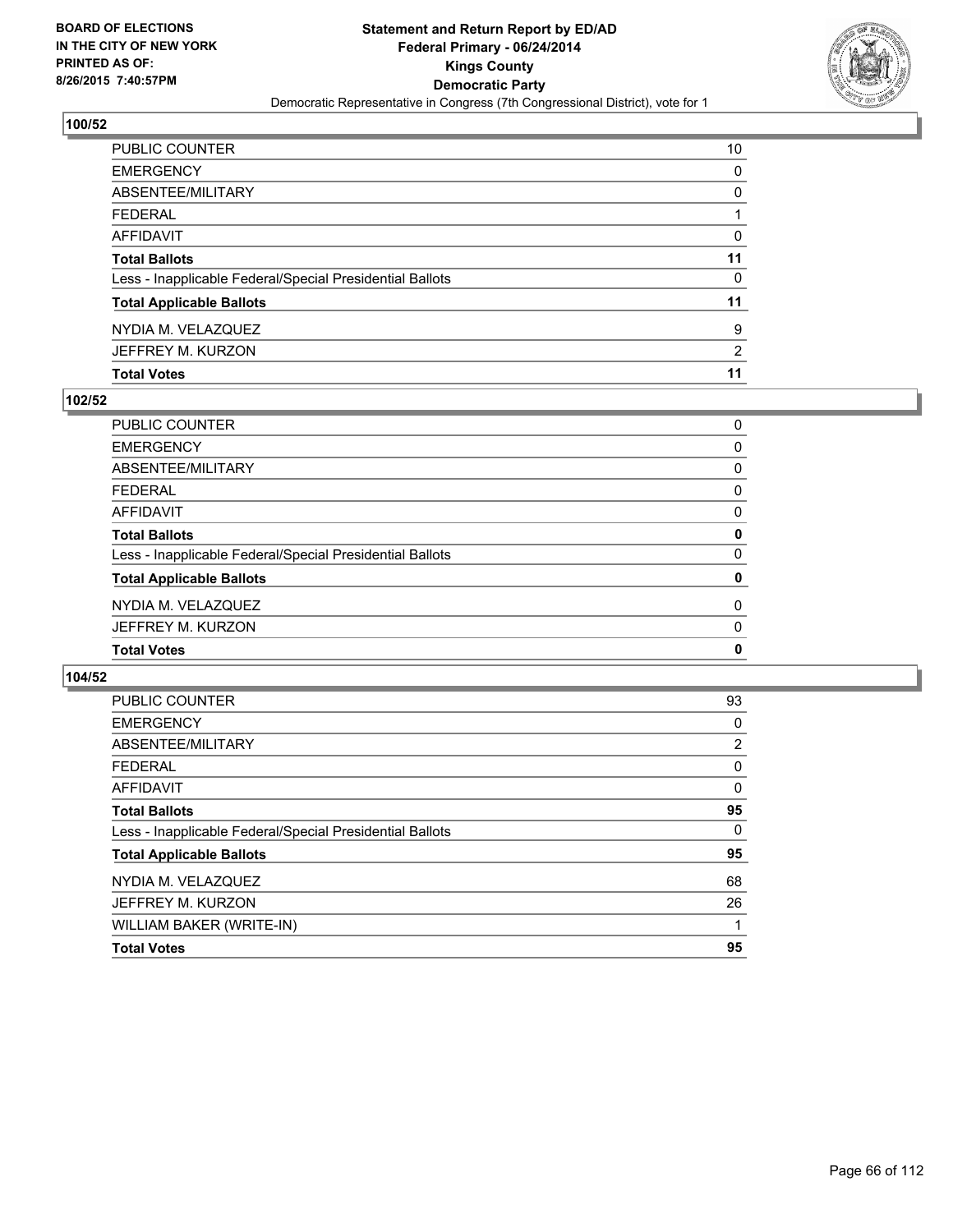

| <b>Total Votes</b>                                       | 11 |
|----------------------------------------------------------|----|
| JEFFREY M. KURZON                                        | 2  |
| NYDIA M. VELAZQUEZ                                       | 9  |
| <b>Total Applicable Ballots</b>                          | 11 |
| Less - Inapplicable Federal/Special Presidential Ballots | 0  |
| <b>Total Ballots</b>                                     | 11 |
| <b>AFFIDAVIT</b>                                         | 0  |
| <b>FEDERAL</b>                                           |    |
| ABSENTEE/MILITARY                                        | 0  |
| <b>EMERGENCY</b>                                         | 0  |
| PUBLIC COUNTER                                           | 10 |

### **102/52**

| PUBLIC COUNTER                                           | 0 |
|----------------------------------------------------------|---|
| <b>EMERGENCY</b>                                         | 0 |
| ABSENTEE/MILITARY                                        | 0 |
| <b>FEDERAL</b>                                           | 0 |
| <b>AFFIDAVIT</b>                                         | 0 |
| <b>Total Ballots</b>                                     | 0 |
| Less - Inapplicable Federal/Special Presidential Ballots | 0 |
| <b>Total Applicable Ballots</b>                          | 0 |
| NYDIA M. VELAZQUEZ                                       | 0 |
| JEFFREY M. KURZON                                        | 0 |
| <b>Total Votes</b>                                       | 0 |
|                                                          |   |

| <b>Total Votes</b>                                       | 95             |
|----------------------------------------------------------|----------------|
| WILLIAM BAKER (WRITE-IN)                                 |                |
| JEFFREY M. KURZON                                        | 26             |
| NYDIA M. VELAZQUEZ                                       | 68             |
| <b>Total Applicable Ballots</b>                          | 95             |
| Less - Inapplicable Federal/Special Presidential Ballots | 0              |
| <b>Total Ballots</b>                                     | 95             |
| AFFIDAVIT                                                | 0              |
| <b>FEDERAL</b>                                           | 0              |
| ABSENTEE/MILITARY                                        | $\overline{2}$ |
| <b>EMERGENCY</b>                                         | 0              |
| <b>PUBLIC COUNTER</b>                                    | 93             |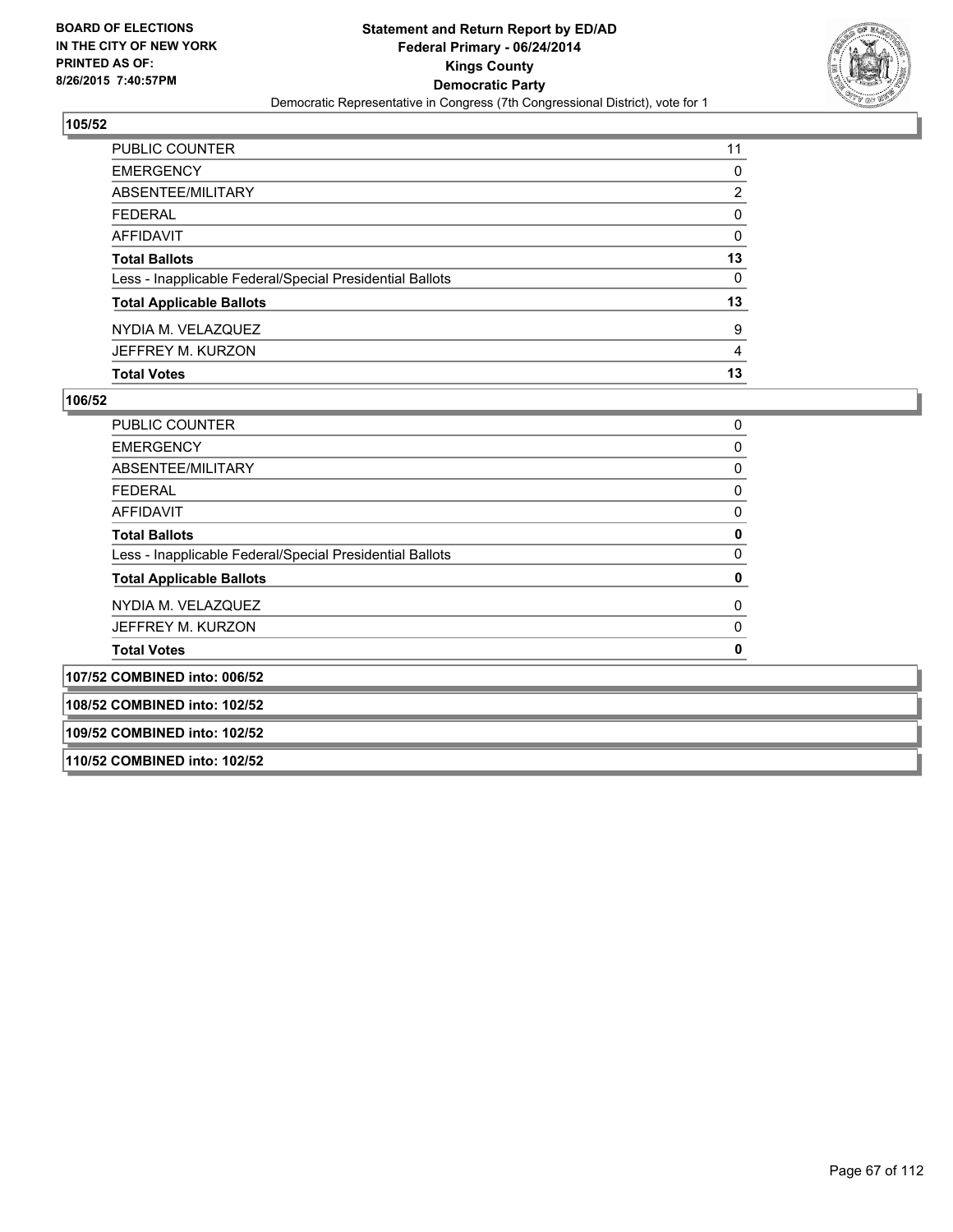

| <b>PUBLIC COUNTER</b>                                    | 11 |
|----------------------------------------------------------|----|
| <b>EMERGENCY</b>                                         | 0  |
| <b>ABSENTEE/MILITARY</b>                                 | 2  |
| <b>FEDERAL</b>                                           | 0  |
| AFFIDAVIT                                                | 0  |
| <b>Total Ballots</b>                                     | 13 |
| Less - Inapplicable Federal/Special Presidential Ballots | 0  |
| <b>Total Applicable Ballots</b>                          | 13 |
| NYDIA M. VELAZQUEZ                                       | 9  |
| JEFFREY M. KURZON                                        | 4  |
| <b>Total Votes</b>                                       | 13 |

| <b>PUBLIC COUNTER</b>                                    | 0 |
|----------------------------------------------------------|---|
| <b>EMERGENCY</b>                                         | 0 |
| ABSENTEE/MILITARY                                        | 0 |
| <b>FEDERAL</b>                                           | 0 |
| <b>AFFIDAVIT</b>                                         | 0 |
| <b>Total Ballots</b>                                     | 0 |
| Less - Inapplicable Federal/Special Presidential Ballots | 0 |
| <b>Total Applicable Ballots</b>                          | 0 |
| NYDIA M. VELAZQUEZ                                       | 0 |
| JEFFREY M. KURZON                                        | 0 |
| <b>Total Votes</b>                                       | 0 |
| 107/52 COMBINED into: 006/52                             |   |
| 108/52 COMBINED into: 102/52                             |   |
| 109/52 COMBINED into: 102/52                             |   |
| 110/52 COMBINED into: 102/52                             |   |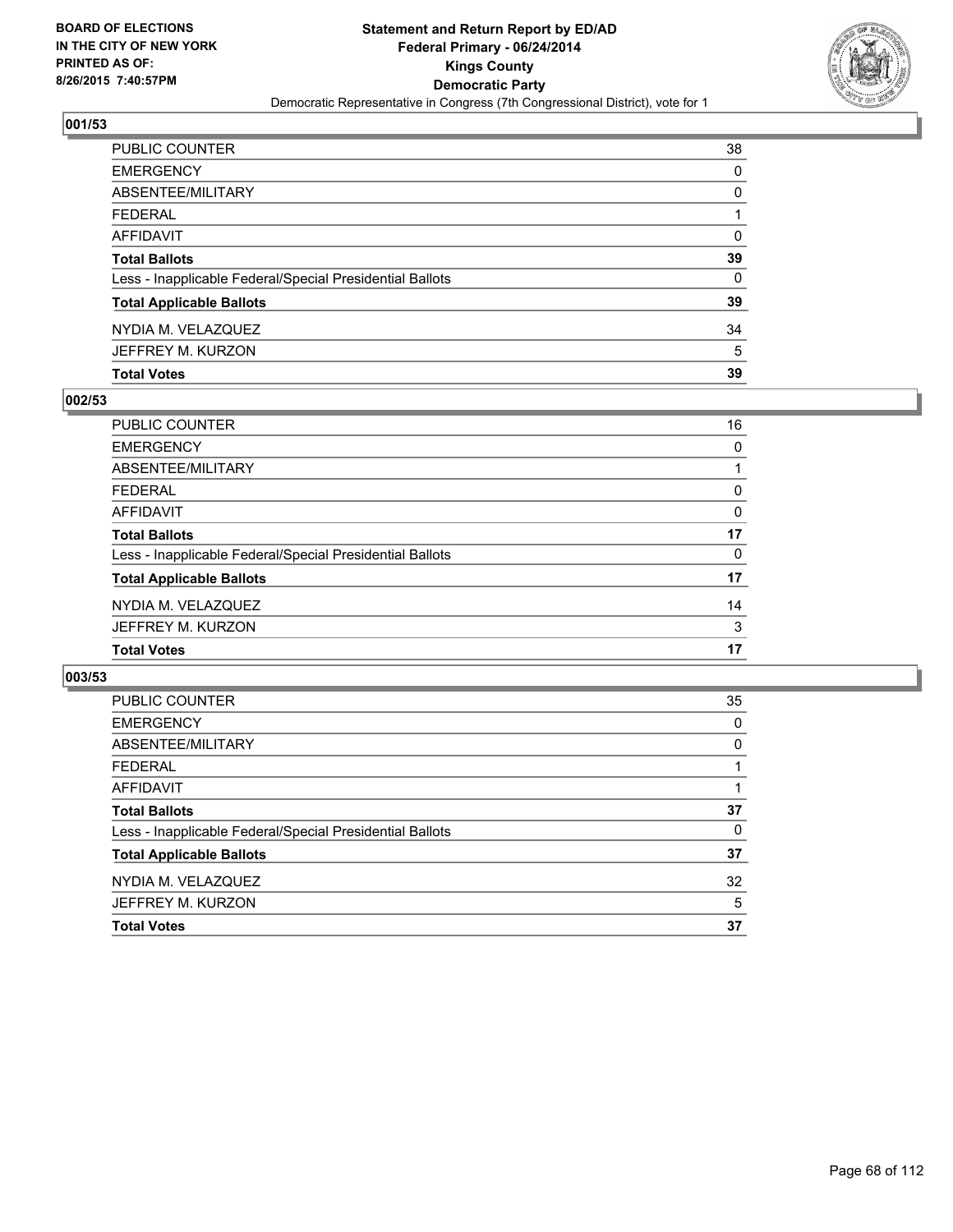

| PUBLIC COUNTER                                           | 38       |
|----------------------------------------------------------|----------|
| <b>EMERGENCY</b>                                         | $\Omega$ |
| ABSENTEE/MILITARY                                        | 0        |
| <b>FEDERAL</b>                                           |          |
| AFFIDAVIT                                                | $\Omega$ |
| <b>Total Ballots</b>                                     | 39       |
| Less - Inapplicable Federal/Special Presidential Ballots | 0        |
| <b>Total Applicable Ballots</b>                          | 39       |
| NYDIA M. VELAZQUEZ                                       | 34       |
| JEFFREY M. KURZON                                        | 5        |
| <b>Total Votes</b>                                       | 39       |

### **002/53**

| PUBLIC COUNTER                                           | 16 |
|----------------------------------------------------------|----|
| <b>EMERGENCY</b>                                         | 0  |
| ABSENTEE/MILITARY                                        |    |
| <b>FEDERAL</b>                                           | 0  |
| <b>AFFIDAVIT</b>                                         | 0  |
| <b>Total Ballots</b>                                     | 17 |
| Less - Inapplicable Federal/Special Presidential Ballots | 0  |
| <b>Total Applicable Ballots</b>                          | 17 |
| NYDIA M. VELAZQUEZ                                       | 14 |
| JEFFREY M. KURZON                                        | 3  |
| <b>Total Votes</b>                                       | 17 |
|                                                          |    |

| <b>PUBLIC COUNTER</b>                                    | 35 |
|----------------------------------------------------------|----|
| <b>EMERGENCY</b>                                         | 0  |
| ABSENTEE/MILITARY                                        | 0  |
| <b>FEDERAL</b>                                           |    |
| AFFIDAVIT                                                |    |
| <b>Total Ballots</b>                                     | 37 |
| Less - Inapplicable Federal/Special Presidential Ballots | 0  |
| <b>Total Applicable Ballots</b>                          | 37 |
| NYDIA M. VELAZQUEZ                                       | 32 |
| JEFFREY M. KURZON                                        | 5  |
| <b>Total Votes</b>                                       | 37 |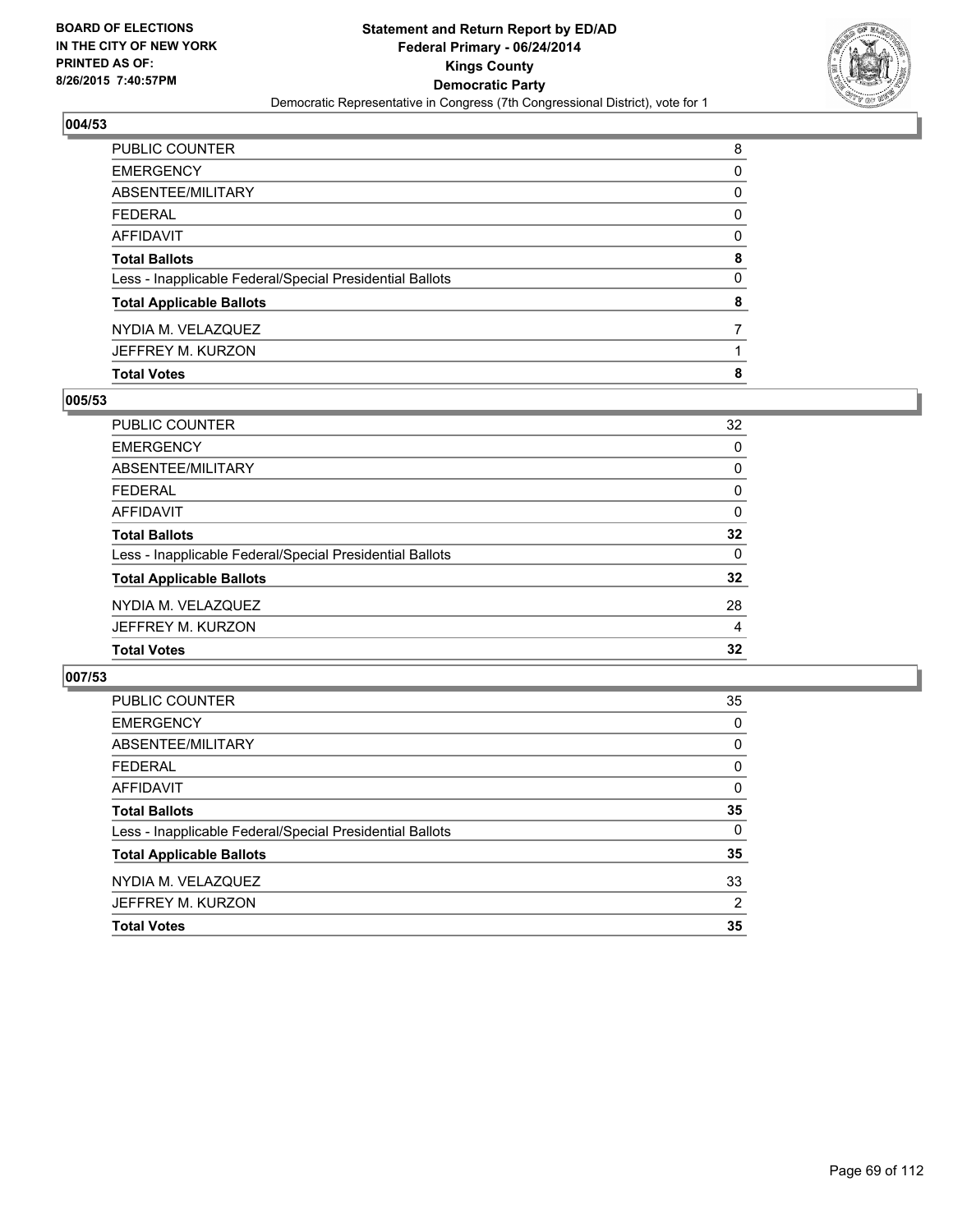

| PUBLIC COUNTER                                           | 8        |
|----------------------------------------------------------|----------|
| EMERGENCY                                                | 0        |
| ABSENTEE/MILITARY                                        | 0        |
| FEDERAL                                                  | $\Omega$ |
| AFFIDAVIT                                                | 0        |
| Total Ballots                                            | 8        |
| Less - Inapplicable Federal/Special Presidential Ballots | 0        |
| <b>Total Applicable Ballots</b>                          | 8        |
| NYDIA M. VELAZQUEZ                                       | 7        |
| JEFFREY M. KURZON                                        |          |
| <b>Total Votes</b>                                       | 8        |

### **005/53**

| PUBLIC COUNTER                                           | 32              |
|----------------------------------------------------------|-----------------|
| <b>EMERGENCY</b>                                         | 0               |
| <b>ABSENTEE/MILITARY</b>                                 | 0               |
| <b>FEDERAL</b>                                           | 0               |
| <b>AFFIDAVIT</b>                                         | 0               |
| <b>Total Ballots</b>                                     | $32\phantom{a}$ |
| Less - Inapplicable Federal/Special Presidential Ballots | $\Omega$        |
| <b>Total Applicable Ballots</b>                          | $32\phantom{a}$ |
| NYDIA M. VELAZQUEZ                                       | 28              |
| JEFFREY M. KURZON                                        | 4               |
| <b>Total Votes</b>                                       | 32              |
|                                                          |                 |

| PUBLIC COUNTER                                           | 35       |
|----------------------------------------------------------|----------|
| <b>EMERGENCY</b>                                         | 0        |
| ABSENTEE/MILITARY                                        | 0        |
| <b>FEDERAL</b>                                           | 0        |
| AFFIDAVIT                                                | 0        |
| <b>Total Ballots</b>                                     | 35       |
| Less - Inapplicable Federal/Special Presidential Ballots | $\Omega$ |
| <b>Total Applicable Ballots</b>                          | 35       |
| NYDIA M. VELAZQUEZ                                       | 33       |
| JEFFREY M. KURZON                                        | 2        |
| <b>Total Votes</b>                                       | 35       |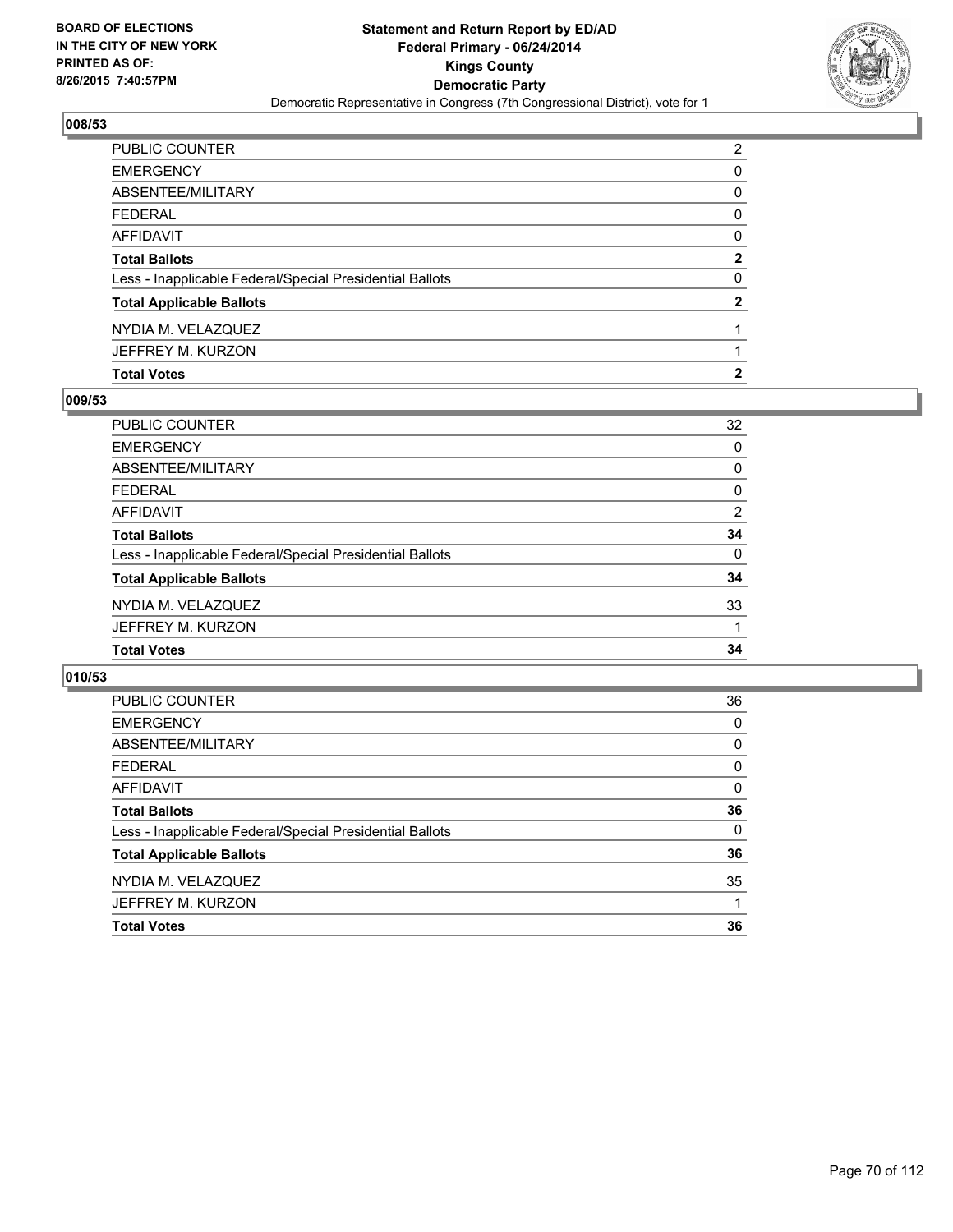

| <b>Total Votes</b>                                       | 2              |
|----------------------------------------------------------|----------------|
| JEFFREY M. KURZON                                        |                |
| NYDIA M. VELAZQUEZ                                       |                |
| <b>Total Applicable Ballots</b>                          | $\mathbf{2}$   |
| Less - Inapplicable Federal/Special Presidential Ballots | 0              |
| <b>Total Ballots</b>                                     | $\overline{2}$ |
| AFFIDAVIT                                                | 0              |
| FEDERAL                                                  | 0              |
| ABSENTEE/MILITARY                                        | 0              |
| EMERGENCY                                                | 0              |
| PUBLIC COUNTER                                           | 2              |

### **009/53**

| 32       |
|----------|
| 0        |
| 0        |
| 0        |
| 2        |
| 34       |
| $\Omega$ |
| 34       |
| 33       |
|          |
| 34       |
|          |

| PUBLIC COUNTER                                           | 36       |
|----------------------------------------------------------|----------|
| <b>EMERGENCY</b>                                         | 0        |
| ABSENTEE/MILITARY                                        | 0        |
| <b>FEDERAL</b>                                           | 0        |
| AFFIDAVIT                                                | 0        |
| <b>Total Ballots</b>                                     | 36       |
| Less - Inapplicable Federal/Special Presidential Ballots | $\Omega$ |
| <b>Total Applicable Ballots</b>                          | 36       |
| NYDIA M. VELAZQUEZ                                       | 35       |
| JEFFREY M. KURZON                                        |          |
| <b>Total Votes</b>                                       | 36       |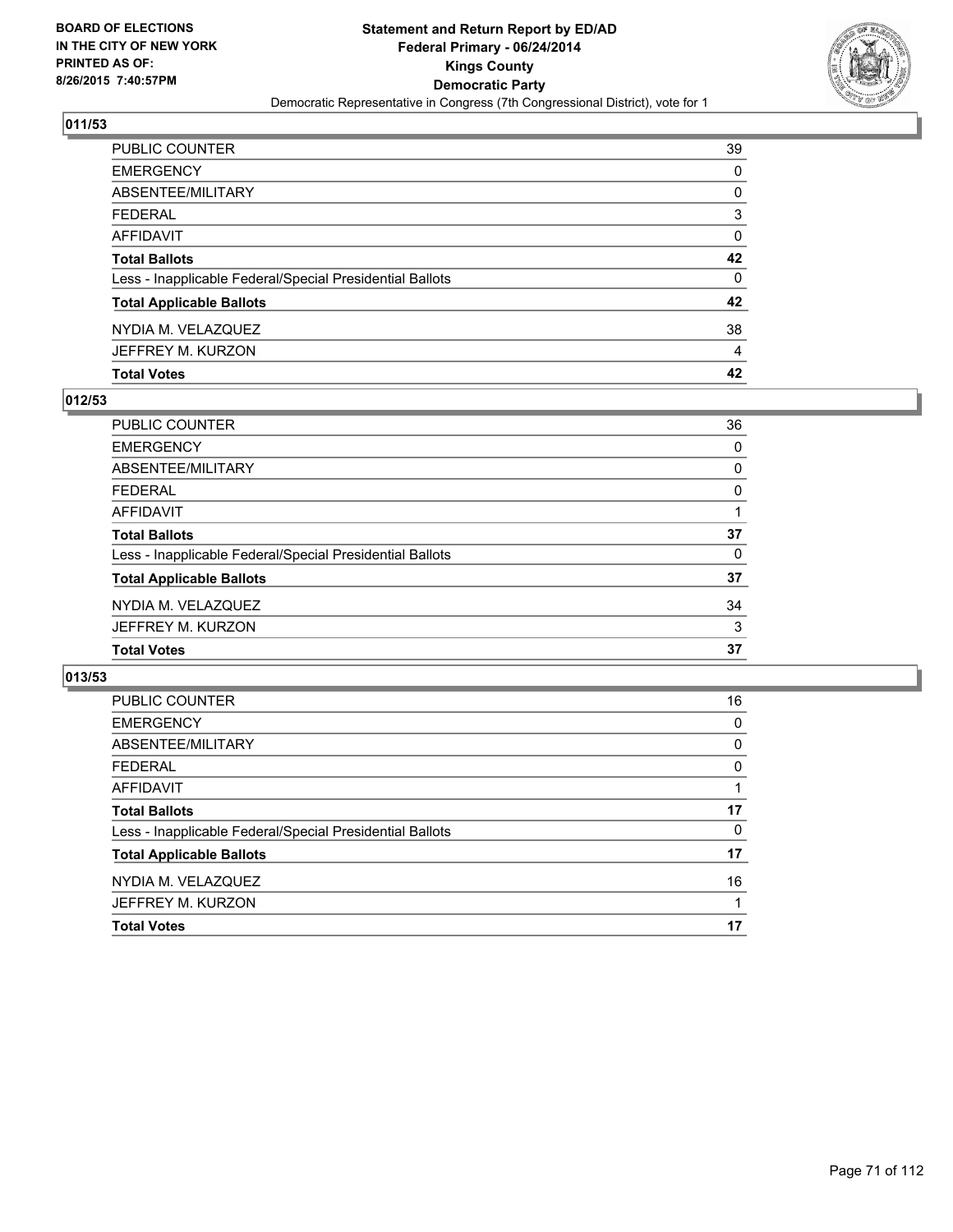

| PUBLIC COUNTER                                           | 39 |
|----------------------------------------------------------|----|
| <b>EMERGENCY</b>                                         | 0  |
| <b>ABSENTEE/MILITARY</b>                                 | 0  |
| <b>FEDERAL</b>                                           | 3  |
| AFFIDAVIT                                                | 0  |
| <b>Total Ballots</b>                                     | 42 |
| Less - Inapplicable Federal/Special Presidential Ballots | 0  |
| <b>Total Applicable Ballots</b>                          | 42 |
| NYDIA M. VELAZQUEZ                                       | 38 |
| JEFFREY M. KURZON                                        | 4  |
| <b>Total Votes</b>                                       | 42 |

### **012/53**

| 36 |
|----|
| 0  |
| 0  |
| 0  |
|    |
| 37 |
| 0  |
| 37 |
| 34 |
| 3  |
| 37 |
|    |

| PUBLIC COUNTER                                           | 16 |
|----------------------------------------------------------|----|
| <b>EMERGENCY</b>                                         | 0  |
| ABSENTEE/MILITARY                                        | 0  |
| <b>FEDERAL</b>                                           | 0  |
| AFFIDAVIT                                                |    |
| <b>Total Ballots</b>                                     | 17 |
| Less - Inapplicable Federal/Special Presidential Ballots | 0  |
| <b>Total Applicable Ballots</b>                          | 17 |
| NYDIA M. VELAZQUEZ                                       | 16 |
| JEFFREY M. KURZON                                        | 1  |
| <b>Total Votes</b>                                       | 17 |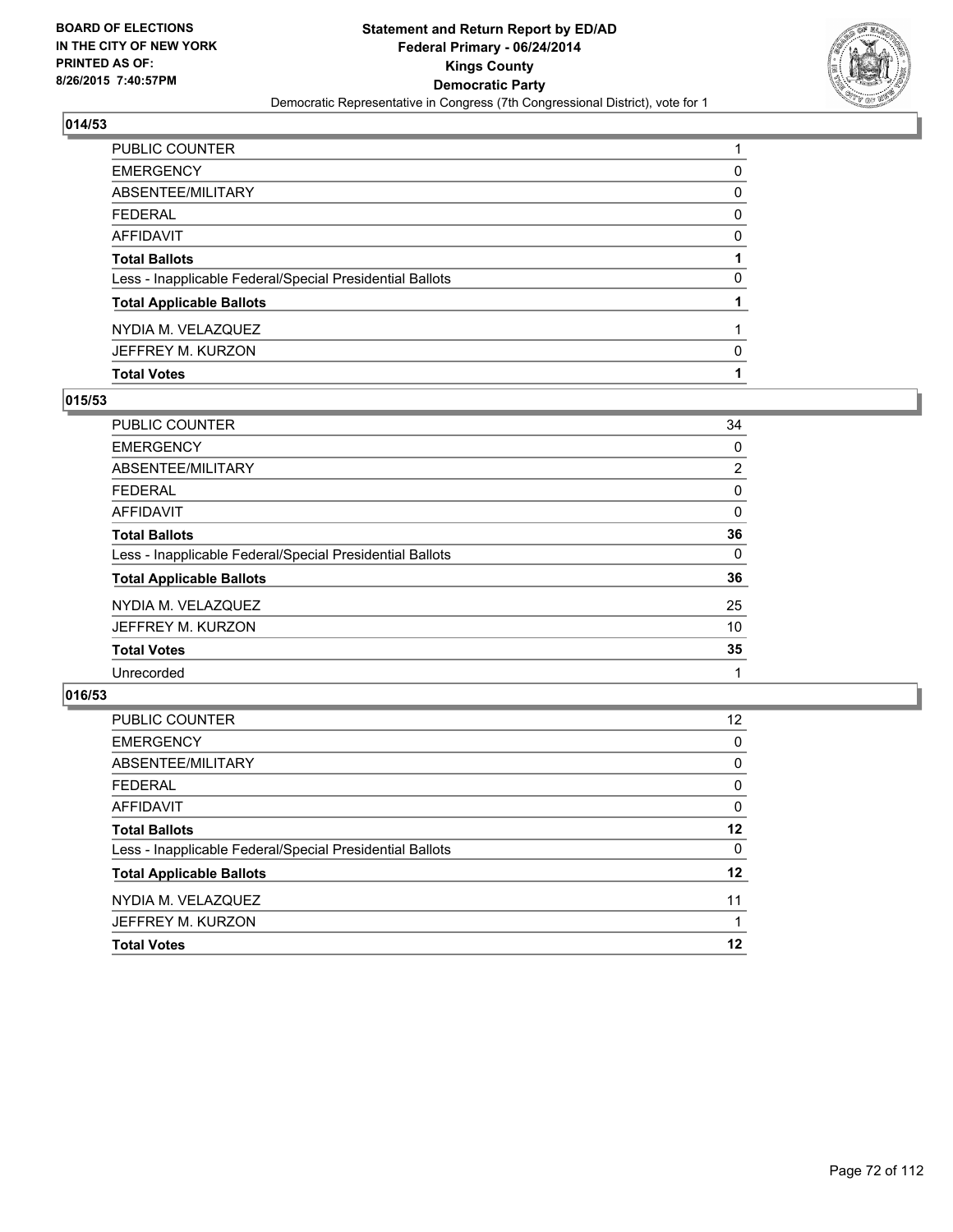

| PUBLIC COUNTER                                           |   |
|----------------------------------------------------------|---|
| EMERGENCY                                                | 0 |
| ABSENTEE/MILITARY                                        | 0 |
| FEDERAL                                                  | 0 |
| AFFIDAVIT                                                | 0 |
| <b>Total Ballots</b>                                     |   |
| Less - Inapplicable Federal/Special Presidential Ballots | 0 |
| <b>Total Applicable Ballots</b>                          |   |
| NYDIA M. VELAZQUEZ                                       |   |
| JEFFREY M. KURZON                                        | 0 |
| <b>Total Votes</b>                                       |   |

### **015/53**

| PUBLIC COUNTER                                           | 34             |
|----------------------------------------------------------|----------------|
| <b>EMERGENCY</b>                                         | 0              |
| <b>ABSENTEE/MILITARY</b>                                 | $\overline{2}$ |
| <b>FEDERAL</b>                                           | 0              |
| AFFIDAVIT                                                | 0              |
| <b>Total Ballots</b>                                     | 36             |
| Less - Inapplicable Federal/Special Presidential Ballots | 0              |
| <b>Total Applicable Ballots</b>                          | 36             |
| NYDIA M. VELAZQUEZ                                       | 25             |
| JEFFREY M. KURZON                                        | 10             |
| <b>Total Votes</b>                                       | 35             |
| Unrecorded                                               |                |
|                                                          |                |

| PUBLIC COUNTER                                           | 12 <sup>2</sup> |
|----------------------------------------------------------|-----------------|
| <b>EMERGENCY</b>                                         | 0               |
| ABSENTEE/MILITARY                                        | $\Omega$        |
| <b>FEDERAL</b>                                           | 0               |
| <b>AFFIDAVIT</b>                                         | $\Omega$        |
| <b>Total Ballots</b>                                     | 12              |
| Less - Inapplicable Federal/Special Presidential Ballots | 0               |
| <b>Total Applicable Ballots</b>                          | $12 \,$         |
| NYDIA M. VELAZQUEZ                                       | 11              |
| JEFFREY M. KURZON                                        |                 |
| <b>Total Votes</b>                                       | 12              |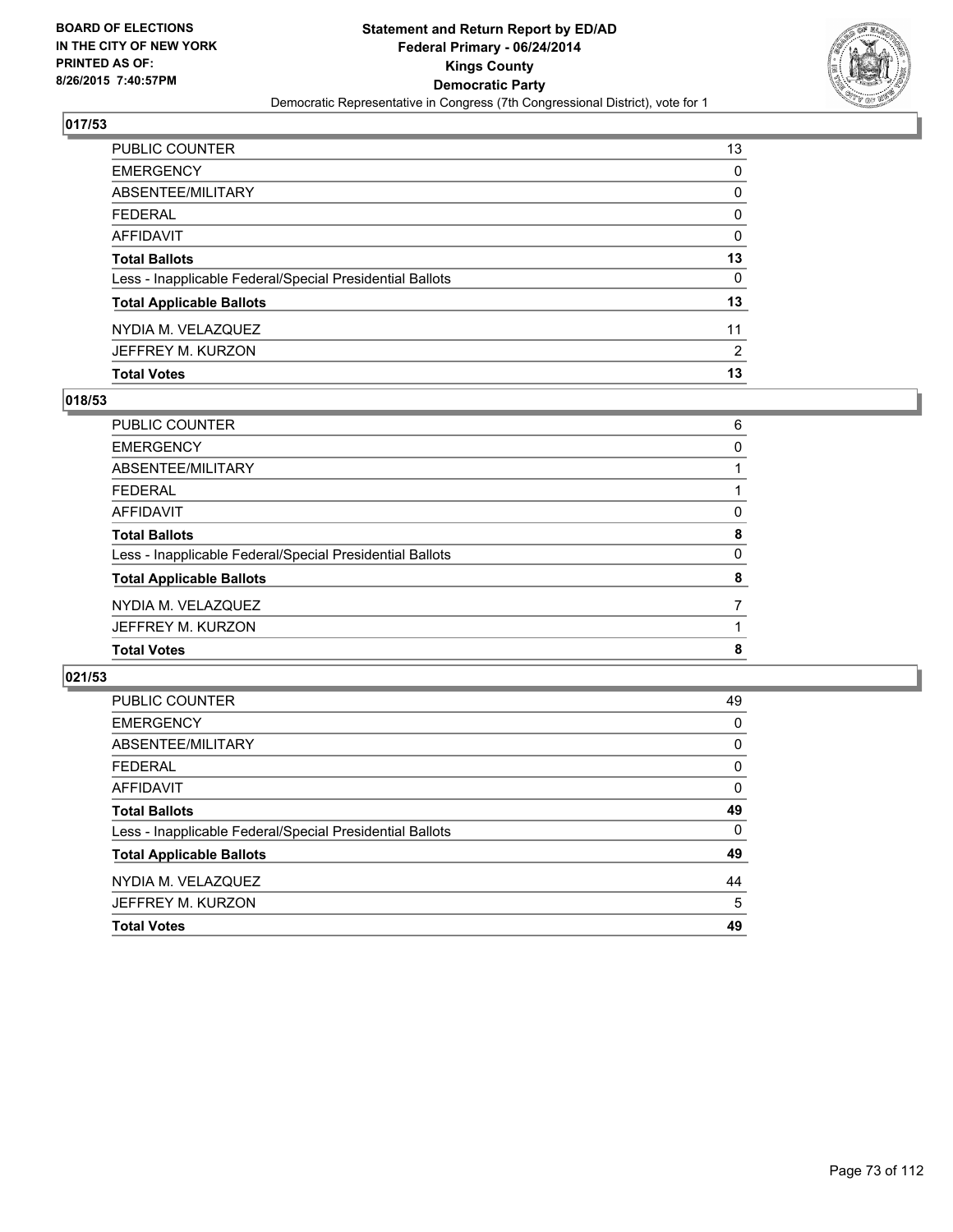

| PUBLIC COUNTER                                           | 13 |
|----------------------------------------------------------|----|
| <b>EMERGENCY</b>                                         | 0  |
| ABSENTEE/MILITARY                                        | 0  |
| <b>FEDERAL</b>                                           | 0  |
| AFFIDAVIT                                                | 0  |
| <b>Total Ballots</b>                                     | 13 |
| Less - Inapplicable Federal/Special Presidential Ballots | 0  |
| <b>Total Applicable Ballots</b>                          | 13 |
| NYDIA M. VELAZQUEZ                                       | 11 |
| JEFFREY M. KURZON                                        | 2  |
| <b>Total Votes</b>                                       | 13 |

## **018/53**

| PUBLIC COUNTER                                           | 6 |
|----------------------------------------------------------|---|
| <b>EMERGENCY</b>                                         | 0 |
| ABSENTEE/MILITARY                                        |   |
| <b>FEDERAL</b>                                           |   |
| <b>AFFIDAVIT</b>                                         | 0 |
| <b>Total Ballots</b>                                     | 8 |
| Less - Inapplicable Federal/Special Presidential Ballots | 0 |
| <b>Total Applicable Ballots</b>                          | 8 |
| NYDIA M. VELAZQUEZ                                       |   |
| JEFFREY M. KURZON                                        |   |
| <b>Total Votes</b>                                       | 8 |
|                                                          |   |

| <b>PUBLIC COUNTER</b>                                    | 49       |
|----------------------------------------------------------|----------|
| <b>EMERGENCY</b>                                         | $\Omega$ |
| ABSENTEE/MILITARY                                        | 0        |
| <b>FEDERAL</b>                                           | 0        |
| <b>AFFIDAVIT</b>                                         | 0        |
| <b>Total Ballots</b>                                     | 49       |
| Less - Inapplicable Federal/Special Presidential Ballots | 0        |
| <b>Total Applicable Ballots</b>                          | 49       |
| NYDIA M. VELAZQUEZ                                       | 44       |
| JEFFREY M. KURZON                                        | 5        |
| <b>Total Votes</b>                                       | 49       |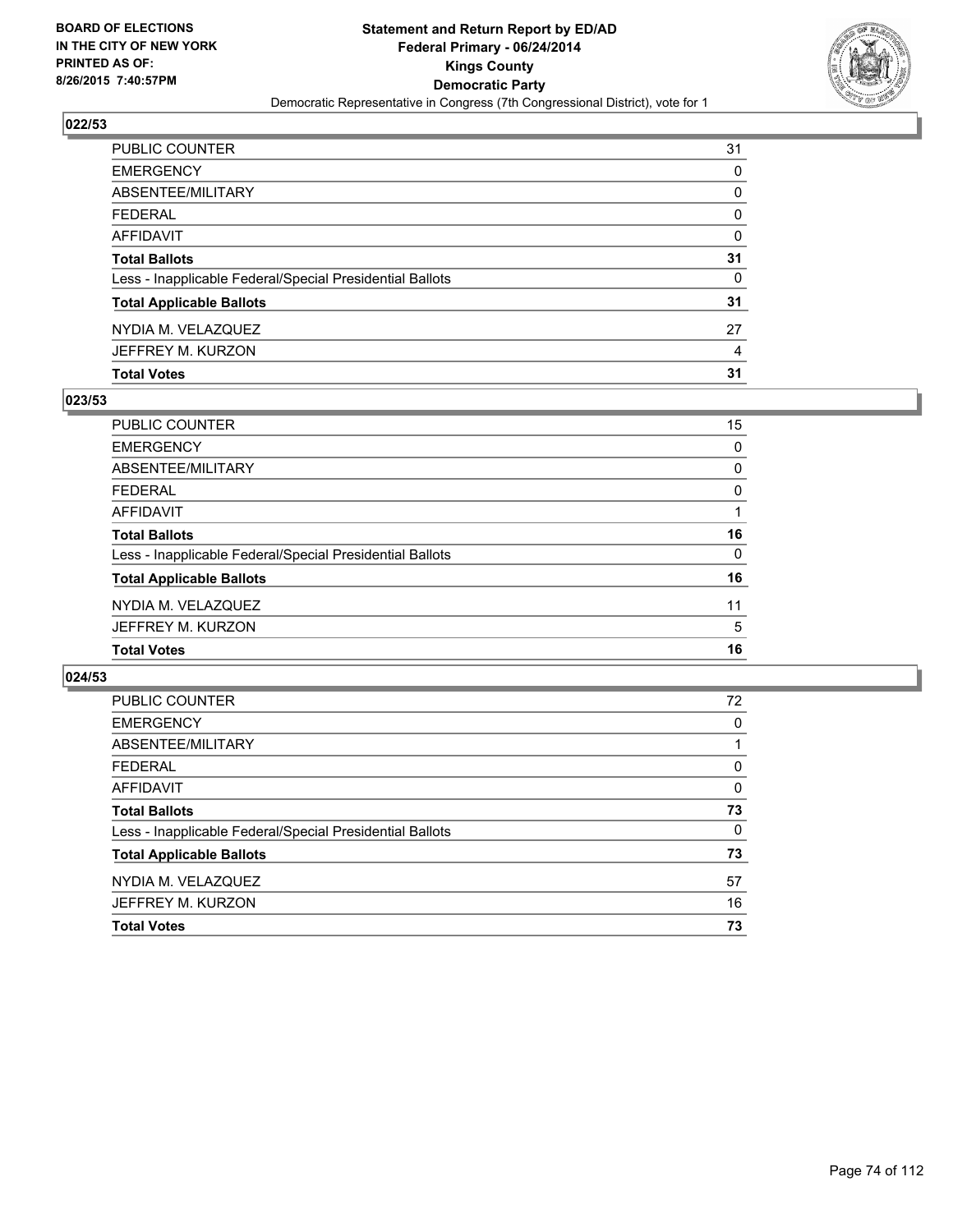

| PUBLIC COUNTER                                           | 31       |
|----------------------------------------------------------|----------|
| <b>EMERGENCY</b>                                         | 0        |
| <b>ABSENTEE/MILITARY</b>                                 | 0        |
| <b>FEDERAL</b>                                           | $\Omega$ |
| AFFIDAVIT                                                | $\Omega$ |
| <b>Total Ballots</b>                                     | 31       |
| Less - Inapplicable Federal/Special Presidential Ballots | 0        |
| <b>Total Applicable Ballots</b>                          | 31       |
| NYDIA M. VELAZQUEZ                                       | 27       |
| JEFFREY M. KURZON                                        | 4        |
| <b>Total Votes</b>                                       | 31       |

## **023/53**

| PUBLIC COUNTER                                           | 15       |
|----------------------------------------------------------|----------|
| <b>EMERGENCY</b>                                         | 0        |
| <b>ABSENTEE/MILITARY</b>                                 | 0        |
| <b>FEDERAL</b>                                           | 0        |
| <b>AFFIDAVIT</b>                                         |          |
| <b>Total Ballots</b>                                     | 16       |
| Less - Inapplicable Federal/Special Presidential Ballots | $\Omega$ |
| <b>Total Applicable Ballots</b>                          | 16       |
| NYDIA M. VELAZQUEZ                                       | 11       |
| JEFFREY M. KURZON                                        | 5        |
| <b>Total Votes</b>                                       | 16       |
|                                                          |          |

| PUBLIC COUNTER                                           | 72 |
|----------------------------------------------------------|----|
| <b>EMERGENCY</b>                                         | 0  |
| ABSENTEE/MILITARY                                        |    |
| <b>FEDERAL</b>                                           | 0  |
| AFFIDAVIT                                                | 0  |
| <b>Total Ballots</b>                                     | 73 |
| Less - Inapplicable Federal/Special Presidential Ballots | 0  |
| <b>Total Applicable Ballots</b>                          | 73 |
| NYDIA M. VELAZQUEZ                                       | 57 |
| JEFFREY M. KURZON                                        | 16 |
| <b>Total Votes</b>                                       | 73 |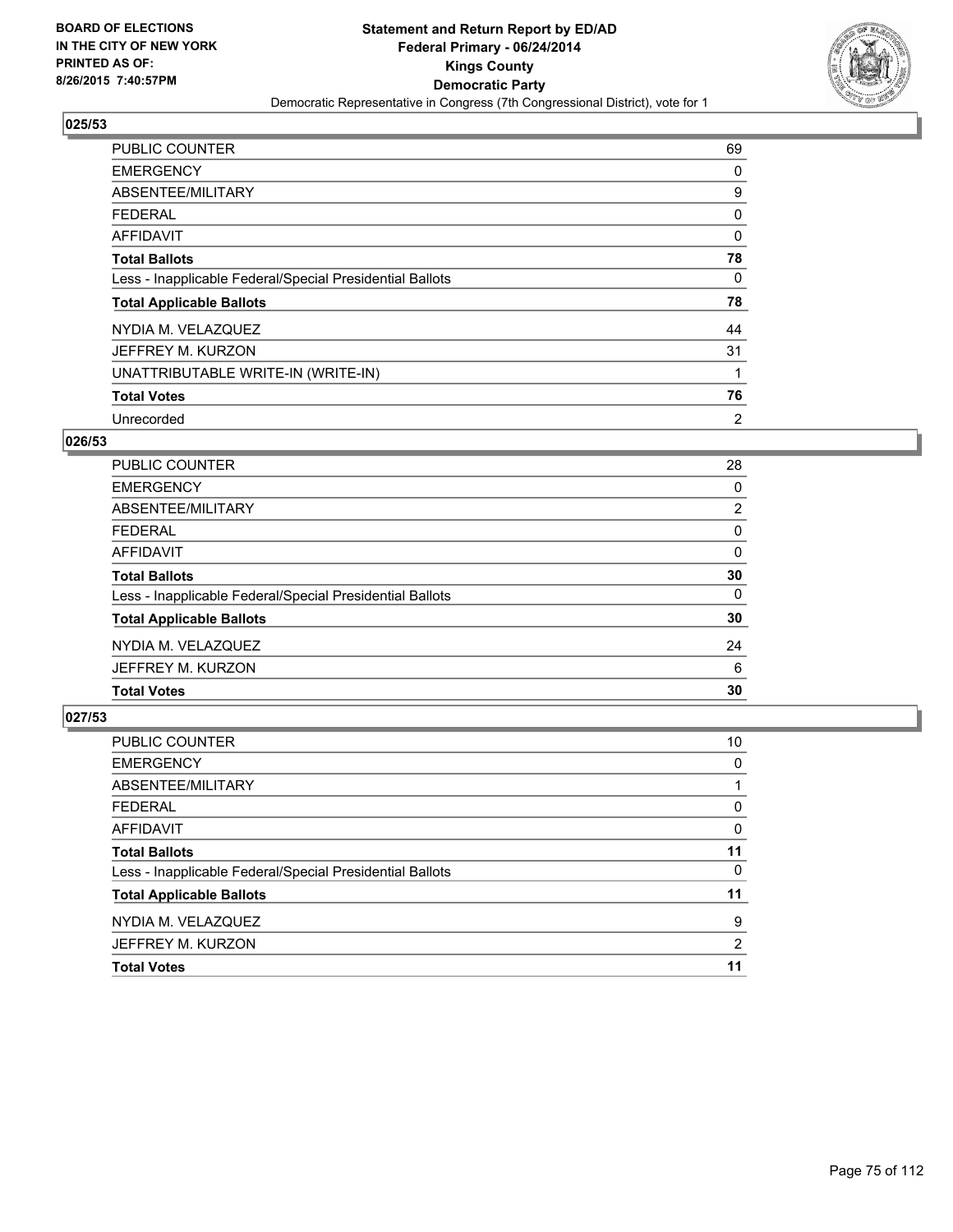

| <b>PUBLIC COUNTER</b>                                    | 69 |
|----------------------------------------------------------|----|
| <b>EMERGENCY</b>                                         | 0  |
| ABSENTEE/MILITARY                                        | 9  |
| <b>FEDERAL</b>                                           | 0  |
| <b>AFFIDAVIT</b>                                         | 0  |
| <b>Total Ballots</b>                                     | 78 |
| Less - Inapplicable Federal/Special Presidential Ballots | 0  |
| <b>Total Applicable Ballots</b>                          | 78 |
| NYDIA M. VELAZQUEZ                                       | 44 |
| JEFFREY M. KURZON                                        | 31 |
| UNATTRIBUTABLE WRITE-IN (WRITE-IN)                       |    |
| <b>Total Votes</b>                                       | 76 |
| Unrecorded                                               | 2  |

# **026/53**

| PUBLIC COUNTER                                           | 28             |
|----------------------------------------------------------|----------------|
| <b>EMERGENCY</b>                                         | 0              |
| ABSENTEE/MILITARY                                        | $\overline{2}$ |
| <b>FEDERAL</b>                                           | 0              |
| AFFIDAVIT                                                | 0              |
| <b>Total Ballots</b>                                     | 30             |
| Less - Inapplicable Federal/Special Presidential Ballots | $\Omega$       |
| <b>Total Applicable Ballots</b>                          | 30             |
| NYDIA M. VELAZQUEZ                                       | 24             |
| JEFFREY M. KURZON                                        | 6              |
| <b>Total Votes</b>                                       | 30             |

| PUBLIC COUNTER                                           | 10       |
|----------------------------------------------------------|----------|
| <b>EMERGENCY</b>                                         | 0        |
| ABSENTEE/MILITARY                                        |          |
| <b>FEDERAL</b>                                           | $\Omega$ |
| <b>AFFIDAVIT</b>                                         | 0        |
| <b>Total Ballots</b>                                     | 11       |
| Less - Inapplicable Federal/Special Presidential Ballots | $\Omega$ |
| <b>Total Applicable Ballots</b>                          | 11       |
| NYDIA M. VELAZQUEZ                                       | 9        |
| JEFFREY M. KURZON                                        | 2        |
| <b>Total Votes</b>                                       | 11       |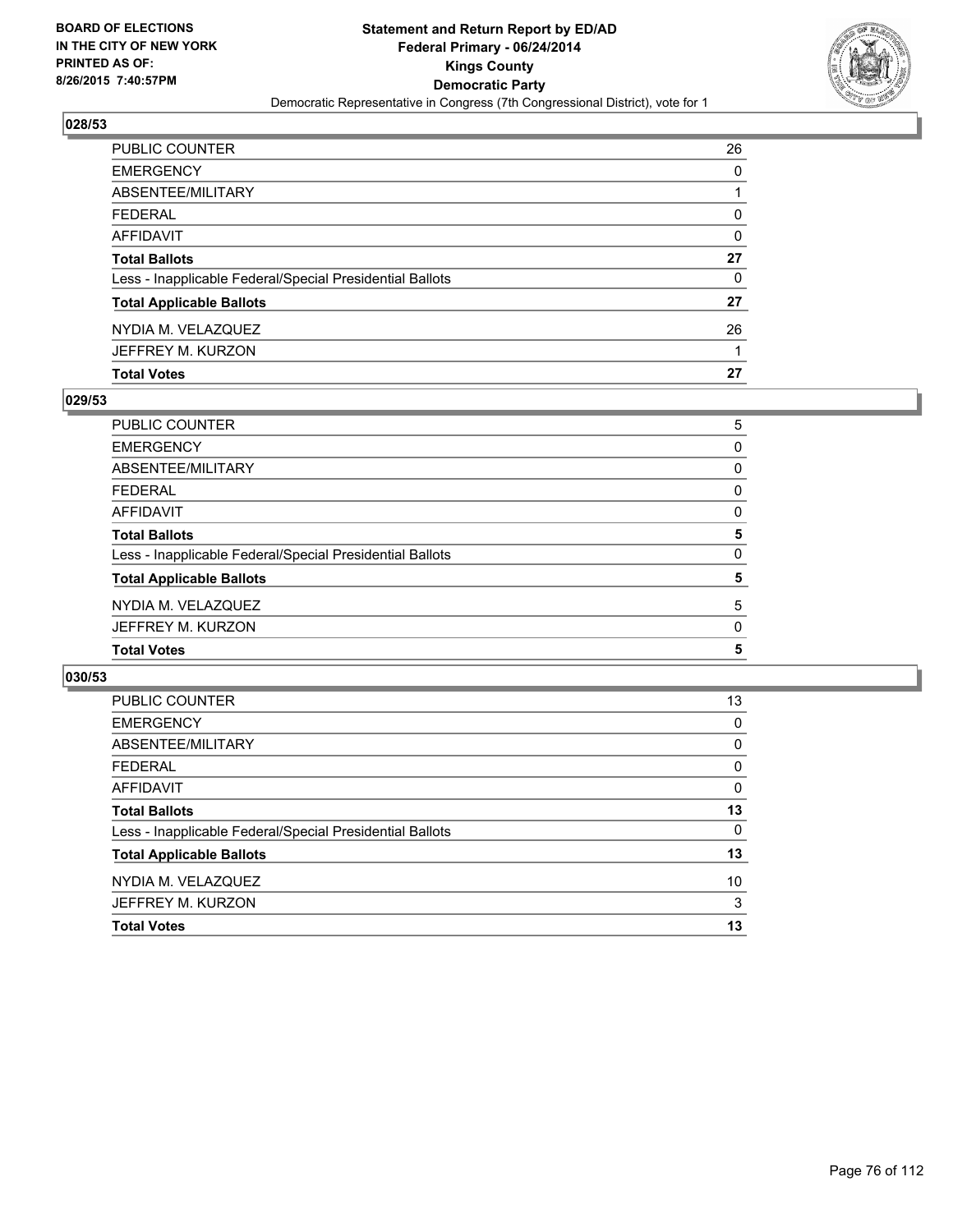

| <b>Total Votes</b>                                       | 27 |
|----------------------------------------------------------|----|
| JEFFREY M. KURZON                                        |    |
| NYDIA M. VELAZQUEZ                                       | 26 |
| <b>Total Applicable Ballots</b>                          | 27 |
| Less - Inapplicable Federal/Special Presidential Ballots | 0  |
| <b>Total Ballots</b>                                     | 27 |
| <b>AFFIDAVIT</b>                                         | 0  |
| <b>FEDERAL</b>                                           | 0  |
| ABSENTEE/MILITARY                                        |    |
| <b>EMERGENCY</b>                                         | 0  |
| PUBLIC COUNTER                                           | 26 |

## **029/53**

| PUBLIC COUNTER                                           | 5 |
|----------------------------------------------------------|---|
| <b>EMERGENCY</b>                                         | 0 |
| ABSENTEE/MILITARY                                        | 0 |
| <b>FEDERAL</b>                                           | 0 |
| <b>AFFIDAVIT</b>                                         | 0 |
| <b>Total Ballots</b>                                     | 5 |
| Less - Inapplicable Federal/Special Presidential Ballots | 0 |
| <b>Total Applicable Ballots</b>                          | 5 |
| NYDIA M. VELAZQUEZ                                       | 5 |
| JEFFREY M. KURZON                                        | 0 |
| <b>Total Votes</b>                                       | 5 |
|                                                          |   |

| PUBLIC COUNTER                                           | 13       |
|----------------------------------------------------------|----------|
| <b>EMERGENCY</b>                                         | 0        |
| ABSENTEE/MILITARY                                        | 0        |
| <b>FEDERAL</b>                                           | 0        |
| AFFIDAVIT                                                | 0        |
| <b>Total Ballots</b>                                     | 13       |
| Less - Inapplicable Federal/Special Presidential Ballots | $\Omega$ |
| <b>Total Applicable Ballots</b>                          | 13       |
| NYDIA M. VELAZQUEZ                                       | 10       |
| JEFFREY M. KURZON                                        | 3        |
| <b>Total Votes</b>                                       | 13       |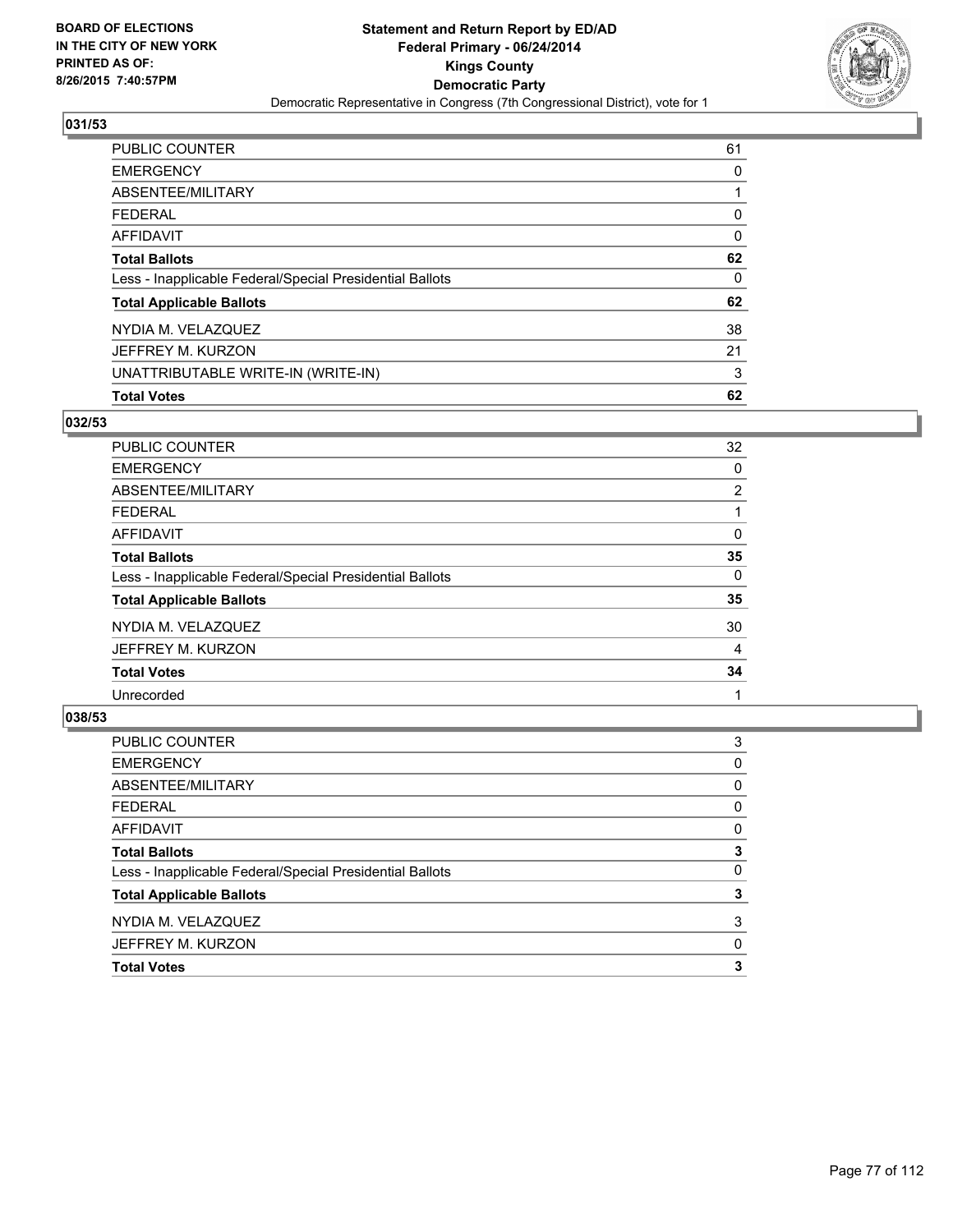

| PUBLIC COUNTER                                           | 61 |
|----------------------------------------------------------|----|
| <b>EMERGENCY</b>                                         | 0  |
| ABSENTEE/MILITARY                                        |    |
| FEDERAL                                                  | 0  |
| AFFIDAVIT                                                | 0  |
| <b>Total Ballots</b>                                     | 62 |
| Less - Inapplicable Federal/Special Presidential Ballots | 0  |
| <b>Total Applicable Ballots</b>                          | 62 |
| NYDIA M. VELAZQUEZ                                       | 38 |
| JEFFREY M. KURZON                                        | 21 |
| UNATTRIBUTABLE WRITE-IN (WRITE-IN)                       | 3  |
| <b>Total Votes</b>                                       | 62 |

## **032/53**

| PUBLIC COUNTER                                           | 32             |
|----------------------------------------------------------|----------------|
| <b>EMERGENCY</b>                                         | 0              |
| ABSENTEE/MILITARY                                        | $\overline{2}$ |
| <b>FEDERAL</b>                                           |                |
| AFFIDAVIT                                                | 0              |
| <b>Total Ballots</b>                                     | 35             |
| Less - Inapplicable Federal/Special Presidential Ballots | 0              |
| <b>Total Applicable Ballots</b>                          | 35             |
| NYDIA M. VELAZQUEZ                                       | 30             |
| JEFFREY M. KURZON                                        | 4              |
| <b>Total Votes</b>                                       | 34             |
| Unrecorded                                               |                |

| <b>Total Votes</b>                                       | 3 |
|----------------------------------------------------------|---|
| JEFFREY M. KURZON                                        | 0 |
| NYDIA M. VELAZQUEZ                                       | 3 |
| <b>Total Applicable Ballots</b>                          | 3 |
| Less - Inapplicable Federal/Special Presidential Ballots | 0 |
| <b>Total Ballots</b>                                     | 3 |
| <b>AFFIDAVIT</b>                                         | 0 |
| <b>FEDERAL</b>                                           | 0 |
| ABSENTEE/MILITARY                                        | 0 |
| <b>EMERGENCY</b>                                         | 0 |
| <b>PUBLIC COUNTER</b>                                    | 3 |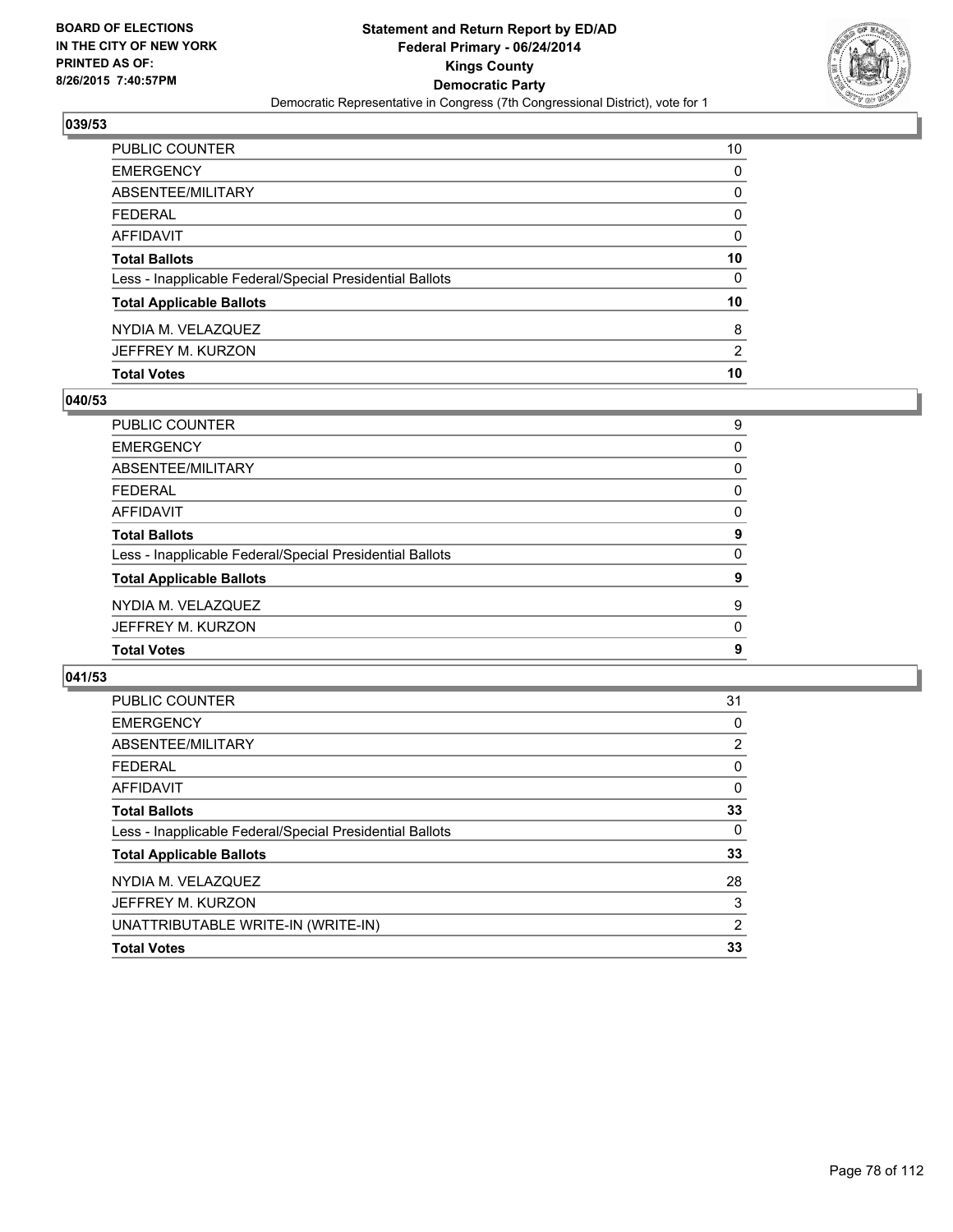

| <b>Total Votes</b>                                       | 10             |
|----------------------------------------------------------|----------------|
| JEFFREY M. KURZON                                        | $\overline{2}$ |
| NYDIA M. VELAZQUEZ                                       | 8              |
| <b>Total Applicable Ballots</b>                          | 10             |
| Less - Inapplicable Federal/Special Presidential Ballots | 0              |
| <b>Total Ballots</b>                                     | 10             |
| AFFIDAVIT                                                | 0              |
| <b>FEDERAL</b>                                           | 0              |
| ABSENTEE/MILITARY                                        | 0              |
| <b>EMERGENCY</b>                                         | 0              |
| PUBLIC COUNTER                                           | 10             |

## **040/53**

| PUBLIC COUNTER                                           | 9        |
|----------------------------------------------------------|----------|
| <b>EMERGENCY</b>                                         | 0        |
| <b>ABSENTEE/MILITARY</b>                                 | 0        |
| <b>FEDERAL</b>                                           | 0        |
| AFFIDAVIT                                                | $\Omega$ |
| <b>Total Ballots</b>                                     | 9        |
| Less - Inapplicable Federal/Special Presidential Ballots | 0        |
| <b>Total Applicable Ballots</b>                          | 9        |
| NYDIA M. VELAZQUEZ                                       | 9        |
| JEFFREY M. KURZON                                        | 0        |
| <b>Total Votes</b>                                       | 9        |
|                                                          |          |

| <b>PUBLIC COUNTER</b>                                    | 31             |
|----------------------------------------------------------|----------------|
| <b>EMERGENCY</b>                                         | 0              |
| ABSENTEE/MILITARY                                        | 2              |
| FEDERAL                                                  | 0              |
| AFFIDAVIT                                                | 0              |
| <b>Total Ballots</b>                                     | 33             |
| Less - Inapplicable Federal/Special Presidential Ballots | 0              |
| <b>Total Applicable Ballots</b>                          | 33             |
| NYDIA M. VELAZQUEZ                                       | 28             |
| JEFFREY M. KURZON                                        | 3              |
| UNATTRIBUTABLE WRITE-IN (WRITE-IN)                       | $\overline{2}$ |
| <b>Total Votes</b>                                       | 33             |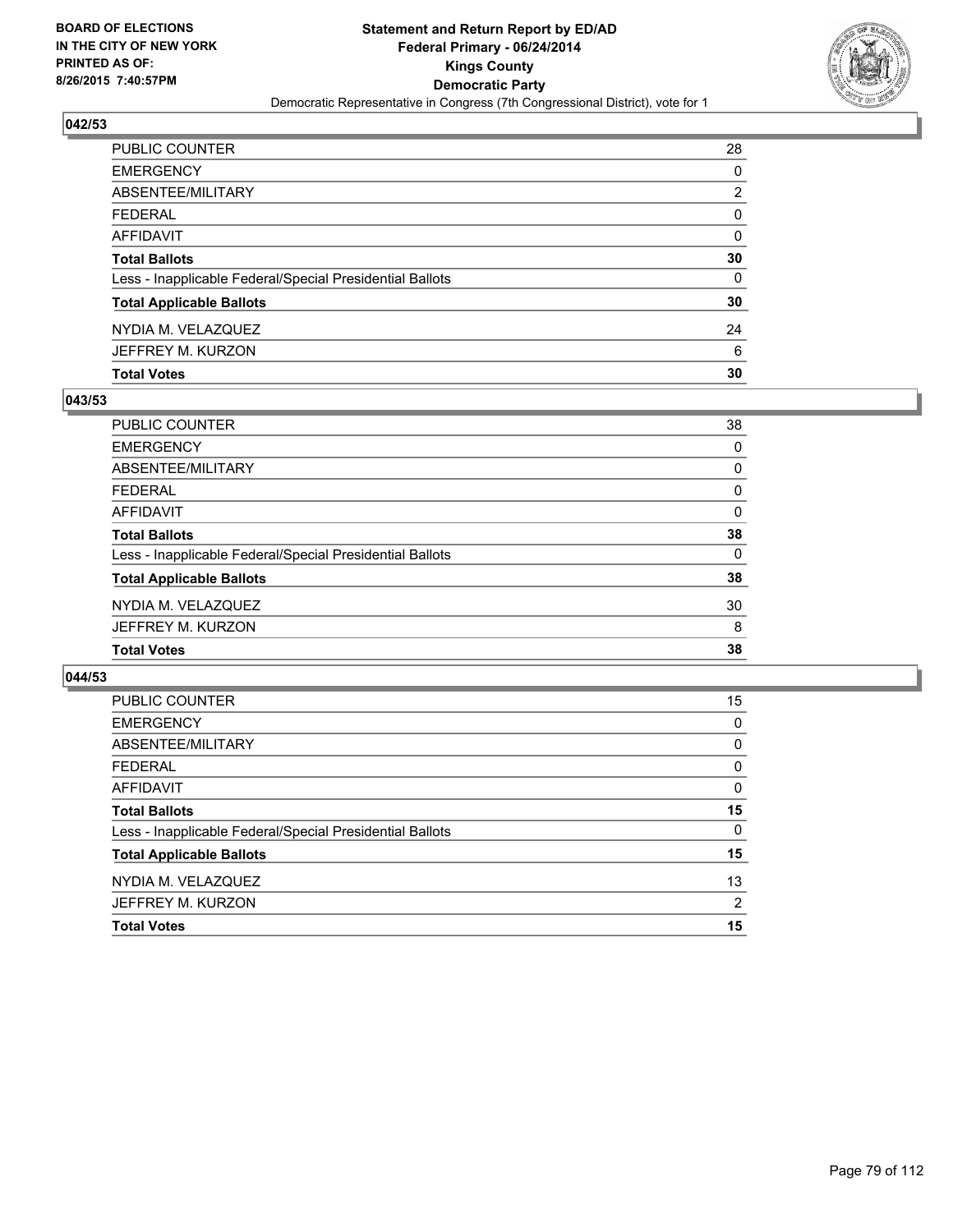

| PUBLIC COUNTER                                           | 28           |
|----------------------------------------------------------|--------------|
| <b>EMERGENCY</b>                                         | 0            |
| ABSENTEE/MILITARY                                        | 2            |
| <b>FEDERAL</b>                                           | $\mathbf{0}$ |
| AFFIDAVIT                                                | $\Omega$     |
| <b>Total Ballots</b>                                     | 30           |
| Less - Inapplicable Federal/Special Presidential Ballots | 0            |
| <b>Total Applicable Ballots</b>                          | 30           |
| NYDIA M. VELAZQUEZ                                       | 24           |
| JEFFREY M. KURZON                                        | 6            |
| <b>Total Votes</b>                                       | 30           |

## **043/53**

| 38       |
|----------|
| 0        |
| 0        |
| 0        |
| $\Omega$ |
| 38       |
| 0        |
| 38       |
| 30       |
| 8        |
| 38       |
|          |

| PUBLIC COUNTER                                           | 15       |
|----------------------------------------------------------|----------|
| <b>EMERGENCY</b>                                         | 0        |
| ABSENTEE/MILITARY                                        | $\Omega$ |
| <b>FEDERAL</b>                                           | 0        |
| AFFIDAVIT                                                | 0        |
| <b>Total Ballots</b>                                     | 15       |
| Less - Inapplicable Federal/Special Presidential Ballots | $\Omega$ |
| <b>Total Applicable Ballots</b>                          | 15       |
| NYDIA M. VELAZQUEZ                                       | 13       |
| JEFFREY M. KURZON                                        | 2        |
| <b>Total Votes</b>                                       | 15       |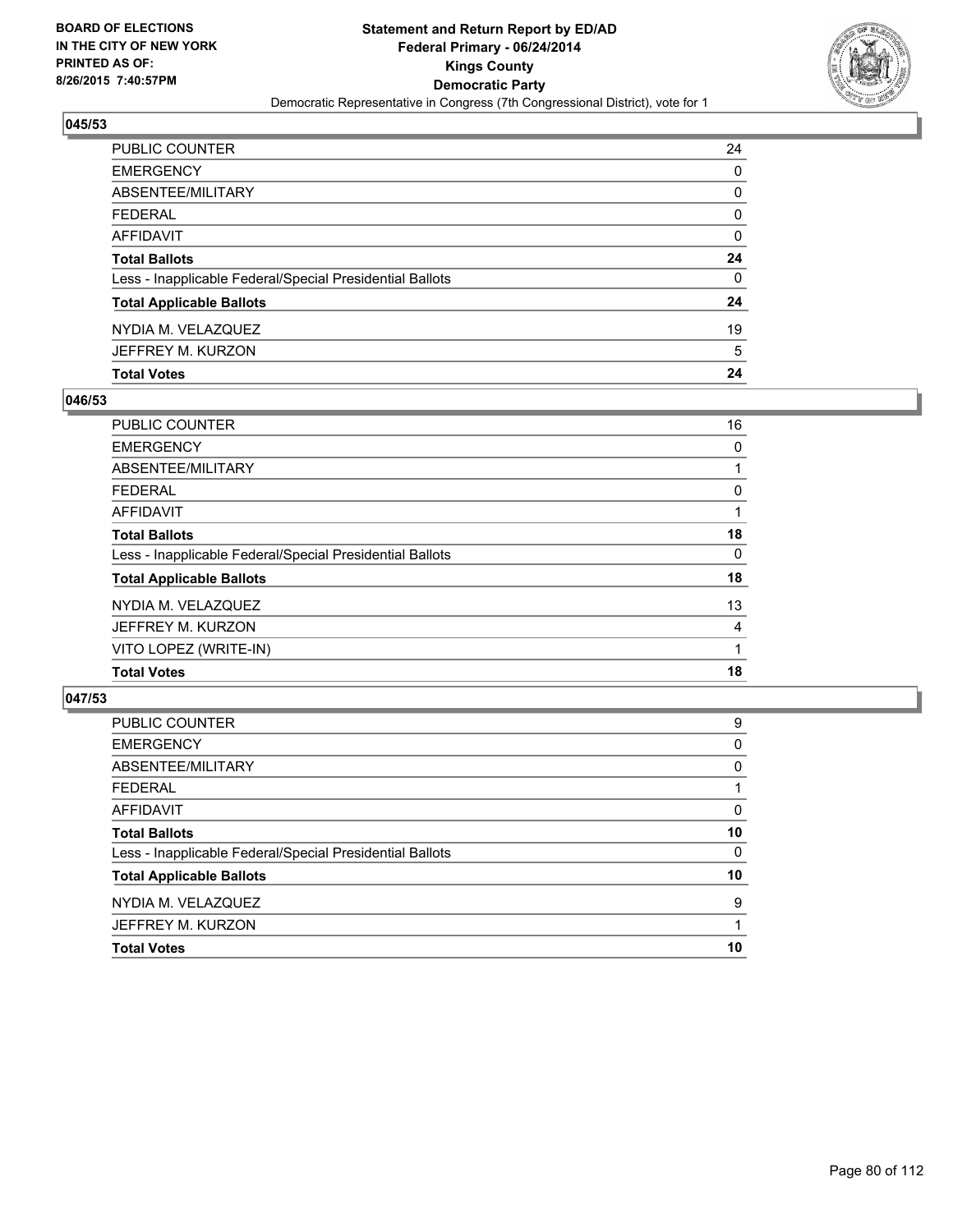

| PUBLIC COUNTER                                           | 24           |
|----------------------------------------------------------|--------------|
| EMERGENCY                                                | 0            |
| ABSENTEE/MILITARY                                        | 0            |
| FEDERAL                                                  | 0            |
| AFFIDAVIT                                                | 0            |
| <b>Total Ballots</b>                                     | 24           |
| Less - Inapplicable Federal/Special Presidential Ballots | $\mathbf{0}$ |
| <b>Total Applicable Ballots</b>                          | 24           |
| NYDIA M. VELAZQUEZ                                       | 19           |
| JEFFREY M. KURZON                                        | 5            |
| <b>Total Votes</b>                                       | 24           |

## **046/53**

| <b>PUBLIC COUNTER</b>                                    | 16 |
|----------------------------------------------------------|----|
| <b>EMERGENCY</b>                                         | 0  |
| ABSENTEE/MILITARY                                        |    |
| <b>FEDERAL</b>                                           | 0  |
| <b>AFFIDAVIT</b>                                         |    |
| <b>Total Ballots</b>                                     | 18 |
| Less - Inapplicable Federal/Special Presidential Ballots | 0  |
| <b>Total Applicable Ballots</b>                          | 18 |
| NYDIA M. VELAZQUEZ                                       | 13 |
| JEFFREY M. KURZON                                        | 4  |
| VITO LOPEZ (WRITE-IN)                                    |    |
| <b>Total Votes</b>                                       | 18 |
|                                                          |    |

| <b>PUBLIC COUNTER</b>                                    | 9  |
|----------------------------------------------------------|----|
| <b>EMERGENCY</b>                                         | 0  |
| ABSENTEE/MILITARY                                        | 0  |
| <b>FEDERAL</b>                                           |    |
| <b>AFFIDAVIT</b>                                         | 0  |
| <b>Total Ballots</b>                                     | 10 |
| Less - Inapplicable Federal/Special Presidential Ballots | 0  |
| <b>Total Applicable Ballots</b>                          | 10 |
| NYDIA M. VELAZQUEZ                                       | 9  |
| JEFFREY M. KURZON                                        |    |
| <b>Total Votes</b>                                       | 10 |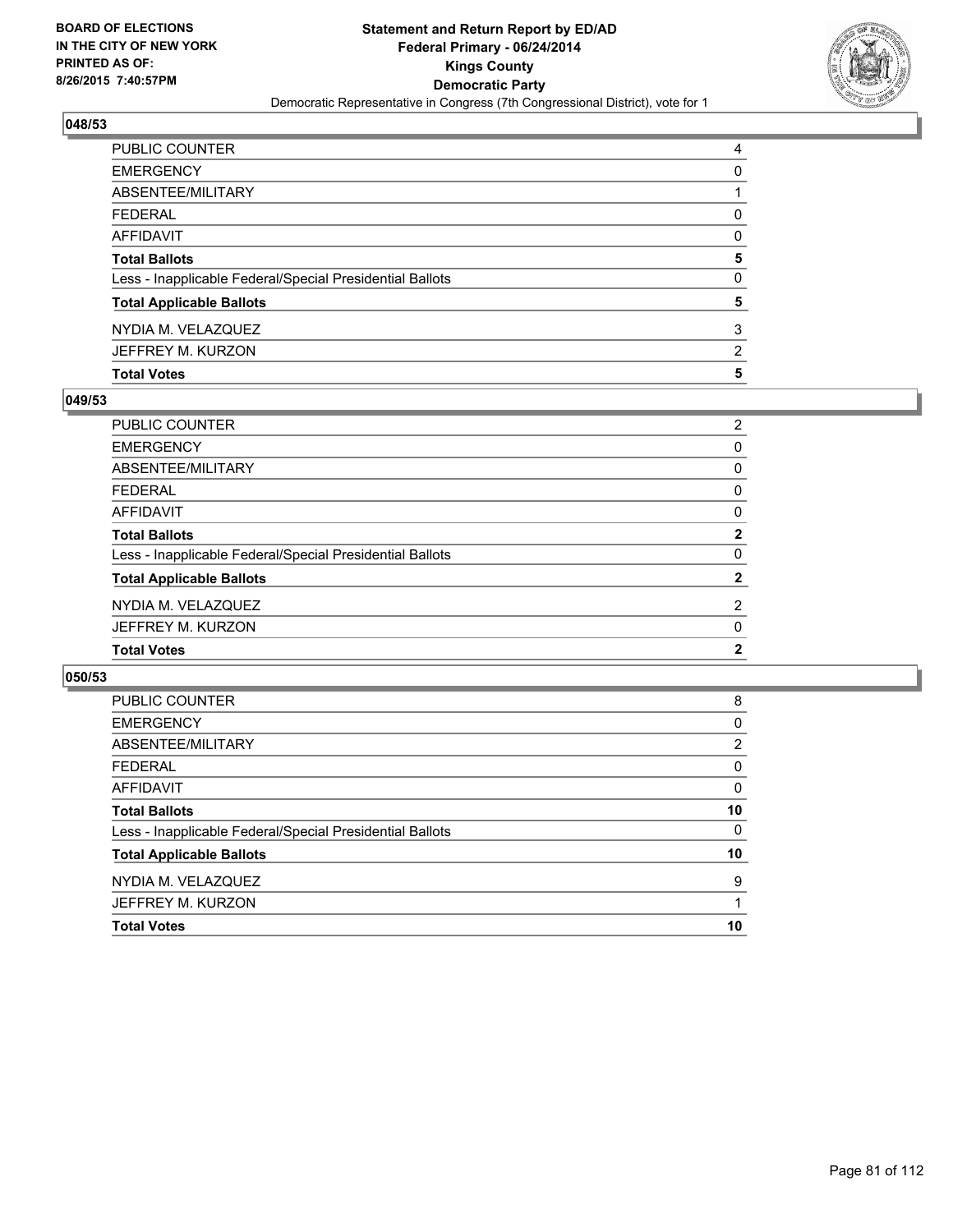

| <b>Total Votes</b>                                       | 5              |
|----------------------------------------------------------|----------------|
| JEFFREY M. KURZON                                        | $\overline{2}$ |
| NYDIA M. VELAZQUEZ                                       | 3              |
| <b>Total Applicable Ballots</b>                          | 5              |
| Less - Inapplicable Federal/Special Presidential Ballots | 0              |
| <b>Total Ballots</b>                                     | 5              |
| AFFIDAVIT                                                | 0              |
| <b>FEDERAL</b>                                           | 0              |
| ABSENTEE/MILITARY                                        |                |
| <b>EMERGENCY</b>                                         | 0              |
| PUBLIC COUNTER                                           | 4              |

## **049/53**

| PUBLIC COUNTER                                           | 2              |
|----------------------------------------------------------|----------------|
| <b>EMERGENCY</b>                                         | 0              |
| ABSENTEE/MILITARY                                        | 0              |
| <b>FEDERAL</b>                                           | 0              |
| AFFIDAVIT                                                | $\Omega$       |
| <b>Total Ballots</b>                                     | $\mathbf{2}$   |
| Less - Inapplicable Federal/Special Presidential Ballots | 0              |
| <b>Total Applicable Ballots</b>                          | $\mathbf{2}$   |
| NYDIA M. VELAZQUEZ                                       | $\overline{2}$ |
| JEFFREY M. KURZON                                        | 0              |
| <b>Total Votes</b>                                       | $\mathbf{2}$   |
|                                                          |                |

| 8              |
|----------------|
| 0              |
| $\overline{2}$ |
| 0              |
| 0              |
| 10             |
| $\Omega$       |
| 10             |
| 9              |
|                |
| 10             |
|                |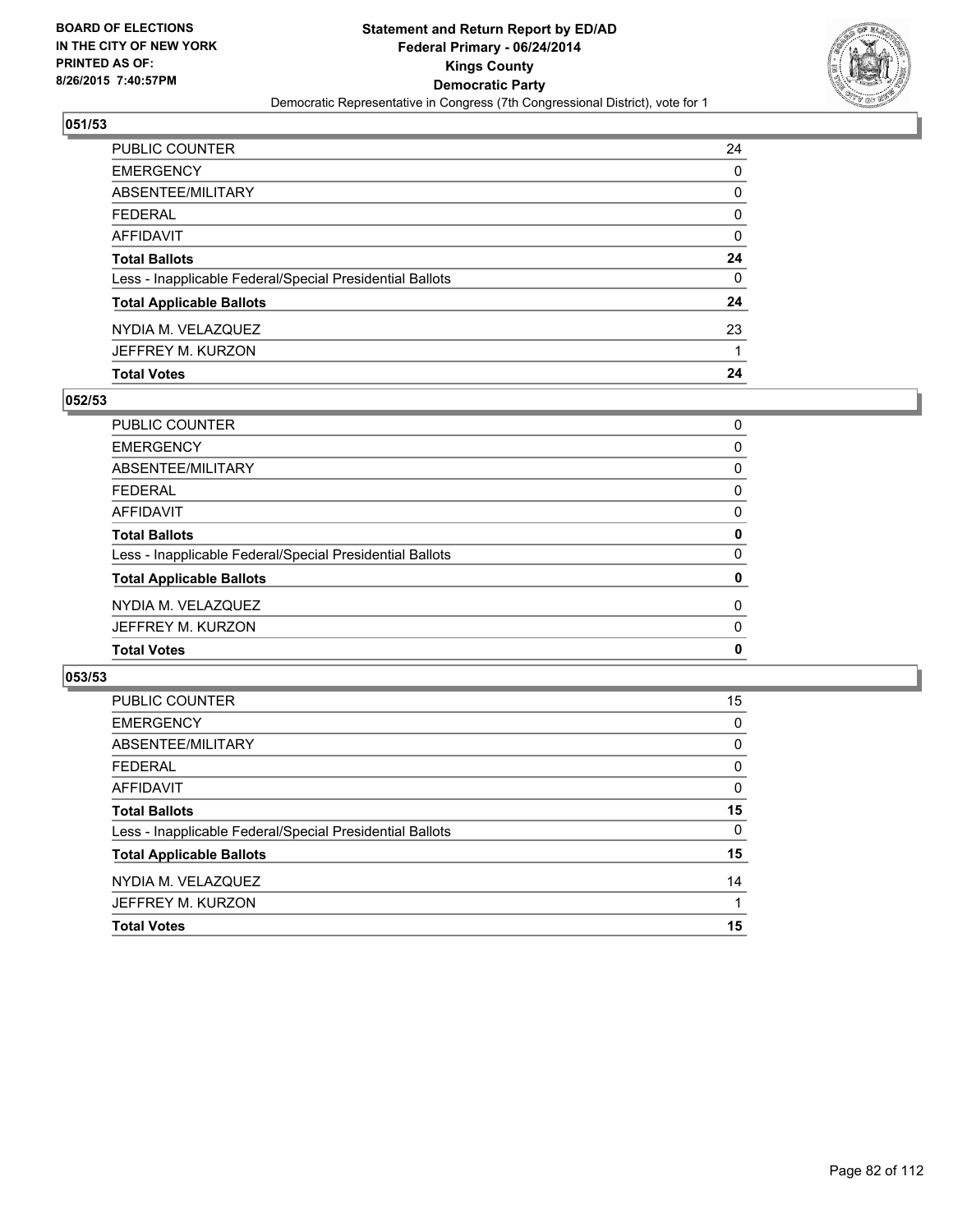

| PUBLIC COUNTER                                           | 24 |
|----------------------------------------------------------|----|
| <b>EMERGENCY</b>                                         | 0  |
| ABSENTEE/MILITARY                                        | 0  |
| <b>FEDERAL</b>                                           | 0  |
| AFFIDAVIT                                                | 0  |
| <b>Total Ballots</b>                                     | 24 |
| Less - Inapplicable Federal/Special Presidential Ballots | 0  |
| <b>Total Applicable Ballots</b>                          | 24 |
| NYDIA M. VELAZQUEZ                                       | 23 |
| JEFFREY M. KURZON                                        |    |
| <b>Total Votes</b>                                       | 24 |

## **052/53**

| PUBLIC COUNTER                                           | 0 |
|----------------------------------------------------------|---|
| <b>EMERGENCY</b>                                         | 0 |
| ABSENTEE/MILITARY                                        | 0 |
| <b>FEDERAL</b>                                           | 0 |
| <b>AFFIDAVIT</b>                                         | 0 |
| <b>Total Ballots</b>                                     | 0 |
| Less - Inapplicable Federal/Special Presidential Ballots | 0 |
| <b>Total Applicable Ballots</b>                          | 0 |
| NYDIA M. VELAZQUEZ                                       | 0 |
| JEFFREY M. KURZON                                        | 0 |
| <b>Total Votes</b>                                       | 0 |
|                                                          |   |

| PUBLIC COUNTER                                           | 15       |
|----------------------------------------------------------|----------|
| <b>EMERGENCY</b>                                         | 0        |
| ABSENTEE/MILITARY                                        | 0        |
| <b>FEDERAL</b>                                           | 0        |
| AFFIDAVIT                                                | 0        |
| <b>Total Ballots</b>                                     | 15       |
| Less - Inapplicable Federal/Special Presidential Ballots | $\Omega$ |
| <b>Total Applicable Ballots</b>                          | 15       |
| NYDIA M. VELAZQUEZ                                       | 14       |
| JEFFREY M. KURZON                                        |          |
| <b>Total Votes</b>                                       | 15       |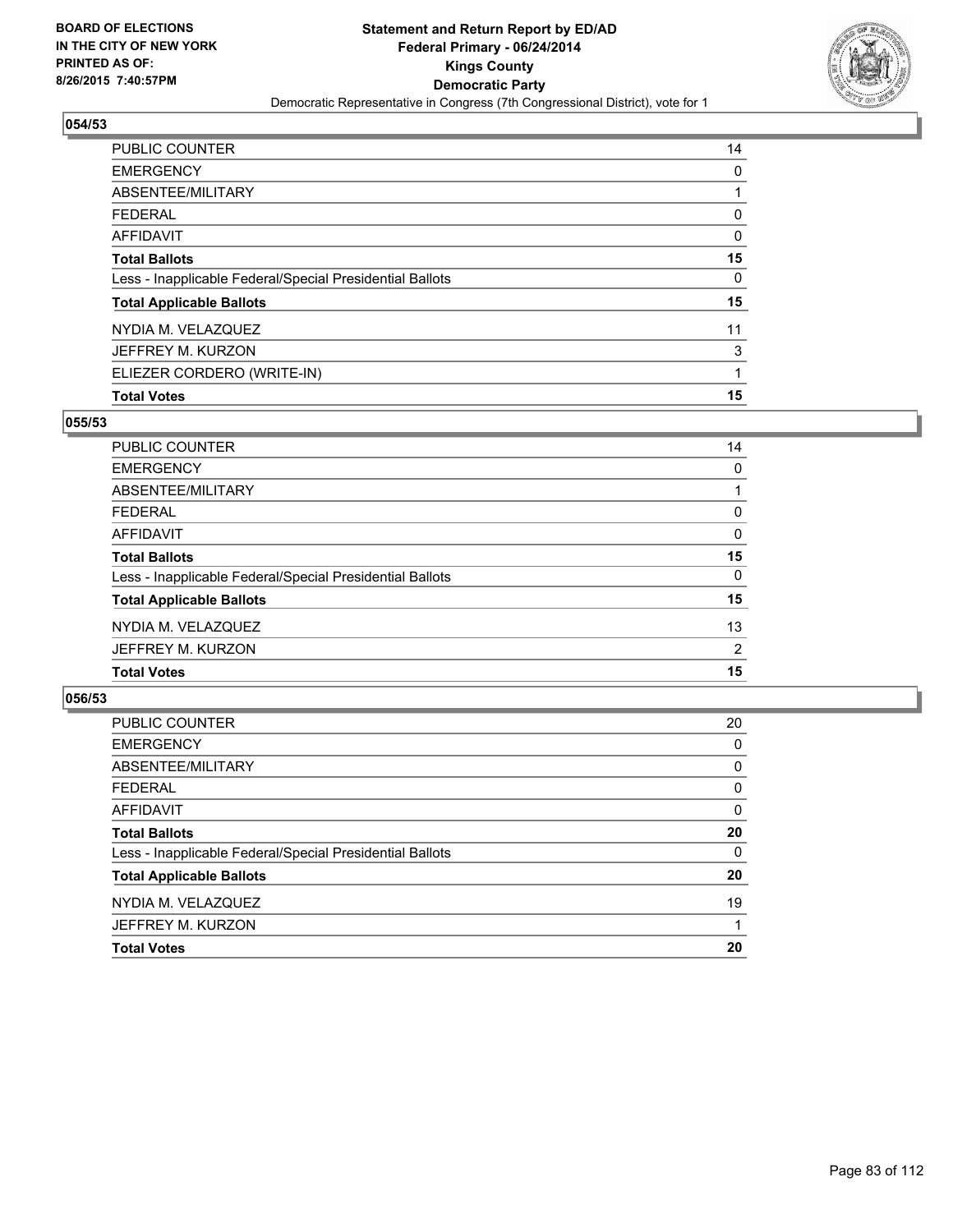

| PUBLIC COUNTER                                           | 14 |
|----------------------------------------------------------|----|
| <b>EMERGENCY</b>                                         | 0  |
| ABSENTEE/MILITARY                                        |    |
| FEDERAL                                                  | 0  |
| AFFIDAVIT                                                | 0  |
| <b>Total Ballots</b>                                     | 15 |
| Less - Inapplicable Federal/Special Presidential Ballots | 0  |
| <b>Total Applicable Ballots</b>                          | 15 |
| NYDIA M. VELAZQUEZ                                       | 11 |
| JEFFREY M. KURZON                                        | 3  |
| ELIEZER CORDERO (WRITE-IN)                               | 1  |
| <b>Total Votes</b>                                       | 15 |

## **055/53**

| PUBLIC COUNTER                                           | 14       |
|----------------------------------------------------------|----------|
| <b>EMERGENCY</b>                                         | 0        |
| ABSENTEE/MILITARY                                        |          |
| <b>FEDERAL</b>                                           | 0        |
| <b>AFFIDAVIT</b>                                         | 0        |
| <b>Total Ballots</b>                                     | 15       |
| Less - Inapplicable Federal/Special Presidential Ballots | $\Omega$ |
| <b>Total Applicable Ballots</b>                          | 15       |
| NYDIA M. VELAZQUEZ                                       | 13       |
| JEFFREY M. KURZON                                        | 2        |
| <b>Total Votes</b>                                       | 15       |
|                                                          |          |

| <b>PUBLIC COUNTER</b>                                    | 20       |
|----------------------------------------------------------|----------|
| <b>EMERGENCY</b>                                         | 0        |
| ABSENTEE/MILITARY                                        | $\Omega$ |
| <b>FEDERAL</b>                                           | 0        |
| <b>AFFIDAVIT</b>                                         | $\Omega$ |
| <b>Total Ballots</b>                                     | 20       |
| Less - Inapplicable Federal/Special Presidential Ballots | 0        |
| <b>Total Applicable Ballots</b>                          | 20       |
| NYDIA M. VELAZQUEZ                                       | 19       |
| JEFFREY M. KURZON                                        |          |
| <b>Total Votes</b>                                       | 20       |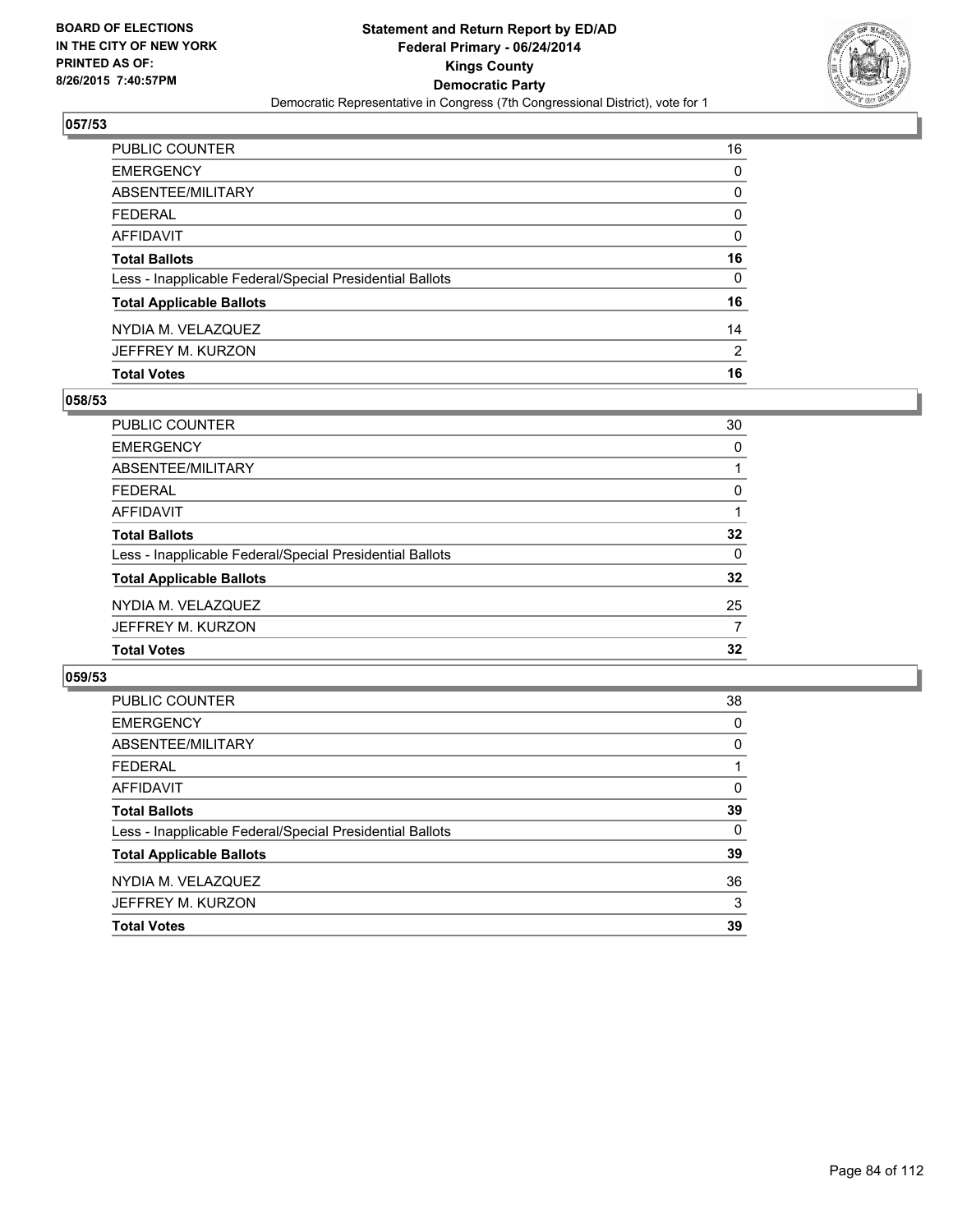

| <b>Total Votes</b>                                       | 16           |
|----------------------------------------------------------|--------------|
| JEFFREY M. KURZON                                        | 2            |
| NYDIA M. VELAZQUEZ                                       | 14           |
| <b>Total Applicable Ballots</b>                          | 16           |
| Less - Inapplicable Federal/Special Presidential Ballots | $\mathbf{0}$ |
| <b>Total Ballots</b>                                     | 16           |
| AFFIDAVIT                                                | 0            |
| <b>FEDERAL</b>                                           | $\mathbf{0}$ |
| ABSENTEE/MILITARY                                        | 0            |
| <b>EMERGENCY</b>                                         | 0            |
| PUBLIC COUNTER                                           | 16           |

## **058/53**

| <b>PUBLIC COUNTER</b>                                    | 30              |
|----------------------------------------------------------|-----------------|
| <b>EMERGENCY</b>                                         | 0               |
| <b>ABSENTEE/MILITARY</b>                                 |                 |
| <b>FEDERAL</b>                                           | 0               |
| <b>AFFIDAVIT</b>                                         |                 |
| <b>Total Ballots</b>                                     | $32\phantom{a}$ |
| Less - Inapplicable Federal/Special Presidential Ballots | $\Omega$        |
| <b>Total Applicable Ballots</b>                          | $32\phantom{a}$ |
| NYDIA M. VELAZQUEZ                                       | 25              |
| JEFFREY M. KURZON                                        | 7               |
| <b>Total Votes</b>                                       | 32              |
|                                                          |                 |

| PUBLIC COUNTER                                           | 38       |
|----------------------------------------------------------|----------|
| <b>EMERGENCY</b>                                         | 0        |
| ABSENTEE/MILITARY                                        | 0        |
| <b>FEDERAL</b>                                           |          |
| AFFIDAVIT                                                | 0        |
| <b>Total Ballots</b>                                     | 39       |
| Less - Inapplicable Federal/Special Presidential Ballots | $\Omega$ |
| <b>Total Applicable Ballots</b>                          | 39       |
| NYDIA M. VELAZQUEZ                                       | 36       |
| JEFFREY M. KURZON                                        | 3        |
| <b>Total Votes</b>                                       | 39       |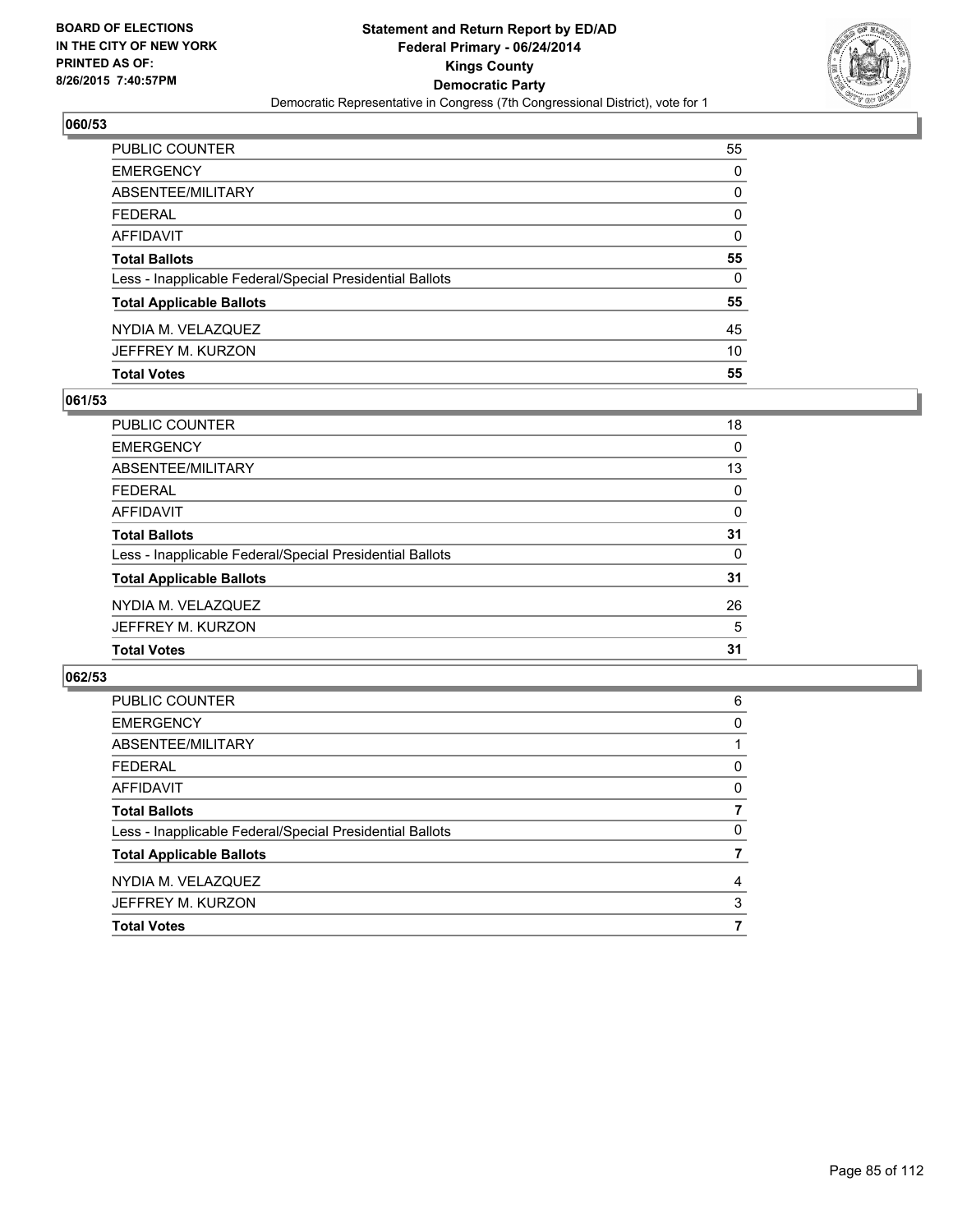

| PUBLIC COUNTER                                           | 55           |
|----------------------------------------------------------|--------------|
| <b>EMERGENCY</b>                                         | 0            |
| ABSENTEE/MILITARY                                        | 0            |
| <b>FEDERAL</b>                                           | $\mathbf{0}$ |
| AFFIDAVIT                                                | $\Omega$     |
| <b>Total Ballots</b>                                     | 55           |
| Less - Inapplicable Federal/Special Presidential Ballots | 0            |
| <b>Total Applicable Ballots</b>                          | 55           |
| NYDIA M. VELAZQUEZ                                       | 45           |
| JEFFREY M. KURZON                                        | 10           |
| <b>Total Votes</b>                                       | 55           |

## **061/53**

| <b>PUBLIC COUNTER</b>                                    | 18 |
|----------------------------------------------------------|----|
| <b>EMERGENCY</b>                                         | 0  |
| ABSENTEE/MILITARY                                        | 13 |
| <b>FEDERAL</b>                                           | 0  |
| <b>AFFIDAVIT</b>                                         | 0  |
| <b>Total Ballots</b>                                     | 31 |
| Less - Inapplicable Federal/Special Presidential Ballots | 0  |
| <b>Total Applicable Ballots</b>                          | 31 |
| NYDIA M. VELAZQUEZ                                       | 26 |
| JEFFREY M. KURZON                                        | 5  |
| <b>Total Votes</b>                                       | 31 |
|                                                          |    |

| 6 |
|---|
| 0 |
|   |
| 0 |
| 0 |
|   |
| 0 |
|   |
| 4 |
| 3 |
|   |
|   |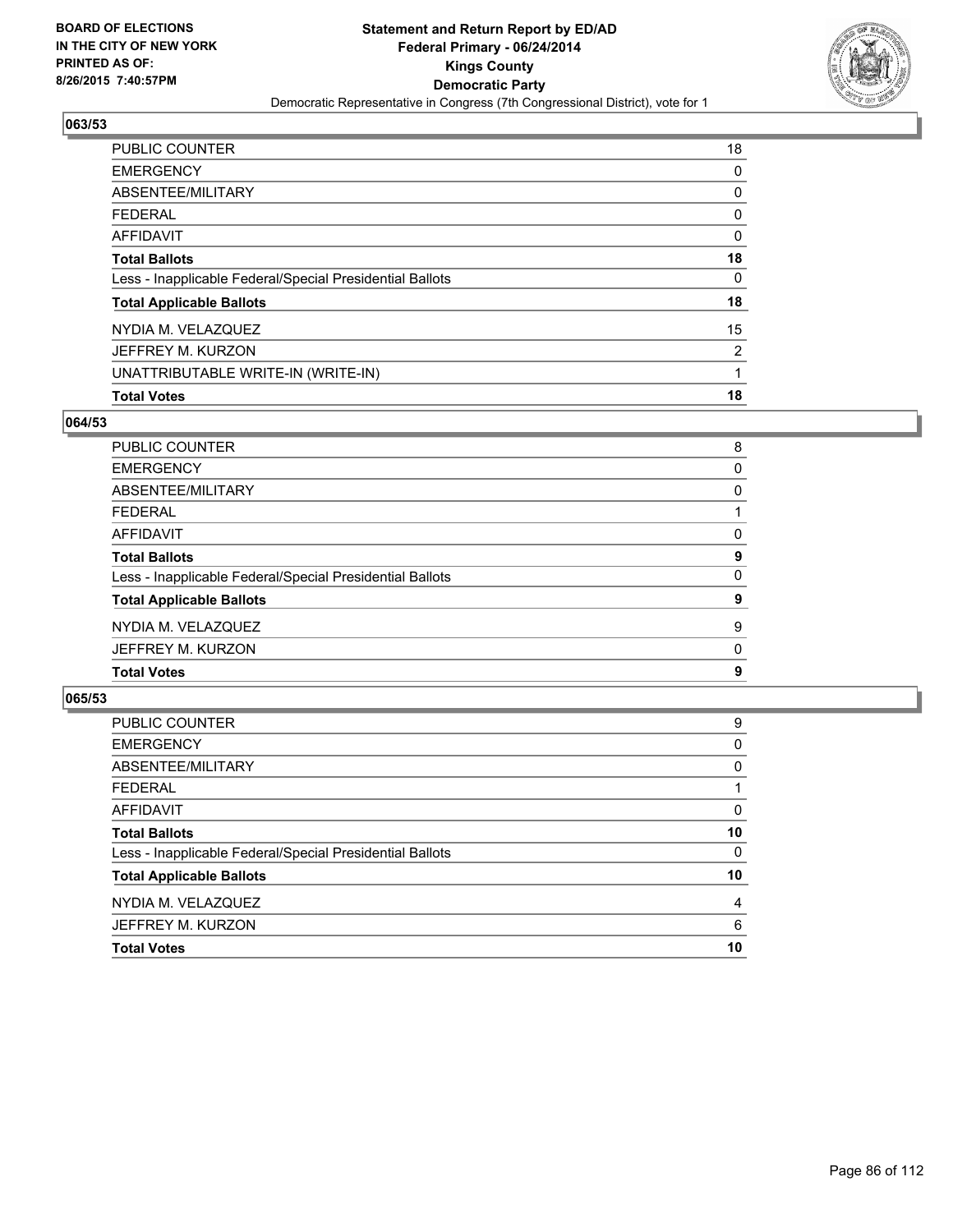

| <b>PUBLIC COUNTER</b>                                    | 18 |
|----------------------------------------------------------|----|
| <b>EMERGENCY</b>                                         | 0  |
| ABSENTEE/MILITARY                                        | 0  |
| FEDERAL                                                  | 0  |
| AFFIDAVIT                                                | 0  |
| <b>Total Ballots</b>                                     | 18 |
| Less - Inapplicable Federal/Special Presidential Ballots | 0  |
| <b>Total Applicable Ballots</b>                          | 18 |
| NYDIA M. VELAZQUEZ                                       | 15 |
| JEFFREY M. KURZON                                        | 2  |
| UNATTRIBUTABLE WRITE-IN (WRITE-IN)                       | 1  |
| <b>Total Votes</b>                                       | 18 |

## **064/53**

| PUBLIC COUNTER                                           | 8 |
|----------------------------------------------------------|---|
| <b>EMERGENCY</b>                                         | 0 |
| ABSENTEE/MILITARY                                        | 0 |
| <b>FEDERAL</b>                                           |   |
| <b>AFFIDAVIT</b>                                         | 0 |
| <b>Total Ballots</b>                                     | 9 |
| Less - Inapplicable Federal/Special Presidential Ballots | 0 |
| <b>Total Applicable Ballots</b>                          | 9 |
| NYDIA M. VELAZQUEZ                                       | 9 |
| JEFFREY M. KURZON                                        | 0 |
| <b>Total Votes</b>                                       | 9 |
|                                                          |   |

| PUBLIC COUNTER                                           | 9  |
|----------------------------------------------------------|----|
| <b>EMERGENCY</b>                                         | 0  |
| ABSENTEE/MILITARY                                        | 0  |
| <b>FEDERAL</b>                                           |    |
| <b>AFFIDAVIT</b>                                         | 0  |
| <b>Total Ballots</b>                                     | 10 |
| Less - Inapplicable Federal/Special Presidential Ballots | 0  |
| <b>Total Applicable Ballots</b>                          | 10 |
| NYDIA M. VELAZQUEZ                                       | 4  |
| JEFFREY M. KURZON                                        | 6  |
| <b>Total Votes</b>                                       | 10 |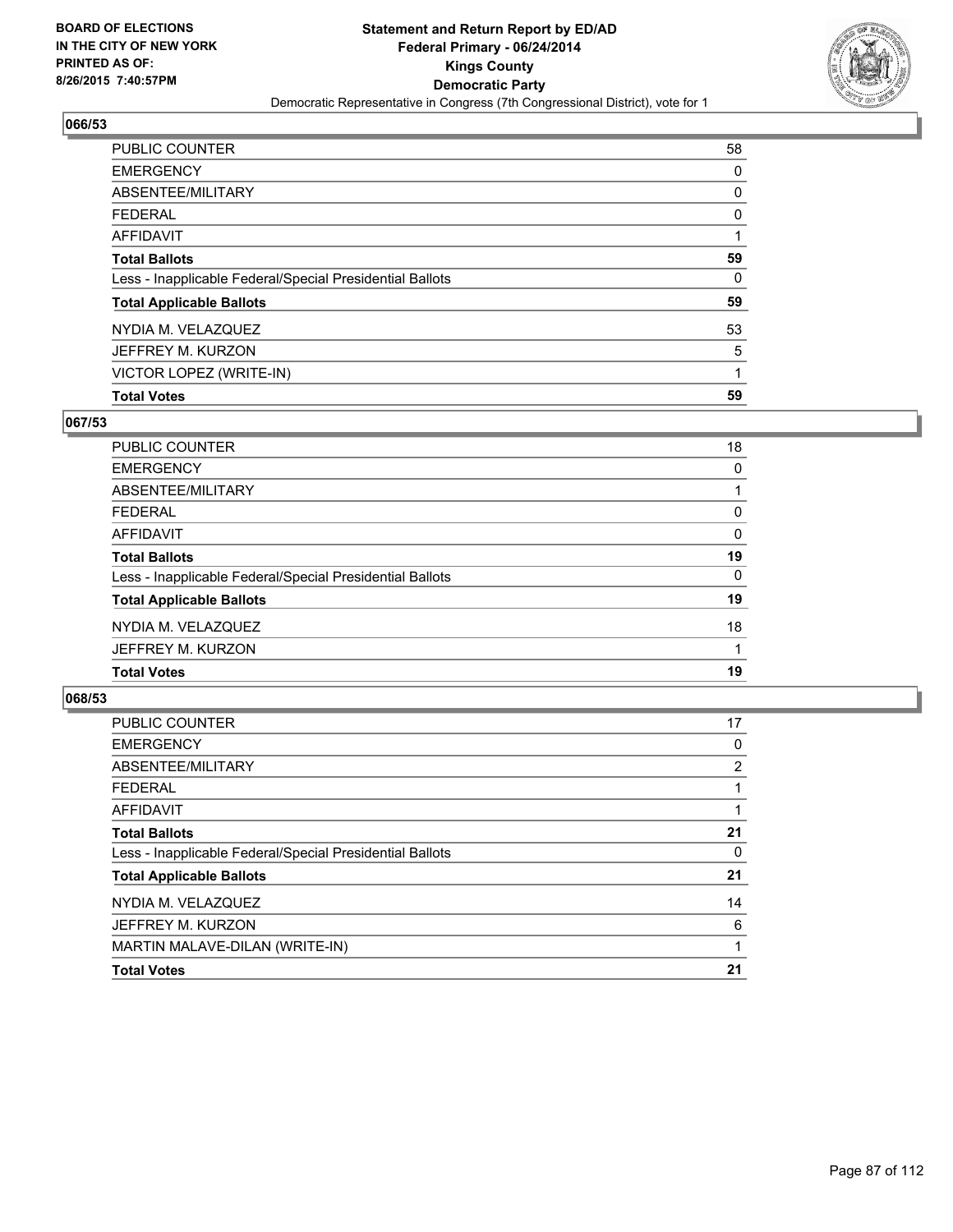

| PUBLIC COUNTER                                           | 58 |
|----------------------------------------------------------|----|
| <b>EMERGENCY</b>                                         | 0  |
| ABSENTEE/MILITARY                                        | 0  |
| <b>FEDERAL</b>                                           | 0  |
| <b>AFFIDAVIT</b>                                         |    |
| <b>Total Ballots</b>                                     | 59 |
| Less - Inapplicable Federal/Special Presidential Ballots | 0  |
| <b>Total Applicable Ballots</b>                          | 59 |
| NYDIA M. VELAZQUEZ                                       | 53 |
| JEFFREY M. KURZON                                        | 5  |
| VICTOR LOPEZ (WRITE-IN)                                  | 1  |
| <b>Total Votes</b>                                       | 59 |

## **067/53**

| PUBLIC COUNTER                                           | 18       |
|----------------------------------------------------------|----------|
| <b>EMERGENCY</b>                                         | 0        |
| ABSENTEE/MILITARY                                        |          |
| <b>FEDERAL</b>                                           | 0        |
| <b>AFFIDAVIT</b>                                         | $\Omega$ |
| <b>Total Ballots</b>                                     | 19       |
| Less - Inapplicable Federal/Special Presidential Ballots | 0        |
| <b>Total Applicable Ballots</b>                          | 19       |
| NYDIA M. VELAZQUEZ                                       | 18       |
| JEFFREY M. KURZON                                        |          |
| <b>Total Votes</b>                                       | 19       |
|                                                          |          |

| <b>PUBLIC COUNTER</b>                                    | 17 |
|----------------------------------------------------------|----|
| <b>EMERGENCY</b>                                         | 0  |
| ABSENTEE/MILITARY                                        | 2  |
| <b>FEDERAL</b>                                           |    |
| AFFIDAVIT                                                |    |
| <b>Total Ballots</b>                                     | 21 |
| Less - Inapplicable Federal/Special Presidential Ballots | 0  |
| <b>Total Applicable Ballots</b>                          | 21 |
| NYDIA M. VELAZQUEZ                                       | 14 |
| JEFFREY M. KURZON                                        | 6  |
| MARTIN MALAVE-DILAN (WRITE-IN)                           |    |
| <b>Total Votes</b>                                       | 21 |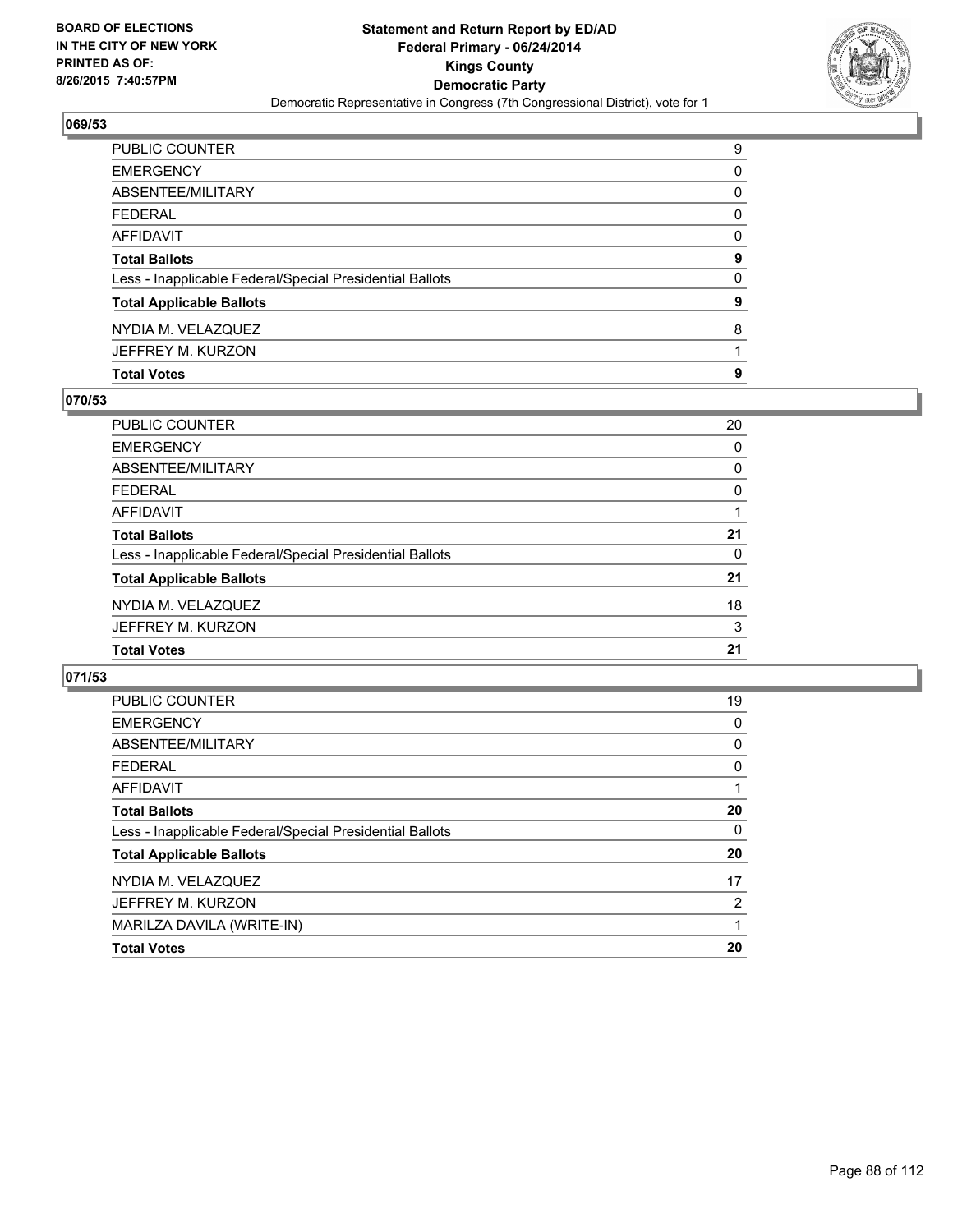

| <b>Total Votes</b>                                       | 9            |
|----------------------------------------------------------|--------------|
| JEFFREY M. KURZON                                        |              |
| NYDIA M. VELAZQUEZ                                       | 8            |
| <b>Total Applicable Ballots</b>                          | 9            |
| Less - Inapplicable Federal/Special Presidential Ballots | $\mathbf{0}$ |
| <b>Total Ballots</b>                                     | 9            |
| AFFIDAVIT                                                | 0            |
| FEDERAL                                                  | 0            |
| ABSENTEE/MILITARY                                        | 0            |
| EMERGENCY                                                | 0            |
| PUBLIC COUNTER                                           | 9            |

## **070/53**

| PUBLIC COUNTER                                           | 20       |
|----------------------------------------------------------|----------|
| <b>EMERGENCY</b>                                         | 0        |
| ABSENTEE/MILITARY                                        | 0        |
| <b>FEDERAL</b>                                           | $\Omega$ |
| AFFIDAVIT                                                |          |
| <b>Total Ballots</b>                                     | 21       |
| Less - Inapplicable Federal/Special Presidential Ballots | $\Omega$ |
| <b>Total Applicable Ballots</b>                          | 21       |
| NYDIA M. VELAZQUEZ                                       | 18       |
| JEFFREY M. KURZON                                        | 3        |
| <b>Total Votes</b>                                       | 21       |
|                                                          |          |

| <b>PUBLIC COUNTER</b>                                    | 19             |
|----------------------------------------------------------|----------------|
| <b>EMERGENCY</b>                                         | 0              |
| ABSENTEE/MILITARY                                        | 0              |
| <b>FEDERAL</b>                                           | 0              |
| AFFIDAVIT                                                |                |
| <b>Total Ballots</b>                                     | 20             |
| Less - Inapplicable Federal/Special Presidential Ballots | 0              |
| <b>Total Applicable Ballots</b>                          | 20             |
| NYDIA M. VELAZQUEZ                                       | 17             |
| JEFFREY M. KURZON                                        | $\overline{2}$ |
| MARILZA DAVILA (WRITE-IN)                                |                |
| <b>Total Votes</b>                                       | 20             |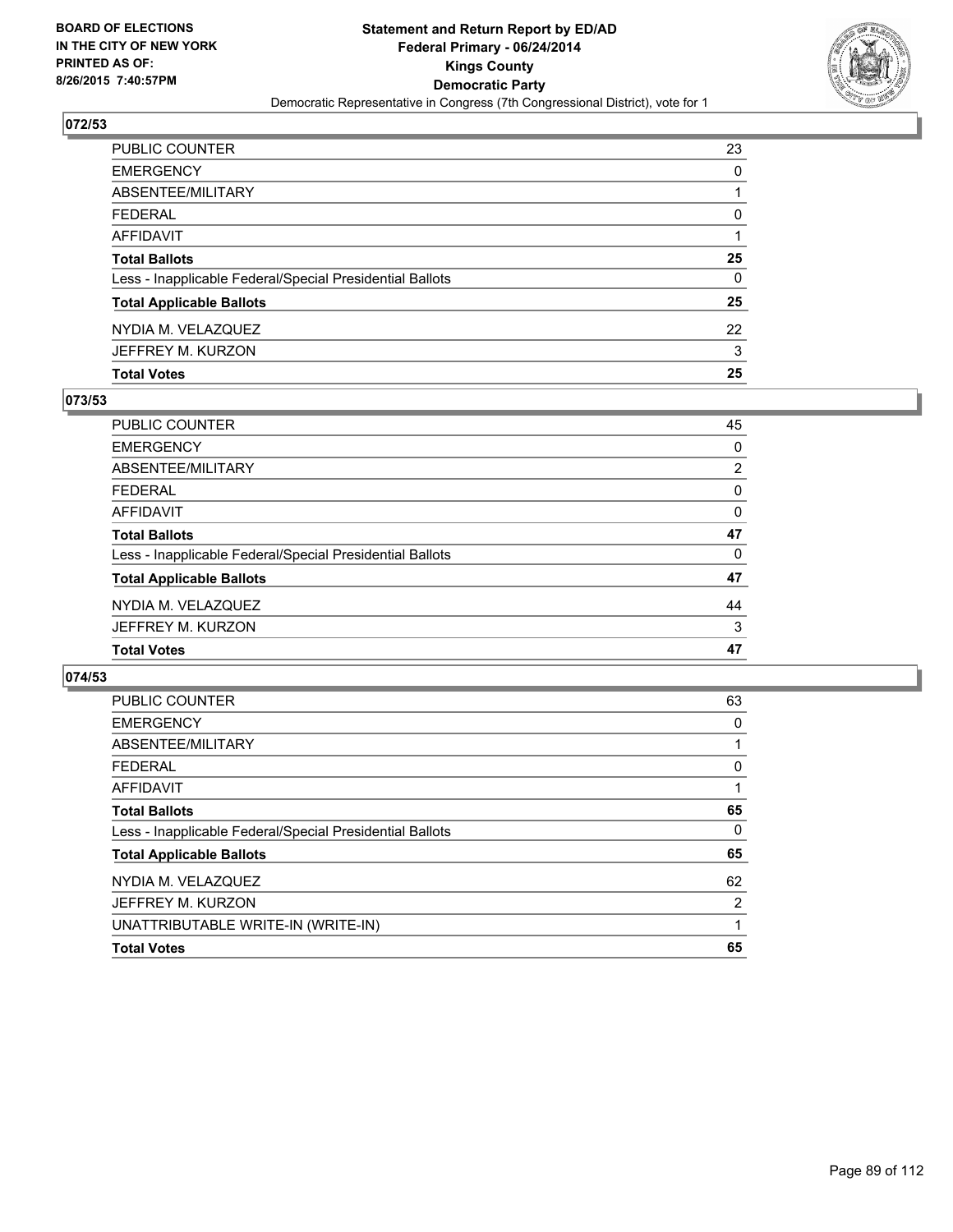

| PUBLIC COUNTER                                           | 23       |
|----------------------------------------------------------|----------|
| <b>EMERGENCY</b>                                         | 0        |
| ABSENTEE/MILITARY                                        |          |
| FEDERAL                                                  | $\Omega$ |
| AFFIDAVIT                                                |          |
| <b>Total Ballots</b>                                     | 25       |
| Less - Inapplicable Federal/Special Presidential Ballots | 0        |
| <b>Total Applicable Ballots</b>                          | 25       |
| NYDIA M. VELAZQUEZ                                       | 22       |
| JEFFREY M. KURZON                                        | 3        |
| <b>Total Votes</b>                                       | 25       |

## **073/53**

| 45<br>0        |
|----------------|
|                |
|                |
| $\overline{2}$ |
| 0              |
| 0              |
| 47             |
| 0              |
| 47             |
| 44             |
| 3              |
| 47             |
|                |

| <b>PUBLIC COUNTER</b>                                    | 63 |
|----------------------------------------------------------|----|
| <b>EMERGENCY</b>                                         | 0  |
| ABSENTEE/MILITARY                                        |    |
| <b>FEDERAL</b>                                           | 0  |
| AFFIDAVIT                                                |    |
| <b>Total Ballots</b>                                     | 65 |
| Less - Inapplicable Federal/Special Presidential Ballots | 0  |
| <b>Total Applicable Ballots</b>                          | 65 |
| NYDIA M. VELAZQUEZ                                       | 62 |
| JEFFREY M. KURZON                                        | 2  |
| UNATTRIBUTABLE WRITE-IN (WRITE-IN)                       |    |
| <b>Total Votes</b>                                       | 65 |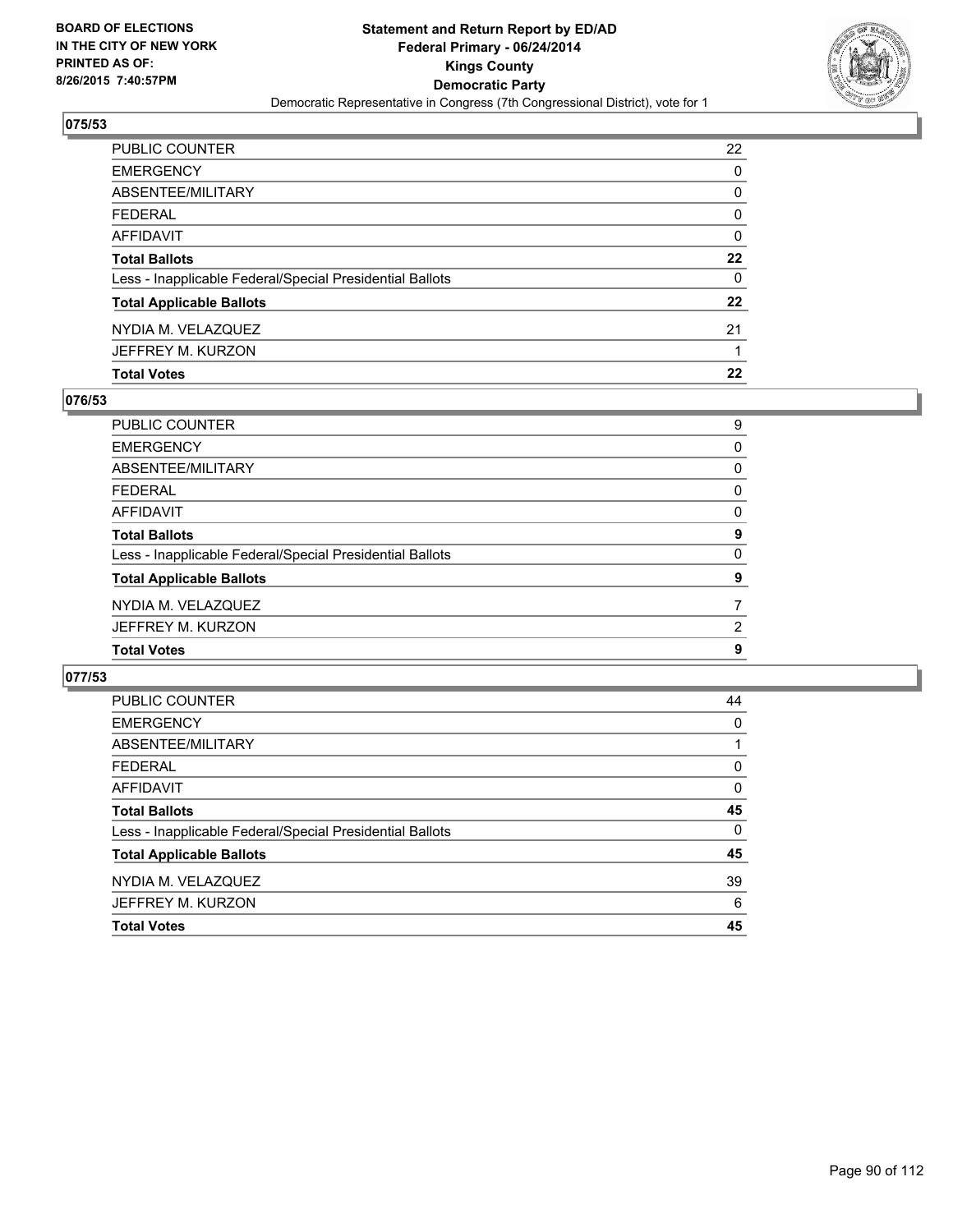

| PUBLIC COUNTER                                           | 22      |
|----------------------------------------------------------|---------|
| <b>EMERGENCY</b>                                         | 0       |
| ABSENTEE/MILITARY                                        | 0       |
| <b>FEDERAL</b>                                           | 0       |
| AFFIDAVIT                                                | 0       |
| <b>Total Ballots</b>                                     | $22 \,$ |
| Less - Inapplicable Federal/Special Presidential Ballots | 0       |
| <b>Total Applicable Ballots</b>                          | 22      |
| NYDIA M. VELAZQUEZ                                       | 21      |
| JEFFREY M. KURZON                                        |         |
| <b>Total Votes</b>                                       | 22      |

## **076/53**

| PUBLIC COUNTER                                           | 9 |
|----------------------------------------------------------|---|
| <b>EMERGENCY</b>                                         | 0 |
| <b>ABSENTEE/MILITARY</b>                                 | 0 |
| <b>FEDERAL</b>                                           | 0 |
| AFFIDAVIT                                                | 0 |
| <b>Total Ballots</b>                                     | 9 |
| Less - Inapplicable Federal/Special Presidential Ballots | 0 |
| <b>Total Applicable Ballots</b>                          | 9 |
| NYDIA M. VELAZQUEZ                                       | 7 |
| JEFFREY M. KURZON                                        | 2 |
| <b>Total Votes</b>                                       | 9 |
|                                                          |   |

| <b>PUBLIC COUNTER</b>                                    | 44 |
|----------------------------------------------------------|----|
| <b>EMERGENCY</b>                                         | 0  |
| ABSENTEE/MILITARY                                        |    |
| <b>FEDERAL</b>                                           | 0  |
| AFFIDAVIT                                                | 0  |
| <b>Total Ballots</b>                                     | 45 |
| Less - Inapplicable Federal/Special Presidential Ballots | 0  |
| <b>Total Applicable Ballots</b>                          | 45 |
| NYDIA M. VELAZQUEZ                                       | 39 |
| JEFFREY M. KURZON                                        | 6  |
| <b>Total Votes</b>                                       | 45 |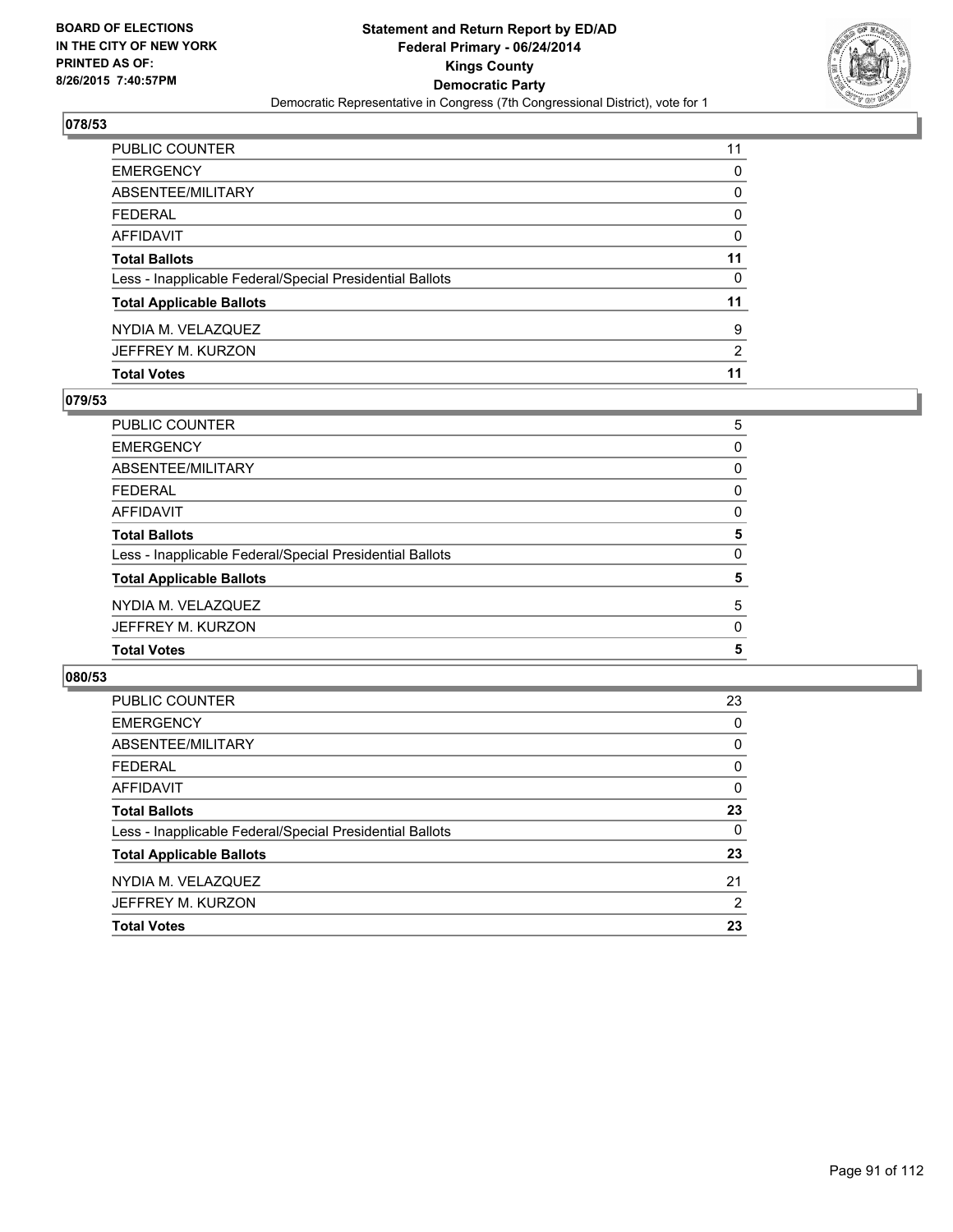

| PUBLIC COUNTER                                           | 11       |
|----------------------------------------------------------|----------|
| <b>EMERGENCY</b>                                         | 0        |
| ABSENTEE/MILITARY                                        | 0        |
| <b>FEDERAL</b>                                           | $\Omega$ |
| <b>AFFIDAVIT</b>                                         | $\Omega$ |
| <b>Total Ballots</b>                                     | 11       |
| Less - Inapplicable Federal/Special Presidential Ballots | 0        |
| <b>Total Applicable Ballots</b>                          | 11       |
| NYDIA M. VELAZQUEZ                                       | 9        |
| JEFFREY M. KURZON                                        | 2        |
| <b>Total Votes</b>                                       | 11       |

## **079/53**

| PUBLIC COUNTER                                           | 5 |
|----------------------------------------------------------|---|
| <b>EMERGENCY</b>                                         | 0 |
| ABSENTEE/MILITARY                                        | 0 |
| <b>FEDERAL</b>                                           | 0 |
| <b>AFFIDAVIT</b>                                         | 0 |
| <b>Total Ballots</b>                                     | 5 |
| Less - Inapplicable Federal/Special Presidential Ballots | 0 |
| <b>Total Applicable Ballots</b>                          | 5 |
| NYDIA M. VELAZQUEZ                                       | 5 |
| JEFFREY M. KURZON                                        | 0 |
| <b>Total Votes</b>                                       | 5 |
|                                                          |   |

| PUBLIC COUNTER                                           | 23 |
|----------------------------------------------------------|----|
| <b>EMERGENCY</b>                                         | 0  |
| ABSENTEE/MILITARY                                        | 0  |
| FEDERAL                                                  | 0  |
| AFFIDAVIT                                                | 0  |
| <b>Total Ballots</b>                                     | 23 |
| Less - Inapplicable Federal/Special Presidential Ballots | 0  |
| <b>Total Applicable Ballots</b>                          | 23 |
| NYDIA M. VELAZQUEZ                                       | 21 |
| JEFFREY M. KURZON                                        | 2  |
| <b>Total Votes</b>                                       | 23 |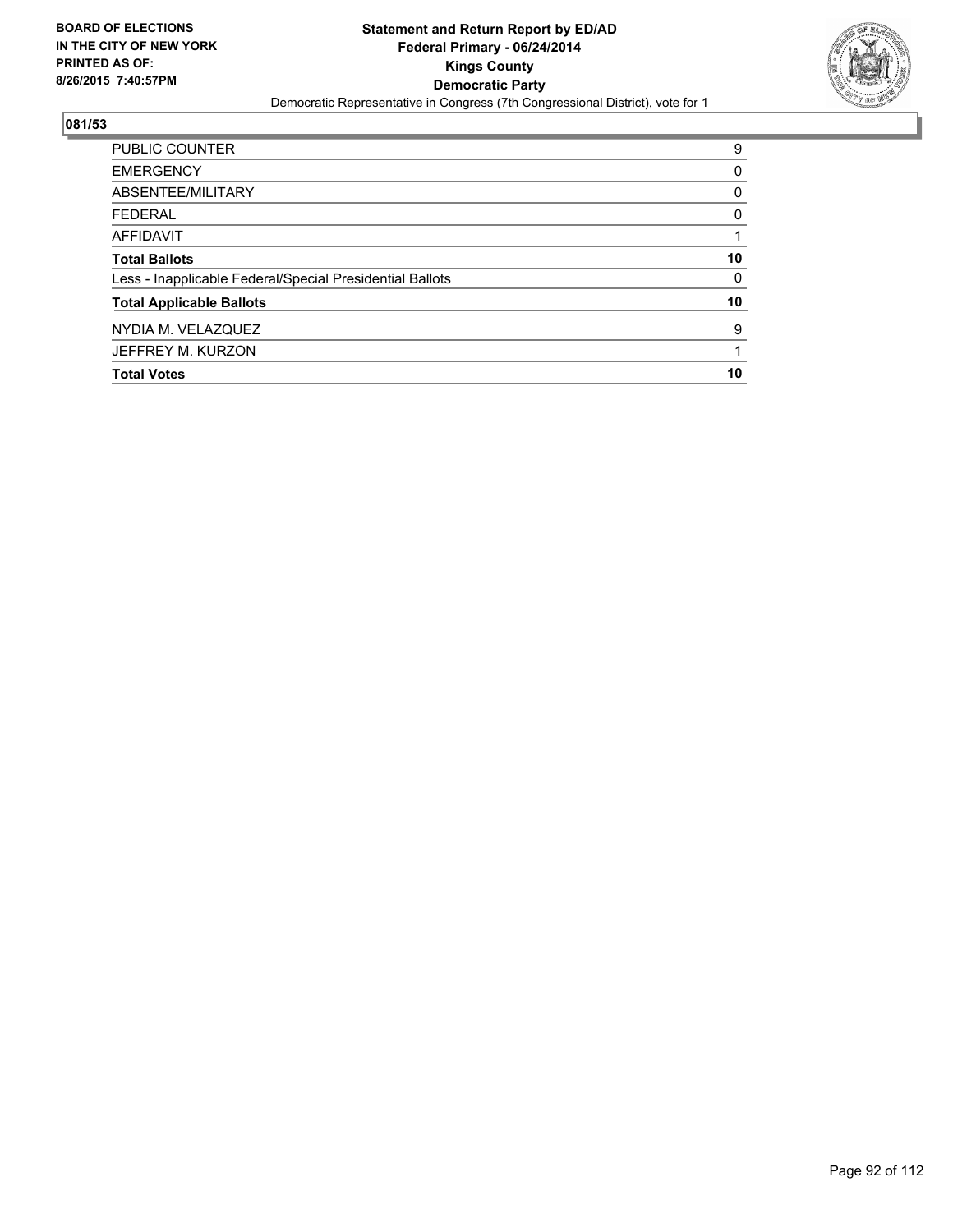

| <b>Total Votes</b>                                       | 10 |
|----------------------------------------------------------|----|
| JEFFREY M. KURZON                                        |    |
| NYDIA M. VELAZQUEZ                                       | 9  |
| <b>Total Applicable Ballots</b>                          | 10 |
| Less - Inapplicable Federal/Special Presidential Ballots | 0  |
| <b>Total Ballots</b>                                     | 10 |
| <b>AFFIDAVIT</b>                                         |    |
| <b>FEDERAL</b>                                           | 0  |
| ABSENTEE/MILITARY                                        | 0  |
| <b>EMERGENCY</b>                                         | 0  |
| <b>PUBLIC COUNTER</b>                                    | 9  |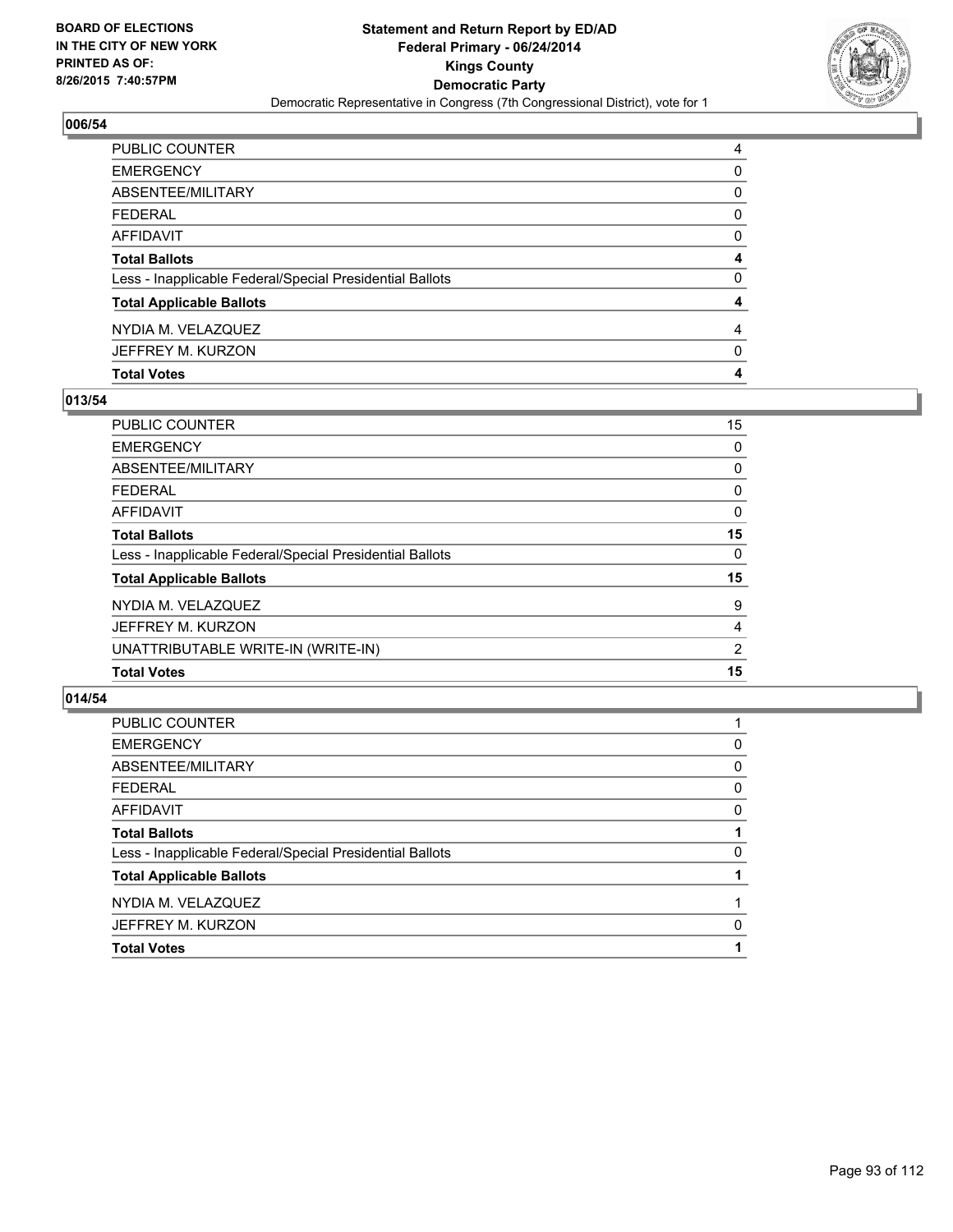

| <b>Total Votes</b>                                       | 4        |
|----------------------------------------------------------|----------|
| JEFFREY M. KURZON                                        | 0        |
| NYDIA M. VELAZQUEZ                                       | 4        |
| <b>Total Applicable Ballots</b>                          | 4        |
| Less - Inapplicable Federal/Special Presidential Ballots | 0        |
| <b>Total Ballots</b>                                     | 4        |
| AFFIDAVIT                                                | 0        |
| FEDERAL                                                  | $\Omega$ |
| ABSENTEE/MILITARY                                        | 0        |
| EMERGENCY                                                | 0        |
| PUBLIC COUNTER                                           | 4        |

## **013/54**

| <b>PUBLIC COUNTER</b>                                    | 15             |
|----------------------------------------------------------|----------------|
| <b>EMERGENCY</b>                                         | 0              |
| ABSENTEE/MILITARY                                        | 0              |
| <b>FEDERAL</b>                                           | 0              |
| AFFIDAVIT                                                | 0              |
| <b>Total Ballots</b>                                     | 15             |
| Less - Inapplicable Federal/Special Presidential Ballots | $\Omega$       |
| <b>Total Applicable Ballots</b>                          | 15             |
| NYDIA M. VELAZQUEZ                                       | 9              |
| JEFFREY M. KURZON                                        | 4              |
| UNATTRIBUTABLE WRITE-IN (WRITE-IN)                       | $\overline{2}$ |
| <b>Total Votes</b>                                       | 15             |
|                                                          |                |

| <b>PUBLIC COUNTER</b>                                    |   |
|----------------------------------------------------------|---|
| <b>EMERGENCY</b>                                         | 0 |
| ABSENTEE/MILITARY                                        | 0 |
| <b>FEDERAL</b>                                           | 0 |
| <b>AFFIDAVIT</b>                                         | 0 |
| <b>Total Ballots</b>                                     |   |
| Less - Inapplicable Federal/Special Presidential Ballots | 0 |
| <b>Total Applicable Ballots</b>                          |   |
| NYDIA M. VELAZQUEZ                                       |   |
| JEFFREY M. KURZON                                        | 0 |
| <b>Total Votes</b>                                       |   |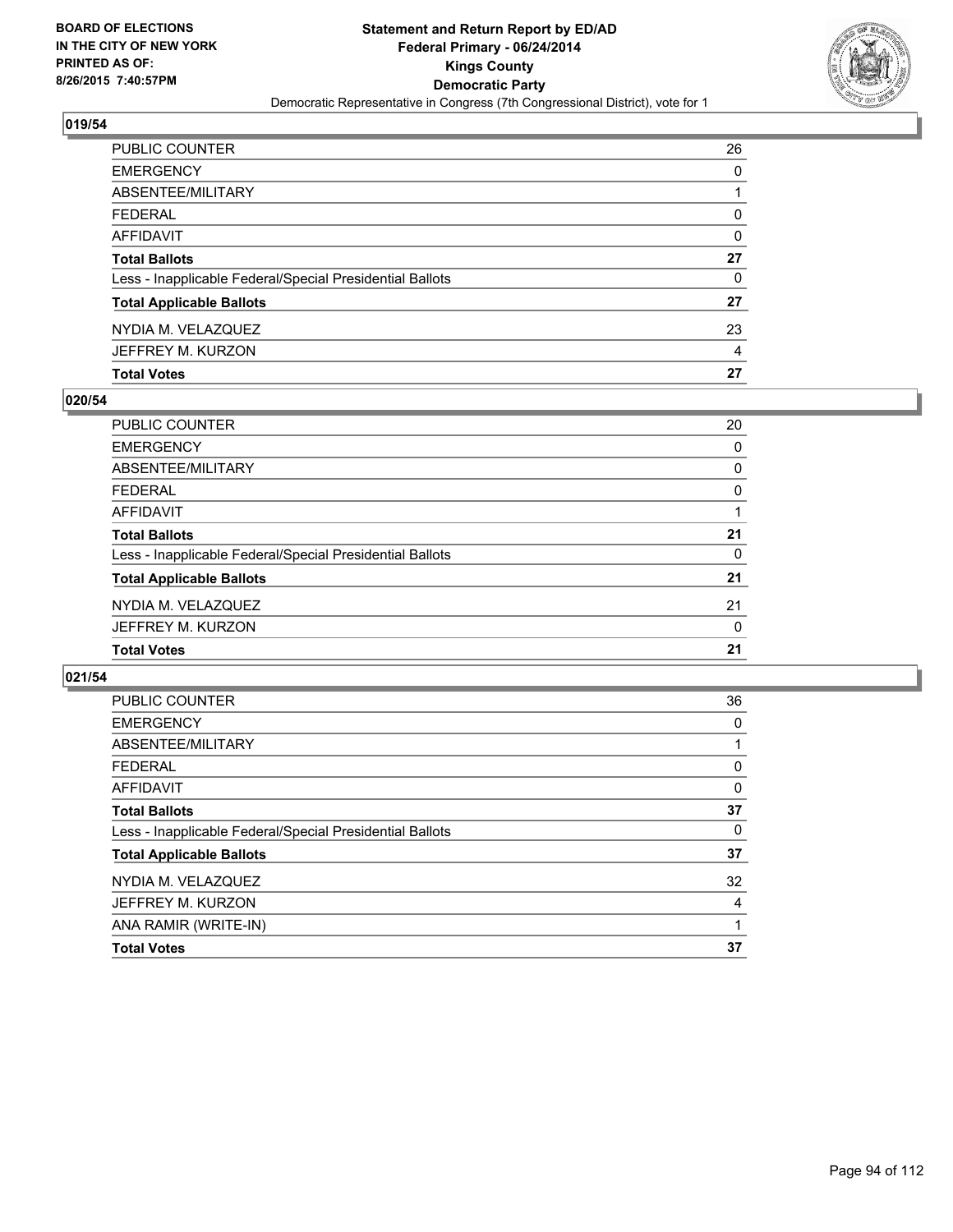

| PUBLIC COUNTER                                           | 26 |
|----------------------------------------------------------|----|
| EMERGENCY                                                | 0  |
| ABSENTEE/MILITARY                                        | 1  |
| FEDERAL                                                  | 0  |
| AFFIDAVIT                                                | 0  |
| Total Ballots                                            | 27 |
| Less - Inapplicable Federal/Special Presidential Ballots | 0  |
| <b>Total Applicable Ballots</b>                          | 27 |
| NYDIA M. VELAZQUEZ                                       | 23 |
| JEFFREY M. KURZON                                        | 4  |
| <b>Total Votes</b>                                       | 27 |

## **020/54**

| PUBLIC COUNTER                                           | 20 |
|----------------------------------------------------------|----|
| <b>EMERGENCY</b>                                         | 0  |
| ABSENTEE/MILITARY                                        | 0  |
| <b>FEDERAL</b>                                           | 0  |
| <b>AFFIDAVIT</b>                                         |    |
| <b>Total Ballots</b>                                     | 21 |
| Less - Inapplicable Federal/Special Presidential Ballots | 0  |
| <b>Total Applicable Ballots</b>                          | 21 |
| NYDIA M. VELAZQUEZ                                       | 21 |
| JEFFREY M. KURZON                                        | 0  |
| <b>Total Votes</b>                                       | 21 |
|                                                          |    |

| <b>PUBLIC COUNTER</b>                                    | 36 |
|----------------------------------------------------------|----|
| <b>EMERGENCY</b>                                         | 0  |
| ABSENTEE/MILITARY                                        |    |
| <b>FEDERAL</b>                                           | 0  |
| AFFIDAVIT                                                | 0  |
| <b>Total Ballots</b>                                     | 37 |
| Less - Inapplicable Federal/Special Presidential Ballots | 0  |
| <b>Total Applicable Ballots</b>                          | 37 |
| NYDIA M. VELAZQUEZ                                       | 32 |
| JEFFREY M. KURZON                                        | 4  |
| ANA RAMIR (WRITE-IN)                                     |    |
| <b>Total Votes</b>                                       | 37 |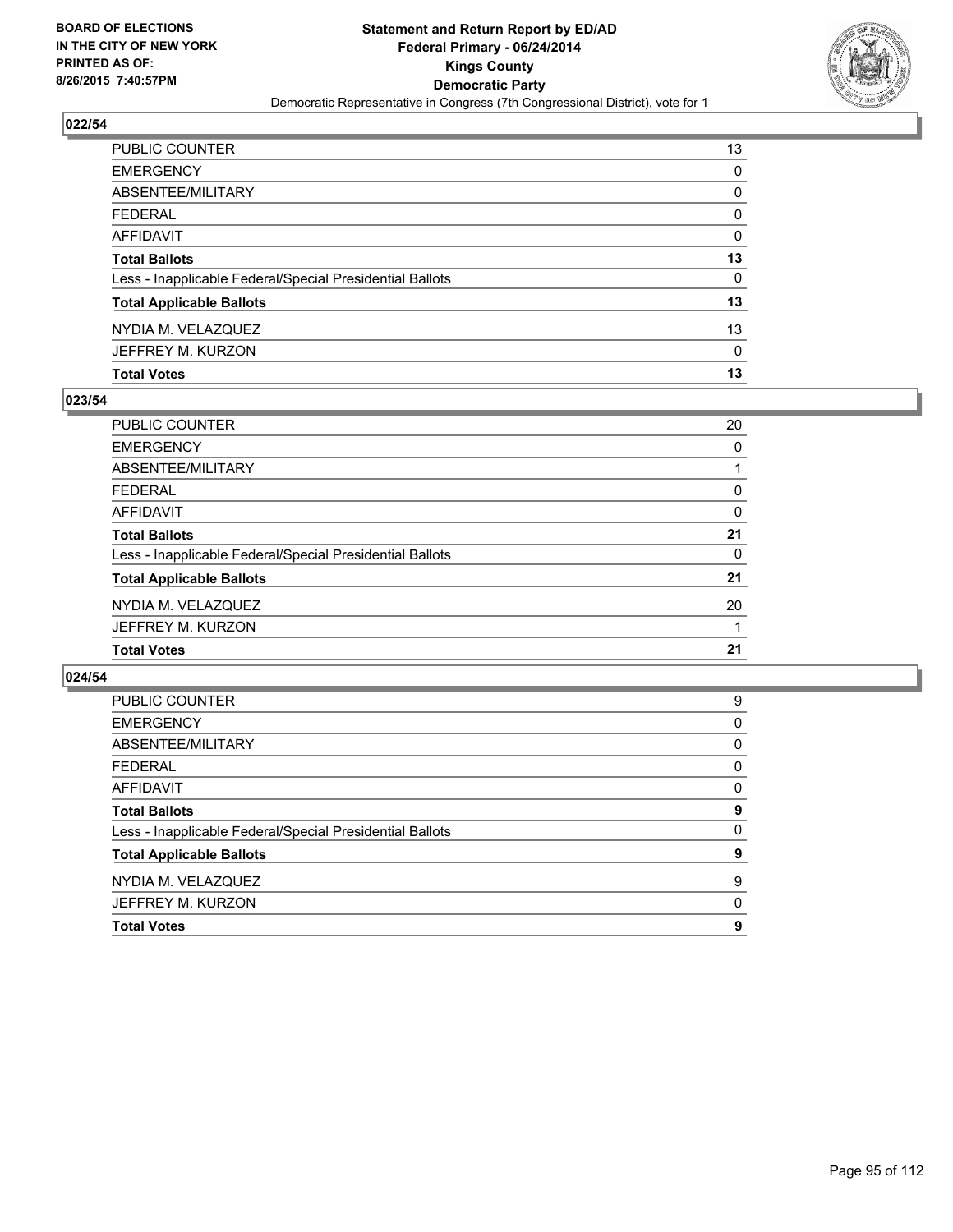

| PUBLIC COUNTER                                           | 13           |
|----------------------------------------------------------|--------------|
| <b>EMERGENCY</b>                                         | 0            |
| <b>ABSENTEE/MILITARY</b>                                 | 0            |
| <b>FEDERAL</b>                                           | $\mathbf{0}$ |
| AFFIDAVIT                                                | $\Omega$     |
| <b>Total Ballots</b>                                     | 13           |
| Less - Inapplicable Federal/Special Presidential Ballots | 0            |
| <b>Total Applicable Ballots</b>                          | 13           |
| NYDIA M. VELAZQUEZ                                       | 13           |
| JEFFREY M. KURZON                                        | $\Omega$     |
| <b>Total Votes</b>                                       | 13           |

## **023/54**

| 20 |
|----|
| 0  |
|    |
| 0  |
| 0  |
| 21 |
| 0  |
| 21 |
| 20 |
|    |
| 21 |
|    |

| <b>PUBLIC COUNTER</b>                                    | 9        |
|----------------------------------------------------------|----------|
| <b>EMERGENCY</b>                                         | 0        |
| ABSENTEE/MILITARY                                        | 0        |
| <b>FEDERAL</b>                                           | 0        |
| AFFIDAVIT                                                | 0        |
| <b>Total Ballots</b>                                     | 9        |
| Less - Inapplicable Federal/Special Presidential Ballots | $\Omega$ |
| <b>Total Applicable Ballots</b>                          | 9        |
| NYDIA M. VELAZQUEZ                                       | 9        |
| JEFFREY M. KURZON                                        | 0        |
| <b>Total Votes</b>                                       | 9        |
|                                                          |          |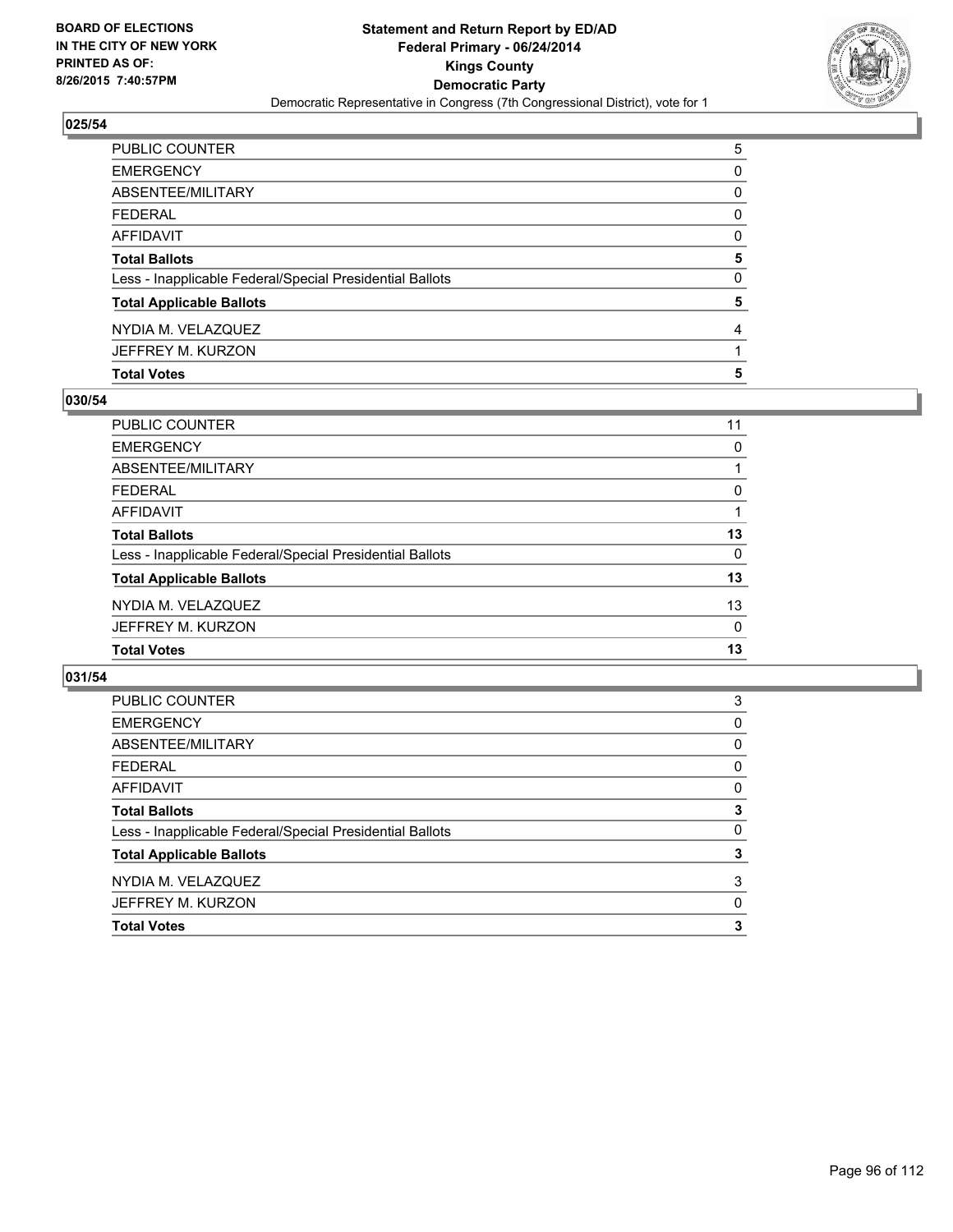

| PUBLIC COUNTER                                           | 5        |
|----------------------------------------------------------|----------|
| EMERGENCY                                                | 0        |
| ABSENTEE/MILITARY                                        | 0        |
| FEDERAL                                                  | $\Omega$ |
| AFFIDAVIT                                                | 0        |
| <b>Total Ballots</b>                                     | 5        |
| Less - Inapplicable Federal/Special Presidential Ballots | 0        |
| <b>Total Applicable Ballots</b>                          | 5        |
| NYDIA M. VELAZQUEZ                                       | 4        |
| JEFFREY M. KURZON                                        |          |
| <b>Total Votes</b>                                       | 5        |

## **030/54**

| PUBLIC COUNTER                                           | 11 |
|----------------------------------------------------------|----|
| <b>EMERGENCY</b>                                         | 0  |
| ABSENTEE/MILITARY                                        |    |
| <b>FEDERAL</b>                                           | 0  |
| <b>AFFIDAVIT</b>                                         |    |
| <b>Total Ballots</b>                                     | 13 |
| Less - Inapplicable Federal/Special Presidential Ballots | 0  |
| <b>Total Applicable Ballots</b>                          | 13 |
| NYDIA M. VELAZQUEZ                                       | 13 |
| JEFFREY M. KURZON                                        | 0  |
| <b>Total Votes</b>                                       | 13 |
|                                                          |    |

| 3 |
|---|
| 0 |
| 0 |
| 0 |
| 0 |
| 3 |
| 0 |
| 3 |
| 3 |
| 0 |
| 3 |
|   |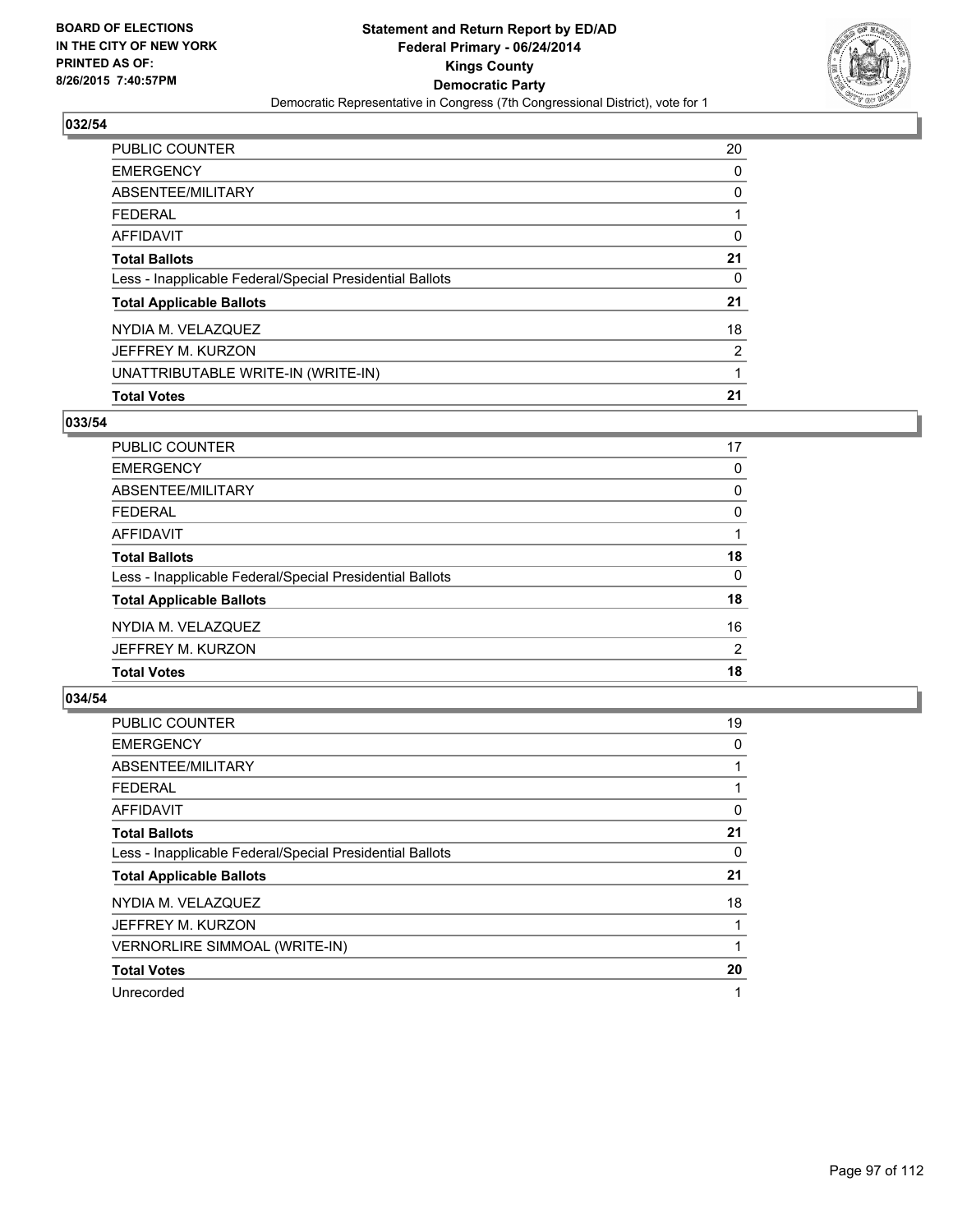

| PUBLIC COUNTER                                           | 20             |
|----------------------------------------------------------|----------------|
| <b>EMERGENCY</b>                                         | 0              |
| ABSENTEE/MILITARY                                        | 0              |
| <b>FEDERAL</b>                                           |                |
| <b>AFFIDAVIT</b>                                         | 0              |
| <b>Total Ballots</b>                                     | 21             |
| Less - Inapplicable Federal/Special Presidential Ballots | 0              |
| <b>Total Applicable Ballots</b>                          | 21             |
| NYDIA M. VELAZQUEZ                                       | 18             |
| JEFFREY M. KURZON                                        | $\overline{2}$ |
| UNATTRIBUTABLE WRITE-IN (WRITE-IN)                       |                |
| <b>Total Votes</b>                                       | 21             |

### **033/54**

| <b>PUBLIC COUNTER</b>                                    | 17 |
|----------------------------------------------------------|----|
| <b>EMERGENCY</b>                                         | 0  |
| ABSENTEE/MILITARY                                        | 0  |
| <b>FEDERAL</b>                                           | 0  |
| <b>AFFIDAVIT</b>                                         |    |
| <b>Total Ballots</b>                                     | 18 |
| Less - Inapplicable Federal/Special Presidential Ballots | 0  |
| <b>Total Applicable Ballots</b>                          | 18 |
| NYDIA M. VELAZQUEZ                                       | 16 |
| JEFFREY M. KURZON                                        | 2  |
| <b>Total Votes</b>                                       | 18 |
|                                                          |    |

| PUBLIC COUNTER                                           | 19 |
|----------------------------------------------------------|----|
| <b>EMERGENCY</b>                                         | 0  |
| ABSENTEE/MILITARY                                        |    |
| FEDERAL                                                  |    |
| <b>AFFIDAVIT</b>                                         | 0  |
| <b>Total Ballots</b>                                     | 21 |
| Less - Inapplicable Federal/Special Presidential Ballots | 0  |
| <b>Total Applicable Ballots</b>                          | 21 |
| NYDIA M. VELAZQUEZ                                       | 18 |
| JEFFREY M. KURZON                                        |    |
| VERNORLIRE SIMMOAL (WRITE-IN)                            |    |
| <b>Total Votes</b>                                       | 20 |
| Unrecorded                                               | 1  |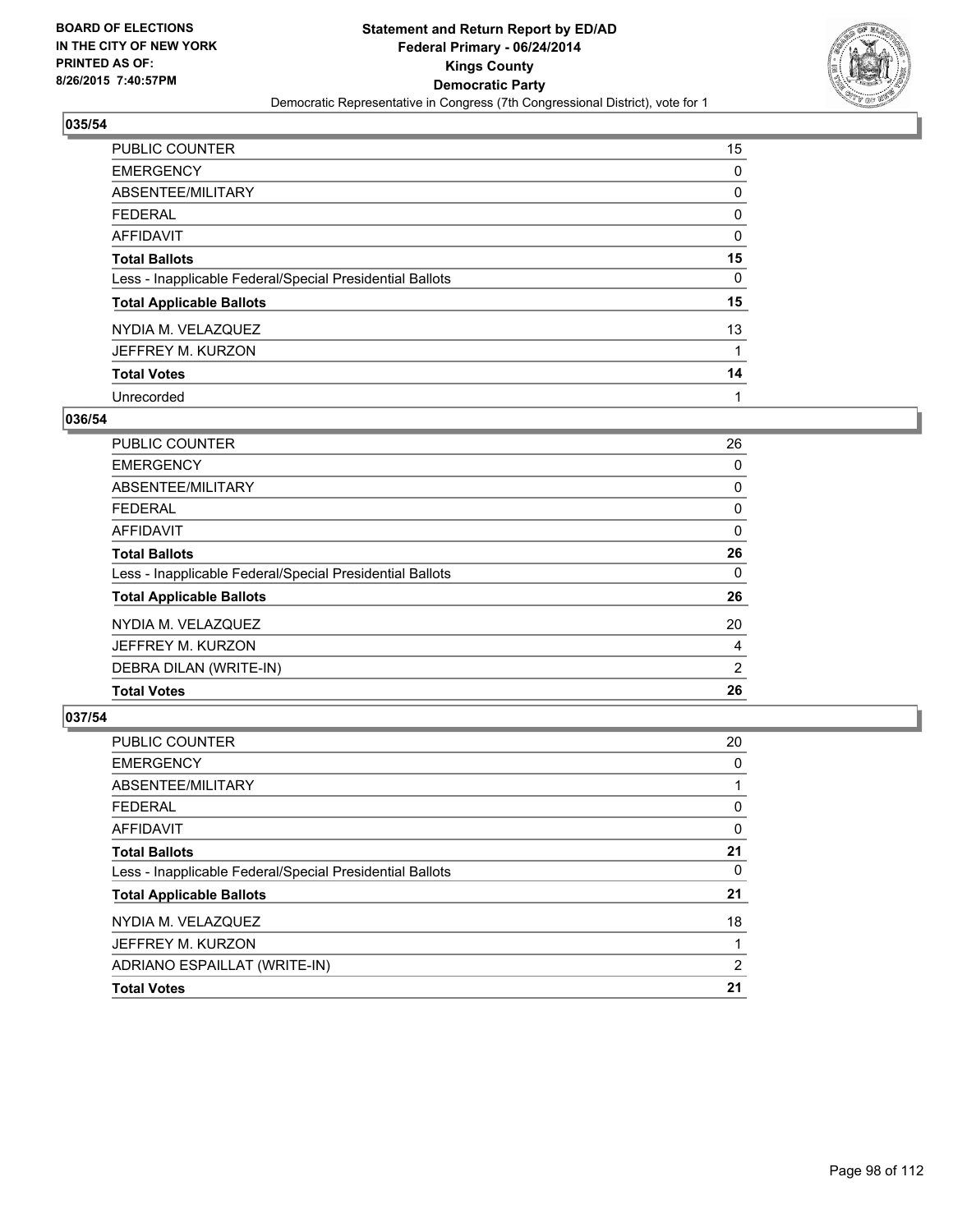

| PUBLIC COUNTER                                           | 15           |
|----------------------------------------------------------|--------------|
| <b>EMERGENCY</b>                                         | 0            |
| ABSENTEE/MILITARY                                        | 0            |
| <b>FEDERAL</b>                                           | 0            |
| <b>AFFIDAVIT</b>                                         | 0            |
| <b>Total Ballots</b>                                     | 15           |
| Less - Inapplicable Federal/Special Presidential Ballots | 0            |
| <b>Total Applicable Ballots</b>                          | 15           |
| NYDIA M. VELAZQUEZ                                       | 13           |
| JEFFREY M. KURZON                                        | $\mathbf{1}$ |
| <b>Total Votes</b>                                       | 14           |
| Unrecorded                                               |              |

### **036/54**

| PUBLIC COUNTER                                           | 26 |
|----------------------------------------------------------|----|
| <b>EMERGENCY</b>                                         | 0  |
| ABSENTEE/MILITARY                                        | 0  |
| <b>FEDERAL</b>                                           | 0  |
| <b>AFFIDAVIT</b>                                         | 0  |
| <b>Total Ballots</b>                                     | 26 |
| Less - Inapplicable Federal/Special Presidential Ballots | 0  |
| <b>Total Applicable Ballots</b>                          | 26 |
| NYDIA M. VELAZQUEZ                                       | 20 |
| JEFFREY M. KURZON                                        | 4  |
| DEBRA DILAN (WRITE-IN)                                   | 2  |
| <b>Total Votes</b>                                       | 26 |
|                                                          |    |

| <b>PUBLIC COUNTER</b>                                    | 20 |
|----------------------------------------------------------|----|
| <b>EMERGENCY</b>                                         | 0  |
| ABSENTEE/MILITARY                                        |    |
| <b>FEDERAL</b>                                           | 0  |
| AFFIDAVIT                                                | 0  |
| <b>Total Ballots</b>                                     | 21 |
| Less - Inapplicable Federal/Special Presidential Ballots | 0  |
| <b>Total Applicable Ballots</b>                          | 21 |
| NYDIA M. VELAZQUEZ                                       | 18 |
| JEFFREY M. KURZON                                        |    |
| ADRIANO ESPAILLAT (WRITE-IN)                             | 2  |
| <b>Total Votes</b>                                       | 21 |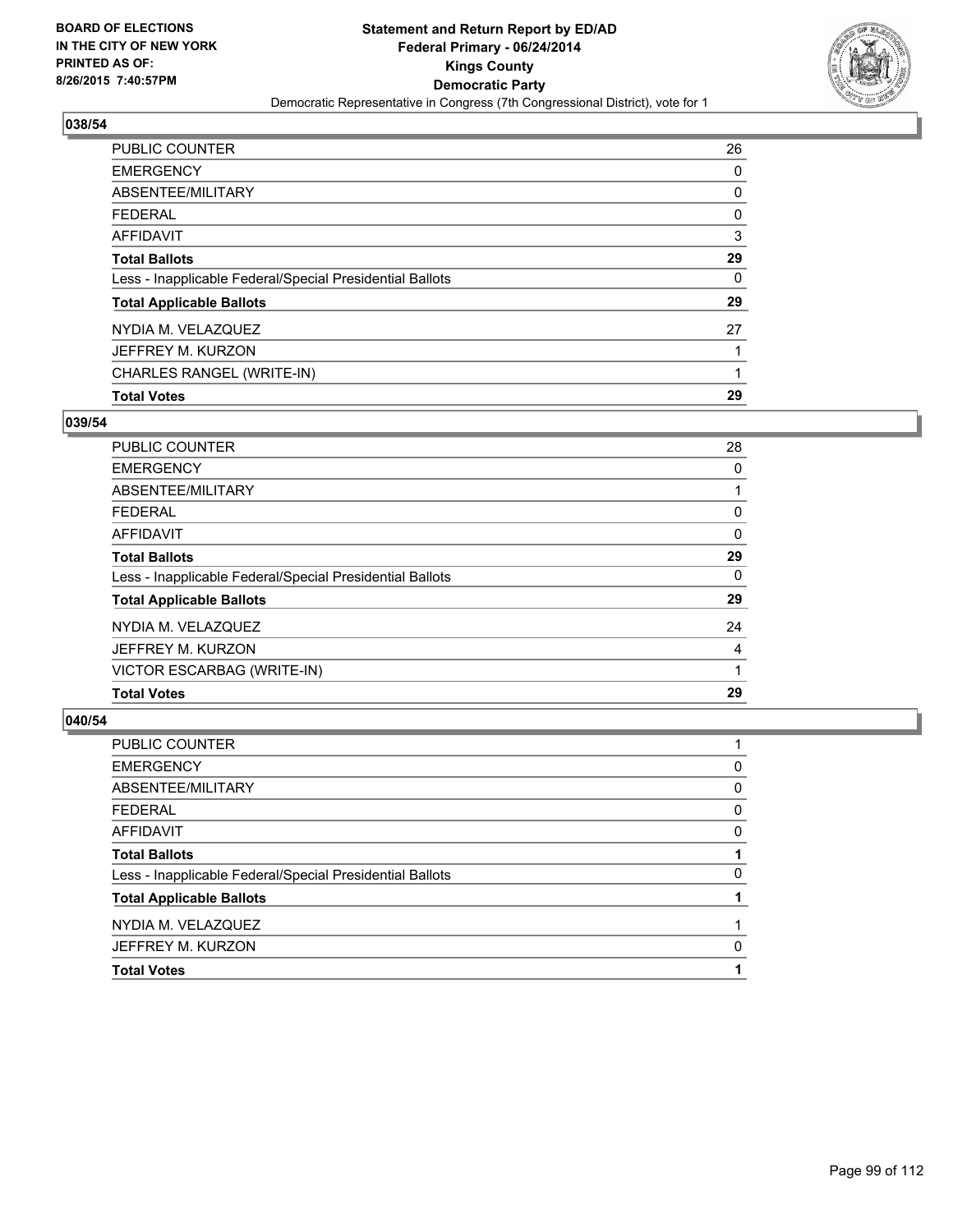

| PUBLIC COUNTER                                           | 26 |
|----------------------------------------------------------|----|
| <b>EMERGENCY</b>                                         | 0  |
| ABSENTEE/MILITARY                                        | 0  |
| <b>FEDERAL</b>                                           | 0  |
| <b>AFFIDAVIT</b>                                         | 3  |
| <b>Total Ballots</b>                                     | 29 |
| Less - Inapplicable Federal/Special Presidential Ballots | 0  |
| <b>Total Applicable Ballots</b>                          | 29 |
| NYDIA M. VELAZQUEZ                                       | 27 |
| JEFFREY M. KURZON                                        |    |
| CHARLES RANGEL (WRITE-IN)                                | 1  |
| <b>Total Votes</b>                                       | 29 |

## **039/54**

| <b>PUBLIC COUNTER</b>                                    | 28 |
|----------------------------------------------------------|----|
| <b>EMERGENCY</b>                                         | 0  |
| ABSENTEE/MILITARY                                        |    |
| <b>FEDERAL</b>                                           | 0  |
| AFFIDAVIT                                                | 0  |
| <b>Total Ballots</b>                                     | 29 |
| Less - Inapplicable Federal/Special Presidential Ballots | 0  |
| <b>Total Applicable Ballots</b>                          | 29 |
| NYDIA M. VELAZQUEZ                                       | 24 |
| JEFFREY M. KURZON                                        | 4  |
| VICTOR ESCARBAG (WRITE-IN)                               |    |
| <b>Total Votes</b>                                       | 29 |
|                                                          |    |

| <b>Total Votes</b>                                       |   |
|----------------------------------------------------------|---|
| JEFFREY M. KURZON                                        | 0 |
| NYDIA M. VELAZQUEZ                                       |   |
| <b>Total Applicable Ballots</b>                          |   |
| Less - Inapplicable Federal/Special Presidential Ballots | 0 |
| <b>Total Ballots</b>                                     |   |
| <b>AFFIDAVIT</b>                                         | 0 |
| <b>FEDERAL</b>                                           | 0 |
| ABSENTEE/MILITARY                                        | 0 |
| <b>EMERGENCY</b>                                         | 0 |
| PUBLIC COUNTER                                           |   |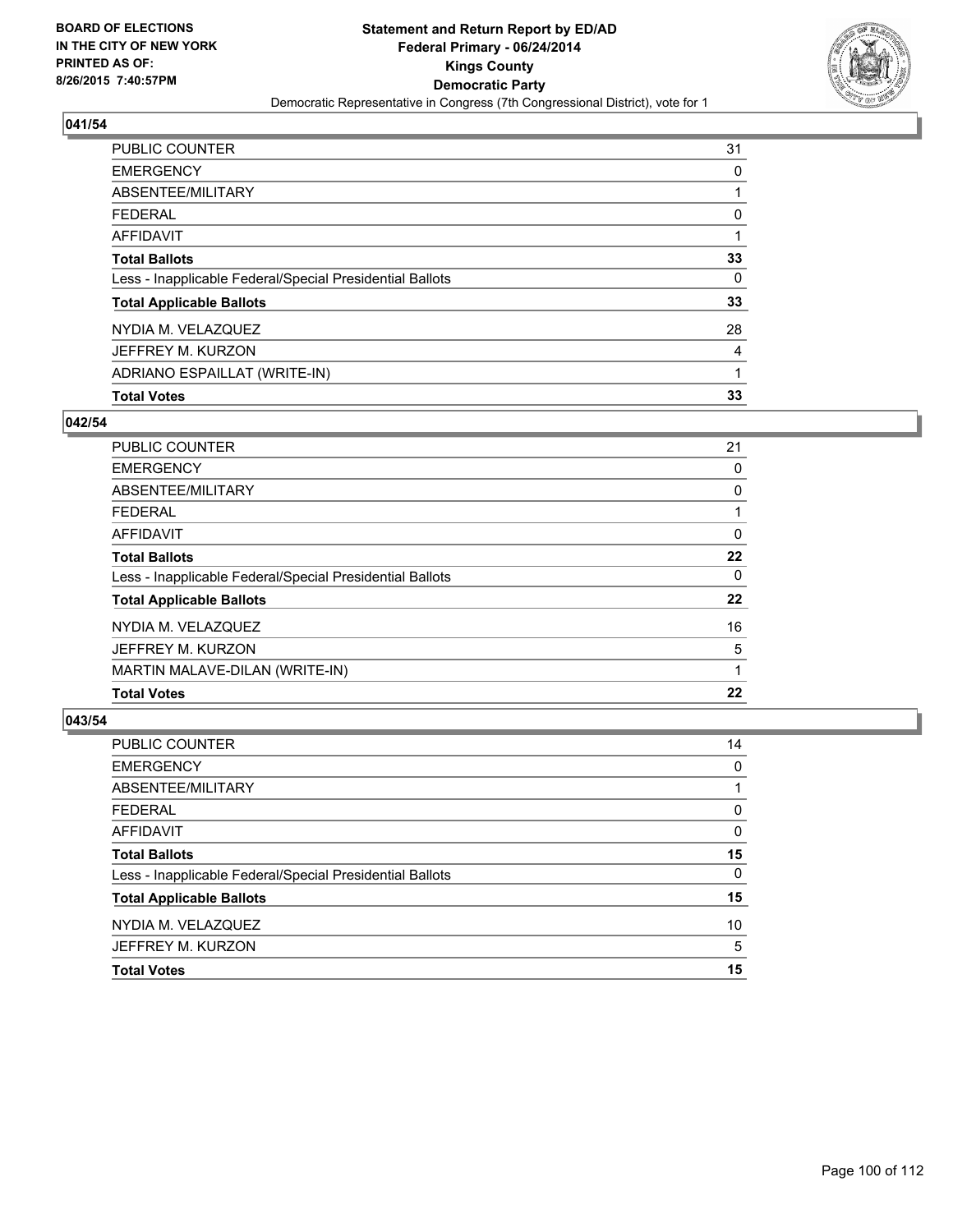

| <b>PUBLIC COUNTER</b>                                    | 31 |
|----------------------------------------------------------|----|
| <b>EMERGENCY</b>                                         | 0  |
| ABSENTEE/MILITARY                                        |    |
| FEDERAL                                                  | 0  |
| AFFIDAVIT                                                |    |
| <b>Total Ballots</b>                                     | 33 |
| Less - Inapplicable Federal/Special Presidential Ballots | 0  |
| <b>Total Applicable Ballots</b>                          | 33 |
| NYDIA M. VELAZQUEZ                                       | 28 |
| JEFFREY M. KURZON                                        | 4  |
| ADRIANO ESPAILLAT (WRITE-IN)                             | 1  |
| <b>Total Votes</b>                                       | 33 |

### **042/54**

| <b>PUBLIC COUNTER</b>                                    | 21 |
|----------------------------------------------------------|----|
| <b>EMERGENCY</b>                                         | 0  |
| ABSENTEE/MILITARY                                        | 0  |
| <b>FEDERAL</b>                                           |    |
| AFFIDAVIT                                                | 0  |
| <b>Total Ballots</b>                                     | 22 |
| Less - Inapplicable Federal/Special Presidential Ballots | 0  |
| <b>Total Applicable Ballots</b>                          | 22 |
| NYDIA M. VELAZQUEZ                                       | 16 |
| JEFFREY M. KURZON                                        | 5  |
| MARTIN MALAVE-DILAN (WRITE-IN)                           |    |
| <b>Total Votes</b>                                       | 22 |
|                                                          |    |

| <b>Total Votes</b>                                       | 15 |
|----------------------------------------------------------|----|
| JEFFREY M. KURZON                                        | 5  |
| NYDIA M. VELAZQUEZ                                       | 10 |
| <b>Total Applicable Ballots</b>                          | 15 |
| Less - Inapplicable Federal/Special Presidential Ballots | 0  |
| <b>Total Ballots</b>                                     | 15 |
| <b>AFFIDAVIT</b>                                         | 0  |
| <b>FEDERAL</b>                                           | 0  |
| ABSENTEE/MILITARY                                        |    |
| <b>EMERGENCY</b>                                         | 0  |
| PUBLIC COUNTER                                           | 14 |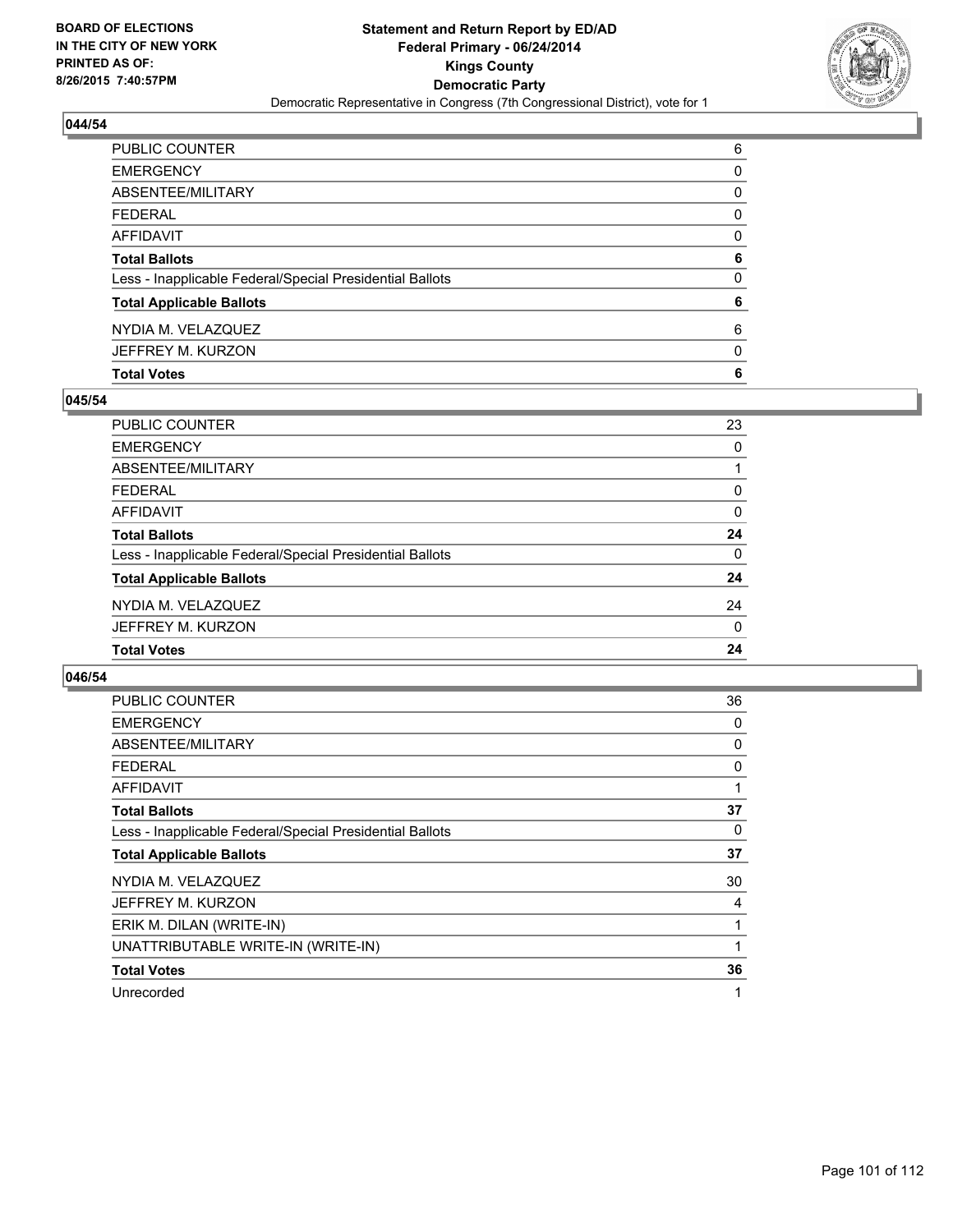

| PUBLIC COUNTER                                           | 6            |
|----------------------------------------------------------|--------------|
| <b>EMERGENCY</b>                                         | 0            |
| ABSENTEE/MILITARY                                        | 0            |
| FEDERAL                                                  | $\mathbf{0}$ |
| AFFIDAVIT                                                | 0            |
| <b>Total Ballots</b>                                     | 6            |
| Less - Inapplicable Federal/Special Presidential Ballots | 0            |
| <b>Total Applicable Ballots</b>                          | 6            |
| NYDIA M. VELAZQUEZ                                       | 6            |
| JEFFREY M. KURZON                                        | 0            |
| <b>Total Votes</b>                                       | 6            |

## **045/54**

| <b>PUBLIC COUNTER</b>                                    | 23       |
|----------------------------------------------------------|----------|
| <b>EMERGENCY</b>                                         | 0        |
| <b>ABSENTEE/MILITARY</b>                                 |          |
| <b>FEDERAL</b>                                           | 0        |
| <b>AFFIDAVIT</b>                                         | 0        |
| <b>Total Ballots</b>                                     | 24       |
| Less - Inapplicable Federal/Special Presidential Ballots | $\Omega$ |
| <b>Total Applicable Ballots</b>                          | 24       |
| NYDIA M. VELAZQUEZ                                       | 24       |
| JEFFREY M. KURZON                                        | $\Omega$ |
| <b>Total Votes</b>                                       | 24       |
|                                                          |          |

| PUBLIC COUNTER                                           | 36 |
|----------------------------------------------------------|----|
| <b>EMERGENCY</b>                                         | 0  |
| ABSENTEE/MILITARY                                        | 0  |
| FEDERAL                                                  | 0  |
| <b>AFFIDAVIT</b>                                         | 1  |
| <b>Total Ballots</b>                                     | 37 |
| Less - Inapplicable Federal/Special Presidential Ballots | 0  |
| <b>Total Applicable Ballots</b>                          | 37 |
| NYDIA M. VELAZQUEZ                                       | 30 |
| JEFFREY M. KURZON                                        | 4  |
| ERIK M. DILAN (WRITE-IN)                                 | 1  |
| UNATTRIBUTABLE WRITE-IN (WRITE-IN)                       | 1  |
| <b>Total Votes</b>                                       | 36 |
| Unrecorded                                               | 1  |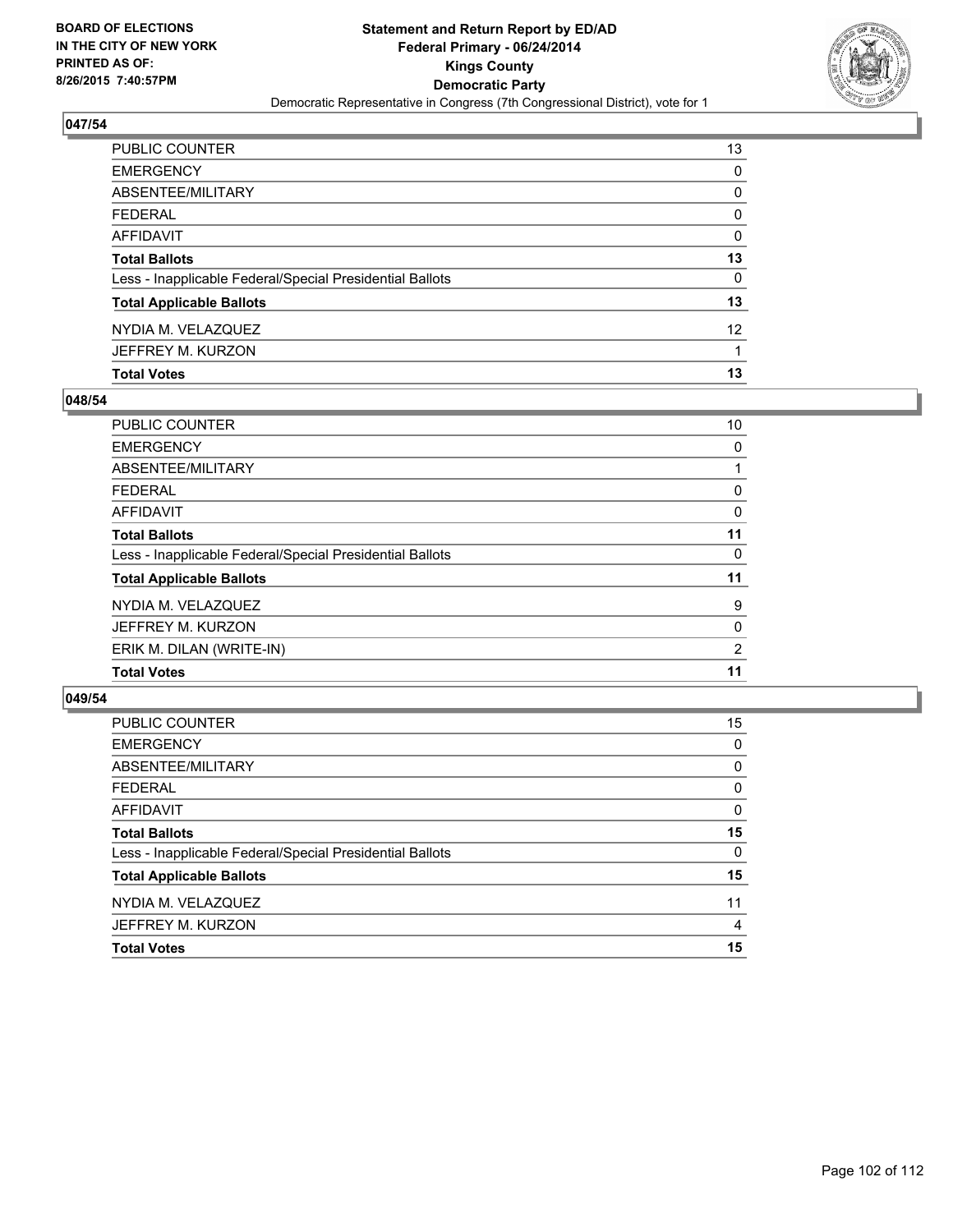

| PUBLIC COUNTER                                           | 13              |
|----------------------------------------------------------|-----------------|
| EMERGENCY                                                | 0               |
| ABSENTEE/MILITARY                                        | 0               |
| FEDERAL                                                  | 0               |
| AFFIDAVIT                                                | 0               |
| Total Ballots                                            | 13              |
| Less - Inapplicable Federal/Special Presidential Ballots | 0               |
| <b>Total Applicable Ballots</b>                          | 13              |
| NYDIA M. VELAZQUEZ                                       | 12 <sup>2</sup> |
| JEFFREY M. KURZON                                        |                 |
| <b>Total Votes</b>                                       | 13              |

## **048/54**

| <b>PUBLIC COUNTER</b>                                    | 10             |
|----------------------------------------------------------|----------------|
| <b>EMERGENCY</b>                                         | 0              |
| ABSENTEE/MILITARY                                        |                |
| <b>FEDERAL</b>                                           | 0              |
| <b>AFFIDAVIT</b>                                         | 0              |
| <b>Total Ballots</b>                                     | 11             |
| Less - Inapplicable Federal/Special Presidential Ballots | 0              |
| <b>Total Applicable Ballots</b>                          | 11             |
| NYDIA M. VELAZQUEZ                                       | 9              |
| JEFFREY M. KURZON                                        | 0              |
| ERIK M. DILAN (WRITE-IN)                                 | $\overline{2}$ |
| <b>Total Votes</b>                                       | 11             |
|                                                          |                |

| <b>PUBLIC COUNTER</b>                                    | 15       |
|----------------------------------------------------------|----------|
| <b>EMERGENCY</b>                                         | 0        |
| ABSENTEE/MILITARY                                        | $\Omega$ |
| <b>FEDERAL</b>                                           | 0        |
| <b>AFFIDAVIT</b>                                         | $\Omega$ |
| <b>Total Ballots</b>                                     | 15       |
| Less - Inapplicable Federal/Special Presidential Ballots | 0        |
| <b>Total Applicable Ballots</b>                          | 15       |
| NYDIA M. VELAZQUEZ                                       | 11       |
| JEFFREY M. KURZON                                        | 4        |
| <b>Total Votes</b>                                       | 15       |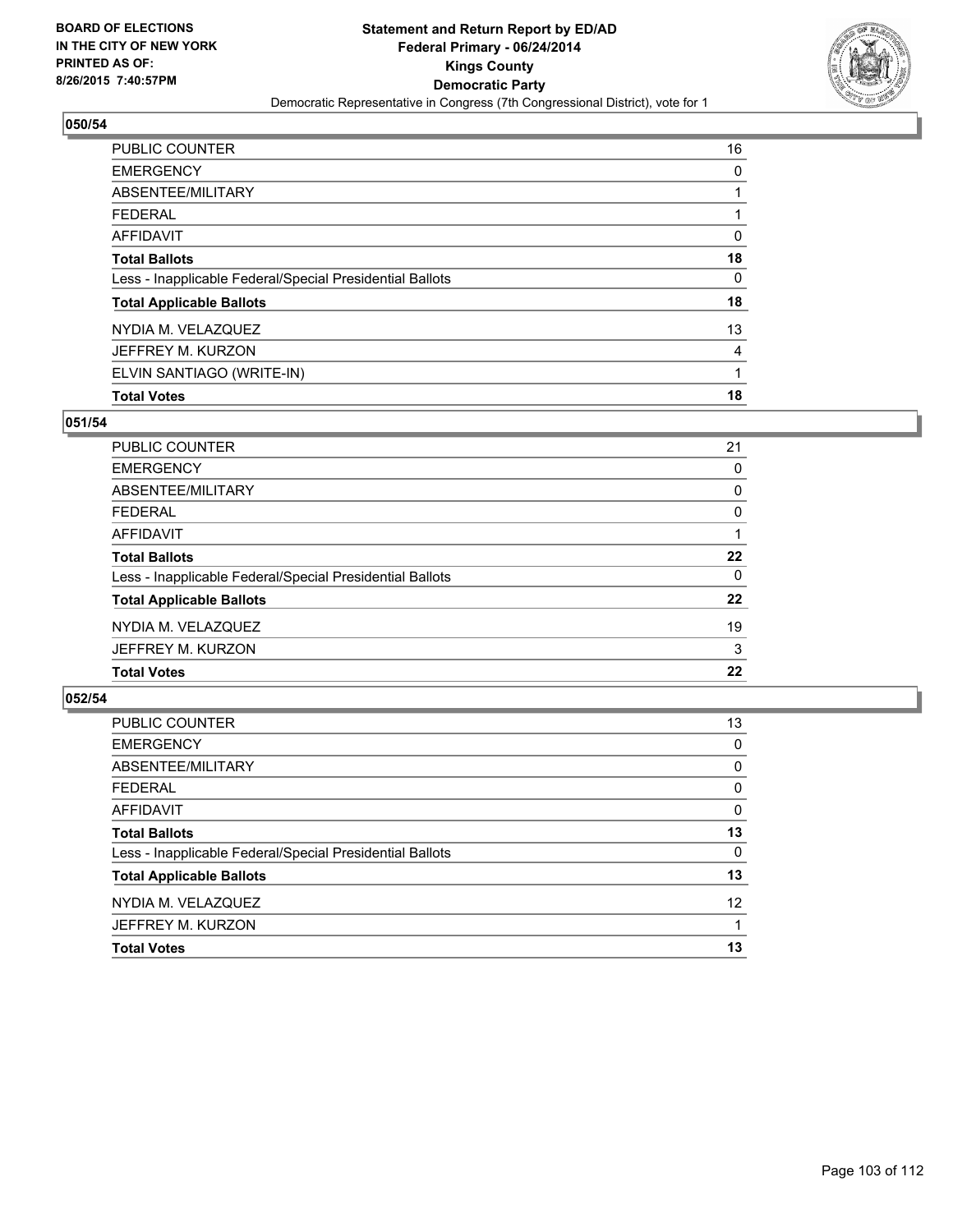

| PUBLIC COUNTER                                           | 16 |
|----------------------------------------------------------|----|
| <b>EMERGENCY</b>                                         | 0  |
| ABSENTEE/MILITARY                                        |    |
| <b>FEDERAL</b>                                           |    |
| <b>AFFIDAVIT</b>                                         | 0  |
| <b>Total Ballots</b>                                     | 18 |
| Less - Inapplicable Federal/Special Presidential Ballots | 0  |
| <b>Total Applicable Ballots</b>                          | 18 |
| NYDIA M. VELAZQUEZ                                       | 13 |
| JEFFREY M. KURZON                                        | 4  |
| ELVIN SANTIAGO (WRITE-IN)                                | 1  |
| <b>Total Votes</b>                                       | 18 |

## **051/54**

| PUBLIC COUNTER                                           | 21 |
|----------------------------------------------------------|----|
| <b>EMERGENCY</b>                                         | 0  |
| ABSENTEE/MILITARY                                        | 0  |
| <b>FEDERAL</b>                                           | 0  |
| <b>AFFIDAVIT</b>                                         |    |
| <b>Total Ballots</b>                                     | 22 |
| Less - Inapplicable Federal/Special Presidential Ballots | 0  |
| <b>Total Applicable Ballots</b>                          | 22 |
| NYDIA M. VELAZQUEZ                                       | 19 |
| JEFFREY M. KURZON                                        | 3  |
| <b>Total Votes</b>                                       | 22 |
|                                                          |    |

| PUBLIC COUNTER                                           | 13       |
|----------------------------------------------------------|----------|
| <b>EMERGENCY</b>                                         | 0        |
| ABSENTEE/MILITARY                                        | 0        |
| <b>FEDERAL</b>                                           | 0        |
| <b>AFFIDAVIT</b>                                         | $\Omega$ |
| <b>Total Ballots</b>                                     | 13       |
| Less - Inapplicable Federal/Special Presidential Ballots | 0        |
| <b>Total Applicable Ballots</b>                          | 13       |
| NYDIA M. VELAZQUEZ                                       | 12       |
| JEFFREY M. KURZON                                        |          |
| <b>Total Votes</b>                                       | 13       |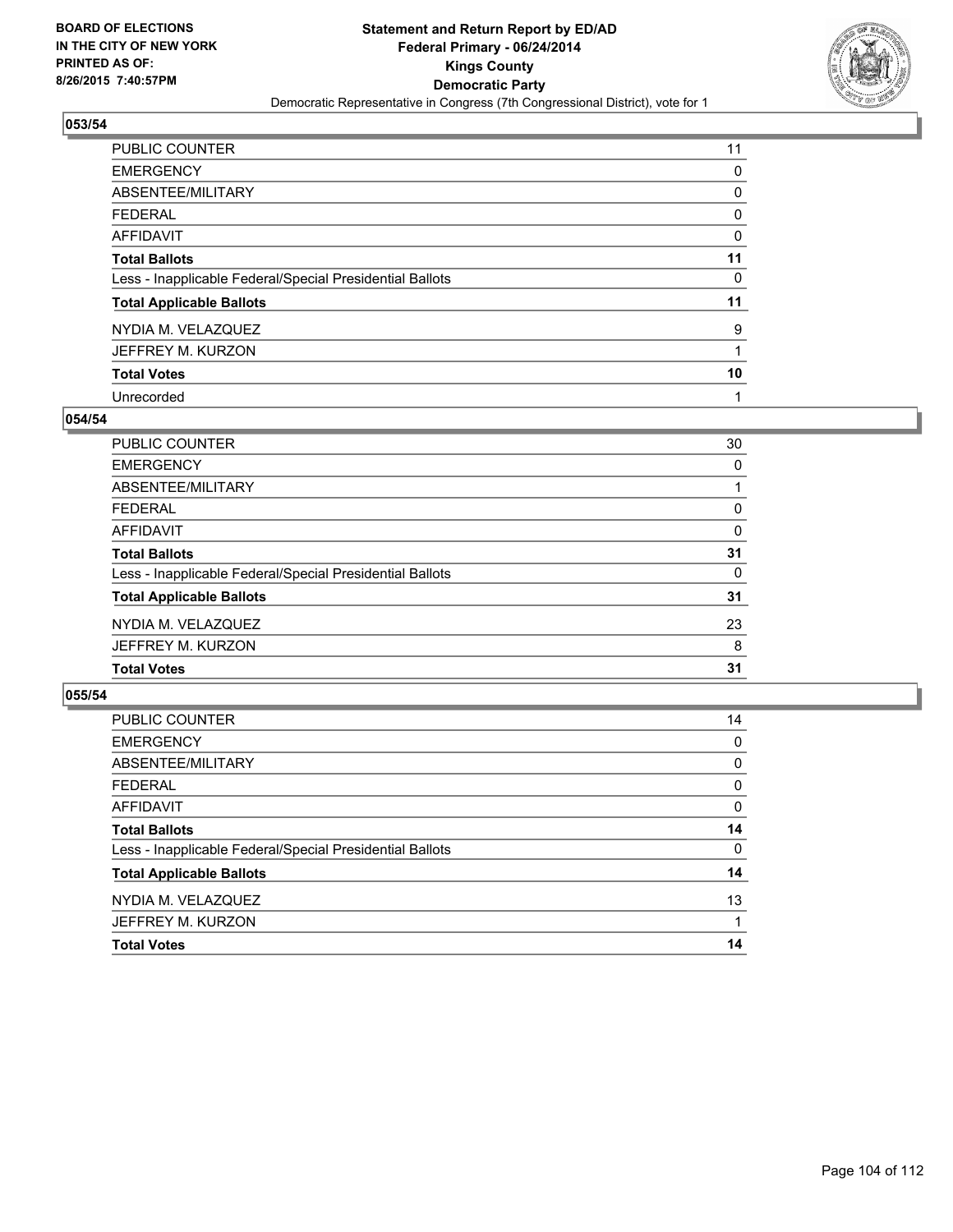

| PUBLIC COUNTER                                           | 11 |
|----------------------------------------------------------|----|
| <b>EMERGENCY</b>                                         | 0  |
| ABSENTEE/MILITARY                                        | 0  |
| <b>FEDERAL</b>                                           | 0  |
| <b>AFFIDAVIT</b>                                         | 0  |
| <b>Total Ballots</b>                                     | 11 |
| Less - Inapplicable Federal/Special Presidential Ballots | 0  |
| <b>Total Applicable Ballots</b>                          | 11 |
| NYDIA M. VELAZQUEZ                                       | 9  |
| JEFFREY M. KURZON                                        |    |
| <b>Total Votes</b>                                       | 10 |
| Unrecorded                                               |    |

### **054/54**

| <b>PUBLIC COUNTER</b>                                    | 30       |
|----------------------------------------------------------|----------|
| <b>EMERGENCY</b>                                         | $\Omega$ |
| <b>ABSENTEE/MILITARY</b>                                 |          |
| <b>FEDERAL</b>                                           | 0        |
| <b>AFFIDAVIT</b>                                         | 0        |
| <b>Total Ballots</b>                                     | 31       |
| Less - Inapplicable Federal/Special Presidential Ballots | 0        |
| <b>Total Applicable Ballots</b>                          | 31       |
| NYDIA M. VELAZQUEZ                                       | 23       |
| JEFFREY M. KURZON                                        | 8        |
| <b>Total Votes</b>                                       | 31       |
|                                                          |          |

| PUBLIC COUNTER                                           | 14 |
|----------------------------------------------------------|----|
| <b>EMERGENCY</b>                                         | 0  |
| ABSENTEE/MILITARY                                        | 0  |
| <b>FEDERAL</b>                                           | 0  |
| <b>AFFIDAVIT</b>                                         | 0  |
| <b>Total Ballots</b>                                     | 14 |
| Less - Inapplicable Federal/Special Presidential Ballots | 0  |
| <b>Total Applicable Ballots</b>                          | 14 |
| NYDIA M. VELAZQUEZ                                       | 13 |
| JEFFREY M. KURZON                                        |    |
| <b>Total Votes</b>                                       | 14 |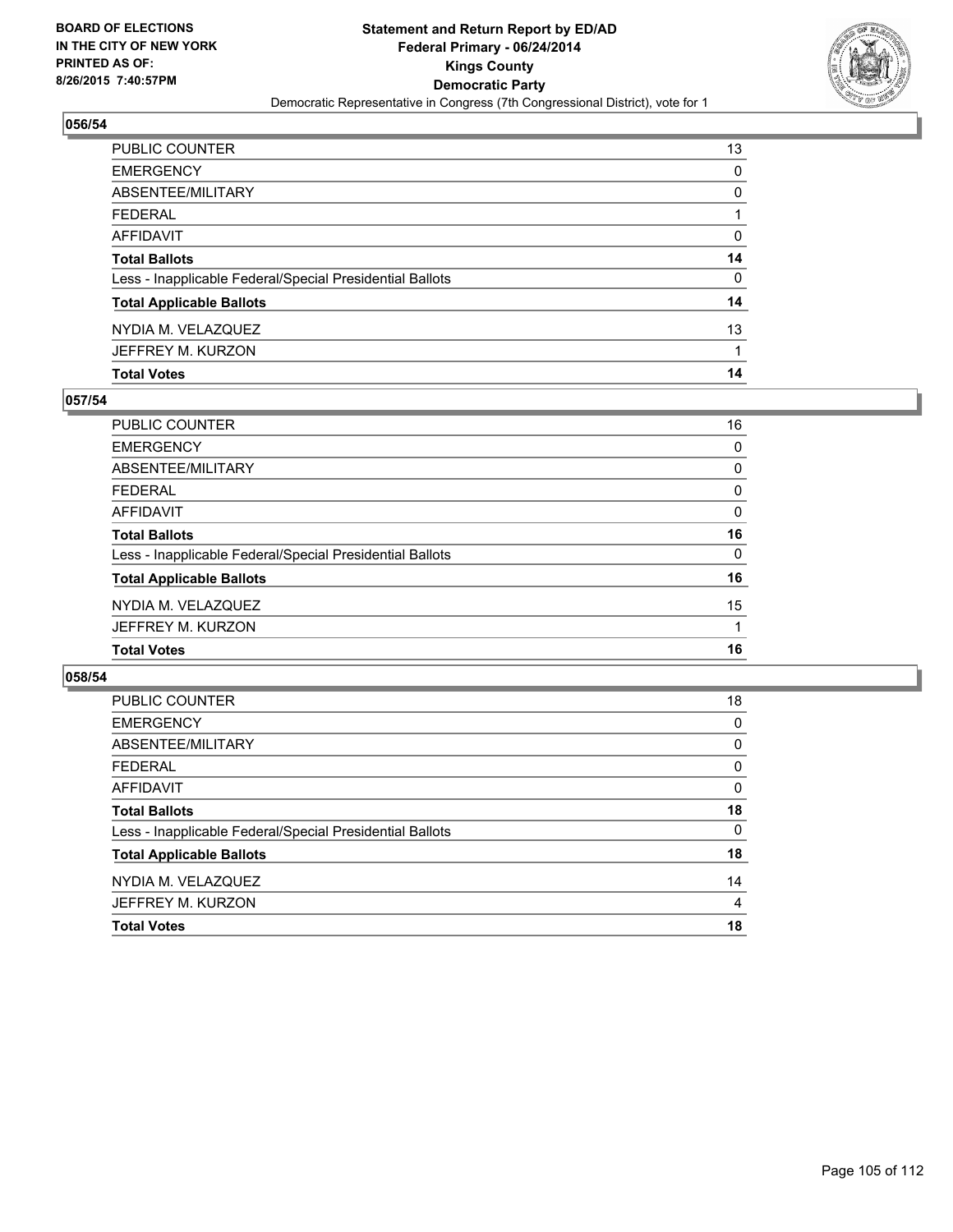

| PUBLIC COUNTER                                           | 13 |
|----------------------------------------------------------|----|
| EMERGENCY                                                | 0  |
| ABSENTEE/MILITARY                                        | 0  |
| FEDERAL                                                  |    |
| AFFIDAVIT                                                | 0  |
| Total Ballots                                            | 14 |
| Less - Inapplicable Federal/Special Presidential Ballots | 0  |
| <b>Total Applicable Ballots</b>                          | 14 |
| NYDIA M. VELAZQUEZ                                       | 13 |
| JEFFREY M. KURZON                                        | 1  |
| <b>Total Votes</b>                                       | 14 |

## **057/54**

| PUBLIC COUNTER                                           | 16       |
|----------------------------------------------------------|----------|
| <b>EMERGENCY</b>                                         | $\Omega$ |
| ABSENTEE/MILITARY                                        | 0        |
| <b>FEDERAL</b>                                           | 0        |
| <b>AFFIDAVIT</b>                                         | $\Omega$ |
| <b>Total Ballots</b>                                     | 16       |
| Less - Inapplicable Federal/Special Presidential Ballots | 0        |
| <b>Total Applicable Ballots</b>                          | 16       |
| NYDIA M. VELAZQUEZ                                       | 15       |
| JEFFREY M. KURZON                                        |          |
| <b>Total Votes</b>                                       | 16       |
|                                                          |          |

| <b>PUBLIC COUNTER</b>                                    | 18       |
|----------------------------------------------------------|----------|
| <b>EMERGENCY</b>                                         | 0        |
| ABSENTEE/MILITARY                                        | 0        |
| <b>FEDERAL</b>                                           | 0        |
| AFFIDAVIT                                                | 0        |
| <b>Total Ballots</b>                                     | 18       |
| Less - Inapplicable Federal/Special Presidential Ballots | $\Omega$ |
| <b>Total Applicable Ballots</b>                          | 18       |
| NYDIA M. VELAZQUEZ                                       | 14       |
| JEFFREY M. KURZON                                        | 4        |
| <b>Total Votes</b>                                       | 18       |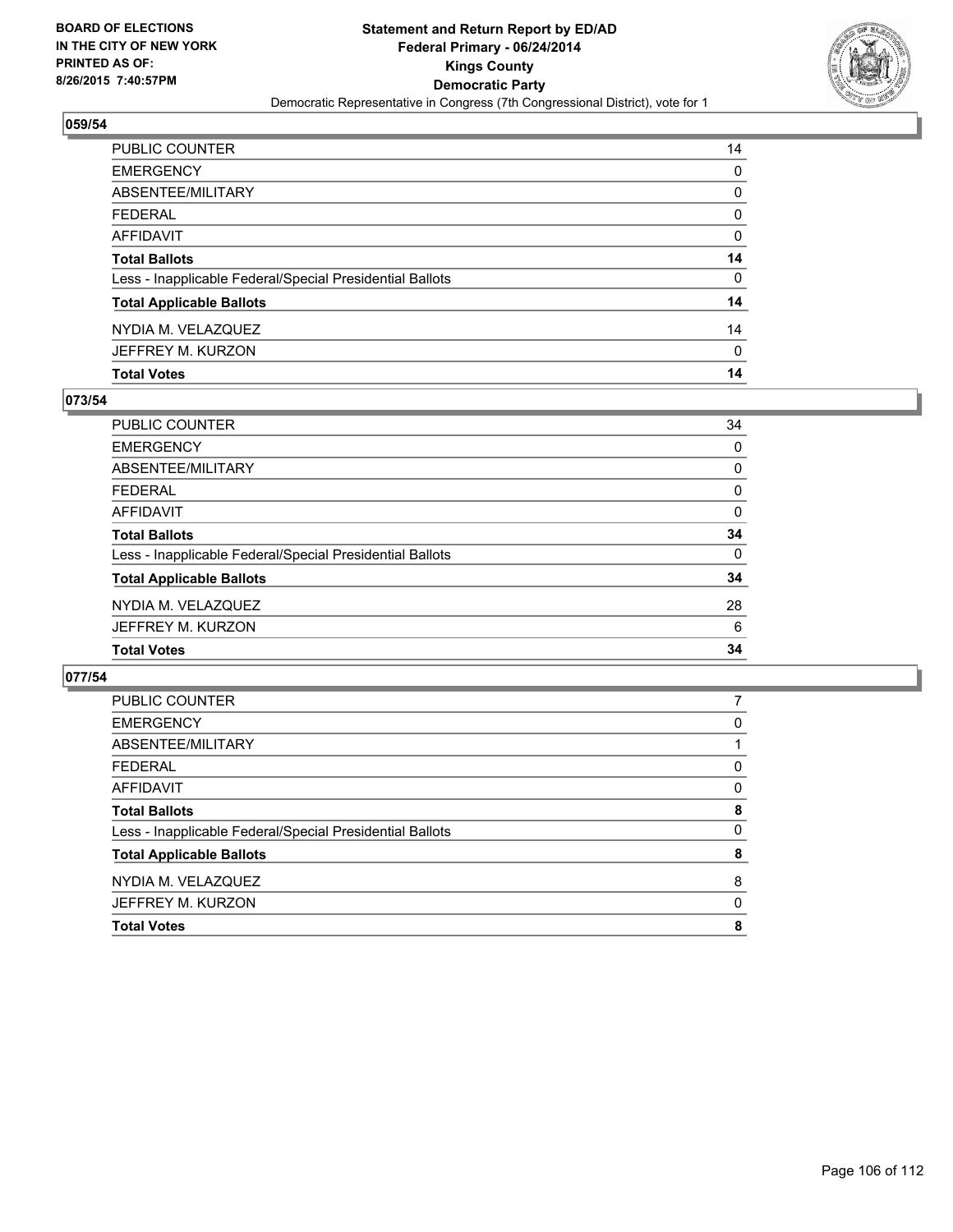

| PUBLIC COUNTER                                           | 14 |
|----------------------------------------------------------|----|
| EMERGENCY                                                | 0  |
| ABSENTEE/MILITARY                                        | 0  |
| FEDERAL                                                  | 0  |
| AFFIDAVIT                                                | 0  |
| <b>Total Ballots</b>                                     | 14 |
| Less - Inapplicable Federal/Special Presidential Ballots | 0  |
| <b>Total Applicable Ballots</b>                          | 14 |
| NYDIA M. VELAZQUEZ                                       | 14 |
| JEFFREY M. KURZON                                        | 0  |
| <b>Total Votes</b>                                       | 14 |

## **073/54**

| <b>PUBLIC COUNTER</b>                                    | 34       |
|----------------------------------------------------------|----------|
| <b>EMERGENCY</b>                                         | 0        |
| <b>ABSENTEE/MILITARY</b>                                 | 0        |
| <b>FEDERAL</b>                                           | 0        |
| <b>AFFIDAVIT</b>                                         | 0        |
| <b>Total Ballots</b>                                     | 34       |
| Less - Inapplicable Federal/Special Presidential Ballots | $\Omega$ |
| <b>Total Applicable Ballots</b>                          | 34       |
| NYDIA M. VELAZQUEZ                                       | 28       |
| JEFFREY M. KURZON                                        | 6        |
| <b>Total Votes</b>                                       | 34       |
|                                                          |          |

| <b>PUBLIC COUNTER</b>                                    |          |
|----------------------------------------------------------|----------|
| <b>EMERGENCY</b>                                         | 0        |
| ABSENTEE/MILITARY                                        |          |
| <b>FEDERAL</b>                                           | 0        |
| AFFIDAVIT                                                | 0        |
| <b>Total Ballots</b>                                     | 8        |
| Less - Inapplicable Federal/Special Presidential Ballots | $\Omega$ |
| <b>Total Applicable Ballots</b>                          | 8        |
| NYDIA M. VELAZQUEZ                                       | 8        |
| JEFFREY M. KURZON                                        | 0        |
| <b>Total Votes</b>                                       | 8        |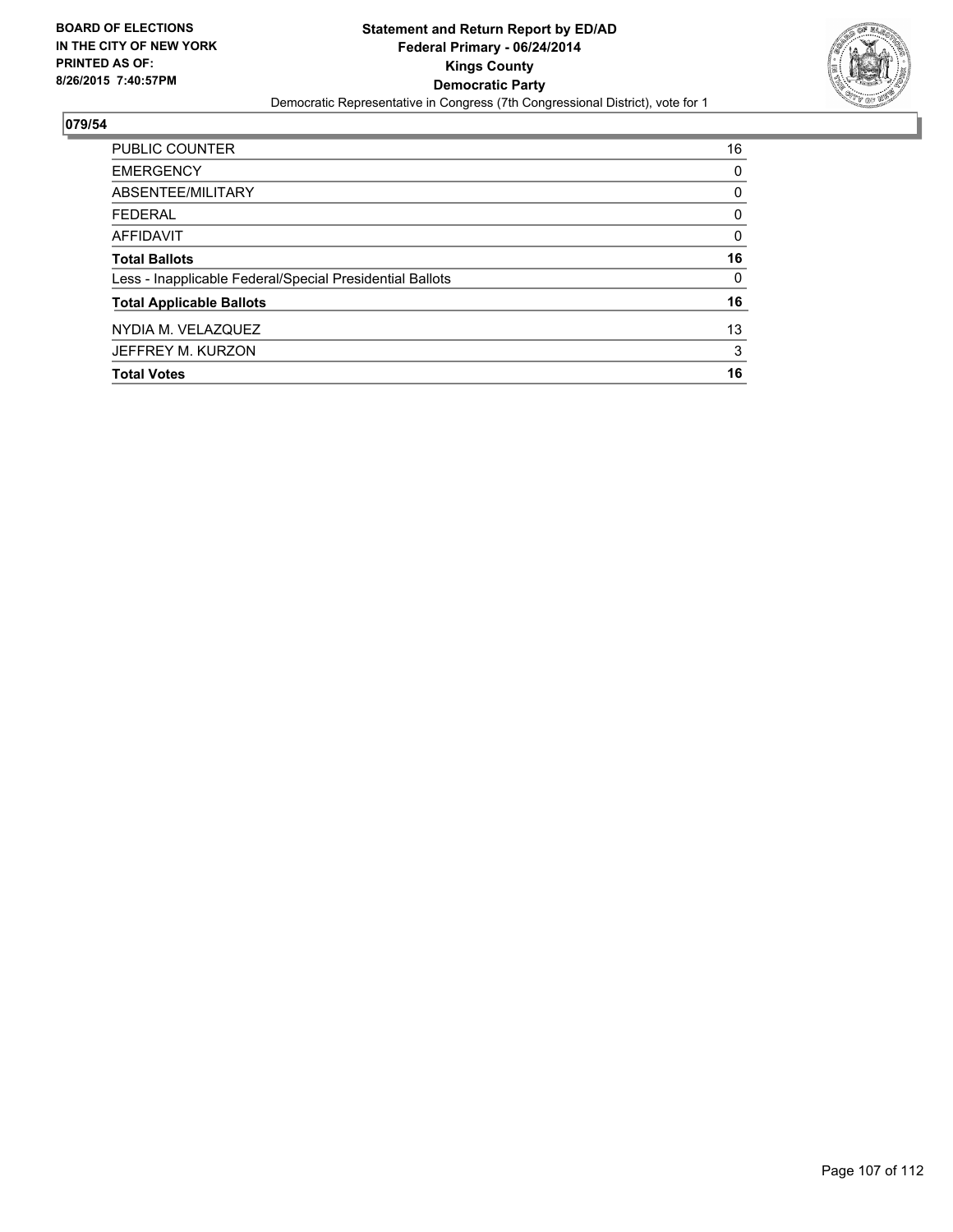

| <b>PUBLIC COUNTER</b>                                    | 16 |
|----------------------------------------------------------|----|
| <b>EMERGENCY</b>                                         | 0  |
| ABSENTEE/MILITARY                                        | 0  |
| <b>FEDERAL</b>                                           | 0  |
| <b>AFFIDAVIT</b>                                         | 0  |
| <b>Total Ballots</b>                                     | 16 |
| Less - Inapplicable Federal/Special Presidential Ballots | 0  |
| <b>Total Applicable Ballots</b>                          | 16 |
| NYDIA M. VELAZQUEZ                                       | 13 |
| JEFFREY M. KURZON                                        | 3  |
| <b>Total Votes</b>                                       | 16 |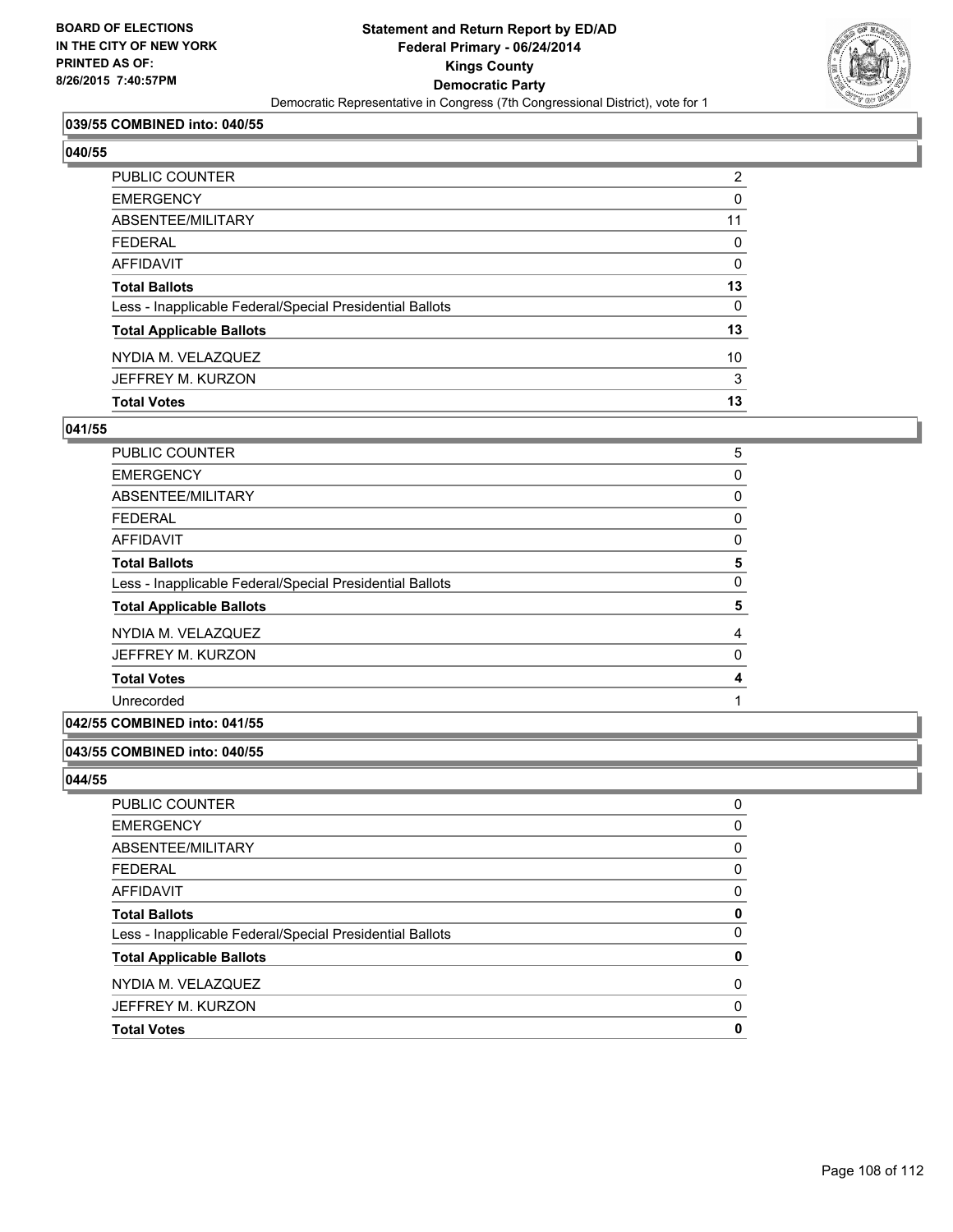

## **039/55 COMBINED into: 040/55**

#### **040/55**

| <b>PUBLIC COUNTER</b>                                    | $\overline{2}$ |
|----------------------------------------------------------|----------------|
| <b>EMERGENCY</b>                                         | 0              |
| ABSENTEE/MILITARY                                        | 11             |
| <b>FEDERAL</b>                                           | 0              |
| AFFIDAVIT                                                | 0              |
| <b>Total Ballots</b>                                     | 13             |
| Less - Inapplicable Federal/Special Presidential Ballots | 0              |
| <b>Total Applicable Ballots</b>                          | 13             |
| NYDIA M. VELAZQUEZ                                       | 10             |
| JEFFREY M. KURZON                                        | 3              |
| <b>Total Votes</b>                                       | 13             |

### **041/55**

| <b>PUBLIC COUNTER</b>                                    | 5 |
|----------------------------------------------------------|---|
| <b>EMERGENCY</b>                                         | 0 |
| ABSENTEE/MILITARY                                        | 0 |
| <b>FEDERAL</b>                                           | 0 |
| <b>AFFIDAVIT</b>                                         | 0 |
| <b>Total Ballots</b>                                     | 5 |
| Less - Inapplicable Federal/Special Presidential Ballots | 0 |
| <b>Total Applicable Ballots</b>                          | 5 |
| NYDIA M. VELAZQUEZ                                       | 4 |
| JEFFREY M. KURZON                                        | 0 |
| <b>Total Votes</b>                                       | 4 |
| Unrecorded                                               |   |
|                                                          |   |

## **042/55 COMBINED into: 041/55**

### **043/55 COMBINED into: 040/55**

| <b>PUBLIC COUNTER</b>                                    | 0 |
|----------------------------------------------------------|---|
|                                                          |   |
| <b>EMERGENCY</b>                                         | 0 |
| ABSENTEE/MILITARY                                        | 0 |
| <b>FEDERAL</b>                                           | 0 |
| AFFIDAVIT                                                | 0 |
| <b>Total Ballots</b>                                     | 0 |
| Less - Inapplicable Federal/Special Presidential Ballots | 0 |
| <b>Total Applicable Ballots</b>                          | 0 |
| NYDIA M. VELAZQUEZ                                       | 0 |
| JEFFREY M. KURZON                                        | 0 |
| <b>Total Votes</b>                                       | 0 |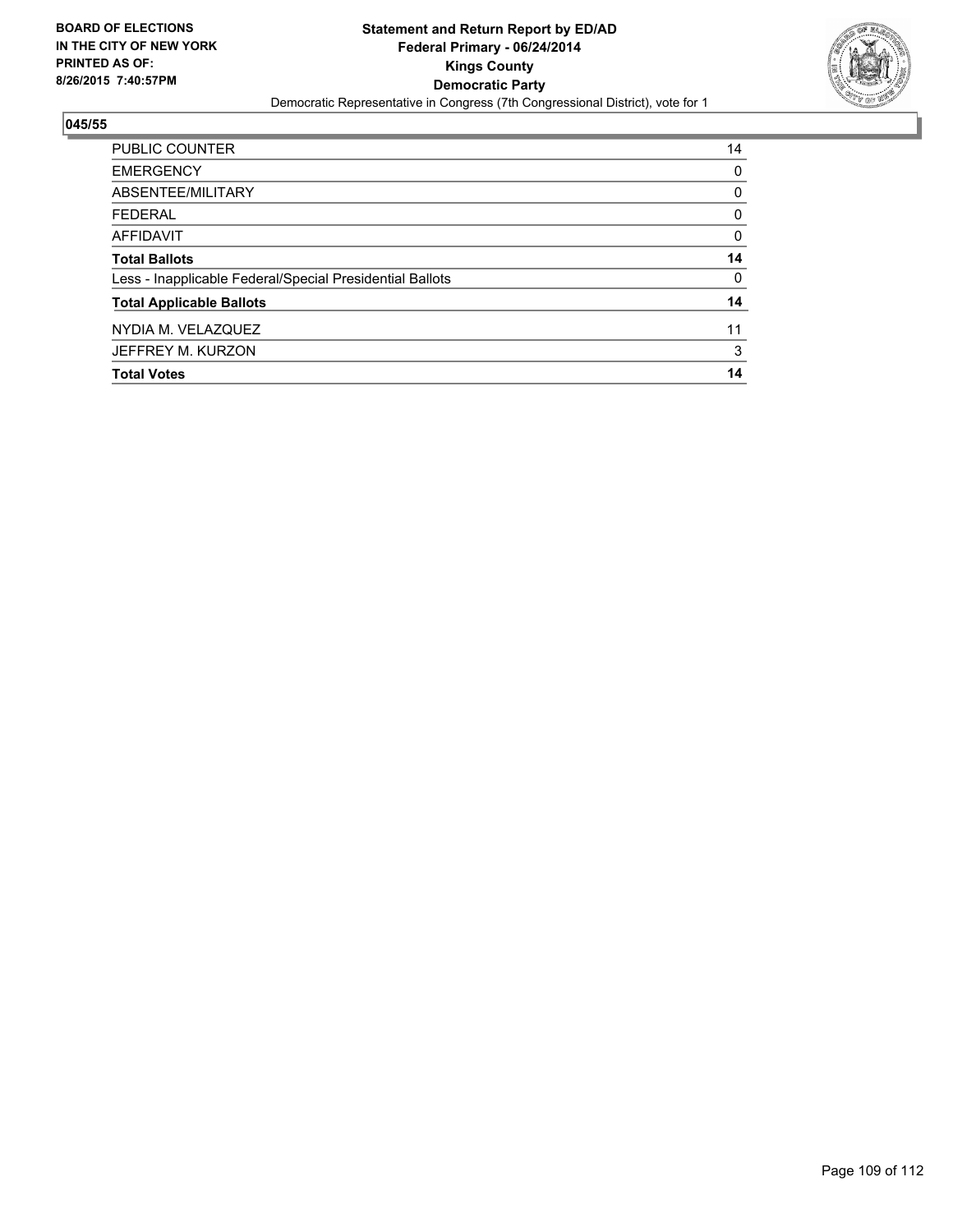

# **045/55**

| <b>PUBLIC COUNTER</b>                                    | 14 |
|----------------------------------------------------------|----|
| <b>EMERGENCY</b>                                         | 0  |
| ABSENTEE/MILITARY                                        | 0  |
| <b>FEDERAL</b>                                           | 0  |
| <b>AFFIDAVIT</b>                                         | 0  |
| <b>Total Ballots</b>                                     | 14 |
| Less - Inapplicable Federal/Special Presidential Ballots | 0  |
| <b>Total Applicable Ballots</b>                          | 14 |
| NYDIA M. VELAZQUEZ                                       | 11 |
| JEFFREY M. KURZON                                        | 3  |
| <b>Total Votes</b>                                       | 14 |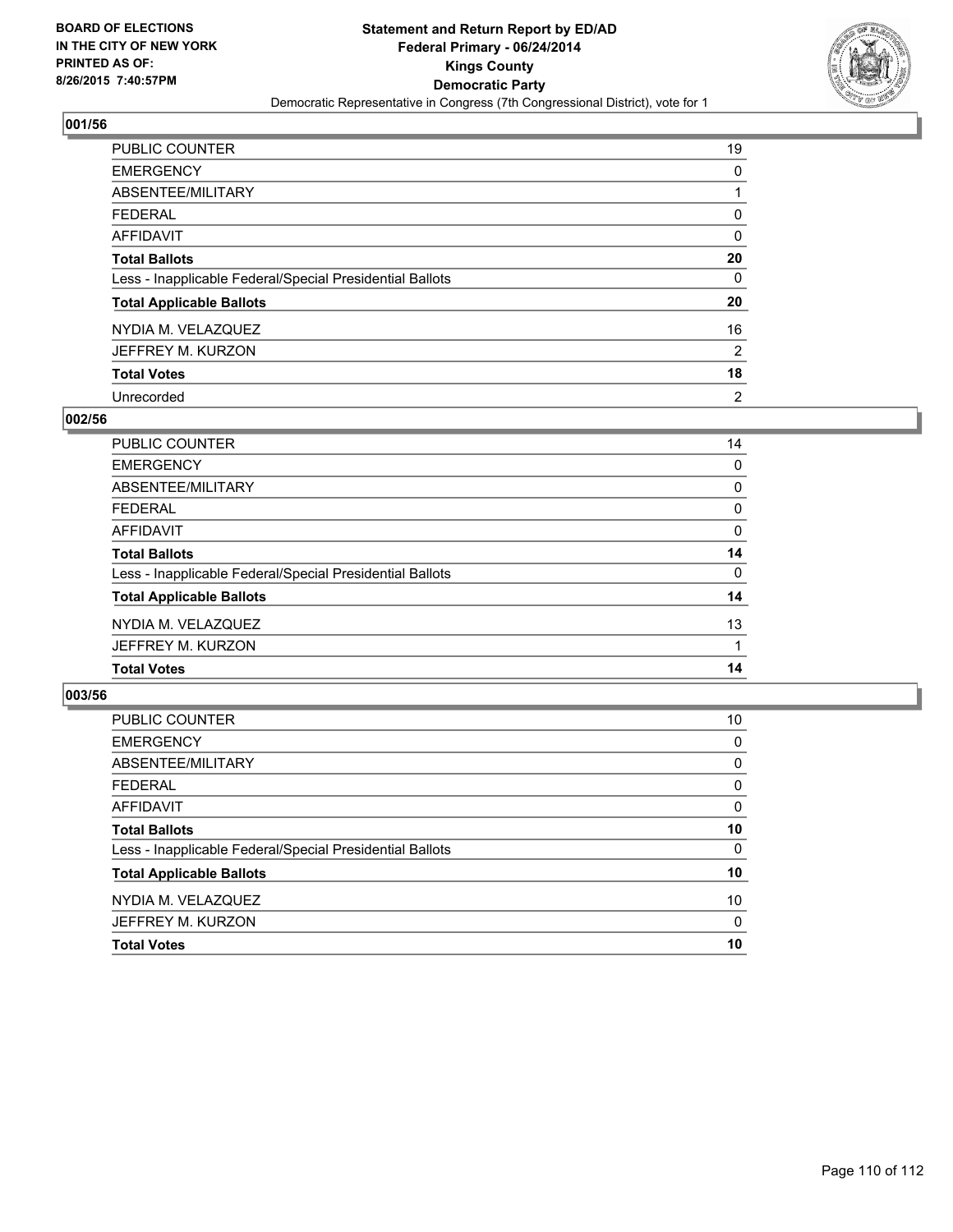

## **001/56**

| PUBLIC COUNTER                                           | 19 |
|----------------------------------------------------------|----|
| <b>EMERGENCY</b>                                         | 0  |
| ABSENTEE/MILITARY                                        |    |
| <b>FEDERAL</b>                                           | 0  |
| AFFIDAVIT                                                | 0  |
| <b>Total Ballots</b>                                     | 20 |
| Less - Inapplicable Federal/Special Presidential Ballots | 0  |
| <b>Total Applicable Ballots</b>                          | 20 |
| NYDIA M. VELAZQUEZ                                       | 16 |
| JEFFREY M. KURZON                                        | 2  |
| <b>Total Votes</b>                                       | 18 |
| Unrecorded                                               | 2  |

### **002/56**

| PUBLIC COUNTER                                           | 14       |
|----------------------------------------------------------|----------|
| <b>EMERGENCY</b>                                         | $\Omega$ |
| <b>ABSENTEE/MILITARY</b>                                 | 0        |
| <b>FEDERAL</b>                                           | 0        |
| <b>AFFIDAVIT</b>                                         | 0        |
| <b>Total Ballots</b>                                     | 14       |
| Less - Inapplicable Federal/Special Presidential Ballots | 0        |
| <b>Total Applicable Ballots</b>                          | 14       |
| NYDIA M. VELAZQUEZ                                       | 13       |
| JEFFREY M. KURZON                                        |          |
| <b>Total Votes</b>                                       | 14       |
|                                                          |          |

### **003/56**

| PUBLIC COUNTER                                           | 10       |
|----------------------------------------------------------|----------|
| <b>EMERGENCY</b>                                         | 0        |
| ABSENTEE/MILITARY                                        | 0        |
| <b>FEDERAL</b>                                           | 0        |
| <b>AFFIDAVIT</b>                                         | $\Omega$ |
| <b>Total Ballots</b>                                     | 10       |
| Less - Inapplicable Federal/Special Presidential Ballots | 0        |
| <b>Total Applicable Ballots</b>                          | 10       |
| NYDIA M. VELAZQUEZ                                       | 10       |
| JEFFREY M. KURZON                                        | 0        |
| <b>Total Votes</b>                                       | 10       |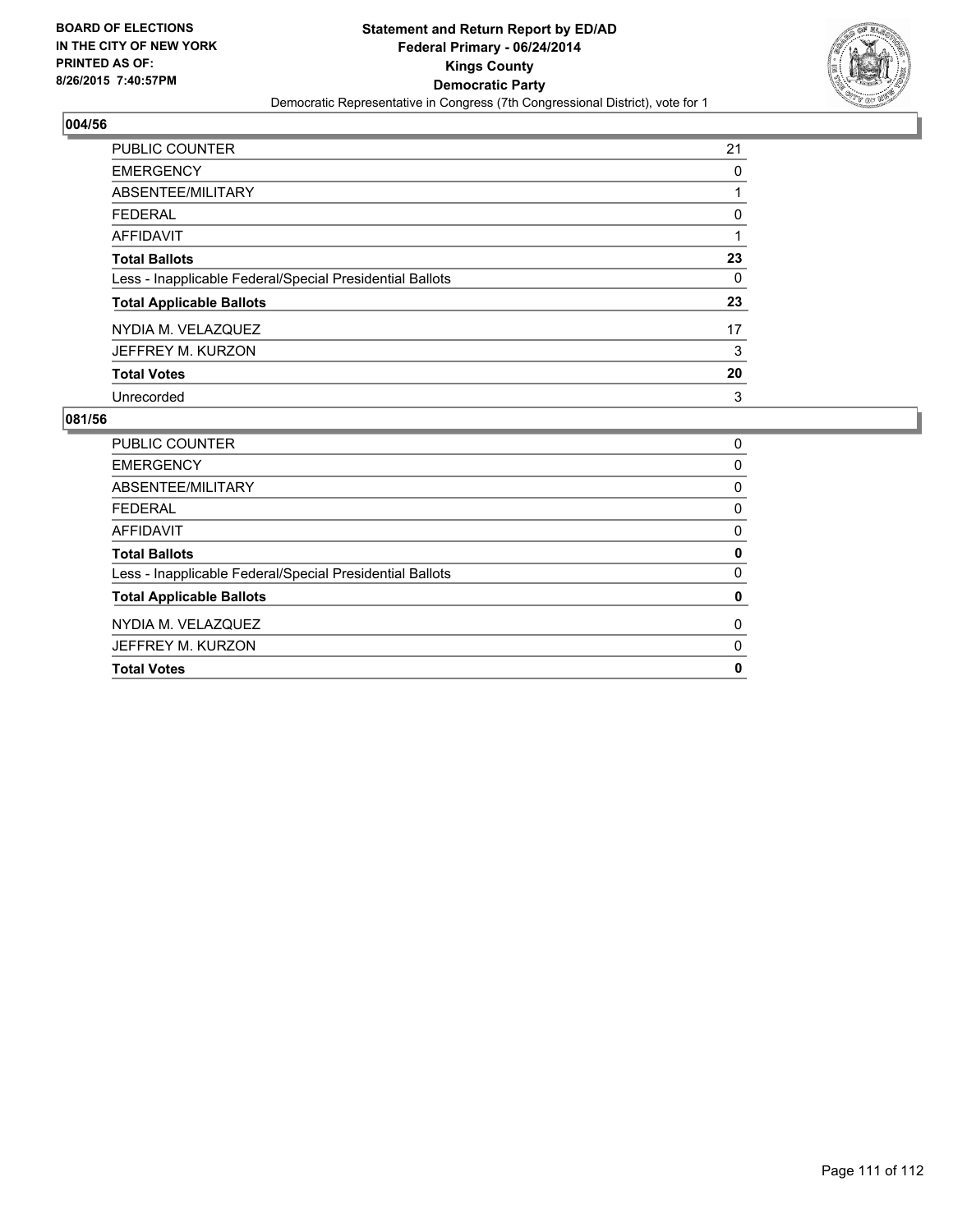

## **004/56**

| <b>PUBLIC COUNTER</b>                                    | 21 |
|----------------------------------------------------------|----|
| <b>EMERGENCY</b>                                         | 0  |
| ABSENTEE/MILITARY                                        |    |
| <b>FEDERAL</b>                                           | 0  |
| AFFIDAVIT                                                |    |
| <b>Total Ballots</b>                                     | 23 |
| Less - Inapplicable Federal/Special Presidential Ballots | 0  |
| <b>Total Applicable Ballots</b>                          | 23 |
| NYDIA M. VELAZQUEZ                                       | 17 |
| JEFFREY M. KURZON                                        | 3  |
| <b>Total Votes</b>                                       | 20 |
| Unrecorded                                               | 3  |

#### **081/56**

| <b>PUBLIC COUNTER</b>                                    | 0 |
|----------------------------------------------------------|---|
| <b>EMERGENCY</b>                                         | 0 |
| ABSENTEE/MILITARY                                        | 0 |
| <b>FEDERAL</b>                                           | 0 |
| AFFIDAVIT                                                | 0 |
| <b>Total Ballots</b>                                     | 0 |
| Less - Inapplicable Federal/Special Presidential Ballots | 0 |
| <b>Total Applicable Ballots</b>                          | 0 |
| NYDIA M. VELAZQUEZ                                       | 0 |
| JEFFREY M. KURZON                                        | 0 |
| <b>Total Votes</b>                                       | 0 |